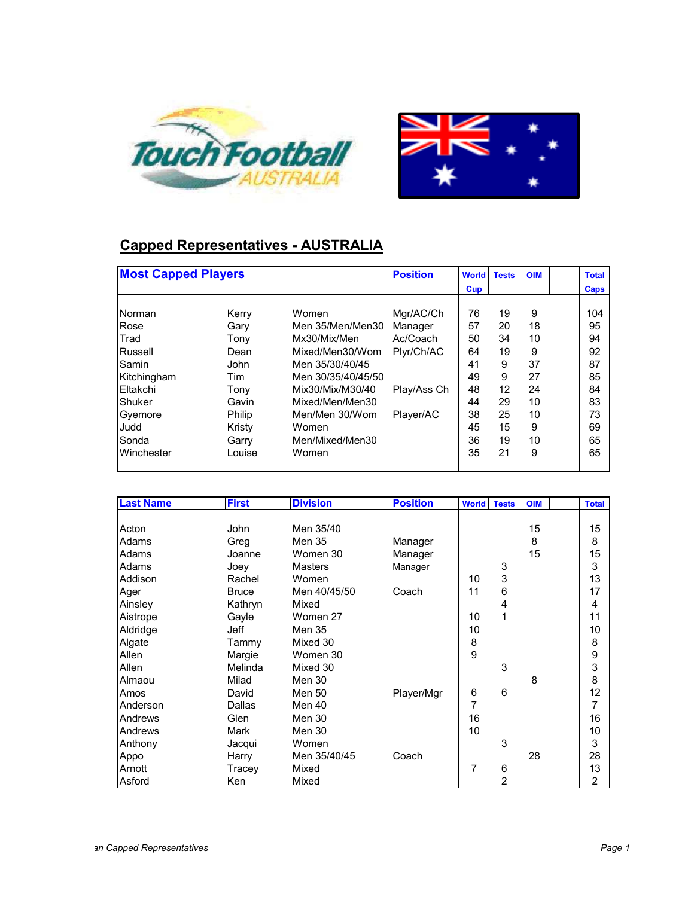



## **Capped Representatives - AUSTRALIA**

| <b>Most Capped Players</b>     |                 |                                        | <b>Position</b>     | <b>World</b> | <b>Tests</b> | <b>OIM</b> | <b>Total</b> |
|--------------------------------|-----------------|----------------------------------------|---------------------|--------------|--------------|------------|--------------|
|                                |                 |                                        |                     | Cup          |              |            | Caps         |
| Norman<br><b>Rose</b>          | Kerry           | Women<br>Men 35/Men/Men30              | Mgr/AC/Ch           | 76<br>57     | 19<br>20     | 9<br>18    | 104<br>95    |
| <b>Trad</b>                    | Gary<br>Tony    | Mx30/Mix/Men<br>Mixed/Men30/Wom        | Manager<br>Ac/Coach | 50<br>64     | 34           | 10         | 94           |
| Russell<br>Samin               | Dean<br>John    | Men 35/30/40/45                        | Plyr/Ch/AC          | 41           | 19<br>9      | 9<br>37    | 92<br>87     |
| Kitchingham<br><b>Eltakchi</b> | Tim<br>Tony     | Men 30/35/40/45/50<br>Mix30/Mix/M30/40 | Play/Ass Ch         | 49<br>48     | 9<br>12      | 27<br>24   | 85<br>84     |
| Shuker<br>Gyemore              | Gavin<br>Philip | Mixed/Men/Men30<br>Men/Men 30/Wom      | Player/AC           | 44<br>38     | 29<br>25     | 10<br>10   | 83<br>73     |
| Judd<br>Sonda                  | Kristy<br>Garry | Women<br>Men/Mixed/Men30               |                     | 45<br>36     | 15<br>19     | 9<br>10    | 69<br>65     |
| Winchester                     | Louise          | Women                                  |                     | 35           | 21           | 9          | 65           |

| <b>Last Name</b> | <b>First</b>  | <b>Division</b> | <b>Position</b> | <b>World Tests</b> |   | <b>OIM</b> | <b>Total</b>   |
|------------------|---------------|-----------------|-----------------|--------------------|---|------------|----------------|
|                  |               |                 |                 |                    |   |            |                |
| Acton            | John          | Men 35/40       |                 |                    |   | 15         | 15             |
| Adams            | Greg          | <b>Men 35</b>   | Manager         |                    |   | 8          | 8              |
| Adams            | Joanne        | Women 30        | Manager         |                    |   | 15         | 15             |
| Adams            | Joey          | <b>Masters</b>  | Manager         |                    | 3 |            | 3              |
| Addison          | Rachel        | Women           |                 | 10                 | 3 |            | 13             |
| Ager             | <b>Bruce</b>  | Men 40/45/50    | Coach           | 11                 | 6 |            | 17             |
| Ainsley          | Kathryn       | Mixed           |                 |                    | 4 |            | 4              |
| Aistrope         | Gayle         | Women 27        |                 | 10                 | 1 |            | 11             |
| Aldridge         | Jeff          | <b>Men 35</b>   |                 | 10                 |   |            | 10             |
| Algate           | Tammy         | Mixed 30        |                 | 8                  |   |            | 8              |
| Allen            | Margie        | Women 30        |                 | 9                  |   |            | 9              |
| Allen            | Melinda       | Mixed 30        |                 |                    | 3 |            | 3              |
| Almaou           | Milad         | <b>Men 30</b>   |                 |                    |   | 8          | 8              |
| Amos             | David         | Men 50          | Player/Mgr      | 6                  | 6 |            | 12             |
| Anderson         | <b>Dallas</b> | Men 40          |                 | 7                  |   |            | 7              |
| Andrews          | Glen          | Men 30          |                 | 16                 |   |            | 16             |
| Andrews          | Mark          | Men 30          |                 | 10                 |   |            | 10             |
| Anthony          | Jacqui        | Women           |                 |                    | 3 |            | 3              |
| Appo             | Harry         | Men 35/40/45    | Coach           |                    |   | 28         | 28             |
| Arnott           | Tracey        | Mixed           |                 | 7                  | 6 |            | 13             |
| Asford           | Ken           | Mixed           |                 |                    | 2 |            | $\overline{2}$ |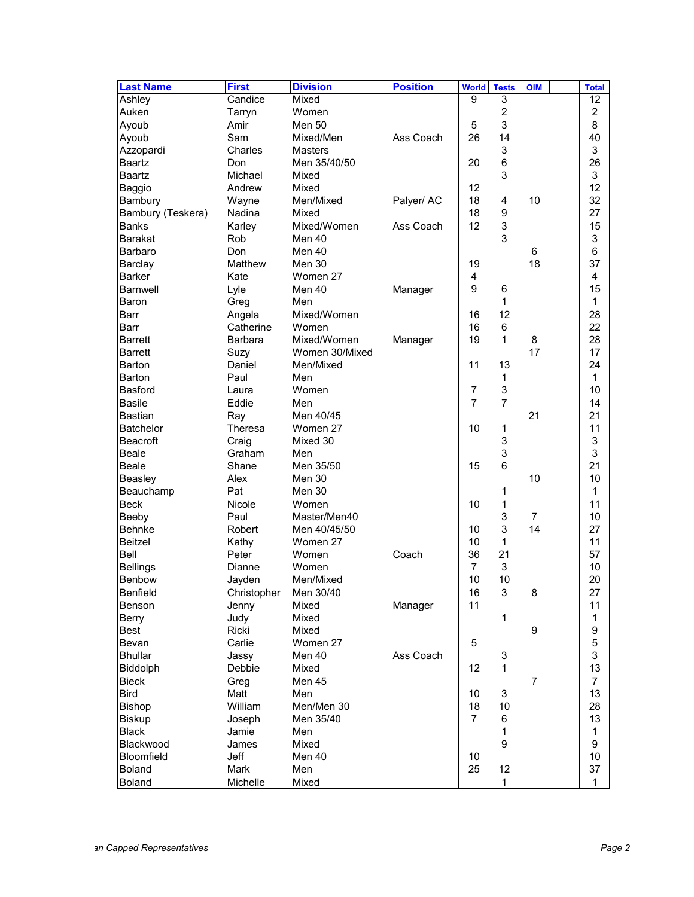| 3<br>Ashley<br>Candice<br>Mixed<br>9<br>12<br>$\overline{\mathbf{c}}$<br>2<br>Auken<br>Women<br>Tarryn<br>3<br>8<br>Ayoub<br><b>Men 50</b><br>5<br>Amir<br>26<br>Ass Coach<br>14<br>40<br>Ayoub<br>Sam<br>Mixed/Men<br>3<br>3<br>Charles<br><b>Masters</b><br>Azzopardi<br>6<br>26<br><b>Baartz</b><br>Don<br>Men 35/40/50<br>20<br>3<br>3<br><b>Baartz</b><br>Michael<br>Mixed<br>12<br>12<br>Andrew<br>Mixed<br>Baggio<br>32<br>18<br>10<br>Men/Mixed<br>Palyer/ AC<br>4<br>Bambury<br>Wayne<br>18<br>9<br>27<br>Bambury (Teskera)<br>Nadina<br>Mixed<br>12<br>3<br><b>Banks</b><br>Mixed/Women<br>Ass Coach<br>15<br>Karley<br>3<br>3<br><b>Barakat</b><br>Rob<br>Men 40<br>6<br>6<br>Don<br>Men 40<br>Barbaro<br>18<br>37<br>Matthew<br>Men 30<br>19<br>Barclay<br>4<br>4<br><b>Barker</b><br>Women 27<br>Kate<br>9<br>15<br><b>Barnwell</b><br>Lyle<br>Men 40<br>6<br>Manager<br>Baron<br>Greg<br>1<br>1<br>Men<br>12<br>Mixed/Women<br>28<br>Barr<br>Angela<br>16<br>16<br>22<br><b>Barr</b><br>Catherine<br>Women<br>6<br>28<br>1<br><b>Barrett</b><br><b>Barbara</b><br>Mixed/Women<br>Manager<br>19<br>8<br>17<br>17<br><b>Barrett</b><br>Women 30/Mixed<br>Suzy<br>11<br>13<br>24<br>Men/Mixed<br>Barton<br>Daniel<br>1<br><b>Barton</b><br>Paul<br>Men<br>1<br>3<br>10<br><b>Basford</b><br>Women<br>$\overline{7}$<br>Laura<br>$\overline{7}$<br>7<br><b>Basile</b><br>Eddie<br>Men<br>14<br>21<br>21<br><b>Bastian</b><br>Men 40/45<br>Ray<br>11<br><b>Batchelor</b><br>Theresa<br>Women 27<br>10<br>1<br>3<br>3<br><b>Beacroft</b><br>Mixed 30<br>Craig<br>3<br>3<br><b>Beale</b><br>Graham<br>Men<br>6<br>21<br>15<br><b>Beale</b><br>Shane<br>Men 35/50<br>10<br>10<br>Beasley<br>Men 30<br>Alex<br>1<br>Beauchamp<br>Pat<br>Men 30<br>1<br>11<br><b>Beck</b><br>Nicole<br>10<br>1<br>Women<br>3<br>10<br>Master/Men40<br>$\overline{7}$<br>Beeby<br>Paul<br>3<br>14<br><b>Behnke</b><br>27<br>Robert<br>Men 40/45/50<br>10<br>10<br>1<br>11<br><b>Beitzel</b><br>Kathy<br>Women 27<br>Bell<br>36<br>21<br>Peter<br>Women<br>Coach<br>57<br>3<br>10<br><b>Bellings</b><br>Women<br>$\overline{7}$<br>Dianne<br>10<br>10<br>20<br>Benbow<br>Jayden<br>Men/Mixed<br><b>Benfield</b><br>Christopher<br>Men 30/40<br>16<br>3<br>8<br>27<br>Benson<br>Mixed<br>Manager<br>11<br>11<br>Jenny<br>1<br>Berry<br>Mixed<br>1<br>Judy<br>9<br>9<br>Best<br>Ricki<br>Mixed<br>5<br>5<br>Carlie<br>Women 27<br>Bevan | <b>Last Name</b> | <b>First</b> | <b>Division</b> | <b>Position</b> | <b>World</b> | <b>Tests</b> | <b>OIM</b> | <b>Total</b> |
|-------------------------------------------------------------------------------------------------------------------------------------------------------------------------------------------------------------------------------------------------------------------------------------------------------------------------------------------------------------------------------------------------------------------------------------------------------------------------------------------------------------------------------------------------------------------------------------------------------------------------------------------------------------------------------------------------------------------------------------------------------------------------------------------------------------------------------------------------------------------------------------------------------------------------------------------------------------------------------------------------------------------------------------------------------------------------------------------------------------------------------------------------------------------------------------------------------------------------------------------------------------------------------------------------------------------------------------------------------------------------------------------------------------------------------------------------------------------------------------------------------------------------------------------------------------------------------------------------------------------------------------------------------------------------------------------------------------------------------------------------------------------------------------------------------------------------------------------------------------------------------------------------------------------------------------------------------------------------------------------------------------------------------------------------------------------------------------------------------------------------------------------------------------------------------------------------------------------------------------------------------------------------------------------------------------------------------------------------------------------------------------------------------------------------|------------------|--------------|-----------------|-----------------|--------------|--------------|------------|--------------|
|                                                                                                                                                                                                                                                                                                                                                                                                                                                                                                                                                                                                                                                                                                                                                                                                                                                                                                                                                                                                                                                                                                                                                                                                                                                                                                                                                                                                                                                                                                                                                                                                                                                                                                                                                                                                                                                                                                                                                                                                                                                                                                                                                                                                                                                                                                                                                                                                                         |                  |              |                 |                 |              |              |            |              |
|                                                                                                                                                                                                                                                                                                                                                                                                                                                                                                                                                                                                                                                                                                                                                                                                                                                                                                                                                                                                                                                                                                                                                                                                                                                                                                                                                                                                                                                                                                                                                                                                                                                                                                                                                                                                                                                                                                                                                                                                                                                                                                                                                                                                                                                                                                                                                                                                                         |                  |              |                 |                 |              |              |            |              |
|                                                                                                                                                                                                                                                                                                                                                                                                                                                                                                                                                                                                                                                                                                                                                                                                                                                                                                                                                                                                                                                                                                                                                                                                                                                                                                                                                                                                                                                                                                                                                                                                                                                                                                                                                                                                                                                                                                                                                                                                                                                                                                                                                                                                                                                                                                                                                                                                                         |                  |              |                 |                 |              |              |            |              |
|                                                                                                                                                                                                                                                                                                                                                                                                                                                                                                                                                                                                                                                                                                                                                                                                                                                                                                                                                                                                                                                                                                                                                                                                                                                                                                                                                                                                                                                                                                                                                                                                                                                                                                                                                                                                                                                                                                                                                                                                                                                                                                                                                                                                                                                                                                                                                                                                                         |                  |              |                 |                 |              |              |            |              |
|                                                                                                                                                                                                                                                                                                                                                                                                                                                                                                                                                                                                                                                                                                                                                                                                                                                                                                                                                                                                                                                                                                                                                                                                                                                                                                                                                                                                                                                                                                                                                                                                                                                                                                                                                                                                                                                                                                                                                                                                                                                                                                                                                                                                                                                                                                                                                                                                                         |                  |              |                 |                 |              |              |            |              |
|                                                                                                                                                                                                                                                                                                                                                                                                                                                                                                                                                                                                                                                                                                                                                                                                                                                                                                                                                                                                                                                                                                                                                                                                                                                                                                                                                                                                                                                                                                                                                                                                                                                                                                                                                                                                                                                                                                                                                                                                                                                                                                                                                                                                                                                                                                                                                                                                                         |                  |              |                 |                 |              |              |            |              |
|                                                                                                                                                                                                                                                                                                                                                                                                                                                                                                                                                                                                                                                                                                                                                                                                                                                                                                                                                                                                                                                                                                                                                                                                                                                                                                                                                                                                                                                                                                                                                                                                                                                                                                                                                                                                                                                                                                                                                                                                                                                                                                                                                                                                                                                                                                                                                                                                                         |                  |              |                 |                 |              |              |            |              |
|                                                                                                                                                                                                                                                                                                                                                                                                                                                                                                                                                                                                                                                                                                                                                                                                                                                                                                                                                                                                                                                                                                                                                                                                                                                                                                                                                                                                                                                                                                                                                                                                                                                                                                                                                                                                                                                                                                                                                                                                                                                                                                                                                                                                                                                                                                                                                                                                                         |                  |              |                 |                 |              |              |            |              |
|                                                                                                                                                                                                                                                                                                                                                                                                                                                                                                                                                                                                                                                                                                                                                                                                                                                                                                                                                                                                                                                                                                                                                                                                                                                                                                                                                                                                                                                                                                                                                                                                                                                                                                                                                                                                                                                                                                                                                                                                                                                                                                                                                                                                                                                                                                                                                                                                                         |                  |              |                 |                 |              |              |            |              |
|                                                                                                                                                                                                                                                                                                                                                                                                                                                                                                                                                                                                                                                                                                                                                                                                                                                                                                                                                                                                                                                                                                                                                                                                                                                                                                                                                                                                                                                                                                                                                                                                                                                                                                                                                                                                                                                                                                                                                                                                                                                                                                                                                                                                                                                                                                                                                                                                                         |                  |              |                 |                 |              |              |            |              |
|                                                                                                                                                                                                                                                                                                                                                                                                                                                                                                                                                                                                                                                                                                                                                                                                                                                                                                                                                                                                                                                                                                                                                                                                                                                                                                                                                                                                                                                                                                                                                                                                                                                                                                                                                                                                                                                                                                                                                                                                                                                                                                                                                                                                                                                                                                                                                                                                                         |                  |              |                 |                 |              |              |            |              |
|                                                                                                                                                                                                                                                                                                                                                                                                                                                                                                                                                                                                                                                                                                                                                                                                                                                                                                                                                                                                                                                                                                                                                                                                                                                                                                                                                                                                                                                                                                                                                                                                                                                                                                                                                                                                                                                                                                                                                                                                                                                                                                                                                                                                                                                                                                                                                                                                                         |                  |              |                 |                 |              |              |            |              |
|                                                                                                                                                                                                                                                                                                                                                                                                                                                                                                                                                                                                                                                                                                                                                                                                                                                                                                                                                                                                                                                                                                                                                                                                                                                                                                                                                                                                                                                                                                                                                                                                                                                                                                                                                                                                                                                                                                                                                                                                                                                                                                                                                                                                                                                                                                                                                                                                                         |                  |              |                 |                 |              |              |            |              |
|                                                                                                                                                                                                                                                                                                                                                                                                                                                                                                                                                                                                                                                                                                                                                                                                                                                                                                                                                                                                                                                                                                                                                                                                                                                                                                                                                                                                                                                                                                                                                                                                                                                                                                                                                                                                                                                                                                                                                                                                                                                                                                                                                                                                                                                                                                                                                                                                                         |                  |              |                 |                 |              |              |            |              |
|                                                                                                                                                                                                                                                                                                                                                                                                                                                                                                                                                                                                                                                                                                                                                                                                                                                                                                                                                                                                                                                                                                                                                                                                                                                                                                                                                                                                                                                                                                                                                                                                                                                                                                                                                                                                                                                                                                                                                                                                                                                                                                                                                                                                                                                                                                                                                                                                                         |                  |              |                 |                 |              |              |            |              |
|                                                                                                                                                                                                                                                                                                                                                                                                                                                                                                                                                                                                                                                                                                                                                                                                                                                                                                                                                                                                                                                                                                                                                                                                                                                                                                                                                                                                                                                                                                                                                                                                                                                                                                                                                                                                                                                                                                                                                                                                                                                                                                                                                                                                                                                                                                                                                                                                                         |                  |              |                 |                 |              |              |            |              |
|                                                                                                                                                                                                                                                                                                                                                                                                                                                                                                                                                                                                                                                                                                                                                                                                                                                                                                                                                                                                                                                                                                                                                                                                                                                                                                                                                                                                                                                                                                                                                                                                                                                                                                                                                                                                                                                                                                                                                                                                                                                                                                                                                                                                                                                                                                                                                                                                                         |                  |              |                 |                 |              |              |            |              |
|                                                                                                                                                                                                                                                                                                                                                                                                                                                                                                                                                                                                                                                                                                                                                                                                                                                                                                                                                                                                                                                                                                                                                                                                                                                                                                                                                                                                                                                                                                                                                                                                                                                                                                                                                                                                                                                                                                                                                                                                                                                                                                                                                                                                                                                                                                                                                                                                                         |                  |              |                 |                 |              |              |            |              |
|                                                                                                                                                                                                                                                                                                                                                                                                                                                                                                                                                                                                                                                                                                                                                                                                                                                                                                                                                                                                                                                                                                                                                                                                                                                                                                                                                                                                                                                                                                                                                                                                                                                                                                                                                                                                                                                                                                                                                                                                                                                                                                                                                                                                                                                                                                                                                                                                                         |                  |              |                 |                 |              |              |            |              |
|                                                                                                                                                                                                                                                                                                                                                                                                                                                                                                                                                                                                                                                                                                                                                                                                                                                                                                                                                                                                                                                                                                                                                                                                                                                                                                                                                                                                                                                                                                                                                                                                                                                                                                                                                                                                                                                                                                                                                                                                                                                                                                                                                                                                                                                                                                                                                                                                                         |                  |              |                 |                 |              |              |            |              |
|                                                                                                                                                                                                                                                                                                                                                                                                                                                                                                                                                                                                                                                                                                                                                                                                                                                                                                                                                                                                                                                                                                                                                                                                                                                                                                                                                                                                                                                                                                                                                                                                                                                                                                                                                                                                                                                                                                                                                                                                                                                                                                                                                                                                                                                                                                                                                                                                                         |                  |              |                 |                 |              |              |            |              |
|                                                                                                                                                                                                                                                                                                                                                                                                                                                                                                                                                                                                                                                                                                                                                                                                                                                                                                                                                                                                                                                                                                                                                                                                                                                                                                                                                                                                                                                                                                                                                                                                                                                                                                                                                                                                                                                                                                                                                                                                                                                                                                                                                                                                                                                                                                                                                                                                                         |                  |              |                 |                 |              |              |            |              |
|                                                                                                                                                                                                                                                                                                                                                                                                                                                                                                                                                                                                                                                                                                                                                                                                                                                                                                                                                                                                                                                                                                                                                                                                                                                                                                                                                                                                                                                                                                                                                                                                                                                                                                                                                                                                                                                                                                                                                                                                                                                                                                                                                                                                                                                                                                                                                                                                                         |                  |              |                 |                 |              |              |            |              |
|                                                                                                                                                                                                                                                                                                                                                                                                                                                                                                                                                                                                                                                                                                                                                                                                                                                                                                                                                                                                                                                                                                                                                                                                                                                                                                                                                                                                                                                                                                                                                                                                                                                                                                                                                                                                                                                                                                                                                                                                                                                                                                                                                                                                                                                                                                                                                                                                                         |                  |              |                 |                 |              |              |            |              |
|                                                                                                                                                                                                                                                                                                                                                                                                                                                                                                                                                                                                                                                                                                                                                                                                                                                                                                                                                                                                                                                                                                                                                                                                                                                                                                                                                                                                                                                                                                                                                                                                                                                                                                                                                                                                                                                                                                                                                                                                                                                                                                                                                                                                                                                                                                                                                                                                                         |                  |              |                 |                 |              |              |            |              |
|                                                                                                                                                                                                                                                                                                                                                                                                                                                                                                                                                                                                                                                                                                                                                                                                                                                                                                                                                                                                                                                                                                                                                                                                                                                                                                                                                                                                                                                                                                                                                                                                                                                                                                                                                                                                                                                                                                                                                                                                                                                                                                                                                                                                                                                                                                                                                                                                                         |                  |              |                 |                 |              |              |            |              |
|                                                                                                                                                                                                                                                                                                                                                                                                                                                                                                                                                                                                                                                                                                                                                                                                                                                                                                                                                                                                                                                                                                                                                                                                                                                                                                                                                                                                                                                                                                                                                                                                                                                                                                                                                                                                                                                                                                                                                                                                                                                                                                                                                                                                                                                                                                                                                                                                                         |                  |              |                 |                 |              |              |            |              |
|                                                                                                                                                                                                                                                                                                                                                                                                                                                                                                                                                                                                                                                                                                                                                                                                                                                                                                                                                                                                                                                                                                                                                                                                                                                                                                                                                                                                                                                                                                                                                                                                                                                                                                                                                                                                                                                                                                                                                                                                                                                                                                                                                                                                                                                                                                                                                                                                                         |                  |              |                 |                 |              |              |            |              |
|                                                                                                                                                                                                                                                                                                                                                                                                                                                                                                                                                                                                                                                                                                                                                                                                                                                                                                                                                                                                                                                                                                                                                                                                                                                                                                                                                                                                                                                                                                                                                                                                                                                                                                                                                                                                                                                                                                                                                                                                                                                                                                                                                                                                                                                                                                                                                                                                                         |                  |              |                 |                 |              |              |            |              |
|                                                                                                                                                                                                                                                                                                                                                                                                                                                                                                                                                                                                                                                                                                                                                                                                                                                                                                                                                                                                                                                                                                                                                                                                                                                                                                                                                                                                                                                                                                                                                                                                                                                                                                                                                                                                                                                                                                                                                                                                                                                                                                                                                                                                                                                                                                                                                                                                                         |                  |              |                 |                 |              |              |            |              |
|                                                                                                                                                                                                                                                                                                                                                                                                                                                                                                                                                                                                                                                                                                                                                                                                                                                                                                                                                                                                                                                                                                                                                                                                                                                                                                                                                                                                                                                                                                                                                                                                                                                                                                                                                                                                                                                                                                                                                                                                                                                                                                                                                                                                                                                                                                                                                                                                                         |                  |              |                 |                 |              |              |            |              |
|                                                                                                                                                                                                                                                                                                                                                                                                                                                                                                                                                                                                                                                                                                                                                                                                                                                                                                                                                                                                                                                                                                                                                                                                                                                                                                                                                                                                                                                                                                                                                                                                                                                                                                                                                                                                                                                                                                                                                                                                                                                                                                                                                                                                                                                                                                                                                                                                                         |                  |              |                 |                 |              |              |            |              |
|                                                                                                                                                                                                                                                                                                                                                                                                                                                                                                                                                                                                                                                                                                                                                                                                                                                                                                                                                                                                                                                                                                                                                                                                                                                                                                                                                                                                                                                                                                                                                                                                                                                                                                                                                                                                                                                                                                                                                                                                                                                                                                                                                                                                                                                                                                                                                                                                                         |                  |              |                 |                 |              |              |            |              |
|                                                                                                                                                                                                                                                                                                                                                                                                                                                                                                                                                                                                                                                                                                                                                                                                                                                                                                                                                                                                                                                                                                                                                                                                                                                                                                                                                                                                                                                                                                                                                                                                                                                                                                                                                                                                                                                                                                                                                                                                                                                                                                                                                                                                                                                                                                                                                                                                                         |                  |              |                 |                 |              |              |            |              |
|                                                                                                                                                                                                                                                                                                                                                                                                                                                                                                                                                                                                                                                                                                                                                                                                                                                                                                                                                                                                                                                                                                                                                                                                                                                                                                                                                                                                                                                                                                                                                                                                                                                                                                                                                                                                                                                                                                                                                                                                                                                                                                                                                                                                                                                                                                                                                                                                                         |                  |              |                 |                 |              |              |            |              |
|                                                                                                                                                                                                                                                                                                                                                                                                                                                                                                                                                                                                                                                                                                                                                                                                                                                                                                                                                                                                                                                                                                                                                                                                                                                                                                                                                                                                                                                                                                                                                                                                                                                                                                                                                                                                                                                                                                                                                                                                                                                                                                                                                                                                                                                                                                                                                                                                                         |                  |              |                 |                 |              |              |            |              |
|                                                                                                                                                                                                                                                                                                                                                                                                                                                                                                                                                                                                                                                                                                                                                                                                                                                                                                                                                                                                                                                                                                                                                                                                                                                                                                                                                                                                                                                                                                                                                                                                                                                                                                                                                                                                                                                                                                                                                                                                                                                                                                                                                                                                                                                                                                                                                                                                                         |                  |              |                 |                 |              |              |            |              |
|                                                                                                                                                                                                                                                                                                                                                                                                                                                                                                                                                                                                                                                                                                                                                                                                                                                                                                                                                                                                                                                                                                                                                                                                                                                                                                                                                                                                                                                                                                                                                                                                                                                                                                                                                                                                                                                                                                                                                                                                                                                                                                                                                                                                                                                                                                                                                                                                                         |                  |              |                 |                 |              |              |            |              |
|                                                                                                                                                                                                                                                                                                                                                                                                                                                                                                                                                                                                                                                                                                                                                                                                                                                                                                                                                                                                                                                                                                                                                                                                                                                                                                                                                                                                                                                                                                                                                                                                                                                                                                                                                                                                                                                                                                                                                                                                                                                                                                                                                                                                                                                                                                                                                                                                                         |                  |              |                 |                 |              |              |            |              |
|                                                                                                                                                                                                                                                                                                                                                                                                                                                                                                                                                                                                                                                                                                                                                                                                                                                                                                                                                                                                                                                                                                                                                                                                                                                                                                                                                                                                                                                                                                                                                                                                                                                                                                                                                                                                                                                                                                                                                                                                                                                                                                                                                                                                                                                                                                                                                                                                                         |                  |              |                 |                 |              |              |            |              |
|                                                                                                                                                                                                                                                                                                                                                                                                                                                                                                                                                                                                                                                                                                                                                                                                                                                                                                                                                                                                                                                                                                                                                                                                                                                                                                                                                                                                                                                                                                                                                                                                                                                                                                                                                                                                                                                                                                                                                                                                                                                                                                                                                                                                                                                                                                                                                                                                                         |                  |              |                 |                 |              |              |            |              |
|                                                                                                                                                                                                                                                                                                                                                                                                                                                                                                                                                                                                                                                                                                                                                                                                                                                                                                                                                                                                                                                                                                                                                                                                                                                                                                                                                                                                                                                                                                                                                                                                                                                                                                                                                                                                                                                                                                                                                                                                                                                                                                                                                                                                                                                                                                                                                                                                                         |                  |              |                 |                 |              |              |            |              |
|                                                                                                                                                                                                                                                                                                                                                                                                                                                                                                                                                                                                                                                                                                                                                                                                                                                                                                                                                                                                                                                                                                                                                                                                                                                                                                                                                                                                                                                                                                                                                                                                                                                                                                                                                                                                                                                                                                                                                                                                                                                                                                                                                                                                                                                                                                                                                                                                                         |                  |              |                 |                 |              |              |            |              |
|                                                                                                                                                                                                                                                                                                                                                                                                                                                                                                                                                                                                                                                                                                                                                                                                                                                                                                                                                                                                                                                                                                                                                                                                                                                                                                                                                                                                                                                                                                                                                                                                                                                                                                                                                                                                                                                                                                                                                                                                                                                                                                                                                                                                                                                                                                                                                                                                                         |                  |              |                 |                 |              |              |            |              |
| 3<br><b>Bhullar</b><br>Men 40<br>Ass Coach<br>3<br>Jassy                                                                                                                                                                                                                                                                                                                                                                                                                                                                                                                                                                                                                                                                                                                                                                                                                                                                                                                                                                                                                                                                                                                                                                                                                                                                                                                                                                                                                                                                                                                                                                                                                                                                                                                                                                                                                                                                                                                                                                                                                                                                                                                                                                                                                                                                                                                                                                |                  |              |                 |                 |              |              |            |              |
| 13<br>12<br><b>Biddolph</b><br>Debbie<br>Mixed<br>$\mathbf{1}$                                                                                                                                                                                                                                                                                                                                                                                                                                                                                                                                                                                                                                                                                                                                                                                                                                                                                                                                                                                                                                                                                                                                                                                                                                                                                                                                                                                                                                                                                                                                                                                                                                                                                                                                                                                                                                                                                                                                                                                                                                                                                                                                                                                                                                                                                                                                                          |                  |              |                 |                 |              |              |            |              |
| $\overline{7}$<br>$\overline{7}$<br>Bieck<br>Men 45<br>Greg                                                                                                                                                                                                                                                                                                                                                                                                                                                                                                                                                                                                                                                                                                                                                                                                                                                                                                                                                                                                                                                                                                                                                                                                                                                                                                                                                                                                                                                                                                                                                                                                                                                                                                                                                                                                                                                                                                                                                                                                                                                                                                                                                                                                                                                                                                                                                             |                  |              |                 |                 |              |              |            |              |
| <b>Bird</b><br>3<br>13<br>Matt<br>Men<br>10                                                                                                                                                                                                                                                                                                                                                                                                                                                                                                                                                                                                                                                                                                                                                                                                                                                                                                                                                                                                                                                                                                                                                                                                                                                                                                                                                                                                                                                                                                                                                                                                                                                                                                                                                                                                                                                                                                                                                                                                                                                                                                                                                                                                                                                                                                                                                                             |                  |              |                 |                 |              |              |            |              |
| 28<br>William<br>Men/Men 30<br>18<br>Bishop<br>10                                                                                                                                                                                                                                                                                                                                                                                                                                                                                                                                                                                                                                                                                                                                                                                                                                                                                                                                                                                                                                                                                                                                                                                                                                                                                                                                                                                                                                                                                                                                                                                                                                                                                                                                                                                                                                                                                                                                                                                                                                                                                                                                                                                                                                                                                                                                                                       |                  |              |                 |                 |              |              |            |              |
| $\overline{7}$<br>6<br>13<br><b>Biskup</b><br>Men 35/40<br>Joseph                                                                                                                                                                                                                                                                                                                                                                                                                                                                                                                                                                                                                                                                                                                                                                                                                                                                                                                                                                                                                                                                                                                                                                                                                                                                                                                                                                                                                                                                                                                                                                                                                                                                                                                                                                                                                                                                                                                                                                                                                                                                                                                                                                                                                                                                                                                                                       |                  |              |                 |                 |              |              |            |              |
| $\mathbf{1}$<br>1<br><b>Black</b><br>Men<br>Jamie                                                                                                                                                                                                                                                                                                                                                                                                                                                                                                                                                                                                                                                                                                                                                                                                                                                                                                                                                                                                                                                                                                                                                                                                                                                                                                                                                                                                                                                                                                                                                                                                                                                                                                                                                                                                                                                                                                                                                                                                                                                                                                                                                                                                                                                                                                                                                                       |                  |              |                 |                 |              |              |            |              |
| 9<br>9<br>Blackwood<br>Mixed<br>James                                                                                                                                                                                                                                                                                                                                                                                                                                                                                                                                                                                                                                                                                                                                                                                                                                                                                                                                                                                                                                                                                                                                                                                                                                                                                                                                                                                                                                                                                                                                                                                                                                                                                                                                                                                                                                                                                                                                                                                                                                                                                                                                                                                                                                                                                                                                                                                   |                  |              |                 |                 |              |              |            |              |
| 10<br><b>Bloomfield</b><br>Jeff<br>Men 40<br>10                                                                                                                                                                                                                                                                                                                                                                                                                                                                                                                                                                                                                                                                                                                                                                                                                                                                                                                                                                                                                                                                                                                                                                                                                                                                                                                                                                                                                                                                                                                                                                                                                                                                                                                                                                                                                                                                                                                                                                                                                                                                                                                                                                                                                                                                                                                                                                         |                  |              |                 |                 |              |              |            |              |
| 25<br>12<br>37<br><b>Boland</b><br>Mark<br>Men                                                                                                                                                                                                                                                                                                                                                                                                                                                                                                                                                                                                                                                                                                                                                                                                                                                                                                                                                                                                                                                                                                                                                                                                                                                                                                                                                                                                                                                                                                                                                                                                                                                                                                                                                                                                                                                                                                                                                                                                                                                                                                                                                                                                                                                                                                                                                                          |                  |              |                 |                 |              |              |            |              |
| Boland<br>Michelle<br>Mixed<br>1<br>1                                                                                                                                                                                                                                                                                                                                                                                                                                                                                                                                                                                                                                                                                                                                                                                                                                                                                                                                                                                                                                                                                                                                                                                                                                                                                                                                                                                                                                                                                                                                                                                                                                                                                                                                                                                                                                                                                                                                                                                                                                                                                                                                                                                                                                                                                                                                                                                   |                  |              |                 |                 |              |              |            |              |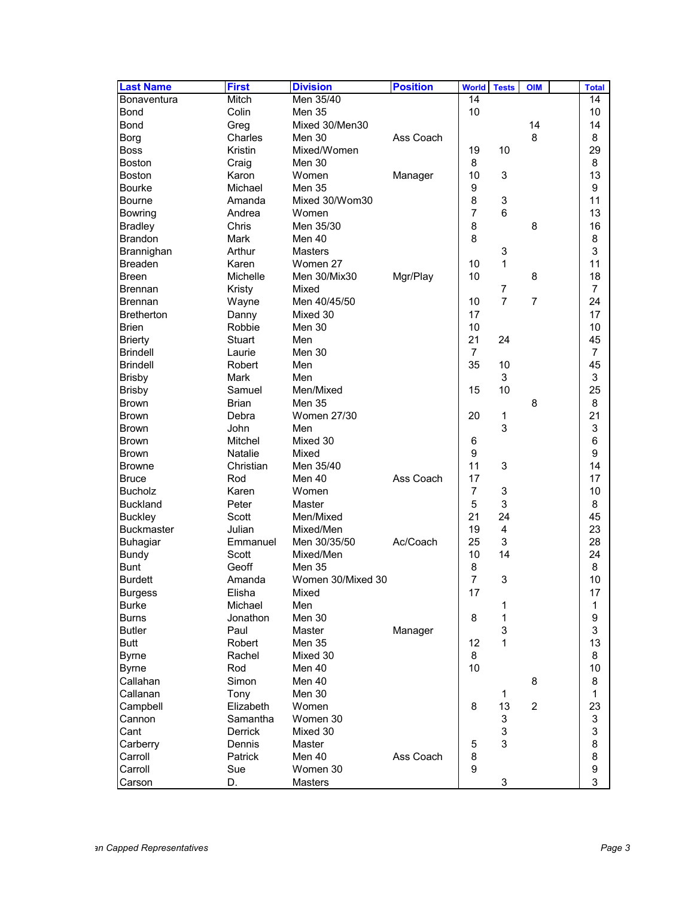| <b>Last Name</b>  | <b>First</b>      | <b>Division</b>    | <b>Position</b> | <b>World</b>   | <b>Tests</b>              | <b>OIM</b>     | <b>Total</b>   |
|-------------------|-------------------|--------------------|-----------------|----------------|---------------------------|----------------|----------------|
| Bonaventura       | Mitch             | Men 35/40          |                 | 14             |                           |                | 14             |
| Bond              | Colin             | Men 35             |                 | 10             |                           |                | 10             |
| <b>Bond</b>       | Greg              | Mixed 30/Men30     |                 |                |                           | 14             | 14             |
| Borg              | Charles           | Men 30             | Ass Coach       |                |                           | 8              | 8              |
| <b>Boss</b>       | Kristin           | Mixed/Women        |                 | 19             | 10                        |                | 29             |
| <b>Boston</b>     | Craig             | Men 30             |                 | 8              |                           |                | 8              |
| <b>Boston</b>     | Karon             | Women              | Manager         | 10             | 3                         |                | 13             |
| <b>Bourke</b>     | Michael           | <b>Men 35</b>      |                 | 9              |                           |                | 9              |
| <b>Bourne</b>     | Amanda            | Mixed 30/Wom30     |                 | 8              | $\ensuremath{\mathsf{3}}$ |                | 11             |
| <b>Bowring</b>    | Andrea            | Women              |                 | $\overline{7}$ | 6                         |                | 13             |
| <b>Bradley</b>    | Chris             | Men 35/30          |                 | 8              |                           | 8              | 16             |
| <b>Brandon</b>    | Mark              | Men 40             |                 | 8              |                           |                | 8              |
| Brannighan        | Arthur            | <b>Masters</b>     |                 |                | 3                         |                | 3              |
| <b>Breaden</b>    | Karen             | Women 27           |                 | 10             | 1                         |                | 11             |
| <b>Breen</b>      | Michelle          | Men 30/Mix30       | Mgr/Play        | 10             |                           | 8              | 18             |
| <b>Brennan</b>    | Kristy            | Mixed              |                 |                | $\overline{7}$            |                | 7              |
| <b>Brennan</b>    | Wayne             | Men 40/45/50       |                 | 10             | $\overline{7}$            | $\overline{7}$ | 24             |
| <b>Bretherton</b> | Danny             | Mixed 30           |                 | 17             |                           |                | 17             |
| <b>Brien</b>      | Robbie            | Men 30             |                 | 10             |                           |                | 10             |
| <b>Brierty</b>    | <b>Stuart</b>     | Men                |                 | 21             | 24                        |                | 45             |
| <b>Brindell</b>   | Laurie            | Men 30             |                 | $\overline{7}$ |                           |                | $\overline{7}$ |
| <b>Brindell</b>   | Robert            | Men                |                 | 35             | 10                        |                | 45             |
| <b>Brisby</b>     | <b>Mark</b>       | Men                |                 |                | 3                         |                | 3              |
| <b>Brisby</b>     | Samuel            | Men/Mixed          |                 | 15             | 10                        |                | 25             |
| <b>Brown</b>      | <b>Brian</b>      | <b>Men 35</b>      |                 |                |                           | 8              | 8              |
| <b>Brown</b>      | Debra             | <b>Women 27/30</b> |                 | 20             | 1                         |                | 21             |
| <b>Brown</b>      | John              | Men                |                 |                | 3                         |                | 3              |
| <b>Brown</b>      | Mitchel           | Mixed 30           |                 | 6              |                           |                | 6              |
| <b>Brown</b>      | <b>Natalie</b>    | Mixed              |                 | 9              |                           |                | 9              |
| <b>Browne</b>     | Christian         | Men 35/40          |                 | 11             | 3                         |                | 14             |
| <b>Bruce</b>      | Rod               | Men 40             | Ass Coach       | 17             |                           |                | 17             |
| <b>Bucholz</b>    | Karen             | Women              |                 | $\overline{7}$ | $\ensuremath{\mathsf{3}}$ |                | 10             |
| <b>Buckland</b>   | Peter             | Master             |                 | 5              | 3                         |                | 8              |
| <b>Buckley</b>    | Scott             | Men/Mixed          |                 | 21             | 24                        |                | 45             |
| <b>Buckmaster</b> | Julian            | Mixed/Men          |                 | 19             | $\overline{4}$            |                | 23             |
| <b>Buhagiar</b>   | Emmanuel          | Men 30/35/50       | Ac/Coach        | 25             | 3                         |                | 28             |
| <b>Bundy</b>      | Scott             | Mixed/Men          |                 | 10             | 14                        |                | 24             |
| <b>Bunt</b>       | Geoff             | <b>Men 35</b>      |                 | 8              |                           |                | 8              |
| <b>Burdett</b>    | Amanda            | Women 30/Mixed 30  |                 | 7              | 3                         |                | 10             |
| <b>Burgess</b>    |                   | Mixed              |                 | 17             |                           |                | 17             |
| <b>Burke</b>      | Elisha<br>Michael | Men                |                 |                | 1                         |                | 1              |
| <b>Burns</b>      | Jonathon          | Men 30             |                 | 8              | 1                         |                | 9              |
|                   |                   | Master             |                 |                | 3                         |                | 3              |
| <b>Butler</b>     | Paul              |                    | Manager         | 12             | 1                         |                | 13             |
| Butt              | Robert            | Men 35             |                 |                |                           |                |                |
| <b>Byrne</b>      | Rachel            | Mixed 30           |                 | 8              |                           |                | 8              |
| <b>Byrne</b>      | Rod               | Men 40             |                 | 10             |                           |                | 10             |
| Callahan          | Simon             | Men 40<br>Men 30   |                 |                |                           | 8              | 8              |
| Callanan          | Tony              |                    |                 |                | 1                         |                | 1              |
| Campbell          | Elizabeth         | Women              |                 | 8              | 13                        | $\overline{2}$ | 23             |
| Cannon            | Samantha          | Women 30           |                 |                | 3                         |                | 3              |
| Cant              | Derrick           | Mixed 30           |                 |                | $\mathsf 3$               |                | 3              |
| Carberry          | Dennis            | Master             |                 | 5              | 3                         |                | 8              |
| Carroll           | Patrick           | Men 40             | Ass Coach       | 8              |                           |                | 8              |
| Carroll           | Sue               | Women 30           |                 | 9              |                           |                | 9              |
| Carson            | D.                | Masters            |                 |                | 3                         |                | 3              |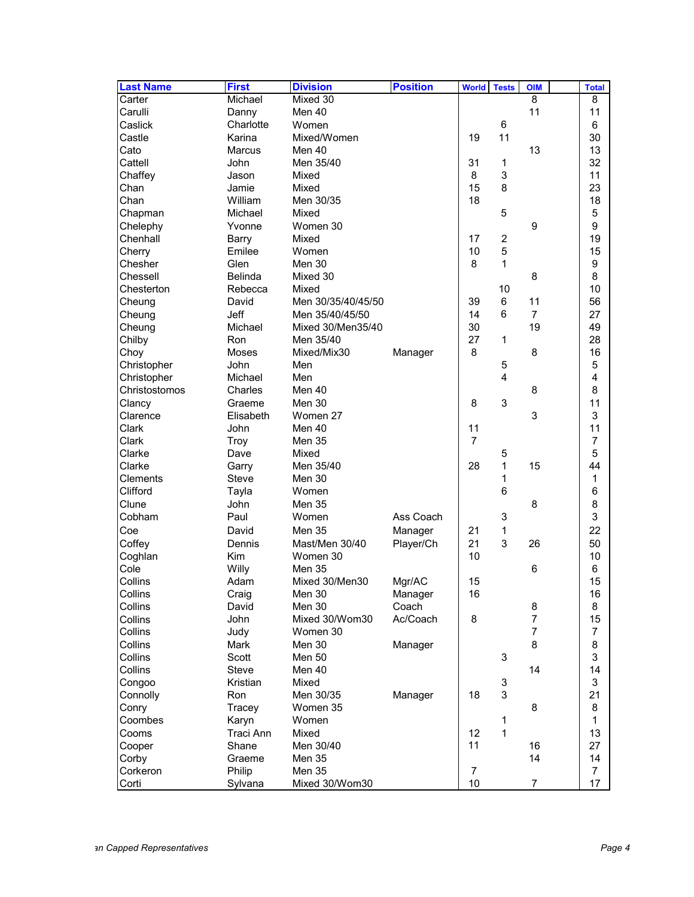| <b>Last Name</b> | <b>First</b>   | <b>Division</b>    | <b>Position</b> | <b>World</b><br><b>Tests</b> | <b>OIM</b>     | <b>Total</b>   |
|------------------|----------------|--------------------|-----------------|------------------------------|----------------|----------------|
| Carter           | Michael        | Mixed 30           |                 |                              | 8              | 8              |
| Carulli          | Danny          | Men 40             |                 |                              | 11             | 11             |
| Caslick          | Charlotte      | Women              |                 | 6                            |                | 6              |
| Castle           | Karina         | Mixed/Women        |                 | 11<br>19                     |                | 30             |
| Cato             | Marcus         | Men 40             |                 |                              | 13             | 13             |
| Cattell          | John           | Men 35/40          |                 | 31<br>1                      |                | 32             |
| Chaffey          | Jason          | Mixed              |                 | 3<br>8                       |                | 11             |
| Chan             | Jamie          | Mixed              |                 | 8<br>15                      |                | 23             |
| Chan             | William        | Men 30/35          |                 | 18                           |                | 18             |
| Chapman          | Michael        | Mixed              |                 | 5                            |                | 5              |
| Chelephy         | Yvonne         | Women 30           |                 |                              | 9              | 9              |
| Chenhall         | Barry          | Mixed              |                 | 2<br>17                      |                | 19             |
| Cherry           | Emilee         | Women              |                 | 10<br>5                      |                | 15             |
| Chesher          | Glen           | Men 30             |                 | 8<br>1                       |                | 9              |
| Chessell         | <b>Belinda</b> | Mixed 30           |                 |                              | 8              | 8              |
| Chesterton       | Rebecca        | Mixed              |                 | 10                           |                | 10             |
| Cheung           | David          | Men 30/35/40/45/50 |                 | 39<br>6                      | 11             | 56             |
| Cheung           | Jeff           | Men 35/40/45/50    |                 | 14<br>6                      | $\overline{7}$ | 27             |
| Cheung           | Michael        | Mixed 30/Men35/40  |                 | 30                           | 19             | 49             |
| Chilby           | Ron            | Men 35/40          |                 | 27<br>1                      |                | 28             |
| Choy             | Moses          | Mixed/Mix30        | Manager         | 8                            | 8              | 16             |
| Christopher      | John           | Men                |                 | 5                            |                | 5              |
| Christopher      | Michael        | Men                |                 | $\overline{\mathbf{4}}$      |                | 4              |
| Christostomos    | Charles        | Men 40             |                 |                              | 8              | 8              |
| Clancy           | Graeme         | Men 30             |                 | 8<br>3                       |                | 11             |
| Clarence         | Elisabeth      | Women 27           |                 |                              | 3              | 3              |
| Clark            | John           | Men 40             |                 | 11                           |                | 11             |
| Clark            | Troy           | Men 35             |                 | $\overline{7}$               |                | 7              |
| Clarke           | Dave           | Mixed              |                 | 5                            |                | 5              |
| Clarke           | Garry          | Men 35/40          |                 | 28<br>1                      | 15             | 44             |
| Clements         | <b>Steve</b>   | Men 30             |                 | 1                            |                | 1              |
| Clifford         | Tayla          | Women              |                 | 6                            |                | 6              |
| Clune            | John           | <b>Men 35</b>      |                 |                              | 8              | 8              |
| Cobham           | Paul           | Women              | Ass Coach       | 3                            |                | 3              |
|                  | David          | Men 35             |                 | 21                           |                | 22             |
| Coe              | Dennis         | Mast/Men 30/40     | Manager         | 1<br>3<br>21                 | 26             | 50             |
| Coffey           |                |                    | Player/Ch       | 10                           |                | 10             |
| Coghlan          | Kim            | Women 30           |                 |                              |                |                |
| Cole             | Willy          | <b>Men 35</b>      |                 |                              | 6              | 6              |
| Collins          | Adam           | Mixed 30/Men30     | Mgr/AC          | 15                           |                | 15             |
| Collins          | Craig          | Men 30             | Manager         | 16                           |                | 16             |
| Collins          | David          | <b>Men 30</b>      | Coach           |                              | 8              | 8              |
| Collins          | John           | Mixed 30/Wom30     | Ac/Coach        | 8                            | $\overline{7}$ | 15             |
| Collins          | Judy           | Women 30           |                 |                              | $\overline{7}$ | 7              |
| Collins          | Mark           | Men 30             | Manager         |                              | 8              | 8              |
| Collins          | Scott          | <b>Men 50</b>      |                 | 3                            |                | 3              |
| Collins          | Steve          | Men 40             |                 |                              | 14             | 14             |
| Congoo           | Kristian       | Mixed              |                 | 3                            |                | 3              |
| Connolly         | Ron            | Men 30/35          | Manager         | 3<br>18                      |                | 21             |
| Conry            | Tracey         | Women 35           |                 |                              | 8              | 8              |
| Coombes          | Karyn          | Women              |                 | 1                            |                | $\mathbf{1}$   |
| Cooms            | Traci Ann      | Mixed              |                 | 1<br>12                      |                | 13             |
| Cooper           | Shane          | Men 30/40          |                 | 11                           | 16             | 27             |
| Corby            | Graeme         | Men 35             |                 |                              | 14             | 14             |
| Corkeron         | Philip         | Men 35             |                 | $\overline{7}$               |                | $\overline{7}$ |
| Corti            | Sylvana        | Mixed 30/Wom30     |                 | 10                           | $\overline{7}$ | 17             |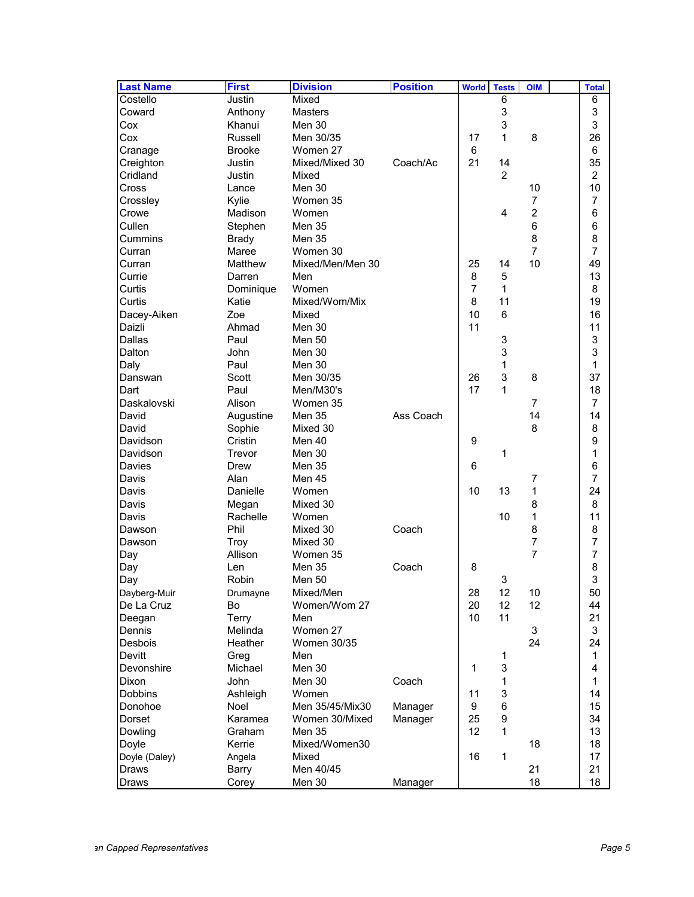| <b>Last Name</b> | <b>First</b>      | <b>Division</b>    | <b>Position</b> | <b>World</b>   | <b>Tests</b>   | <b>OIM</b>     | <b>Total</b>   |
|------------------|-------------------|--------------------|-----------------|----------------|----------------|----------------|----------------|
| Costello         | Justin            | Mixed              |                 |                | 6              |                | 6              |
| Coward           | Anthony           | <b>Masters</b>     |                 |                | 3              |                | 3              |
| Cox              | Khanui            | Men 30             |                 |                | 3              |                | 3              |
| Cox              | Russell           | Men 30/35          |                 | 17             | 1              | 8              | 26             |
| Cranage          | <b>Brooke</b>     | Women 27           |                 | 6              |                |                | 6              |
| Creighton        | Justin            | Mixed/Mixed 30     | Coach/Ac        | 21             | 14             |                | 35             |
| Cridland         | Justin            | Mixed              |                 |                | $\overline{2}$ |                | $\overline{c}$ |
| Cross            | Lance             | Men 30             |                 |                |                | 10             | 10             |
| Crossley         | Kylie             | Women 35           |                 |                |                | $\overline{7}$ | 7              |
| Crowe            | Madison           | Women              |                 |                | 4              | $\overline{c}$ | 6              |
| Cullen           | Stephen           | <b>Men 35</b>      |                 |                |                | 6              | 6              |
| Cummins          | <b>Brady</b>      | Men 35             |                 |                |                | 8              | 8              |
| Curran           | Maree             | Women 30           |                 |                |                | $\overline{7}$ | $\overline{7}$ |
| Curran           | Matthew           | Mixed/Men/Men 30   |                 | 25             | 14             | 10             | 49             |
| Currie           | Darren            | Men                |                 | 8              | 5              |                | 13             |
| Curtis           | Dominique         | Women              |                 | $\overline{7}$ | $\mathbf{1}$   |                | 8              |
| Curtis           | Katie             | Mixed/Wom/Mix      |                 | 8              | 11             |                | 19             |
| Dacey-Aiken      | Zoe               | Mixed              |                 | 10             | 6              |                | 16             |
| Daizli           | Ahmad             | Men 30             |                 | 11             |                |                | 11             |
| Dallas           | Paul              | <b>Men 50</b>      |                 |                | 3              |                | 3              |
| Dalton           | John              | Men 30             |                 |                | 3              |                | 3              |
| Daly             | Paul              | Men 30             |                 |                | 1              |                | 1              |
| Danswan          | Scott             | Men 30/35          |                 | 26             | 3              | 8              | 37             |
| Dart             | Paul              | Men/M30's          |                 | 17             | 1              |                | 18             |
| Daskalovski      | Alison            | Women 35           |                 |                |                | $\overline{7}$ | 7              |
| David            | Augustine         | Men 35             | Ass Coach       |                |                | 14             | 14             |
| David            | Sophie            | Mixed 30           |                 |                |                | 8              | 8              |
| Davidson         | Cristin           | Men 40             |                 | 9              |                |                | 9              |
| Davidson         | Trevor            | Men 30             |                 |                | 1              |                | 1              |
| Davies           | Drew              | Men 35             |                 | 6              |                |                | 6              |
| Davis            | Alan              | Men 45             |                 |                |                | 7              | 7              |
| Davis            | Danielle          | Women              |                 | 10             | 13             | 1              | 24             |
| Davis            |                   | Mixed 30           |                 |                |                | 8              | 8              |
| Davis            | Megan<br>Rachelle | Women              |                 |                | 10             | $\mathbf{1}$   | 11             |
|                  | Phil              |                    |                 |                |                | 8              | 8              |
| Dawson           |                   | Mixed 30           | Coach           |                |                | 7              | 7              |
| Dawson           | Troy              | Mixed 30           |                 |                |                | $\overline{7}$ |                |
| Day              | Allison           | Women 35           |                 |                |                |                | 7              |
| Day              | Len               | Men 35             | Coach           | 8              |                |                | 8<br>3         |
| Day              | Robin             | Men 50             |                 |                | 3              |                |                |
| Dayberg-Muir     | Drumayne          | Mixed/Men          |                 | 28             | 12             | 10             | 50             |
| De La Cruz       | Bo                | Women/Wom 27       |                 | 20             | 12             | 12             | 44             |
| Deegan           | Terry             | Men                |                 | 10             | 11             |                | 21             |
| Dennis           | Melinda           | Women 27           |                 |                |                | 3              | 3              |
| Desbois          | Heather           | <b>Women 30/35</b> |                 |                |                | 24             | 24             |
| <b>Devitt</b>    | Greg              | Men                |                 |                | 1              |                | 1              |
| Devonshire       | Michael           | Men 30             |                 | 1              | 3              |                | 4              |
| <b>Dixon</b>     | <b>John</b>       | Men 30             | Coach           |                | 1              |                | 1              |
| Dobbins          | Ashleigh          | Women              |                 | 11             | 3              |                | 14             |
| Donohoe          | Noel              | Men 35/45/Mix30    | Manager         | 9              | 6              |                | 15             |
| Dorset           | Karamea           | Women 30/Mixed     | Manager         | 25             | 9              |                | 34             |
| Dowling          | Graham            | Men 35             |                 | 12             | 1              |                | 13             |
| Doyle            | Kerrie            | Mixed/Women30      |                 |                |                | 18             | 18             |
| Doyle (Daley)    | Angela            | Mixed              |                 | 16             | 1              |                | 17             |
| <b>Draws</b>     | <b>Barry</b>      | Men 40/45          |                 |                |                | 21             | 21             |
| Draws            | Corey             | Men 30             | Manager         |                |                | 18             | 18             |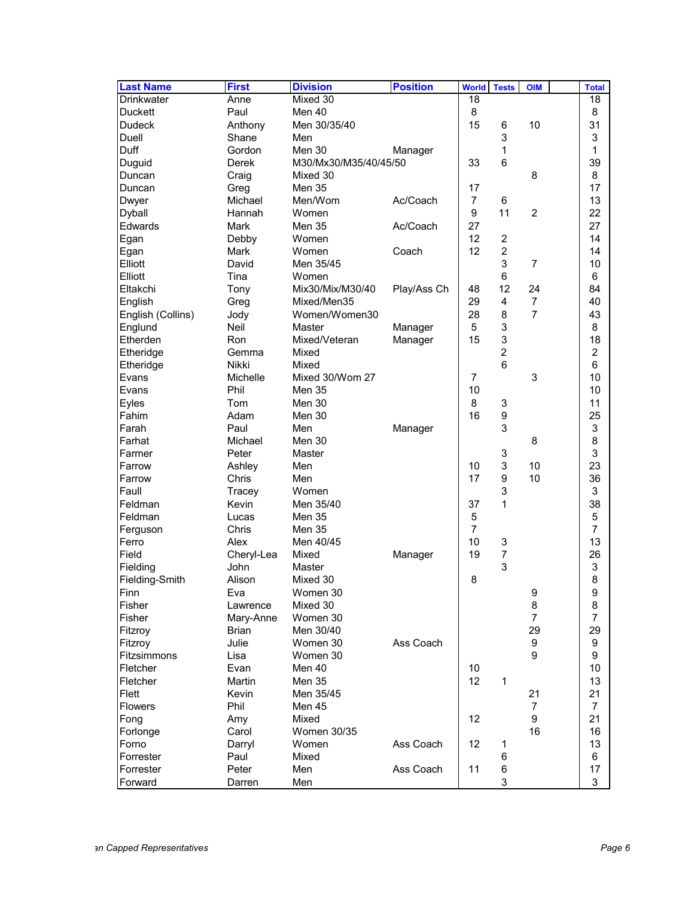| <b>Last Name</b>        | <b>First</b> | <b>Division</b>       | <b>Position</b> | <b>World</b>   | <b>Tests</b>     | <b>OIM</b>     | <b>Total</b>   |
|-------------------------|--------------|-----------------------|-----------------|----------------|------------------|----------------|----------------|
| <b>Drinkwater</b>       | Anne         | Mixed 30              |                 | 18             |                  |                | 18             |
| <b>Duckett</b>          | Paul         | Men 40                |                 | 8              |                  |                | 8              |
| <b>Dudeck</b>           | Anthony      | Men 30/35/40          |                 | 15             | 6                | 10             | 31             |
| Duell                   | Shane        | Men                   |                 |                | 3                |                | 3              |
| Duff                    | Gordon       | Men 30                | Manager         |                | 1                |                | 1              |
| Duguid                  | <b>Derek</b> | M30/Mx30/M35/40/45/50 |                 | 33             | 6                |                | 39             |
| Duncan                  | Craig        | Mixed 30              |                 |                |                  | 8              | 8              |
| Duncan                  | Greg         | <b>Men 35</b>         |                 | 17             |                  |                | 17             |
| Dwyer                   | Michael      | Men/Wom               | Ac/Coach        | $\overline{7}$ | 6                |                | 13             |
| <b>Dyball</b>           | Hannah       | Women                 |                 | 9              | 11               | $\overline{2}$ | 22             |
| Edwards                 | Mark         | <b>Men 35</b>         | Ac/Coach        | 27             |                  |                | 27             |
| Egan                    | Debby        | Women                 |                 | 12             | $\overline{c}$   |                | 14             |
| Egan                    | Mark         | Women                 | Coach           | 12             | $\overline{c}$   |                | 14             |
| Elliott                 | David        | Men 35/45             |                 |                | 3                | $\overline{7}$ | 10             |
| Elliott                 | Tina         | Women                 |                 |                | $6\phantom{1}$   |                | 6              |
| Eltakchi                | Tony         | Mix30/Mix/M30/40      | Play/Ass Ch     | 48             | 12               | 24             | 84             |
| English                 | Greg         | Mixed/Men35           |                 | 29             | $\overline{4}$   | $\overline{7}$ | 40             |
| English (Collins)       | Jody         | Women/Women30         |                 | 28             | 8                | 7              | 43             |
| Englund                 | <b>Neil</b>  | Master                | Manager         | 5              | 3                |                | 8              |
| Etherden                | Ron          | Mixed/Veteran         | Manager         | 15             | 3                |                | 18             |
| Etheridge               | Gemma        | Mixed                 |                 |                | $\overline{c}$   |                | $\overline{c}$ |
| Etheridge               | Nikki        | Mixed                 |                 |                | $6\phantom{1}6$  |                | 6              |
| Evans                   | Michelle     | Mixed 30/Wom 27       |                 | 7              |                  | 3              | 10             |
| Evans                   | Phil         | <b>Men 35</b>         |                 | 10             |                  |                | 10             |
| Eyles                   | Tom          | Men 30                |                 | 8              | 3                |                | 11             |
| Fahim                   | Adam         | Men 30                |                 | 16             | $\boldsymbol{9}$ |                | 25             |
| Farah                   | Paul         | Men                   | Manager         |                | 3                |                | 3              |
| Farhat                  | Michael      | Men 30                |                 |                |                  | 8              | 8              |
| Farmer                  | Peter        | Master                |                 |                | 3                |                | 3              |
| Farrow                  | Ashley       | Men                   |                 | 10             | 3                | 10             | 23             |
| Farrow                  | Chris        | Men                   |                 | 17             | $\boldsymbol{9}$ | 10             | 36             |
| Faull                   | Tracey       | Women                 |                 |                | 3                |                | 3              |
| Feldman                 | Kevin        | Men 35/40             |                 | 37             | 1                |                | 38             |
| Feldman                 | Lucas        | Men 35                |                 | 5              |                  |                | 5              |
| Ferguson                | Chris        | Men 35                |                 | $\overline{7}$ |                  |                | $\overline{7}$ |
| Ferro                   | Alex         | Men 40/45             |                 | 10             | 3                |                | 13             |
| Field                   | Cheryl-Lea   | Mixed                 | Manager         | 19             | 7                |                | 26             |
| Fielding                | John         | Master                |                 |                | 3                |                | 3              |
| Fielding-Smith          | Alison       | Mixed 30              |                 | 8              |                  |                | 8              |
| Finn                    | Eva          | Women 30              |                 |                |                  | 9              | 9              |
| Fisher                  | Lawrence     | Mixed 30              |                 |                |                  | 8              | 8              |
| Fisher                  | Mary-Anne    | Women 30              |                 |                |                  | $\overline{7}$ | $\overline{7}$ |
|                         | <b>Brian</b> | Men 30/40             |                 |                |                  | 29             | 29             |
| Fitzroy                 | Julie        | Women 30              | Ass Coach       |                |                  | 9              | 9              |
| Fitzroy                 |              |                       |                 |                |                  | 9              |                |
| Fitzsimmons<br>Fletcher | Lisa<br>Evan | Women 30<br>Men 40    |                 | 10             |                  |                | 9<br>10        |
| Fletcher                | Martin       |                       |                 | 12             |                  |                | 13             |
|                         |              | Men 35                |                 |                | 1                |                |                |
| Flett                   | <b>Kevin</b> | Men 35/45             |                 |                |                  | 21             | 21             |
| <b>Flowers</b>          | Phil         | Men 45                |                 |                |                  | $\overline{7}$ | $\overline{7}$ |
| Fong                    | Amy          | Mixed                 |                 | 12             |                  | 9              | 21             |
| Forlonge                | Carol        | Women 30/35           |                 |                |                  | 16             | 16             |
| Forno                   | Darryl       | Women                 | Ass Coach       | 12             | 1                |                | 13             |
| Forrester               | Paul         | Mixed                 |                 |                | 6                |                | 6              |
| Forrester               | Peter        | Men                   | Ass Coach       | 11             | 6                |                | 17             |
| Forward                 | Darren       | Men                   |                 |                | 3                |                | 3              |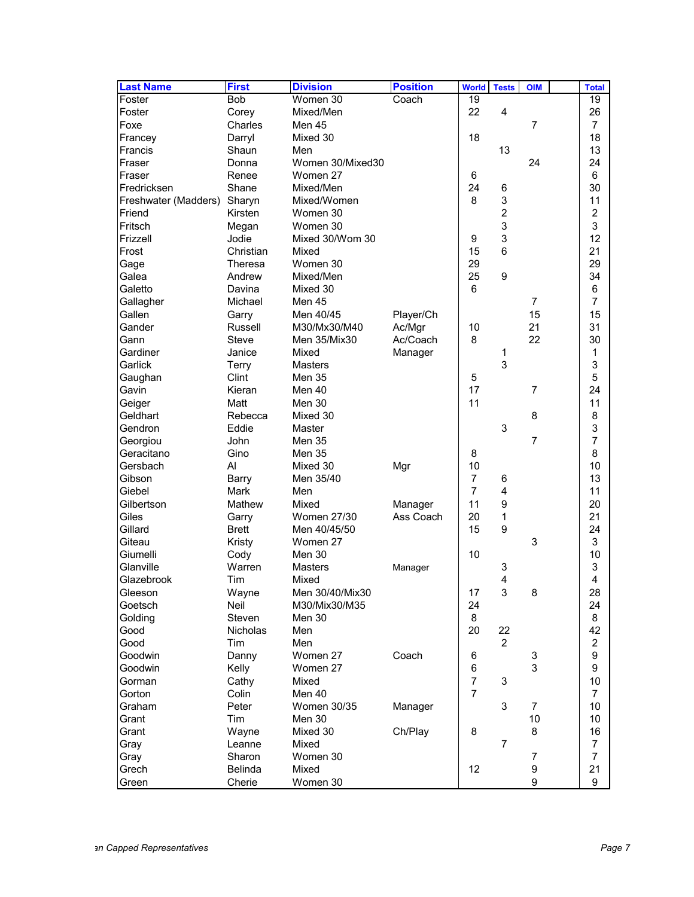| Bob<br>Women 30<br>Coach<br>19<br>19<br>Mixed/Men<br>22<br>4<br>26<br>Foster<br>Corey<br>Foxe<br>7<br>Charles<br>Men 45<br>7<br>18<br>18<br>Francey<br>Mixed 30<br>Darryl<br>13<br>13<br>Francis<br>Shaun<br>Men<br>24<br>Fraser<br>Women 30/Mixed30<br>24<br>Donna<br>6<br>Fraser<br>Renee<br>Women 27<br>6<br>30<br>Shane<br>24<br>Fredricksen<br>Mixed/Men<br>6<br>3<br>8<br>11<br>Freshwater (Madders)<br>Sharyn<br>Mixed/Women<br>$\overline{2}$<br>$\overline{c}$<br>Friend<br>Kirsten<br>Women 30<br>3<br>3<br>Fritsch<br>Megan<br>Women 30<br>3<br>12<br>Mixed 30/Wom 30<br>Frizzell<br>Jodie<br>9<br>6<br>21<br>Frost<br>15<br>Christian<br>Mixed<br>29<br>29<br>Women 30<br>Gage<br>Theresa<br>25<br>9<br>34<br>Mixed/Men<br>Galea<br>Andrew<br>6<br>6<br>Galetto<br>Davina<br>Mixed 30<br>$\overline{7}$<br>7<br>Gallagher<br>Michael<br>Men 45<br>Gallen<br>15<br>15<br>Men 40/45<br>Player/Ch<br>Garry<br>21<br>31<br>Gander<br>Russell<br>M30/Mx30/M40<br>Ac/Mgr<br>10<br>30<br>Ac/Coach<br>8<br>22<br>Gann<br>Steve<br>Men 35/Mix30<br>Gardiner<br>Janice<br>Mixed<br>1<br>Manager<br>1<br>3<br>3<br>Garlick<br>Terry<br>Masters<br>5<br>Clint<br>5<br>Gaughan<br><b>Men 35</b><br>24<br>17<br>$\overline{7}$<br>Gavin<br>Kieran<br>Men 40<br>11<br>11<br>Geiger<br>Matt<br>Men 30<br>8<br>8<br>Geldhart<br>Mixed 30<br>Rebecca<br>3<br>3<br>Gendron<br>Eddie<br>Master<br>$\overline{7}$<br>Georgiou<br>John<br>Men 35<br>7<br>8<br>8<br>Geracitano<br>Gino<br>Men 35<br>10<br>Al<br>10<br>Gersbach<br>Mixed 30<br>Mgr<br>Men 35/40<br>$\overline{7}$<br>13<br>Gibson<br>6<br>Barry<br>$\overline{7}$<br>4<br>11<br>Giebel<br>Mark<br>Men<br>11<br>9<br>20<br>Gilbertson<br>Mathew<br>Mixed<br>Manager<br>20<br>21<br>Ass Coach<br>1<br>Giles<br><b>Women 27/30</b><br>Garry<br>9<br>24<br>Gillard<br>15<br><b>Brett</b><br>Men 40/45/50<br>3<br>3<br>Giteau<br>Kristy<br>Women 27<br>10<br>10<br>Cody<br>Men 30<br>Giumelli<br>Warren<br>3<br>Glanville<br>3<br>Masters<br>Manager<br>4<br>4<br>Tim<br>Glazebrook<br>Mixed<br>Wayne<br>Men 30/40/Mix30<br>3<br>8<br>28<br>17<br>Gleeson<br>24<br>24<br>Goetsch<br>Neil<br>M30/Mix30/M35<br>8<br>Golding<br>Steven<br>Men 30<br>8<br>20<br>42<br>Good<br>Nicholas<br>Men<br>22<br>$\overline{2}$<br>$\overline{c}$<br>Good<br>Tim<br>Men<br>9<br>Danny<br>Women 27<br>Coach<br>6<br>3<br>Goodwin<br>3<br>9<br>Kelly<br>6<br>Goodwin<br>Women 27<br>$\overline{7}$<br>10<br>3<br>Gorman<br>Cathy<br>Mixed<br>$\overline{7}$<br>Men 40<br>Gorton<br>Colin<br>$\overline{7}$<br>Peter<br>$\ensuremath{\mathsf{3}}$<br>10<br>Graham<br><b>Women 30/35</b><br>Manager<br>$\overline{7}$<br>10<br>10<br>Grant<br>Tim<br>Men 30<br>8<br>8<br>Mixed 30<br>Ch/Play<br>16<br>Grant<br>Wayne | <b>Last Name</b> | <b>First</b> | <b>Division</b> | <b>Position</b> | <b>World</b> | <b>Tests</b>   | <b>OIM</b> | <b>Total</b> |
|---------------------------------------------------------------------------------------------------------------------------------------------------------------------------------------------------------------------------------------------------------------------------------------------------------------------------------------------------------------------------------------------------------------------------------------------------------------------------------------------------------------------------------------------------------------------------------------------------------------------------------------------------------------------------------------------------------------------------------------------------------------------------------------------------------------------------------------------------------------------------------------------------------------------------------------------------------------------------------------------------------------------------------------------------------------------------------------------------------------------------------------------------------------------------------------------------------------------------------------------------------------------------------------------------------------------------------------------------------------------------------------------------------------------------------------------------------------------------------------------------------------------------------------------------------------------------------------------------------------------------------------------------------------------------------------------------------------------------------------------------------------------------------------------------------------------------------------------------------------------------------------------------------------------------------------------------------------------------------------------------------------------------------------------------------------------------------------------------------------------------------------------------------------------------------------------------------------------------------------------------------------------------------------------------------------------------------------------------------------------------------------------------------------------------------------------------------------------------------------------------------------------------------------------------------------------------------------------------------------------------------------------------------------------------------------------------------------------------------------------------|------------------|--------------|-----------------|-----------------|--------------|----------------|------------|--------------|
|                                                                                                                                                                                                                                                                                                                                                                                                                                                                                                                                                                                                                                                                                                                                                                                                                                                                                                                                                                                                                                                                                                                                                                                                                                                                                                                                                                                                                                                                                                                                                                                                                                                                                                                                                                                                                                                                                                                                                                                                                                                                                                                                                                                                                                                                                                                                                                                                                                                                                                                                                                                                                                                                                                                                                   | Foster           |              |                 |                 |              |                |            |              |
|                                                                                                                                                                                                                                                                                                                                                                                                                                                                                                                                                                                                                                                                                                                                                                                                                                                                                                                                                                                                                                                                                                                                                                                                                                                                                                                                                                                                                                                                                                                                                                                                                                                                                                                                                                                                                                                                                                                                                                                                                                                                                                                                                                                                                                                                                                                                                                                                                                                                                                                                                                                                                                                                                                                                                   |                  |              |                 |                 |              |                |            |              |
|                                                                                                                                                                                                                                                                                                                                                                                                                                                                                                                                                                                                                                                                                                                                                                                                                                                                                                                                                                                                                                                                                                                                                                                                                                                                                                                                                                                                                                                                                                                                                                                                                                                                                                                                                                                                                                                                                                                                                                                                                                                                                                                                                                                                                                                                                                                                                                                                                                                                                                                                                                                                                                                                                                                                                   |                  |              |                 |                 |              |                |            |              |
|                                                                                                                                                                                                                                                                                                                                                                                                                                                                                                                                                                                                                                                                                                                                                                                                                                                                                                                                                                                                                                                                                                                                                                                                                                                                                                                                                                                                                                                                                                                                                                                                                                                                                                                                                                                                                                                                                                                                                                                                                                                                                                                                                                                                                                                                                                                                                                                                                                                                                                                                                                                                                                                                                                                                                   |                  |              |                 |                 |              |                |            |              |
|                                                                                                                                                                                                                                                                                                                                                                                                                                                                                                                                                                                                                                                                                                                                                                                                                                                                                                                                                                                                                                                                                                                                                                                                                                                                                                                                                                                                                                                                                                                                                                                                                                                                                                                                                                                                                                                                                                                                                                                                                                                                                                                                                                                                                                                                                                                                                                                                                                                                                                                                                                                                                                                                                                                                                   |                  |              |                 |                 |              |                |            |              |
|                                                                                                                                                                                                                                                                                                                                                                                                                                                                                                                                                                                                                                                                                                                                                                                                                                                                                                                                                                                                                                                                                                                                                                                                                                                                                                                                                                                                                                                                                                                                                                                                                                                                                                                                                                                                                                                                                                                                                                                                                                                                                                                                                                                                                                                                                                                                                                                                                                                                                                                                                                                                                                                                                                                                                   |                  |              |                 |                 |              |                |            |              |
|                                                                                                                                                                                                                                                                                                                                                                                                                                                                                                                                                                                                                                                                                                                                                                                                                                                                                                                                                                                                                                                                                                                                                                                                                                                                                                                                                                                                                                                                                                                                                                                                                                                                                                                                                                                                                                                                                                                                                                                                                                                                                                                                                                                                                                                                                                                                                                                                                                                                                                                                                                                                                                                                                                                                                   |                  |              |                 |                 |              |                |            |              |
|                                                                                                                                                                                                                                                                                                                                                                                                                                                                                                                                                                                                                                                                                                                                                                                                                                                                                                                                                                                                                                                                                                                                                                                                                                                                                                                                                                                                                                                                                                                                                                                                                                                                                                                                                                                                                                                                                                                                                                                                                                                                                                                                                                                                                                                                                                                                                                                                                                                                                                                                                                                                                                                                                                                                                   |                  |              |                 |                 |              |                |            |              |
|                                                                                                                                                                                                                                                                                                                                                                                                                                                                                                                                                                                                                                                                                                                                                                                                                                                                                                                                                                                                                                                                                                                                                                                                                                                                                                                                                                                                                                                                                                                                                                                                                                                                                                                                                                                                                                                                                                                                                                                                                                                                                                                                                                                                                                                                                                                                                                                                                                                                                                                                                                                                                                                                                                                                                   |                  |              |                 |                 |              |                |            |              |
|                                                                                                                                                                                                                                                                                                                                                                                                                                                                                                                                                                                                                                                                                                                                                                                                                                                                                                                                                                                                                                                                                                                                                                                                                                                                                                                                                                                                                                                                                                                                                                                                                                                                                                                                                                                                                                                                                                                                                                                                                                                                                                                                                                                                                                                                                                                                                                                                                                                                                                                                                                                                                                                                                                                                                   |                  |              |                 |                 |              |                |            |              |
|                                                                                                                                                                                                                                                                                                                                                                                                                                                                                                                                                                                                                                                                                                                                                                                                                                                                                                                                                                                                                                                                                                                                                                                                                                                                                                                                                                                                                                                                                                                                                                                                                                                                                                                                                                                                                                                                                                                                                                                                                                                                                                                                                                                                                                                                                                                                                                                                                                                                                                                                                                                                                                                                                                                                                   |                  |              |                 |                 |              |                |            |              |
|                                                                                                                                                                                                                                                                                                                                                                                                                                                                                                                                                                                                                                                                                                                                                                                                                                                                                                                                                                                                                                                                                                                                                                                                                                                                                                                                                                                                                                                                                                                                                                                                                                                                                                                                                                                                                                                                                                                                                                                                                                                                                                                                                                                                                                                                                                                                                                                                                                                                                                                                                                                                                                                                                                                                                   |                  |              |                 |                 |              |                |            |              |
|                                                                                                                                                                                                                                                                                                                                                                                                                                                                                                                                                                                                                                                                                                                                                                                                                                                                                                                                                                                                                                                                                                                                                                                                                                                                                                                                                                                                                                                                                                                                                                                                                                                                                                                                                                                                                                                                                                                                                                                                                                                                                                                                                                                                                                                                                                                                                                                                                                                                                                                                                                                                                                                                                                                                                   |                  |              |                 |                 |              |                |            |              |
|                                                                                                                                                                                                                                                                                                                                                                                                                                                                                                                                                                                                                                                                                                                                                                                                                                                                                                                                                                                                                                                                                                                                                                                                                                                                                                                                                                                                                                                                                                                                                                                                                                                                                                                                                                                                                                                                                                                                                                                                                                                                                                                                                                                                                                                                                                                                                                                                                                                                                                                                                                                                                                                                                                                                                   |                  |              |                 |                 |              |                |            |              |
|                                                                                                                                                                                                                                                                                                                                                                                                                                                                                                                                                                                                                                                                                                                                                                                                                                                                                                                                                                                                                                                                                                                                                                                                                                                                                                                                                                                                                                                                                                                                                                                                                                                                                                                                                                                                                                                                                                                                                                                                                                                                                                                                                                                                                                                                                                                                                                                                                                                                                                                                                                                                                                                                                                                                                   |                  |              |                 |                 |              |                |            |              |
|                                                                                                                                                                                                                                                                                                                                                                                                                                                                                                                                                                                                                                                                                                                                                                                                                                                                                                                                                                                                                                                                                                                                                                                                                                                                                                                                                                                                                                                                                                                                                                                                                                                                                                                                                                                                                                                                                                                                                                                                                                                                                                                                                                                                                                                                                                                                                                                                                                                                                                                                                                                                                                                                                                                                                   |                  |              |                 |                 |              |                |            |              |
|                                                                                                                                                                                                                                                                                                                                                                                                                                                                                                                                                                                                                                                                                                                                                                                                                                                                                                                                                                                                                                                                                                                                                                                                                                                                                                                                                                                                                                                                                                                                                                                                                                                                                                                                                                                                                                                                                                                                                                                                                                                                                                                                                                                                                                                                                                                                                                                                                                                                                                                                                                                                                                                                                                                                                   |                  |              |                 |                 |              |                |            |              |
|                                                                                                                                                                                                                                                                                                                                                                                                                                                                                                                                                                                                                                                                                                                                                                                                                                                                                                                                                                                                                                                                                                                                                                                                                                                                                                                                                                                                                                                                                                                                                                                                                                                                                                                                                                                                                                                                                                                                                                                                                                                                                                                                                                                                                                                                                                                                                                                                                                                                                                                                                                                                                                                                                                                                                   |                  |              |                 |                 |              |                |            |              |
|                                                                                                                                                                                                                                                                                                                                                                                                                                                                                                                                                                                                                                                                                                                                                                                                                                                                                                                                                                                                                                                                                                                                                                                                                                                                                                                                                                                                                                                                                                                                                                                                                                                                                                                                                                                                                                                                                                                                                                                                                                                                                                                                                                                                                                                                                                                                                                                                                                                                                                                                                                                                                                                                                                                                                   |                  |              |                 |                 |              |                |            |              |
|                                                                                                                                                                                                                                                                                                                                                                                                                                                                                                                                                                                                                                                                                                                                                                                                                                                                                                                                                                                                                                                                                                                                                                                                                                                                                                                                                                                                                                                                                                                                                                                                                                                                                                                                                                                                                                                                                                                                                                                                                                                                                                                                                                                                                                                                                                                                                                                                                                                                                                                                                                                                                                                                                                                                                   |                  |              |                 |                 |              |                |            |              |
|                                                                                                                                                                                                                                                                                                                                                                                                                                                                                                                                                                                                                                                                                                                                                                                                                                                                                                                                                                                                                                                                                                                                                                                                                                                                                                                                                                                                                                                                                                                                                                                                                                                                                                                                                                                                                                                                                                                                                                                                                                                                                                                                                                                                                                                                                                                                                                                                                                                                                                                                                                                                                                                                                                                                                   |                  |              |                 |                 |              |                |            |              |
|                                                                                                                                                                                                                                                                                                                                                                                                                                                                                                                                                                                                                                                                                                                                                                                                                                                                                                                                                                                                                                                                                                                                                                                                                                                                                                                                                                                                                                                                                                                                                                                                                                                                                                                                                                                                                                                                                                                                                                                                                                                                                                                                                                                                                                                                                                                                                                                                                                                                                                                                                                                                                                                                                                                                                   |                  |              |                 |                 |              |                |            |              |
|                                                                                                                                                                                                                                                                                                                                                                                                                                                                                                                                                                                                                                                                                                                                                                                                                                                                                                                                                                                                                                                                                                                                                                                                                                                                                                                                                                                                                                                                                                                                                                                                                                                                                                                                                                                                                                                                                                                                                                                                                                                                                                                                                                                                                                                                                                                                                                                                                                                                                                                                                                                                                                                                                                                                                   |                  |              |                 |                 |              |                |            |              |
|                                                                                                                                                                                                                                                                                                                                                                                                                                                                                                                                                                                                                                                                                                                                                                                                                                                                                                                                                                                                                                                                                                                                                                                                                                                                                                                                                                                                                                                                                                                                                                                                                                                                                                                                                                                                                                                                                                                                                                                                                                                                                                                                                                                                                                                                                                                                                                                                                                                                                                                                                                                                                                                                                                                                                   |                  |              |                 |                 |              |                |            |              |
|                                                                                                                                                                                                                                                                                                                                                                                                                                                                                                                                                                                                                                                                                                                                                                                                                                                                                                                                                                                                                                                                                                                                                                                                                                                                                                                                                                                                                                                                                                                                                                                                                                                                                                                                                                                                                                                                                                                                                                                                                                                                                                                                                                                                                                                                                                                                                                                                                                                                                                                                                                                                                                                                                                                                                   |                  |              |                 |                 |              |                |            |              |
|                                                                                                                                                                                                                                                                                                                                                                                                                                                                                                                                                                                                                                                                                                                                                                                                                                                                                                                                                                                                                                                                                                                                                                                                                                                                                                                                                                                                                                                                                                                                                                                                                                                                                                                                                                                                                                                                                                                                                                                                                                                                                                                                                                                                                                                                                                                                                                                                                                                                                                                                                                                                                                                                                                                                                   |                  |              |                 |                 |              |                |            |              |
|                                                                                                                                                                                                                                                                                                                                                                                                                                                                                                                                                                                                                                                                                                                                                                                                                                                                                                                                                                                                                                                                                                                                                                                                                                                                                                                                                                                                                                                                                                                                                                                                                                                                                                                                                                                                                                                                                                                                                                                                                                                                                                                                                                                                                                                                                                                                                                                                                                                                                                                                                                                                                                                                                                                                                   |                  |              |                 |                 |              |                |            |              |
|                                                                                                                                                                                                                                                                                                                                                                                                                                                                                                                                                                                                                                                                                                                                                                                                                                                                                                                                                                                                                                                                                                                                                                                                                                                                                                                                                                                                                                                                                                                                                                                                                                                                                                                                                                                                                                                                                                                                                                                                                                                                                                                                                                                                                                                                                                                                                                                                                                                                                                                                                                                                                                                                                                                                                   |                  |              |                 |                 |              |                |            |              |
|                                                                                                                                                                                                                                                                                                                                                                                                                                                                                                                                                                                                                                                                                                                                                                                                                                                                                                                                                                                                                                                                                                                                                                                                                                                                                                                                                                                                                                                                                                                                                                                                                                                                                                                                                                                                                                                                                                                                                                                                                                                                                                                                                                                                                                                                                                                                                                                                                                                                                                                                                                                                                                                                                                                                                   |                  |              |                 |                 |              |                |            |              |
|                                                                                                                                                                                                                                                                                                                                                                                                                                                                                                                                                                                                                                                                                                                                                                                                                                                                                                                                                                                                                                                                                                                                                                                                                                                                                                                                                                                                                                                                                                                                                                                                                                                                                                                                                                                                                                                                                                                                                                                                                                                                                                                                                                                                                                                                                                                                                                                                                                                                                                                                                                                                                                                                                                                                                   |                  |              |                 |                 |              |                |            |              |
|                                                                                                                                                                                                                                                                                                                                                                                                                                                                                                                                                                                                                                                                                                                                                                                                                                                                                                                                                                                                                                                                                                                                                                                                                                                                                                                                                                                                                                                                                                                                                                                                                                                                                                                                                                                                                                                                                                                                                                                                                                                                                                                                                                                                                                                                                                                                                                                                                                                                                                                                                                                                                                                                                                                                                   |                  |              |                 |                 |              |                |            |              |
|                                                                                                                                                                                                                                                                                                                                                                                                                                                                                                                                                                                                                                                                                                                                                                                                                                                                                                                                                                                                                                                                                                                                                                                                                                                                                                                                                                                                                                                                                                                                                                                                                                                                                                                                                                                                                                                                                                                                                                                                                                                                                                                                                                                                                                                                                                                                                                                                                                                                                                                                                                                                                                                                                                                                                   |                  |              |                 |                 |              |                |            |              |
|                                                                                                                                                                                                                                                                                                                                                                                                                                                                                                                                                                                                                                                                                                                                                                                                                                                                                                                                                                                                                                                                                                                                                                                                                                                                                                                                                                                                                                                                                                                                                                                                                                                                                                                                                                                                                                                                                                                                                                                                                                                                                                                                                                                                                                                                                                                                                                                                                                                                                                                                                                                                                                                                                                                                                   |                  |              |                 |                 |              |                |            |              |
|                                                                                                                                                                                                                                                                                                                                                                                                                                                                                                                                                                                                                                                                                                                                                                                                                                                                                                                                                                                                                                                                                                                                                                                                                                                                                                                                                                                                                                                                                                                                                                                                                                                                                                                                                                                                                                                                                                                                                                                                                                                                                                                                                                                                                                                                                                                                                                                                                                                                                                                                                                                                                                                                                                                                                   |                  |              |                 |                 |              |                |            |              |
|                                                                                                                                                                                                                                                                                                                                                                                                                                                                                                                                                                                                                                                                                                                                                                                                                                                                                                                                                                                                                                                                                                                                                                                                                                                                                                                                                                                                                                                                                                                                                                                                                                                                                                                                                                                                                                                                                                                                                                                                                                                                                                                                                                                                                                                                                                                                                                                                                                                                                                                                                                                                                                                                                                                                                   |                  |              |                 |                 |              |                |            |              |
|                                                                                                                                                                                                                                                                                                                                                                                                                                                                                                                                                                                                                                                                                                                                                                                                                                                                                                                                                                                                                                                                                                                                                                                                                                                                                                                                                                                                                                                                                                                                                                                                                                                                                                                                                                                                                                                                                                                                                                                                                                                                                                                                                                                                                                                                                                                                                                                                                                                                                                                                                                                                                                                                                                                                                   |                  |              |                 |                 |              |                |            |              |
|                                                                                                                                                                                                                                                                                                                                                                                                                                                                                                                                                                                                                                                                                                                                                                                                                                                                                                                                                                                                                                                                                                                                                                                                                                                                                                                                                                                                                                                                                                                                                                                                                                                                                                                                                                                                                                                                                                                                                                                                                                                                                                                                                                                                                                                                                                                                                                                                                                                                                                                                                                                                                                                                                                                                                   |                  |              |                 |                 |              |                |            |              |
|                                                                                                                                                                                                                                                                                                                                                                                                                                                                                                                                                                                                                                                                                                                                                                                                                                                                                                                                                                                                                                                                                                                                                                                                                                                                                                                                                                                                                                                                                                                                                                                                                                                                                                                                                                                                                                                                                                                                                                                                                                                                                                                                                                                                                                                                                                                                                                                                                                                                                                                                                                                                                                                                                                                                                   |                  |              |                 |                 |              |                |            |              |
|                                                                                                                                                                                                                                                                                                                                                                                                                                                                                                                                                                                                                                                                                                                                                                                                                                                                                                                                                                                                                                                                                                                                                                                                                                                                                                                                                                                                                                                                                                                                                                                                                                                                                                                                                                                                                                                                                                                                                                                                                                                                                                                                                                                                                                                                                                                                                                                                                                                                                                                                                                                                                                                                                                                                                   |                  |              |                 |                 |              |                |            |              |
|                                                                                                                                                                                                                                                                                                                                                                                                                                                                                                                                                                                                                                                                                                                                                                                                                                                                                                                                                                                                                                                                                                                                                                                                                                                                                                                                                                                                                                                                                                                                                                                                                                                                                                                                                                                                                                                                                                                                                                                                                                                                                                                                                                                                                                                                                                                                                                                                                                                                                                                                                                                                                                                                                                                                                   |                  |              |                 |                 |              |                |            |              |
|                                                                                                                                                                                                                                                                                                                                                                                                                                                                                                                                                                                                                                                                                                                                                                                                                                                                                                                                                                                                                                                                                                                                                                                                                                                                                                                                                                                                                                                                                                                                                                                                                                                                                                                                                                                                                                                                                                                                                                                                                                                                                                                                                                                                                                                                                                                                                                                                                                                                                                                                                                                                                                                                                                                                                   |                  |              |                 |                 |              |                |            |              |
|                                                                                                                                                                                                                                                                                                                                                                                                                                                                                                                                                                                                                                                                                                                                                                                                                                                                                                                                                                                                                                                                                                                                                                                                                                                                                                                                                                                                                                                                                                                                                                                                                                                                                                                                                                                                                                                                                                                                                                                                                                                                                                                                                                                                                                                                                                                                                                                                                                                                                                                                                                                                                                                                                                                                                   |                  |              |                 |                 |              |                |            |              |
|                                                                                                                                                                                                                                                                                                                                                                                                                                                                                                                                                                                                                                                                                                                                                                                                                                                                                                                                                                                                                                                                                                                                                                                                                                                                                                                                                                                                                                                                                                                                                                                                                                                                                                                                                                                                                                                                                                                                                                                                                                                                                                                                                                                                                                                                                                                                                                                                                                                                                                                                                                                                                                                                                                                                                   |                  |              |                 |                 |              |                |            |              |
|                                                                                                                                                                                                                                                                                                                                                                                                                                                                                                                                                                                                                                                                                                                                                                                                                                                                                                                                                                                                                                                                                                                                                                                                                                                                                                                                                                                                                                                                                                                                                                                                                                                                                                                                                                                                                                                                                                                                                                                                                                                                                                                                                                                                                                                                                                                                                                                                                                                                                                                                                                                                                                                                                                                                                   |                  |              |                 |                 |              |                |            |              |
|                                                                                                                                                                                                                                                                                                                                                                                                                                                                                                                                                                                                                                                                                                                                                                                                                                                                                                                                                                                                                                                                                                                                                                                                                                                                                                                                                                                                                                                                                                                                                                                                                                                                                                                                                                                                                                                                                                                                                                                                                                                                                                                                                                                                                                                                                                                                                                                                                                                                                                                                                                                                                                                                                                                                                   |                  |              |                 |                 |              |                |            |              |
|                                                                                                                                                                                                                                                                                                                                                                                                                                                                                                                                                                                                                                                                                                                                                                                                                                                                                                                                                                                                                                                                                                                                                                                                                                                                                                                                                                                                                                                                                                                                                                                                                                                                                                                                                                                                                                                                                                                                                                                                                                                                                                                                                                                                                                                                                                                                                                                                                                                                                                                                                                                                                                                                                                                                                   |                  |              |                 |                 |              |                |            |              |
|                                                                                                                                                                                                                                                                                                                                                                                                                                                                                                                                                                                                                                                                                                                                                                                                                                                                                                                                                                                                                                                                                                                                                                                                                                                                                                                                                                                                                                                                                                                                                                                                                                                                                                                                                                                                                                                                                                                                                                                                                                                                                                                                                                                                                                                                                                                                                                                                                                                                                                                                                                                                                                                                                                                                                   |                  |              |                 |                 |              |                |            |              |
|                                                                                                                                                                                                                                                                                                                                                                                                                                                                                                                                                                                                                                                                                                                                                                                                                                                                                                                                                                                                                                                                                                                                                                                                                                                                                                                                                                                                                                                                                                                                                                                                                                                                                                                                                                                                                                                                                                                                                                                                                                                                                                                                                                                                                                                                                                                                                                                                                                                                                                                                                                                                                                                                                                                                                   |                  |              |                 |                 |              |                |            |              |
|                                                                                                                                                                                                                                                                                                                                                                                                                                                                                                                                                                                                                                                                                                                                                                                                                                                                                                                                                                                                                                                                                                                                                                                                                                                                                                                                                                                                                                                                                                                                                                                                                                                                                                                                                                                                                                                                                                                                                                                                                                                                                                                                                                                                                                                                                                                                                                                                                                                                                                                                                                                                                                                                                                                                                   |                  |              |                 |                 |              |                |            |              |
|                                                                                                                                                                                                                                                                                                                                                                                                                                                                                                                                                                                                                                                                                                                                                                                                                                                                                                                                                                                                                                                                                                                                                                                                                                                                                                                                                                                                                                                                                                                                                                                                                                                                                                                                                                                                                                                                                                                                                                                                                                                                                                                                                                                                                                                                                                                                                                                                                                                                                                                                                                                                                                                                                                                                                   |                  |              |                 |                 |              |                |            |              |
|                                                                                                                                                                                                                                                                                                                                                                                                                                                                                                                                                                                                                                                                                                                                                                                                                                                                                                                                                                                                                                                                                                                                                                                                                                                                                                                                                                                                                                                                                                                                                                                                                                                                                                                                                                                                                                                                                                                                                                                                                                                                                                                                                                                                                                                                                                                                                                                                                                                                                                                                                                                                                                                                                                                                                   |                  |              |                 |                 |              |                |            |              |
|                                                                                                                                                                                                                                                                                                                                                                                                                                                                                                                                                                                                                                                                                                                                                                                                                                                                                                                                                                                                                                                                                                                                                                                                                                                                                                                                                                                                                                                                                                                                                                                                                                                                                                                                                                                                                                                                                                                                                                                                                                                                                                                                                                                                                                                                                                                                                                                                                                                                                                                                                                                                                                                                                                                                                   | Gray             | Leanne       | Mixed           |                 |              | $\overline{7}$ |            | 7            |
| Women 30<br>$\overline{7}$<br>Gray<br>Sharon<br>$\overline{7}$                                                                                                                                                                                                                                                                                                                                                                                                                                                                                                                                                                                                                                                                                                                                                                                                                                                                                                                                                                                                                                                                                                                                                                                                                                                                                                                                                                                                                                                                                                                                                                                                                                                                                                                                                                                                                                                                                                                                                                                                                                                                                                                                                                                                                                                                                                                                                                                                                                                                                                                                                                                                                                                                                    |                  |              |                 |                 |              |                |            |              |
| 9<br>12<br>21<br>Belinda<br>Mixed<br>Grech                                                                                                                                                                                                                                                                                                                                                                                                                                                                                                                                                                                                                                                                                                                                                                                                                                                                                                                                                                                                                                                                                                                                                                                                                                                                                                                                                                                                                                                                                                                                                                                                                                                                                                                                                                                                                                                                                                                                                                                                                                                                                                                                                                                                                                                                                                                                                                                                                                                                                                                                                                                                                                                                                                        |                  |              |                 |                 |              |                |            |              |
| 9<br>9<br>Cherie<br>Women 30<br>Green                                                                                                                                                                                                                                                                                                                                                                                                                                                                                                                                                                                                                                                                                                                                                                                                                                                                                                                                                                                                                                                                                                                                                                                                                                                                                                                                                                                                                                                                                                                                                                                                                                                                                                                                                                                                                                                                                                                                                                                                                                                                                                                                                                                                                                                                                                                                                                                                                                                                                                                                                                                                                                                                                                             |                  |              |                 |                 |              |                |            |              |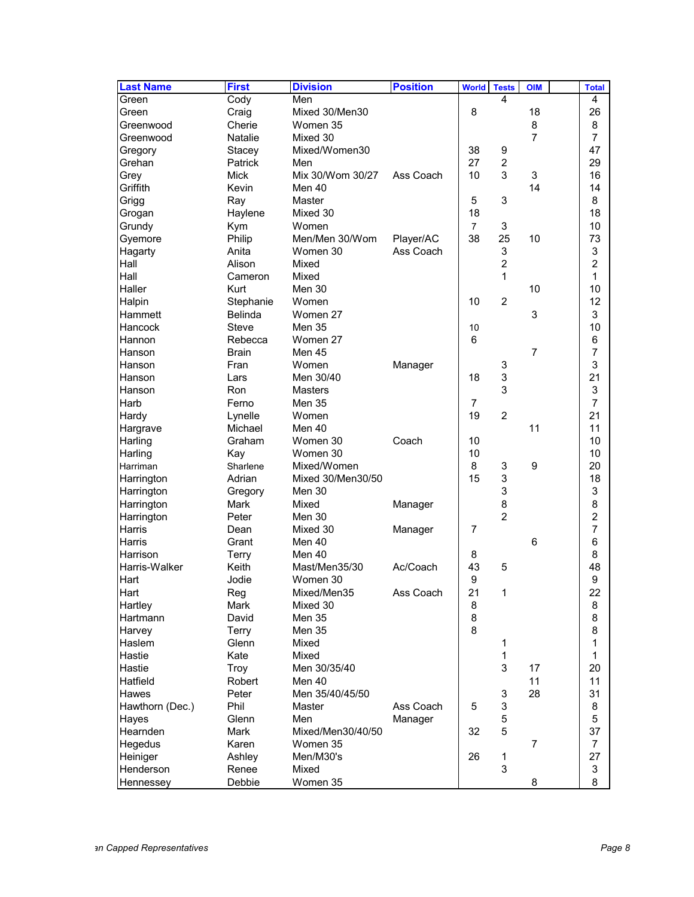| <b>Last Name</b>  | <b>First</b>   | <b>Division</b>   | <b>Position</b> | <b>World</b>   | <b>Tests</b>   | <b>OIM</b>     | <b>Total</b>            |
|-------------------|----------------|-------------------|-----------------|----------------|----------------|----------------|-------------------------|
| Green             | Cody           | Men               |                 |                | 4              |                | 4                       |
| Green             | Craig          | Mixed 30/Men30    |                 | 8              |                | 18             | 26                      |
| Greenwood         | Cherie         | Women 35          |                 |                |                | 8              | 8                       |
| Greenwood         | <b>Natalie</b> | Mixed 30          |                 |                |                | $\overline{7}$ | 7                       |
| Gregory           | Stacey         | Mixed/Women30     |                 | 38             | 9              |                | 47                      |
| Grehan            | Patrick        | Men               |                 | 27             | $\overline{c}$ |                | 29                      |
| Grey              | <b>Mick</b>    | Mix 30/Wom 30/27  | Ass Coach       | 10             | 3              | 3              | 16                      |
| Griffith          | Kevin          | Men 40            |                 |                |                | 14             | 14                      |
| Grigg             | Ray            | Master            |                 | 5              | 3              |                | 8                       |
| Grogan            | Haylene        | Mixed 30          |                 | 18             |                |                | 18                      |
| Grundy            | Kym            | Women             |                 | $\overline{7}$ | 3              |                | 10                      |
| Gyemore           | Philip         | Men/Men 30/Wom    | Player/AC       | 38             | 25             | 10             | 73                      |
| Hagarty           | Anita          | Women 30          | Ass Coach       |                | 3              |                | 3                       |
| Hall              | Alison         | Mixed             |                 |                | $\overline{2}$ |                | $\overline{2}$          |
| Hall              | Cameron        | Mixed             |                 |                | 1              |                | 1                       |
| Haller            | Kurt           | Men 30            |                 |                |                | 10             | 10                      |
| Halpin            | Stephanie      | Women             |                 | 10             | $\overline{c}$ |                | 12                      |
| Hammett           | <b>Belinda</b> | Women 27          |                 |                |                | 3              | 3                       |
| Hancock           | Steve          | <b>Men 35</b>     |                 | 10             |                |                | 10                      |
| Hannon            | Rebecca        | Women 27          |                 | 6              |                |                | 6                       |
| Hanson            | <b>Brain</b>   | Men 45            |                 |                |                | 7              | $\overline{7}$          |
| Hanson            | Fran           | Women             | Manager         |                | 3              |                | 3                       |
| Hanson            | Lars           | Men 30/40         |                 | 18             | 3              |                | 21                      |
| Hanson            | Ron            | Masters           |                 |                | 3              |                | 3                       |
| Harb              | Ferno          | <b>Men 35</b>     |                 | 7              |                |                | $\overline{7}$          |
| Hardy             | Lynelle        | Women             |                 | 19             | $\overline{c}$ |                | 21                      |
| Hargrave          | Michael        | Men 40            |                 |                |                | 11             | 11                      |
| Harling           | Graham         | Women 30          | Coach           | 10             |                |                | 10                      |
| Harling           | Kay            | Women 30          |                 | 10             |                |                | 10                      |
| Harriman          | Sharlene       | Mixed/Women       |                 | 8              | 3              | 9              | 20                      |
| Harrington        | Adrian         | Mixed 30/Men30/50 |                 | 15             | 3              |                | 18                      |
| Harrington        | Gregory        | Men 30            |                 |                | 3              |                | 3                       |
| Harrington        | <b>Mark</b>    | Mixed             | Manager         |                | 8              |                | 8                       |
| Harrington        | Peter          | Men 30            |                 |                | $\overline{2}$ |                | $\overline{\mathbf{c}}$ |
| Harris            | Dean           | Mixed 30          | Manager         | 7              |                |                | $\overline{7}$          |
| <b>Harris</b>     | Grant          | Men 40            |                 |                |                | 6              | 6                       |
| Harrison          | Terry          | Men 40            |                 | 8              |                |                | 8                       |
| Harris-Walker     | Keith          | Mast/Men35/30     | Ac/Coach        | 43             | 5              |                | 48                      |
| Hart              | Jodie          | Women 30          |                 | 9              |                |                | 9                       |
| Hart              | Reg            | Mixed/Men35       | Ass Coach       | 21             | 1              |                | 22                      |
| Hartley           | <b>Mark</b>    | Mixed 30          |                 | 8              |                |                | 8                       |
| Hartmann          | David          | Men 35            |                 | 8              |                |                | 8                       |
| Harvey            | Terry          | Men 35            |                 | 8              |                |                | 8                       |
| Haslem            | Glenn          | Mixed             |                 |                | 1              |                | 1                       |
| Hastie            | Kate           | Mixed             |                 |                | 1              |                | 1                       |
| Hastie            | Troy           | Men 30/35/40      |                 |                | 3              | 17             | 20                      |
| Hatfield          | Robert         | Men 40            |                 |                |                | 11             | 11                      |
| Hawes             | Peter          | Men 35/40/45/50   |                 |                | 3              | 28             | 31                      |
| Hawthorn (Dec.)   | Phil           | Master            | Ass Coach       | 5              | 3              |                | 8                       |
|                   | Glenn          | Men               | Manager         |                | 5              |                | $\mathbf 5$             |
| Hayes<br>Hearnden | Mark           | Mixed/Men30/40/50 |                 | 32             | 5              |                | 37                      |
| Hegedus           | Karen          | Women 35          |                 |                |                | $\overline{7}$ | $\overline{7}$          |
| Heiniger          | Ashley         | Men/M30's         |                 | 26             |                |                | 27                      |
| Henderson         | Renee          | Mixed             |                 |                | 1<br>3         |                |                         |
|                   | Debbie         | Women 35          |                 |                |                | 8              | 3<br>8                  |
| Hennessey         |                |                   |                 |                |                |                |                         |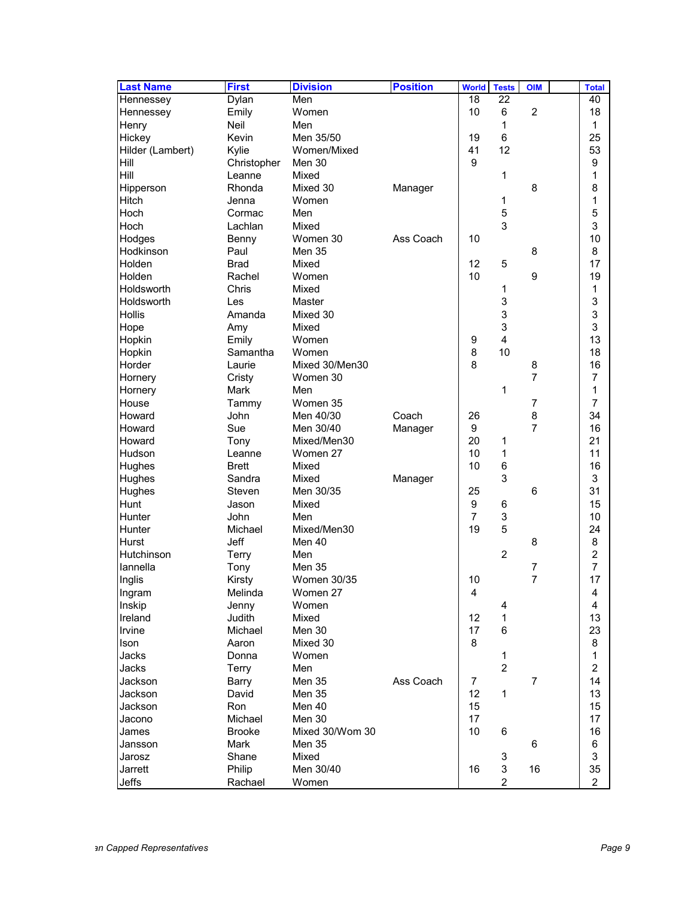| <b>Last Name</b> | <b>First</b>  | <b>Division</b>    | <b>Position</b> | <b>World</b>            | <b>Tests</b>   | <b>OIM</b>     | <b>Total</b>            |
|------------------|---------------|--------------------|-----------------|-------------------------|----------------|----------------|-------------------------|
| Hennessey        | Dylan         | Men                |                 | 18                      | 22             |                | 40                      |
| Hennessey        | Emily         | Women              |                 | 10                      | 6              | $\overline{c}$ | 18                      |
| Henry            | <b>Neil</b>   | Men                |                 |                         | 1              |                | 1                       |
| Hickey           | Kevin         | Men 35/50          |                 | 19                      | 6              |                | 25                      |
| Hilder (Lambert) | Kylie         | Women/Mixed        |                 | 41                      | 12             |                | 53                      |
| Hill             | Christopher   | Men 30             |                 | 9                       |                |                | 9                       |
| Hill             | Leanne        | Mixed              |                 |                         | 1              |                | 1                       |
| Hipperson        | Rhonda        | Mixed 30           | Manager         |                         |                | 8              | 8                       |
| <b>Hitch</b>     | Jenna         | Women              |                 |                         | 1              |                | 1                       |
| Hoch             | Cormac        | Men                |                 |                         | 5              |                | 5                       |
| Hoch             | Lachlan       | Mixed              |                 |                         | 3              |                | 3                       |
| Hodges           | Benny         | Women 30           | Ass Coach       | 10                      |                |                | 10                      |
| Hodkinson        | Paul          | <b>Men 35</b>      |                 |                         |                | 8              | 8                       |
| Holden           | <b>Brad</b>   | Mixed              |                 | 12                      | 5              |                | 17                      |
|                  |               |                    |                 |                         |                |                |                         |
| Holden           | Rachel        | Women              |                 | 10                      |                | 9              | 19                      |
| Holdsworth       | Chris         | Mixed              |                 |                         | 1              |                | 1                       |
| Holdsworth       | Les           | Master             |                 |                         | 3              |                | 3                       |
| <b>Hollis</b>    | Amanda        | Mixed 30           |                 |                         | 3              |                | 3                       |
| Hope             | Amy           | Mixed              |                 |                         | 3              |                | 3                       |
| Hopkin           | Emily         | Women              |                 | 9                       | 4              |                | 13                      |
| Hopkin           | Samantha      | Women              |                 | 8                       | 10             |                | 18                      |
| Horder           | Laurie        | Mixed 30/Men30     |                 | 8                       |                | 8              | 16                      |
| Hornery          | Cristy        | Women 30           |                 |                         |                | $\overline{7}$ | 7                       |
| Hornery          | <b>Mark</b>   | Men                |                 |                         | 1              |                | 1                       |
| House            | Tammy         | Women 35           |                 |                         |                | $\overline{7}$ | 7                       |
| Howard           | John          | Men 40/30          | Coach           | 26                      |                | 8              | 34                      |
| Howard           | Sue           | Men 30/40          | Manager         | 9                       |                | $\overline{7}$ | 16                      |
| Howard           | Tony          | Mixed/Men30        |                 | 20                      | 1              |                | 21                      |
| Hudson           | Leanne        | Women 27           |                 | 10                      | 1              |                | 11                      |
| Hughes           | <b>Brett</b>  | Mixed              |                 | 10                      | 6              |                | 16                      |
| Hughes           | Sandra        | Mixed              | Manager         |                         | 3              |                | 3                       |
| Hughes           | Steven        | Men 30/35          |                 | 25                      |                | 6              | 31                      |
| <b>Hunt</b>      | Jason         | Mixed              |                 | 9                       | 6              |                | 15                      |
| Hunter           | John          | Men                |                 | 7                       | 3              |                | 10                      |
| Hunter           | Michael       | Mixed/Men30        |                 | 19                      | 5              |                | 24                      |
| <b>Hurst</b>     | <b>Jeff</b>   | Men 40             |                 |                         |                | 8              | 8                       |
| Hutchinson       | Terry         | Men                |                 |                         | 2              |                | $\overline{2}$          |
| lannella         | Tony          | <b>Men 35</b>      |                 |                         |                | 7              | 7                       |
| Inglis           | Kirsty        | <b>Women 30/35</b> |                 | 10                      |                | $\overline{7}$ | 17                      |
| Ingram           | Melinda       | Women 27           |                 | $\overline{\mathbf{4}}$ |                |                | 4                       |
| Inskip           | Jenny         | Women              |                 |                         | 4              |                | 4                       |
| Ireland          | Judith        | Mixed              |                 | 12                      | 1              |                | 13                      |
| Irvine           | Michael       | Men 30             |                 | 17                      | 6              |                | 23                      |
| Ison             | Aaron         | Mixed 30           |                 | 8                       |                |                | 8                       |
| Jacks            | Donna         | Women              |                 |                         | 1              |                | $\mathbf{1}$            |
| Jacks            | Terry         | Men                |                 |                         | $\overline{c}$ |                | $\overline{\mathbf{c}}$ |
| Jackson          | Barry         | Men 35             | Ass Coach       | 7                       |                | $\overline{7}$ | 14                      |
| <b>Jackson</b>   | David         | Men 35             |                 | 12                      | 1              |                | 13                      |
| Jackson          | <b>Ron</b>    | Men 40             |                 | 15                      |                |                | 15                      |
| Jacono           | Michael       | Men 30             |                 | 17                      |                |                | 17                      |
| James            | <b>Brooke</b> | Mixed 30/Wom 30    |                 | 10                      | 6              |                | 16                      |
| Jansson          | Mark          | Men 35             |                 |                         |                | 6              | 6                       |
| Jarosz           | Shane         | Mixed              |                 |                         | 3              |                | 3                       |
| Jarrett          | Philip        | Men 30/40          |                 | 16                      | 3              | 16             | 35                      |
| Jeffs            | Rachael       | Women              |                 |                         | $\overline{c}$ |                | $\overline{2}$          |
|                  |               |                    |                 |                         |                |                |                         |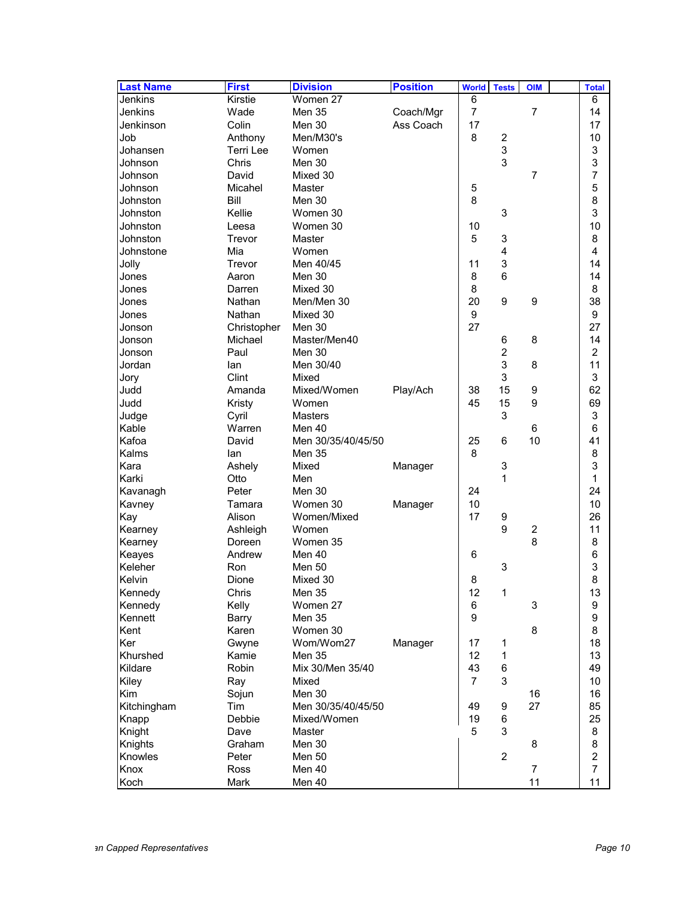| <b>Last Name</b> | <b>First</b>   | <b>Division</b>    | <b>Position</b> | <b>World</b>   | <b>Tests</b>            | <b>OIM</b>     | <b>Total</b>     |
|------------------|----------------|--------------------|-----------------|----------------|-------------------------|----------------|------------------|
| Jenkins          | Kirstie        | Women 27           |                 | 6              |                         |                | 6                |
| Jenkins          | Wade           | Men 35             | Coach/Mgr       | $\overline{7}$ |                         | $\overline{7}$ | 14               |
| Jenkinson        | Colin          | Men 30             | Ass Coach       | 17             |                         |                | 17               |
| Job              | Anthony        | Men/M30's          |                 | 8              | $\overline{\mathbf{c}}$ |                | 10               |
| Johansen         | Terri Lee      | Women              |                 |                | 3                       |                | 3                |
| Johnson          | Chris          | Men 30             |                 |                | 3                       |                | 3                |
| Johnson          | David          | Mixed 30           |                 |                |                         | 7              | 7                |
| Johnson          | Micahel        | Master             |                 | 5              |                         |                | 5                |
| Johnston         | Bill           | Men 30             |                 | 8              |                         |                | 8                |
| Johnston         | Kellie         | Women 30           |                 |                | 3                       |                | 3                |
| Johnston         | Leesa          | Women 30           |                 | 10             |                         |                | 10               |
| Johnston         | Trevor         |                    |                 | 5              | 3                       |                | 8                |
| Johnstone        | Mia            | Master<br>Women    |                 |                | 4                       |                | $\overline{4}$   |
|                  |                |                    |                 |                |                         |                |                  |
| Jolly            | Trevor         | Men 40/45          |                 | 11             | 3                       |                | 14               |
| Jones            | Aaron          | Men 30             |                 | 8              | 6                       |                | 14               |
| Jones            | Darren         | Mixed 30           |                 | 8              |                         |                | 8                |
| Jones            | Nathan         | Men/Men 30         |                 | 20             | 9                       | 9              | 38               |
| Jones            | Nathan         | Mixed 30           |                 | 9              |                         |                | 9                |
| Jonson           | Christopher    | Men 30             |                 | 27             |                         |                | 27               |
| Jonson           | Michael        | Master/Men40       |                 |                | 6                       | 8              | 14               |
| Jonson           | Paul           | Men 30             |                 |                | $\overline{c}$          |                | $\overline{c}$   |
| Jordan           | lan            | Men 30/40          |                 |                | 3                       | 8              | 11               |
| Jory             | Clint          | Mixed              |                 |                | 3                       |                | 3                |
| Judd             | Amanda         | Mixed/Women        | Play/Ach        | 38             | 15                      | 9              | 62               |
| Judd             | Kristy         | Women              |                 | 45             | 15                      | 9              | 69               |
| Judge            | Cyril          | Masters            |                 |                | 3                       |                | 3                |
| Kable            | Warren         | Men 40             |                 |                |                         | 6              | 6                |
| Kafoa            | David          | Men 30/35/40/45/50 |                 | 25             | 6                       | 10             | 41               |
| Kalms            | lan            | Men 35             |                 | 8              |                         |                | 8                |
| Kara             | Ashely         | Mixed              | Manager         |                | 3                       |                | 3                |
| Karki            | Otto           | Men                |                 |                | 1                       |                | 1                |
| Kavanagh         | Peter          | Men 30             |                 | 24             |                         |                | 24               |
| Kavney           | Tamara         | Women 30           | Manager         | 10             |                         |                | 10               |
| Kay              | Alison         | Women/Mixed        |                 | 17             | 9                       |                | 26               |
| Kearney          | Ashleigh       | Women              |                 |                | 9                       | $\overline{c}$ | 11               |
| Kearney          | Doreen         | Women 35           |                 |                |                         | 8              | 8                |
| Keayes           | Andrew         | Men 40             |                 | 6              |                         |                | 6                |
| Keleher          | Ron            | <b>Men 50</b>      |                 |                | 3                       |                | 3                |
| Kelvin           | Dione          | Mixed 30           |                 | 8              |                         |                | 8                |
| Kennedy          | Chris          | Men 35             |                 | 12             | 1                       |                | 13               |
| Kennedy          | Kelly          | Women 27           |                 | 6              |                         | 3              | 9                |
| Kennett          | Barry          | Men 35             |                 | 9              |                         |                | 9                |
| Kent             | Karen          | Women 30           |                 |                |                         | 8              | 8                |
| Ker              |                | Wom/Wom27          |                 |                |                         |                | 18               |
|                  | Gwyne          |                    | Manager         | 17             | 1                       |                |                  |
| Khurshed         | Kamie<br>Robin | <b>Men 35</b>      |                 | 12             | $\mathbf 1$             |                | 13               |
| Kildare          |                | Mix 30/Men 35/40   |                 | 43             | 6                       |                | 49               |
| Kiley            | Ray            | Mixed              |                 | $\overline{7}$ | 3                       |                | 10               |
| Kim              | Sojun          | Men 30             |                 |                |                         | 16             | 16               |
| Kitchingham      | Tim            | Men 30/35/40/45/50 |                 | 49             | 9                       | 27             | 85               |
| Knapp            | Debbie         | Mixed/Women        |                 | 19             | 6                       |                | 25               |
| Knight           | Dave           | Master             |                 | 5              | 3                       |                | 8                |
| Knights          | Graham         | Men 30             |                 |                |                         | 8              | 8                |
| Knowles          | Peter          | Men 50             |                 |                | $\overline{c}$          |                | $\boldsymbol{2}$ |
| Knox             | Ross           | Men 40             |                 |                |                         | $\overline{7}$ | $\overline{7}$   |
| Koch             | Mark           | Men 40             |                 |                |                         | 11             | 11               |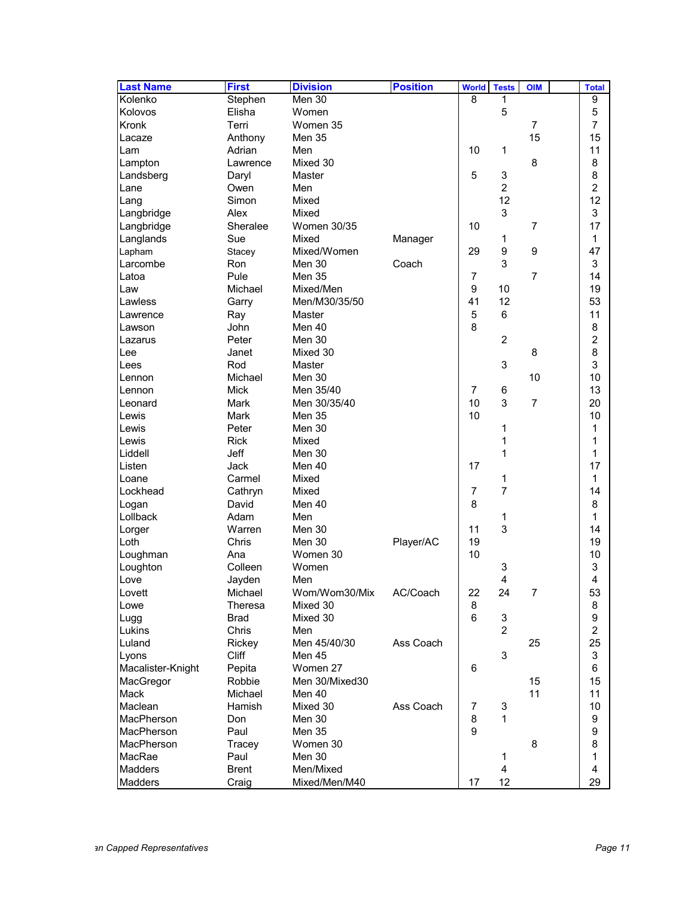| <b>Last Name</b>  | <b>First</b> | <b>Division</b>    | <b>Position</b> | <b>World</b>   | <b>Tests</b>   | <b>OIM</b>     | <b>Total</b>   |
|-------------------|--------------|--------------------|-----------------|----------------|----------------|----------------|----------------|
| Kolenko           | Stephen      | Men 30             |                 | 8              | 1              |                | 9              |
| Kolovos           | Elisha       | Women              |                 |                | 5              |                | 5              |
| Kronk             | Terri        | Women 35           |                 |                |                | $\overline{7}$ | $\overline{7}$ |
| Lacaze            | Anthony      | <b>Men 35</b>      |                 |                |                | 15             | 15             |
| Lam               | Adrian       | Men                |                 | 10             | 1              |                | 11             |
| Lampton           | Lawrence     | Mixed 30           |                 |                |                | 8              | 8              |
| Landsberg         | Daryl        | Master             |                 | 5              | 3              |                | 8              |
| Lane              | Owen         | Men                |                 |                | $\overline{2}$ |                | $\overline{c}$ |
| Lang              | Simon        | Mixed              |                 |                | 12             |                | 12             |
| Langbridge        | Alex         | Mixed              |                 |                | 3              |                | 3              |
| Langbridge        | Sheralee     | <b>Women 30/35</b> |                 | 10             |                | $\overline{7}$ | 17             |
| Langlands         | Sue          | Mixed              | Manager         |                | 1              |                | 1              |
| Lapham            | Stacey       | Mixed/Women        |                 | 29             | 9              | 9              | 47             |
| Larcombe          | Ron          | Men 30             | Coach           |                | 3              |                | 3              |
|                   |              |                    |                 |                |                |                |                |
| Latoa             | Pule         | <b>Men 35</b>      |                 | 7              |                | $\overline{7}$ | 14             |
| Law               | Michael      | Mixed/Men          |                 | 9              | 10             |                | 19             |
| Lawless           | Garry        | Men/M30/35/50      |                 | 41             | 12             |                | 53             |
| Lawrence          | Ray          | Master             |                 | 5              | 6              |                | 11             |
| Lawson            | John         | Men 40             |                 | 8              |                |                | 8              |
| Lazarus           | Peter        | Men 30             |                 |                | $\overline{c}$ |                | $\overline{c}$ |
| Lee               | Janet        | Mixed 30           |                 |                |                | 8              | 8              |
| Lees              | Rod          | Master             |                 |                | 3              |                | 3              |
| Lennon            | Michael      | Men 30             |                 |                |                | 10             | 10             |
| Lennon            | <b>Mick</b>  | Men 35/40          |                 | 7              | 6              |                | 13             |
| Leonard           | Mark         | Men 30/35/40       |                 | 10             | 3              | $\overline{7}$ | 20             |
| Lewis             | <b>Mark</b>  | <b>Men 35</b>      |                 | 10             |                |                | 10             |
| Lewis             | Peter        | Men 30             |                 |                | 1              |                | 1              |
| Lewis             | <b>Rick</b>  | Mixed              |                 |                | 1              |                | 1              |
| Liddell           | Jeff         | Men 30             |                 |                | 1              |                | 1              |
| Listen            | Jack         | Men 40             |                 | 17             |                |                | 17             |
| Loane             | Carmel       | Mixed              |                 |                | 1              |                | 1              |
| Lockhead          | Cathryn      | Mixed              |                 | 7              | $\overline{7}$ |                | 14             |
| Logan             | David        | Men 40             |                 | 8              |                |                | 8              |
| Lollback          | Adam         | Men                |                 |                | 1              |                | 1              |
| Lorger            | Warren       | Men 30             |                 | 11             | 3              |                | 14             |
| Loth              | Chris        | Men 30             | Player/AC       | 19             |                |                | 19             |
| Loughman          | Ana          | Women 30           |                 | 10             |                |                | 10             |
| Loughton          | Colleen      | Women              |                 |                | 3              |                | 3              |
| Love              | Jayden       | Men                |                 |                | 4              |                | 4              |
| Lovett            | Michael      | Wom/Wom30/Mix      | AC/Coach        | 22             | 24             | $\overline{7}$ | 53             |
| Lowe              | Theresa      | Mixed 30           |                 | 8              |                |                | 8              |
| Lugg              | <b>Brad</b>  | Mixed 30           |                 | $6\phantom{a}$ | 3              |                | 9              |
| Lukins            | Chris        | Men                |                 |                | $\overline{2}$ |                | $\overline{c}$ |
| Luland            | Rickey       | Men 45/40/30       | Ass Coach       |                |                | 25             | 25             |
| Lyons             | Cliff        | Men 45             |                 |                | 3              |                | 3              |
| Macalister-Knight | Pepita       | Women 27           |                 | 6              |                |                | 6              |
| MacGregor         | Robbie       | Men 30/Mixed30     |                 |                |                | 15             | 15             |
| Mack              | Michael      | Men 40             |                 |                |                | 11             | 11             |
| Maclean           | Hamish       | Mixed 30           | Ass Coach       | 7              | 3              |                | 10             |
| MacPherson        | Don          | Men 30             |                 | 8              | 1              |                | 9              |
| MacPherson        | Paul         | Men 35             |                 | 9              |                |                | 9              |
| MacPherson        | Tracey       | Women 30           |                 |                |                | 8              | 8              |
| MacRae            | Paul         | Men 30             |                 |                | 1              |                | $\mathbf{1}$   |
| <b>Madders</b>    | <b>Brent</b> | Men/Mixed          |                 |                | 4              |                | 4              |
| Madders           |              | Mixed/Men/M40      |                 | 17             | 12             |                | 29             |
|                   | Craig        |                    |                 |                |                |                |                |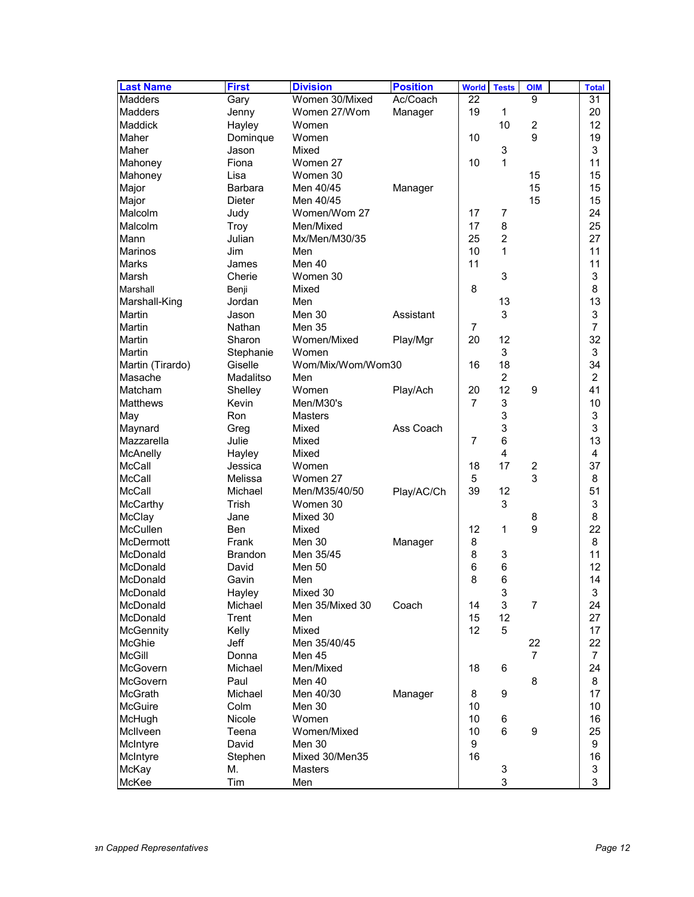| <b>Last Name</b> | <b>First</b>   | <b>Division</b>   | <b>Position</b> | <b>World</b>   | <b>Tests</b>   | <b>OIM</b>     | <b>Total</b>   |
|------------------|----------------|-------------------|-----------------|----------------|----------------|----------------|----------------|
| Madders          | Gary           | Women 30/Mixed    | Ac/Coach        | 22             |                | 9              | 31             |
| <b>Madders</b>   | Jenny          | Women 27/Wom      | Manager         | 19             | 1              |                | 20             |
| <b>Maddick</b>   | Hayley         | Women             |                 |                | 10             | $\overline{c}$ | 12             |
| Maher            | Dominque       | Women             |                 | 10             |                | 9              | 19             |
| Maher            | Jason          | Mixed             |                 |                | 3              |                | 3              |
| Mahoney          | Fiona          | Women 27          |                 | 10             | 1              |                | 11             |
| Mahoney          | Lisa           | Women 30          |                 |                |                | 15             | 15             |
| Major            | <b>Barbara</b> | Men 40/45         | Manager         |                |                | 15             | 15             |
| Major            | <b>Dieter</b>  | Men 40/45         |                 |                |                | 15             | 15             |
| Malcolm          | Judy           | Women/Wom 27      |                 | 17             | 7              |                | 24             |
| Malcolm          | Troy           | Men/Mixed         |                 | 17             | 8              |                | 25             |
| Mann             | Julian         | Mx/Men/M30/35     |                 | 25             | $\overline{c}$ |                | 27             |
| <b>Marinos</b>   | Jim            | Men               |                 | 10             | 1              |                | 11             |
| <b>Marks</b>     | James          | Men 40            |                 | 11             |                |                | 11             |
|                  | Cherie         | Women 30          |                 |                |                |                | 3              |
| Marsh            |                |                   |                 |                | 3              |                | 8              |
| Marshall         | Benji          | Mixed             |                 | 8              |                |                |                |
| Marshall-King    | Jordan         | Men               |                 |                | 13             |                | 13             |
| <b>Martin</b>    | Jason          | Men 30            | Assistant       |                | 3              |                | 3              |
| <b>Martin</b>    | Nathan         | <b>Men 35</b>     |                 | 7              |                |                | 7              |
| <b>Martin</b>    | Sharon         | Women/Mixed       | Play/Mgr        | 20             | 12             |                | 32             |
| <b>Martin</b>    | Stephanie      | Women             |                 |                | 3              |                | 3              |
| Martin (Tirardo) | Giselle        | Wom/Mix/Wom/Wom30 |                 | 16             | 18             |                | 34             |
| Masache          | Madalitso      | Men               |                 |                | $\overline{c}$ |                | $\overline{c}$ |
| Matcham          | Shelley        | Women             | Play/Ach        | 20             | 12             | 9              | 41             |
| <b>Matthews</b>  | Kevin          | Men/M30's         |                 | $\overline{7}$ | 3              |                | 10             |
| May              | Ron            | Masters           |                 |                | 3              |                | 3              |
| Maynard          | Greg           | Mixed             | Ass Coach       |                | 3              |                | 3              |
| Mazzarella       | Julie          | Mixed             |                 | 7              | 6              |                | 13             |
| McAnelly         | Hayley         | Mixed             |                 |                | 4              |                | 4              |
| McCall           | Jessica        | Women             |                 | 18             | 17             | $\overline{c}$ | 37             |
| <b>McCall</b>    | Melissa        | Women 27          |                 | 5              |                | 3              | 8              |
| McCall           | Michael        | Men/M35/40/50     | Play/AC/Ch      | 39             | 12             |                | 51             |
| <b>McCarthy</b>  | Trish          | Women 30          |                 |                | 3              |                | 3              |
| <b>McClay</b>    | Jane           | Mixed 30          |                 |                |                | 8              | 8              |
| McCullen         | Ben            | Mixed             |                 | 12             | 1              | 9              | 22             |
| <b>McDermott</b> | Frank          | Men 30            | Manager         | 8              |                |                | 8              |
| McDonald         | <b>Brandon</b> | Men 35/45         |                 | 8              | 3              |                | 11             |
| McDonald         | David          | Men 50            |                 | 6              | 6              |                | 12             |
| McDonald         | Gavin          | Men               |                 | 8              | 6              |                | 14             |
| McDonald         | Hayley         | Mixed 30          |                 |                | 3              |                | 3              |
| McDonald         | Michael        | Men 35/Mixed 30   | Coach           | 14             | 3              | $\overline{7}$ | 24             |
| McDonald         | Trent          | Men               |                 | 15             | 12             |                | 27             |
| <b>McGennity</b> | Kelly          | Mixed             |                 | 12             | 5              |                | 17             |
| McGhie           | Jeff           | Men 35/40/45      |                 |                |                | 22             | 22             |
| <b>McGill</b>    | Donna          | Men 45            |                 |                |                | $\overline{7}$ | 7              |
| <b>McGovern</b>  | Michael        | Men/Mixed         |                 | 18             | 6              |                | 24             |
| McGovern         | Paul           | Men 40            |                 |                |                | 8              | 8              |
| <b>McGrath</b>   | Michael        | Men 40/30         | Manager         | 8              | 9              |                | 17             |
| <b>McGuire</b>   | Colm           | Men 30            |                 | 10             |                |                | 10             |
| McHugh           | Nicole         | Women             |                 | 10             | 6              |                | 16             |
| McIlveen         | Teena          | Women/Mixed       |                 | 10             | 6              | 9              | 25             |
| McIntyre         | David          | Men 30            |                 | 9              |                |                | 9              |
| McIntyre         | Stephen        | Mixed 30/Men35    |                 | 16             |                |                | 16             |
| McKay            | М.             | <b>Masters</b>    |                 |                | 3              |                | 3              |
| McKee            | Tim            | Men               |                 |                | 3              |                | 3              |
|                  |                |                   |                 |                |                |                |                |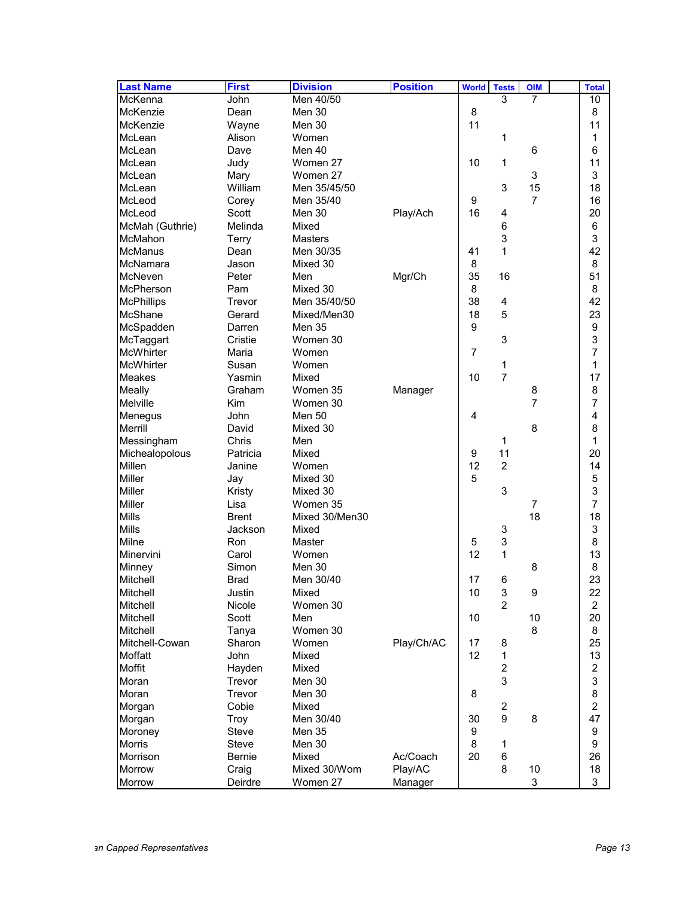| <b>Last Name</b>  | <b>First</b>     | <b>Division</b> | <b>Position</b> | <b>World</b> | <b>Tests</b>                 | <b>OIM</b>     | <b>Total</b>            |
|-------------------|------------------|-----------------|-----------------|--------------|------------------------------|----------------|-------------------------|
| McKenna           | John             | Men 40/50       |                 |              | 3                            | $\overline{7}$ | 10                      |
| McKenzie          | Dean             | Men 30          |                 | 8            |                              |                | 8                       |
| McKenzie          | Wayne            | Men 30          |                 | 11           |                              |                | 11                      |
| McLean            | Alison           | Women           |                 |              | 1                            |                | 1                       |
| McLean            | Dave             | Men 40          |                 |              |                              | 6              | 6                       |
| McLean            | Judy             | Women 27        |                 | 10           | 1                            |                | 11                      |
| McLean            | Mary             | Women 27        |                 |              |                              | 3              | 3                       |
| McLean            | William          | Men 35/45/50    |                 |              | 3                            | 15             | 18                      |
| McLeod            | Corey            | Men 35/40       |                 | 9            |                              | $\overline{7}$ | 16                      |
| McLeod            | Scott            | Men 30          | Play/Ach        | 16           | 4                            |                | 20                      |
| McMah (Guthrie)   | Melinda          | Mixed           |                 |              | 6                            |                | 6                       |
| <b>McMahon</b>    | Terry            | Masters         |                 |              | 3                            |                | 3                       |
| <b>McManus</b>    | Dean             | Men 30/35       |                 | 41           | 1                            |                | 42                      |
| McNamara          | Jason            | Mixed 30        |                 | 8            |                              |                | 8                       |
| McNeven           | Peter            | Men             | Mgr/Ch          | 35           | 16                           |                | 51                      |
| McPherson         | Pam              | Mixed 30        |                 | 8            |                              |                | 8                       |
| <b>McPhillips</b> | Trevor           | Men 35/40/50    |                 | 38           | 4                            |                | 42                      |
| McShane           | Gerard           | Mixed/Men30     |                 | 18           | 5                            |                | 23                      |
| McSpadden         | Darren           | <b>Men 35</b>   |                 | 9            |                              |                | 9                       |
| McTaggart         | Cristie          | Women 30        |                 |              | 3                            |                | 3                       |
| <b>McWhirter</b>  | Maria            | Women           |                 | 7            |                              |                | $\overline{7}$          |
| McWhirter         | Susan            | Women           |                 |              | 1                            |                | 1                       |
| Meakes            | Yasmin           | Mixed           |                 | 10           | $\overline{7}$               |                | 17                      |
| Meally            | Graham           | Women 35        | Manager         |              |                              | 8              | 8                       |
| Melville          | <b>Kim</b>       | Women 30        |                 |              |                              | $\overline{7}$ | 7                       |
| Menegus           | John             | <b>Men 50</b>   |                 | 4            |                              |                | 4                       |
| Merrill           | David            | Mixed 30        |                 |              |                              | 8              | 8                       |
| Messingham        | Chris            | Men             |                 |              | 1                            |                | 1                       |
| Michealopolous    | Patricia         | Mixed           |                 | 9            | 11                           |                | 20                      |
| Millen            | Janine           | Women           |                 | 12           | 2                            |                | 14                      |
| <b>Miller</b>     | Jay              | Mixed 30        |                 | 5            |                              |                | 5                       |
| Miller            | Kristy           | Mixed 30        |                 |              | 3                            |                | 3                       |
| Miller            | Lisa             | Women 35        |                 |              |                              | $\overline{7}$ | 7                       |
| Mills             | <b>Brent</b>     | Mixed 30/Men30  |                 |              |                              | 18             | 18                      |
| <b>Mills</b>      | Jackson          | Mixed           |                 |              | 3                            |                | 3                       |
| Milne             | Ron              | Master          |                 | 5            | 3                            |                | 8                       |
| Minervini         | Carol            | Women           |                 | 12           | 1                            |                | 13                      |
| Minney            | Simon            | Men 30          |                 |              |                              | 8              | 8                       |
| Mitchell          | <b>Brad</b>      | Men 30/40       |                 | 17           | 6                            |                | 23                      |
| Mitchell          | Justin           | Mixed           |                 | 10           | 3                            | 9              | 22                      |
| Mitchell          | Nicole           | Women 30        |                 |              | $\overline{2}$               |                | $\overline{c}$          |
| Mitchell          | Scott            | Men             |                 | 10           |                              | 10             | 20                      |
| Mitchell          | Tanya            | Women 30        |                 |              |                              | 8              | 8                       |
| Mitchell-Cowan    | Sharon           | Women           | Play/Ch/AC      | 17           | 8                            |                | 25                      |
|                   | John             | Mixed           |                 | 12           |                              |                | 13                      |
| Moffatt<br>Moffit |                  | Mixed           |                 |              | 1<br>$\overline{\mathbf{c}}$ |                | $\overline{\mathbf{c}}$ |
| Moran             | Hayden<br>Trevor |                 |                 |              | 3                            |                |                         |
|                   |                  | Men 30          |                 |              |                              |                | 3                       |
| Moran             | Trevor           | Men 30          |                 | 8            |                              |                | 8                       |
| Morgan            | Cobie            | Mixed           |                 |              | $\boldsymbol{2}$             |                | $\overline{c}$          |
| Morgan            | Troy             | Men 30/40       |                 | 30           | 9                            | 8              | 47                      |
| Moroney           | <b>Steve</b>     | Men 35          |                 | 9            |                              |                | $\boldsymbol{9}$        |
| Morris            | <b>Steve</b>     | Men 30          |                 | 8            | 1                            |                | $\boldsymbol{9}$        |
| Morrison          | Bernie           | Mixed           | Ac/Coach        | 20           | 6                            |                | 26                      |
| Morrow            | Craig            | Mixed 30/Wom    | Play/AC         |              | 8                            | 10             | 18                      |
| Morrow            | Deirdre          | Women 27        | Manager         |              |                              | 3              | 3                       |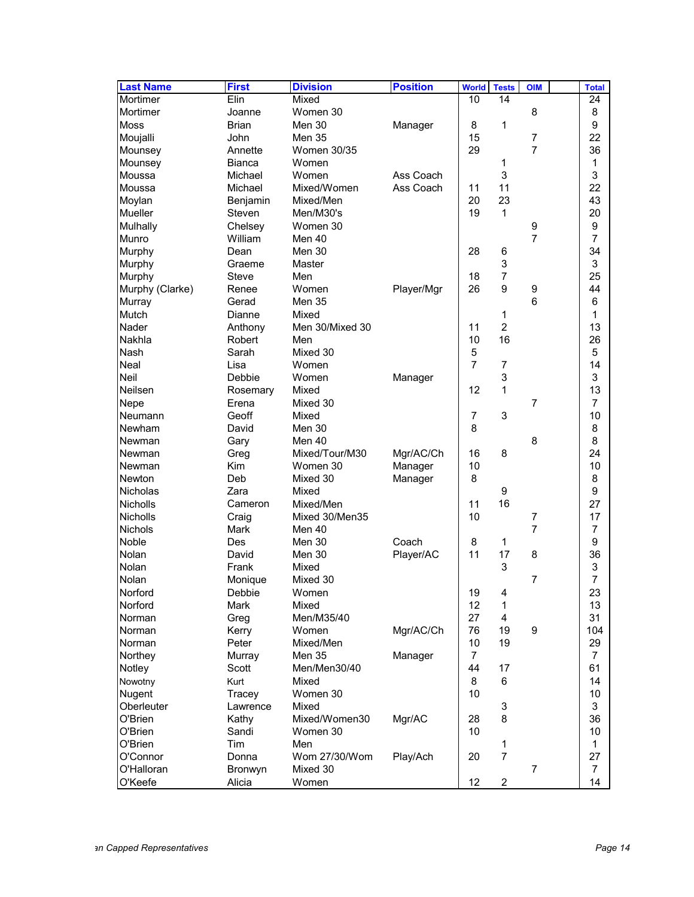| <b>Last Name</b> | <b>First</b>   | <b>Division</b> | <b>Position</b> | <b>World</b>   | <b>Tests</b>              | <b>OIM</b>     | <b>Total</b>   |
|------------------|----------------|-----------------|-----------------|----------------|---------------------------|----------------|----------------|
| Mortimer         | Elin           | Mixed           |                 | 10             | 14                        |                | 24             |
| Mortimer         | Joanne         | Women 30        |                 |                |                           | 8              | 8              |
| <b>Moss</b>      | <b>Brian</b>   | Men 30          | Manager         | 8              | 1                         |                | 9              |
| Moujalli         | John           | <b>Men 35</b>   |                 | 15             |                           | $\overline{7}$ | 22             |
| Mounsey          | Annette        | Women 30/35     |                 | 29             |                           | $\overline{7}$ | 36             |
| Mounsey          | Bianca         | Women           |                 |                | 1                         |                | 1              |
| Moussa           | Michael        | Women           | Ass Coach       |                | 3                         |                | 3              |
| Moussa           | Michael        | Mixed/Women     | Ass Coach       | 11             | 11                        |                | 22             |
| Moylan           | Benjamin       | Mixed/Men       |                 | 20             | 23                        |                | 43             |
| <b>Mueller</b>   | Steven         | Men/M30's       |                 | 19             | 1                         |                | 20             |
| Mulhally         | Chelsey        | Women 30        |                 |                |                           | 9              | 9              |
| Munro            | William        | Men 40          |                 |                |                           | 7              | 7              |
| Murphy           | Dean           | Men 30          |                 | 28             | 6                         |                | 34             |
| Murphy           | Graeme         | Master          |                 |                | 3                         |                | 3              |
| Murphy           | Steve          | Men             |                 | 18             | $\overline{7}$            |                | 25             |
| Murphy (Clarke)  | Renee          | Women           | Player/Mgr      | 26             | 9                         | 9              | 44             |
| Murray           | Gerad          | <b>Men 35</b>   |                 |                |                           | 6              | 6              |
| Mutch            | Dianne         | Mixed           |                 |                | 1                         |                | 1              |
| Nader            | Anthony        | Men 30/Mixed 30 |                 | 11             | $\overline{2}$            |                | 13             |
| Nakhla           | Robert         | Men             |                 | 10             | 16                        |                | 26             |
| Nash             | Sarah          | Mixed 30        |                 | 5              |                           |                | 5              |
| Neal             | Lisa           | Women           |                 | $\overline{7}$ | $\overline{7}$            |                | 14             |
| Neil             | Debbie         | Women           | Manager         |                | 3                         |                | 3              |
| Neilsen          | Rosemary       | Mixed           |                 | 12             | 1                         |                | 13             |
| Nepe             | Erena          | Mixed 30        |                 |                |                           | 7              | 7              |
| Neumann          | Geoff          | Mixed           |                 | 7              | 3                         |                | 10             |
| Newham           | David          | Men 30          |                 | 8              |                           |                | 8              |
| Newman           | Gary           | Men 40          |                 |                |                           | 8              | 8              |
| Newman           | Greg           | Mixed/Tour/M30  | Mgr/AC/Ch       | 16             | 8                         |                | 24             |
| Newman           | Kim            | Women 30        | Manager         | 10             |                           |                | 10             |
| Newton           | Deb            | Mixed 30        | Manager         | 8              |                           |                | 8              |
| <b>Nicholas</b>  | Zara           | Mixed           |                 |                | $\boldsymbol{9}$          |                | 9              |
| <b>Nicholls</b>  | Cameron        | Mixed/Men       |                 | 11             | 16                        |                | 27             |
| <b>Nicholls</b>  | Craig          | Mixed 30/Men35  |                 | 10             |                           | 7              | 17             |
| Nichols          | Mark           | Men 40          |                 |                |                           | 7              | 7              |
| Noble            | Des            | Men 30          | Coach           | 8              | 1                         |                | 9              |
| Nolan            | David          | Men 30          | Player/AC       | 11             | 17                        | 8              | 36             |
| Nolan            | Frank          | Mixed           |                 |                | 3                         |                | 3              |
| Nolan            | Monique        | Mixed 30        |                 |                |                           | $\overline{7}$ | 7              |
| Norford          | Debbie         | Women           |                 | 19             | 4                         |                | 23             |
| Norford          | Mark           | Mixed           |                 | 12             | 1                         |                | 13             |
| Norman           | Greg           | Men/M35/40      |                 | 27             | $\overline{4}$            |                | 31             |
| Norman           | Kerry          | Women           | Mgr/AC/Ch       | 76             | 19                        | 9              | 104            |
| Norman           | Peter          | Mixed/Men       |                 | 10             | 19                        |                | 29             |
| Northey          | Murray         | Men 35          | Manager         | $\overline{7}$ |                           |                | 7              |
| Notley           | Scott          | Men/Men30/40    |                 | 44             | 17                        |                | 61             |
| Nowotny          | Kurt           | Mixed           |                 | 8              | 6                         |                | 14             |
| Nugent           | Tracey         | Women 30        |                 | 10             |                           |                | 10             |
| Oberleuter       | Lawrence       | Mixed           |                 |                | $\ensuremath{\mathsf{3}}$ |                | 3              |
| O'Brien          | Kathy          | Mixed/Women30   |                 | 28             | 8                         |                | 36             |
| O'Brien          | Sandi          | Women 30        | Mgr/AC          | 10             |                           |                | 10             |
| O'Brien          | Tim            | Men             |                 |                |                           |                | 1              |
| O'Connor         | Donna          | Wom 27/30/Wom   |                 | 20             | 1<br>$\overline{7}$       |                | 27             |
| O'Halloran       |                | Mixed 30        | Play/Ach        |                |                           | $\overline{7}$ | $\overline{7}$ |
|                  | <b>Bronwyn</b> |                 |                 | 12             | $\overline{c}$            |                |                |
| O'Keefe          | Alicia         | Women           |                 |                |                           |                | 14             |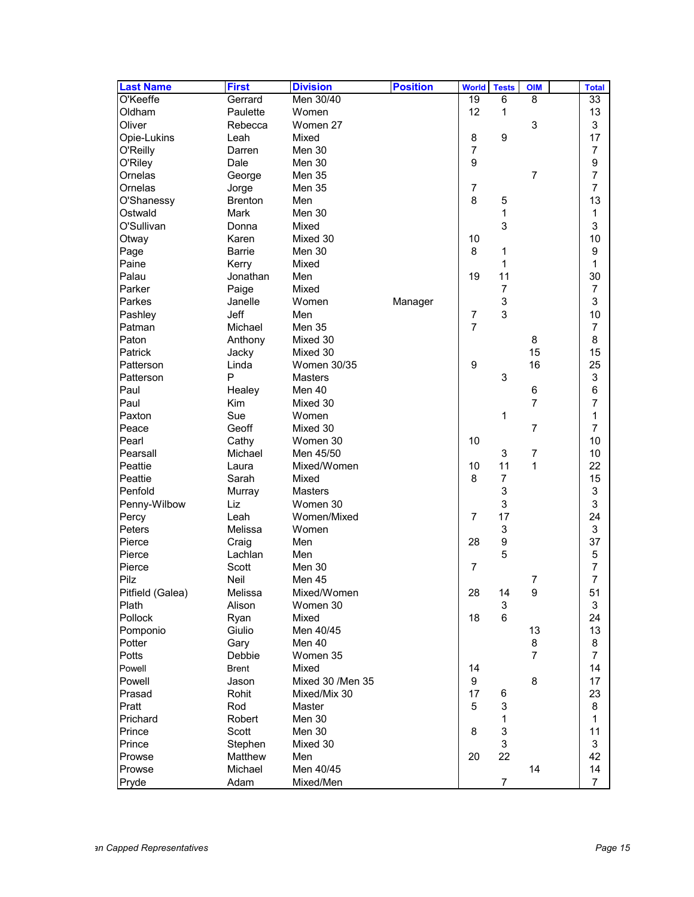| <b>Last Name</b> | <b>First</b>   | <b>Division</b>  | <b>Position</b> | <b>World</b>   | <b>Tests</b>     | <b>OIM</b>     | <b>Total</b>    |
|------------------|----------------|------------------|-----------------|----------------|------------------|----------------|-----------------|
| O'Keeffe         | Gerrard        | Men 30/40        |                 | 19             | 6                | 8              | $\overline{33}$ |
| Oldham           | Paulette       | Women            |                 | 12             | 1                |                | 13              |
| Oliver           | Rebecca        | Women 27         |                 |                |                  | 3              | 3               |
| Opie-Lukins      | Leah           | Mixed            |                 | 8              | $\boldsymbol{9}$ |                | 17              |
| O'Reilly         | Darren         | Men 30           |                 | $\overline{7}$ |                  |                | 7               |
| O'Riley          | Dale           | Men 30           |                 | 9              |                  |                | 9               |
| Ornelas          | George         | Men 35           |                 |                |                  | $\overline{7}$ | $\overline{7}$  |
| Ornelas          | Jorge          | <b>Men 35</b>    |                 | $\overline{7}$ |                  |                | $\overline{7}$  |
| O'Shanessy       | <b>Brenton</b> | Men              |                 | 8              | 5                |                | 13              |
| Ostwald          | <b>Mark</b>    | Men 30           |                 |                | 1                |                | 1               |
| O'Sullivan       | Donna          | Mixed            |                 |                | 3                |                | 3               |
| Otway            | Karen          | Mixed 30         |                 | 10             |                  |                | 10              |
| Page             | <b>Barrie</b>  | Men 30           |                 | 8              | 1                |                | 9               |
| Paine            | Kerry          | Mixed            |                 |                | 1                |                | 1               |
| Palau            | Jonathan       | Men              |                 | 19             | 11               |                | 30              |
| Parker           | Paige          | Mixed            |                 |                | $\overline{7}$   |                | 7               |
| Parkes           | Janelle        | Women            | Manager         |                | 3                |                | 3               |
| Pashley          | Jeff           | Men              |                 | $\overline{7}$ | 3                |                | 10              |
| Patman           | Michael        | <b>Men 35</b>    |                 | $\overline{7}$ |                  |                | 7               |
| Paton            | Anthony        | Mixed 30         |                 |                |                  | 8              | 8               |
| Patrick          | Jacky          | Mixed 30         |                 |                |                  | 15             | 15              |
| Patterson        | Linda          | Women 30/35      |                 | 9              |                  | 16             | 25              |
| Patterson        | P              | <b>Masters</b>   |                 |                | 3                |                | 3               |
| Paul             | Healey         | Men 40           |                 |                |                  | 6              | 6               |
| Paul             | <b>Kim</b>     | Mixed 30         |                 |                |                  | $\overline{7}$ | $\overline{7}$  |
| Paxton           | Sue            | Women            |                 |                | 1                |                | 1               |
| Peace            | Geoff          | Mixed 30         |                 |                |                  | $\overline{7}$ | $\overline{7}$  |
| Pearl            | Cathy          | Women 30         |                 | 10             |                  |                | 10              |
| Pearsall         | Michael        | Men 45/50        |                 |                | 3                | $\overline{7}$ | 10              |
| Peattie          | Laura          | Mixed/Women      |                 | 10             | 11               | 1              | 22              |
| Peattie          | Sarah          | Mixed            |                 | 8              | $\boldsymbol{7}$ |                | 15              |
| Penfold          | Murray         | Masters          |                 |                | 3                |                | 3               |
| Penny-Wilbow     | Liz            | Women 30         |                 |                | 3                |                | 3               |
| Percy            | Leah           | Women/Mixed      |                 | 7              | 17               |                | 24              |
| Peters           | Melissa        | Women            |                 |                | 3                |                | 3               |
| Pierce           | Craig          | Men              |                 | 28             | 9                |                | 37              |
| Pierce           | Lachlan        | Men              |                 |                | 5                |                | 5               |
| Pierce           | Scott          | Men 30           |                 | $\overline{7}$ |                  |                | 7               |
| Pilz             | Neil           | Men 45           |                 |                |                  | $\overline{7}$ | 7               |
| Pitfield (Galea) | Melissa        | Mixed/Women      |                 | 28             | 14               | 9              | 51              |
| Plath            | Alison         | Women 30         |                 |                | 3                |                | 3               |
| Pollock          | Ryan           | Mixed            |                 | 18             | 6                |                | 24              |
| Pomponio         | Giulio         | Men 40/45        |                 |                |                  | 13             | 13              |
| Potter           | Gary           | Men 40           |                 |                |                  | 8              | 8               |
| Potts            | Debbie         | Women 35         |                 |                |                  | $\overline{7}$ | $\overline{7}$  |
| Powell           | <b>Brent</b>   | Mixed            |                 | 14             |                  |                | 14              |
| Powell           | Jason          | Mixed 30 /Men 35 |                 | 9              |                  | 8              | 17              |
| Prasad           | Rohit          | Mixed/Mix 30     |                 | 17             | 6                |                | 23              |
| Pratt            | Rod            | Master           |                 | 5              | 3                |                | 8               |
| Prichard         | Robert         | Men 30           |                 |                | 1                |                | $\mathbf{1}$    |
| Prince           | Scott          | Men 30           |                 | 8              | 3                |                | 11              |
| Prince           | Stephen        | Mixed 30         |                 |                | 3                |                | 3               |
| Prowse           | Matthew        | Men              |                 | 20             | 22               |                | 42              |
| Prowse           | Michael        | Men 40/45        |                 |                |                  | 14             | 14              |
| Pryde            | Adam           | Mixed/Men        |                 |                | 7                |                | $\overline{7}$  |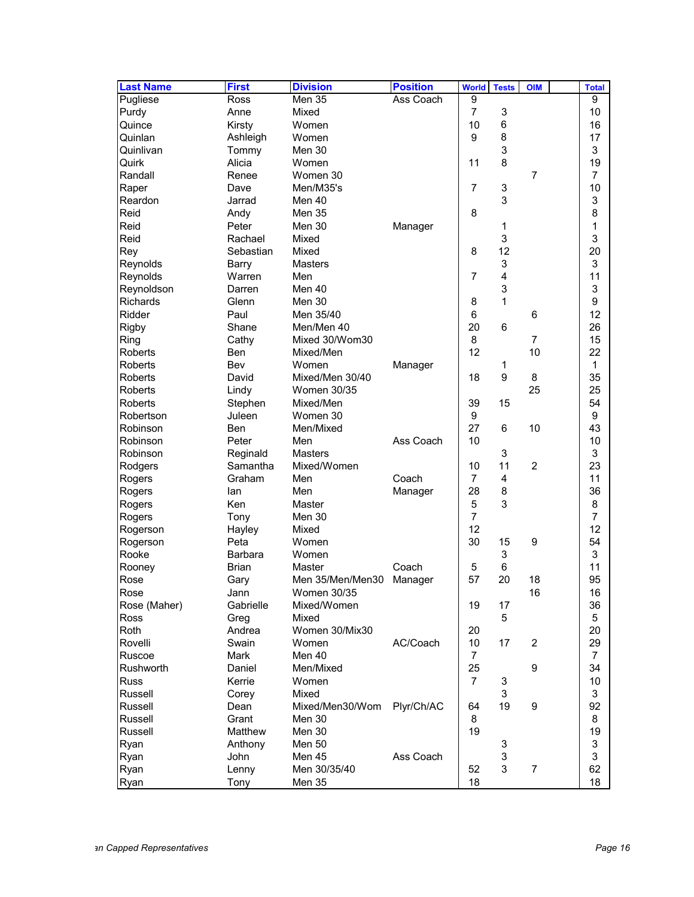| <b>Last Name</b> | <b>First</b> | <b>Division</b>     | <b>Position</b> | <b>World</b>   | <b>Tests</b> | <b>OIM</b>     | <b>Total</b>   |
|------------------|--------------|---------------------|-----------------|----------------|--------------|----------------|----------------|
| Pugliese         | Ross         | Men 35              | Ass Coach       | 9              |              |                | 9              |
| Purdy            | Anne         | Mixed               |                 | 7              | 3            |                | 10             |
| Quince           | Kirsty       | Women               |                 | 10             | 6            |                | 16             |
| Quinlan          | Ashleigh     | Women               |                 | 9              | 8            |                | 17             |
| Quinlivan        | Tommy        | Men 30              |                 |                | 3            |                | 3              |
| Quirk            | Alicia       | Women               |                 | 11             | 8            |                | 19             |
| Randall          | Renee        | Women 30            |                 |                |              | 7              | $\overline{7}$ |
| Raper            | Dave         | Men/M35's           |                 | 7              | 3            |                | 10             |
| Reardon          | Jarrad       | Men 40              |                 |                | 3            |                | 3              |
| Reid             | Andy         | Men 35              |                 | 8              |              |                | 8              |
| Reid             | Peter        | Men 30              | Manager         |                | 1            |                | 1              |
| Reid             | Rachael      | Mixed               |                 |                | 3            |                | 3              |
| Rey              | Sebastian    | Mixed               |                 | 8              | 12           |                | 20             |
| Reynolds         | Barry        | <b>Masters</b>      |                 |                | 3            |                | 3              |
| Reynolds         | Warren       | Men                 |                 | 7              | 4            |                | 11             |
| Reynoldson       | Darren       | Men 40              |                 |                | 3            |                | 3              |
| <b>Richards</b>  | Glenn        | Men 30              |                 | 8              | 1            |                | 9              |
| Ridder           | Paul         | Men 35/40           |                 | 6              |              | 6              | 12             |
| <b>Rigby</b>     | Shane        | Men/Men 40          |                 | 20             | 6            |                | 26             |
| Ring             | Cathy        | Mixed 30/Wom30      |                 | 8              |              | 7              | 15             |
| Roberts          | Ben          | Mixed/Men           |                 | 12             |              | 10             | 22             |
| <b>Roberts</b>   | Bev          | Women               | Manager         |                | 1            |                | 1              |
| Roberts          | David        | Mixed/Men 30/40     |                 | 18             | 9            | 8              | 35             |
| <b>Roberts</b>   | Lindy        | <b>Women 30/35</b>  |                 |                |              | 25             | 25             |
| <b>Roberts</b>   | Stephen      | Mixed/Men           |                 | 39             | 15           |                | 54             |
| Robertson        | Juleen       | Women 30            |                 | 9              |              |                | 9              |
| Robinson         | Ben          | Men/Mixed           |                 | 27             | 6            | 10             | 43             |
| Robinson         | Peter        | Men                 | Ass Coach       | 10             |              |                | 10             |
| Robinson         | Reginald     | Masters             |                 |                | 3            |                | 3              |
| Rodgers          | Samantha     | Mixed/Women         |                 | 10             | 11           | $\overline{c}$ | 23             |
| Rogers           | Graham       | Men                 | Coach           | 7              | 4            |                | 11             |
| Rogers           | lan          | Men                 | Manager         | 28             | 8            |                | 36             |
| Rogers           | Ken          | Master              |                 | 5              | 3            |                | 8              |
| Rogers           | Tony         | Men 30              |                 | $\overline{7}$ |              |                | 7              |
| Rogerson         | Hayley       | Mixed               |                 | 12             |              |                | 12             |
| Rogerson         | Peta         | Women               |                 | 30             | 15           | 9              | 54             |
| Rooke            | Barbara      | Women               |                 |                | 3            |                | 3              |
| Rooney           | Brian        | Master              | Coach           | 5              | 6            |                | 11             |
| Rose             | Gary         | Men 35/Men/Men30    | Manager         | 57             | 20           | 18             | 95             |
| Rose             | Jann         | Women 30/35         |                 |                |              | 16             | 16             |
| Rose (Maher)     | Gabrielle    | Mixed/Women         |                 | 19             | 17           |                | 36             |
| Ross             | Greg         | Mixed               |                 |                | 5            |                | 5              |
| Roth             | Andrea       | Women 30/Mix30      |                 | 20             |              |                | 20             |
| Rovelli          | Swain        | Women               | AC/Coach        | 10             | 17           | $\overline{2}$ | 29             |
| Ruscoe           | <b>Mark</b>  |                     |                 | $\overline{7}$ |              |                |                |
| Rushworth        | Daniel       | Men 40<br>Men/Mixed |                 | 25             |              | 9              | 7<br>34        |
| <b>Russ</b>      |              | Women               |                 | $\overline{7}$ |              |                | 10             |
|                  | Kerrie       |                     |                 |                | 3            |                |                |
| Russell          | Corey        | Mixed               |                 |                | 3            |                | 3              |
| Russell          | Dean         | Mixed/Men30/Wom     | Plyr/Ch/AC      | 64             | 19           | 9              | 92             |
| Russell          | Grant        | Men 30              |                 | 8              |              |                | 8              |
| Russell          | Matthew      | Men 30              |                 | 19             |              |                | 19             |
| Ryan             | Anthony      | <b>Men 50</b>       |                 |                | 3            |                | 3              |
| Ryan             | John         | Men 45              | Ass Coach       |                | 3            |                | 3              |
| Ryan             | Lenny        | Men 30/35/40        |                 | 52             | 3            | $\overline{7}$ | 62             |
| Ryan             | Tony         | Men 35              |                 | 18             |              |                | 18             |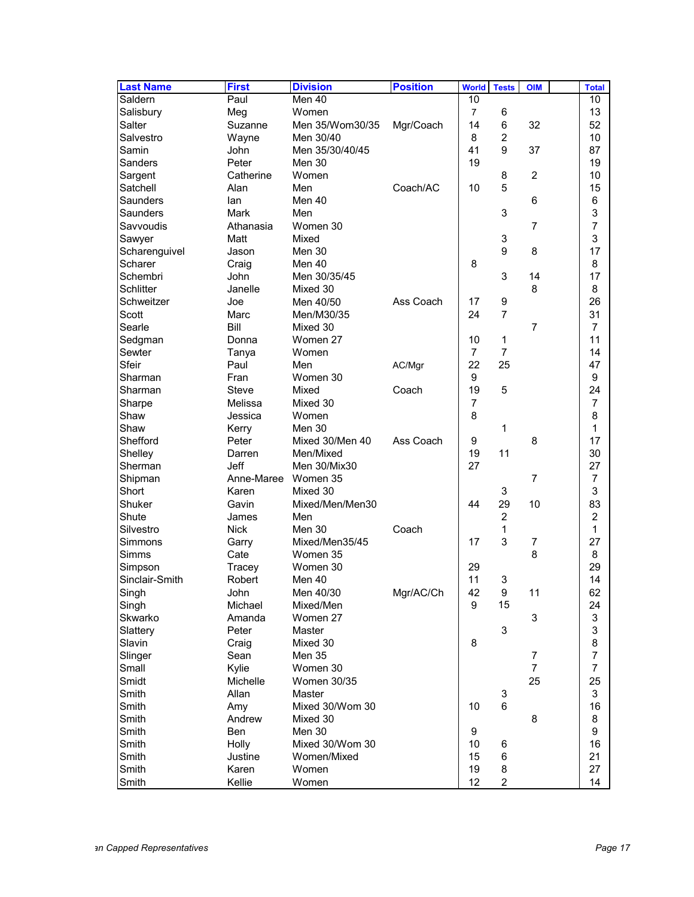| <b>Last Name</b> | <b>First</b> | <b>Division</b>    | <b>Position</b> | <b>World</b>   | <b>Tests</b>   | <b>OIM</b>     | <b>Total</b>     |
|------------------|--------------|--------------------|-----------------|----------------|----------------|----------------|------------------|
| Saldern          | Paul         | Men 40             |                 | 10             |                |                | 10               |
| Salisbury        | Meg          | Women              |                 | $\overline{7}$ | 6              |                | 13               |
| Salter           | Suzanne      | Men 35/Wom30/35    | Mgr/Coach       | 14             | 6              | 32             | 52               |
| Salvestro        | Wayne        | Men 30/40          |                 | 8              | $\overline{2}$ |                | 10               |
| Samin            | John         | Men 35/30/40/45    |                 | 41             | 9              | 37             | 87               |
| Sanders          | Peter        | Men 30             |                 | 19             |                |                | 19               |
| Sargent          | Catherine    | Women              |                 |                | 8              | $\overline{2}$ | 10               |
| Satchell         | Alan         | Men                | Coach/AC        | 10             | 5              |                | 15               |
| Saunders         | lan          | Men 40             |                 |                |                | 6              | 6                |
| Saunders         | Mark         | Men                |                 |                | 3              |                | 3                |
| Savvoudis        | Athanasia    | Women 30           |                 |                |                | $\overline{7}$ | $\overline{7}$   |
| Sawyer           | Matt         | Mixed              |                 |                | 3              |                | 3                |
| Scharenguivel    | Jason        | Men 30             |                 |                | 9              | 8              | 17               |
| Scharer          | Craig        | Men 40             |                 | 8              |                |                | 8                |
| Schembri         | <b>John</b>  | Men 30/35/45       |                 |                | 3              | 14             | 17               |
| <b>Schlitter</b> | Janelle      | Mixed 30           |                 |                |                | 8              | 8                |
| Schweitzer       | Joe          | Men 40/50          | Ass Coach       | 17             | 9              |                | 26               |
| Scott            | Marc         | Men/M30/35         |                 | 24             | $\overline{7}$ |                | 31               |
| Searle           | Bill         | Mixed 30           |                 |                |                | $\overline{7}$ | $\overline{7}$   |
| Sedgman          | Donna        | Women 27           |                 | 10             | 1              |                | 11               |
| Sewter           | Tanya        | Women              |                 | 7              | $\overline{7}$ |                | 14               |
| Sfeir            | Paul         | Men                | AC/Mgr          | 22             | 25             |                | 47               |
| Sharman          | Fran         | Women 30           |                 | 9              |                |                | 9                |
| Sharman          | <b>Steve</b> | Mixed              | Coach           | 19             | 5              |                | 24               |
| Sharpe           | Melissa      | Mixed 30           |                 | 7              |                |                | $\overline{7}$   |
| Shaw             | Jessica      | Women              |                 | 8              |                |                | 8                |
| Shaw             | Kerry        | Men 30             |                 |                | 1              |                | 1                |
| Shefford         | Peter        | Mixed 30/Men 40    | Ass Coach       | 9              |                | 8              | 17               |
| Shelley          | Darren       | Men/Mixed          |                 | 19             | 11             |                | 30               |
| Sherman          | Jeff         | Men 30/Mix30       |                 | 27             |                |                | 27               |
| Shipman          | Anne-Maree   | Women 35           |                 |                |                | $\overline{7}$ | $\overline{7}$   |
| Short            | Karen        | Mixed 30           |                 |                | 3              |                | 3                |
| Shuker           | Gavin        | Mixed/Men/Men30    |                 | 44             | 29             | 10             | 83               |
| Shute            | James        | Men                |                 |                | $\overline{c}$ |                | $\overline{c}$   |
| Silvestro        | <b>Nick</b>  | Men 30             | Coach           |                | 1              |                | 1                |
| Simmons          | Garry        | Mixed/Men35/45     |                 | 17             | 3              | $\overline{7}$ | 27               |
| Simms            | Cate         | Women 35           |                 |                |                | 8              | 8                |
| Simpson          | Tracey       | Women 30           |                 | 29             |                |                | 29               |
| Sinclair-Smith   | Robert       | Men 40             |                 | 11             | 3              |                | 14               |
| Singh            | John         | Men 40/30          | Mgr/AC/Ch       | 42             | 9              | 11             | 62               |
| Singh            | Michael      | Mixed/Men          |                 | 9              | 15             |                | 24               |
| Skwarko          | Amanda       | Women 27           |                 |                |                | 3              | 3                |
| Slattery         | Peter        | Master             |                 |                | 3              |                | 3                |
| Slavin           | Craig        | Mixed 30           |                 | 8              |                |                | 8                |
| Slinger          | Sean         | Men 35             |                 |                |                | 7              | $\boldsymbol{7}$ |
| Small            | Kylie        | Women 30           |                 |                |                | $\overline{7}$ | $\overline{7}$   |
| Smidt            | Michelle     | <b>Women 30/35</b> |                 |                |                | 25             | 25               |
| Smith            | Allan        | Master             |                 |                | 3              |                | 3                |
| Smith            | Amy          | Mixed 30/Wom 30    |                 | 10             | 6              |                | 16               |
| Smith            | Andrew       | Mixed 30           |                 |                |                | 8              | 8                |
| Smith            | Ben          | Men 30             |                 | 9              |                |                | 9                |
| Smith            | Holly        | Mixed 30/Wom 30    |                 | 10             | 6              |                | 16               |
| Smith            | Justine      | Women/Mixed        |                 | 15             | 6              |                | 21               |
| Smith            | Karen        | Women              |                 | 19             | 8              |                | 27               |
| Smith            | Kellie       | Women              |                 | 12             | $\overline{2}$ |                | 14               |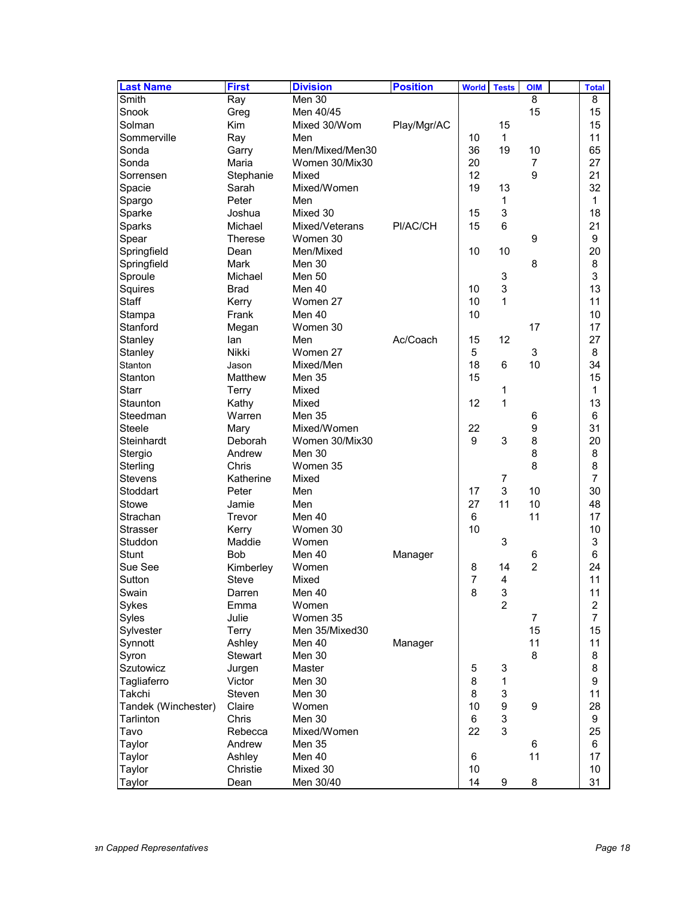| <b>Last Name</b>    | <b>First</b>   | <b>Division</b> | <b>Position</b> | <b>World</b>   | <b>Tests</b>     | <b>OIM</b>     | <b>Total</b>            |
|---------------------|----------------|-----------------|-----------------|----------------|------------------|----------------|-------------------------|
| Smith               | Ray            | Men 30          |                 |                |                  | 8              | 8                       |
| Snook               | Greg           | Men 40/45       |                 |                |                  | 15             | 15                      |
| Solman              | Kim            | Mixed 30/Wom    | Play/Mgr/AC     |                | 15               |                | 15                      |
| Sommerville         | Ray            | Men             |                 | 10             | $\mathbf{1}$     |                | 11                      |
| Sonda               | Garry          | Men/Mixed/Men30 |                 | 36             | 19               | 10             | 65                      |
| Sonda               | Maria          | Women 30/Mix30  |                 | 20             |                  | 7              | 27                      |
| Sorrensen           | Stephanie      | Mixed           |                 | 12             |                  | 9              | 21                      |
| Spacie              | Sarah          | Mixed/Women     |                 | 19             | 13               |                | 32                      |
| Spargo              | Peter          | Men             |                 |                | 1                |                | 1                       |
| Sparke              | Joshua         | Mixed 30        |                 | 15             | 3                |                | 18                      |
| Sparks              | Michael        | Mixed/Veterans  | PI/AC/CH        | 15             | 6                |                | 21                      |
| Spear               | Therese        | Women 30        |                 |                |                  | 9              | 9                       |
| Springfield         | Dean           | Men/Mixed       |                 | 10             | 10               |                | 20                      |
| Springfield         | Mark           | Men 30          |                 |                |                  | 8              | 8                       |
| Sproule             | Michael        | Men 50          |                 |                | 3                |                | 3                       |
| Squires             | <b>Brad</b>    | Men 40          |                 | 10             | 3                |                | 13                      |
| Staff               | Kerry          | Women 27        |                 | 10             | 1                |                | 11                      |
| Stampa              | Frank          | Men 40          |                 | 10             |                  |                | 10                      |
| Stanford            | Megan          | Women 30        |                 |                |                  | 17             | 17                      |
| Stanley             | lan            | Men             | Ac/Coach        | 15             | 12               |                | 27                      |
| Stanley             | Nikki          | Women 27        |                 | 5              |                  | 3              | 8                       |
| Stanton             | Jason          | Mixed/Men       |                 | 18             | 6                | 10             | 34                      |
| Stanton             | Matthew        | Men 35          |                 | 15             |                  |                | 15                      |
| <b>Starr</b>        | Terry          | Mixed           |                 |                | 1                |                | 1                       |
| Staunton            | Kathy          | Mixed           |                 | 12             | 1                |                | 13                      |
| Steedman            | Warren         | <b>Men 35</b>   |                 |                |                  | 6              | 6                       |
| Steele              | Mary           | Mixed/Women     |                 | 22             |                  | 9              | 31                      |
| Steinhardt          | Deborah        | Women 30/Mix30  |                 | 9              | 3                | 8              | 20                      |
| Stergio             | Andrew         | Men 30          |                 |                |                  | 8              | 8                       |
| Sterling            | Chris          | Women 35        |                 |                |                  | 8              | 8                       |
| Stevens             | Katherine      | Mixed           |                 |                | $\boldsymbol{7}$ |                | $\overline{7}$          |
| Stoddart            | Peter          | Men             |                 | 17             | 3                | 10             | 30                      |
| Stowe               | Jamie          | Men             |                 | 27             | 11               | 10             | 48                      |
| Strachan            | Trevor         | Men 40          |                 | 6              |                  | 11             | 17                      |
| Strasser            | Kerry          | Women 30        |                 | 10             |                  |                | 10                      |
| Studdon             | Maddie         | Women           |                 |                | 3                |                | 3                       |
| Stunt               | <b>Bob</b>     | Men 40          | Manager         |                |                  | 6              | 6                       |
| Sue See             | Kimberley      | Women           |                 | 8              | 14               | $\overline{c}$ | 24                      |
| Sutton              | Steve          | Mixed           |                 | $\overline{7}$ | 4                |                | 11                      |
| Swain               | Darren         | Men 40          |                 | 8              | 3                |                | 11                      |
| Sykes               | Emma           | Women           |                 |                | $\overline{2}$   |                | $\overline{\mathbf{c}}$ |
| Syles               | Julie          | Women 35        |                 |                |                  | 7              | $\overline{7}$          |
| Sylvester           | Terry          | Men 35/Mixed30  |                 |                |                  | 15             | 15                      |
| Synnott             | Ashley         | Men 40          |                 |                |                  | 11             | 11                      |
| Syron               | <b>Stewart</b> | Men 30          | Manager         |                |                  | 8              | 8                       |
| <b>Szutowicz</b>    | Jurgen         | Master          |                 | 5              | 3                |                | 8                       |
| Tagliaferro         | Victor         | Men 30          |                 | 8              | 1                |                | 9                       |
| Takchi              | Steven         | Men 30          |                 | 8              | 3                |                | 11                      |
| Tandek (Winchester) | Claire         | Women           |                 | 10             | 9                | 9              | 28                      |
| Tarlinton           | Chris          | Men 30          |                 | 6              | 3                |                | 9                       |
| Tavo                | Rebecca        | Mixed/Women     |                 | 22             | 3                |                | 25                      |
| Taylor              | Andrew         | Men 35          |                 |                |                  | 6              | 6                       |
| Taylor              | Ashley         | Men 40          |                 | 6              |                  | 11             | 17                      |
| Taylor              | Christie       | Mixed 30        |                 | 10             |                  |                | 10                      |
| Taylor              | Dean           | Men 30/40       |                 | 14             | 9                | 8              | 31                      |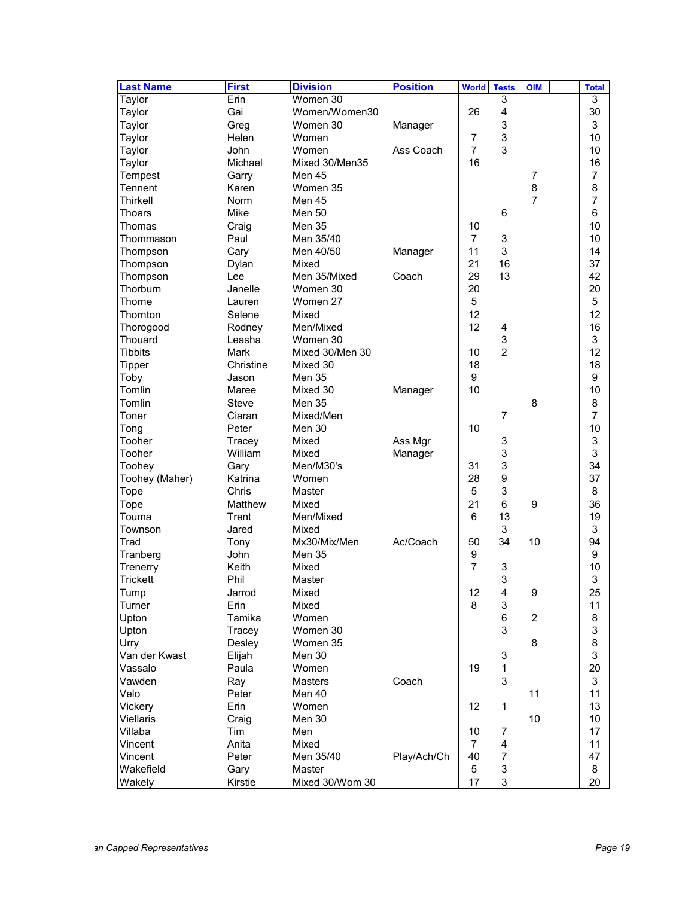| <b>Last Name</b>         | <b>First</b> | <b>Division</b> | <b>Position</b> | <b>World</b>     | <b>Tests</b>              | <b>OIM</b>     | <b>Total</b>   |
|--------------------------|--------------|-----------------|-----------------|------------------|---------------------------|----------------|----------------|
| Taylor                   | Erin         | Women 30        |                 |                  | 3                         |                | 3              |
| Taylor                   | Gai          | Women/Women30   |                 | 26               | $\overline{\mathbf{4}}$   |                | 30             |
| Taylor                   | Greg         | Women 30        | Manager         |                  | 3                         |                | 3              |
| Taylor                   | Helen        | Women           |                 | 7                | $\ensuremath{\mathsf{3}}$ |                | 10             |
| Taylor                   | John         | Women           | Ass Coach       | $\overline{7}$   | 3                         |                | 10             |
| Taylor                   | Michael      | Mixed 30/Men35  |                 | 16               |                           |                | 16             |
| Tempest                  | Garry        | Men 45          |                 |                  |                           | 7              | 7              |
| Tennent                  | Karen        | Women 35        |                 |                  |                           | 8              | 8              |
| Thirkell                 | <b>Norm</b>  | Men 45          |                 |                  |                           | $\overline{7}$ | $\overline{7}$ |
| Thoars                   | Mike         | <b>Men 50</b>   |                 |                  | 6                         |                | 6              |
| Thomas                   | Craig        | <b>Men 35</b>   |                 | 10               |                           |                | 10             |
| Thommason                | Paul         | Men 35/40       |                 | $\overline{7}$   | 3                         |                | 10             |
| Thompson                 | Cary         | Men 40/50       | Manager         | 11               | 3                         |                | 14             |
| Thompson                 | Dylan        | Mixed           |                 | 21               | 16                        |                | 37             |
| Thompson                 | Lee          | Men 35/Mixed    | Coach           | 29               | 13                        |                | 42             |
| Thorburn                 | Janelle      | Women 30        |                 | 20               |                           |                | 20             |
| Thorne                   | Lauren       | Women 27        |                 | 5                |                           |                | 5              |
| Thornton                 | Selene       | Mixed           |                 | 12               |                           |                | 12             |
| Thorogood                | Rodney       | Men/Mixed       |                 | 12               | 4                         |                | 16             |
| Thouard                  | Leasha       | Women 30        |                 |                  | 3                         |                | 3              |
| <b>Tibbits</b>           | <b>Mark</b>  | Mixed 30/Men 30 |                 | 10               | $\overline{2}$            |                | 12             |
| Tipper                   | Christine    | Mixed 30        |                 | 18               |                           |                | 18             |
| Toby                     | Jason        | Men 35          |                 | 9                |                           |                | 9              |
| Tomlin                   | Maree        | Mixed 30        | Manager         | 10               |                           |                | 10             |
| Tomlin                   | <b>Steve</b> | <b>Men 35</b>   |                 |                  |                           | 8              | 8              |
| Toner                    | Ciaran       | Mixed/Men       |                 |                  | $\overline{7}$            |                | 7              |
| Tong                     | Peter        | Men 30          |                 | 10               |                           |                | 10             |
| Tooher                   | Tracey       | Mixed           | Ass Mgr         |                  | 3                         |                | 3              |
| Tooher                   | William      | Mixed           | Manager         |                  | 3                         |                | 3              |
| Toohey                   | Gary         | Men/M30's       |                 | 31               | 3                         |                | 34             |
| Toohey (Maher)           | Katrina      | Women           |                 | 28               | $\boldsymbol{9}$          |                | 37             |
| Tope                     | Chris        | Master          |                 | 5                | 3                         |                | 8              |
| Tope                     | Matthew      | Mixed           |                 | 21               | 6                         | 9              | 36             |
| Touma                    | Trent        | Men/Mixed       |                 | 6                | 13                        |                | 19             |
| Townson                  | Jared        | Mixed           |                 |                  | 3                         |                | 3              |
| Trad                     | Tony         | Mx30/Mix/Men    | Ac/Coach        | 50               | 34                        | 10             | 94             |
| Tranberg                 | John         | <b>Men 35</b>   |                 | $\boldsymbol{9}$ |                           |                | 9              |
| Trenerry                 | Keith        | Mixed           |                 | $\overline{7}$   | 3                         |                | 10             |
| Trickett                 | Phil         | Master          |                 |                  | 3                         |                | 3              |
| Tump                     | Jarrod       | Mixed           |                 | 12               | 4                         | 9              | 25             |
| Turner                   | Erin         | Mixed           |                 | 8                | 3                         |                | 11             |
| Upton                    | Tamika       | Women           |                 |                  | 6                         | $\overline{2}$ | 8              |
| Upton                    | Tracey       | Women 30        |                 |                  | 3                         |                | 3              |
|                          |              |                 |                 |                  |                           | 8              | 8              |
| Urry                     | Desley       | Women 35        |                 |                  |                           |                |                |
| Van der Kwast<br>Vassalo | Elijah       | Men 30          |                 | 19               | $\ensuremath{\mathsf{3}}$ |                | 3              |
|                          | Paula        | Women           |                 |                  | $\mathbf 1$               |                | 20             |
| Vawden                   | Ray          | <b>Masters</b>  | Coach           |                  | 3                         |                | 3              |
| Velo                     | Peter        | Men 40          |                 |                  |                           | 11             | 11             |
| Vickery                  | Erin         | Women           |                 | 12               | 1                         |                | 13             |
| Viellaris                | Craig        | Men 30          |                 |                  |                           | 10             | 10             |
| Villaba                  | Tim          | Men             |                 | 10               | 7                         |                | 17             |
| Vincent                  | Anita        | Mixed           |                 | $\overline{7}$   | $\overline{\mathbf{4}}$   |                | 11             |
| Vincent                  | Peter        | Men 35/40       | Play/Ach/Ch     | 40               | $\overline{7}$            |                | 47             |
| Wakefield                | Gary         | Master          |                 | 5                | $\sqrt{3}$                |                | 8              |
| Wakely                   | Kirstie      | Mixed 30/Wom 30 |                 | 17               | 3                         |                | 20             |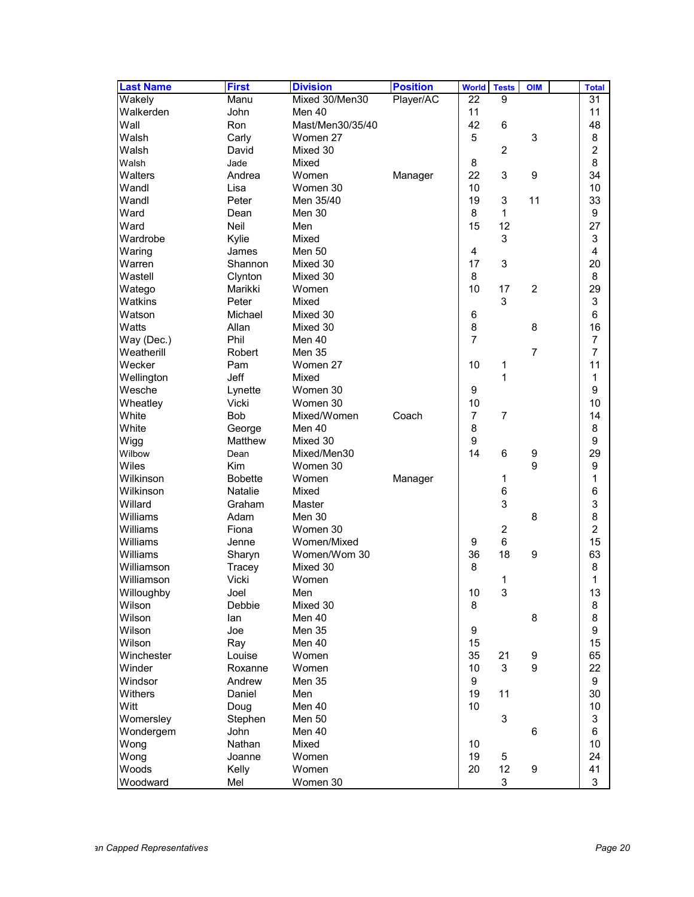| <b>Last Name</b>   | <b>First</b>                     | <b>Division</b>  | <b>Position</b> | <b>World</b>   | <b>Tests</b>            | <b>OIM</b>     | <b>Total</b>        |
|--------------------|----------------------------------|------------------|-----------------|----------------|-------------------------|----------------|---------------------|
| Wakely             | Manu                             | Mixed 30/Men30   | Player/AC       | 22             | 9                       |                | 31                  |
| Walkerden          | John                             | Men 40           |                 | 11             |                         |                | 11                  |
| Wall               | <b>Ron</b>                       | Mast/Men30/35/40 |                 | 42             | 6                       |                | 48                  |
| Walsh              | Carly                            | Women 27         |                 | 5              |                         | 3              | 8                   |
| Walsh              | David                            | Mixed 30         |                 |                | $\overline{c}$          |                | $\overline{c}$      |
| Walsh              | Jade                             | Mixed            |                 | 8              |                         |                | 8                   |
| Walters            | Andrea                           | Women            | Manager         | 22             | 3                       | 9              | 34                  |
| Wandl              | Lisa                             | Women 30         |                 | 10             |                         |                | 10                  |
| Wandl              | Peter                            | Men 35/40        |                 | 19             | 3                       | 11             | 33                  |
| Ward               | Dean                             | Men 30           |                 | 8              | 1                       |                | 9                   |
| Ward               | Neil                             | Men              |                 | 15             | 12                      |                | 27                  |
| Wardrobe           | Kylie                            | Mixed            |                 |                | 3                       |                | 3                   |
| Waring             | James                            | <b>Men 50</b>    |                 | 4              |                         |                | 4                   |
| Warren             | Shannon                          | Mixed 30         |                 | 17             | 3                       |                | 20                  |
| Wastell            | Clynton                          | Mixed 30         |                 | 8              |                         |                | 8                   |
| Watego             | Marikki                          | Women            |                 | 10             | 17                      | $\overline{2}$ | 29                  |
| Watkins            | Peter                            | Mixed            |                 |                | 3                       |                | 3                   |
| Watson             | Michael                          | Mixed 30         |                 | 6              |                         |                | 6                   |
| Watts              | Allan                            | Mixed 30         |                 | 8              |                         | 8              | 16                  |
| Way (Dec.)         | Phil                             | Men 40           |                 | $\overline{7}$ |                         |                | 7                   |
| Weatherill         | Robert                           | Men 35           |                 |                |                         | $\overline{7}$ | 7                   |
| Wecker             | Pam                              | Women 27         |                 | 10             | 1                       |                | 11                  |
| Wellington         | Jeff                             | Mixed            |                 |                | 1                       |                | 1                   |
|                    |                                  | Women 30         |                 |                |                         |                | 9                   |
| Wesche<br>Wheatley | Lynette<br>Vicki                 | Women 30         |                 | 9<br>10        |                         |                | 10                  |
| White              | <b>Bob</b>                       | Mixed/Women      | Coach           | $\overline{7}$ | $\overline{7}$          |                | 14                  |
| White              |                                  | Men 40           |                 | 8              |                         |                | 8                   |
|                    | George<br>Matthew                | Mixed 30         |                 | 9              |                         |                | 9                   |
| Wigg<br>Wilbow     | Dean                             | Mixed/Men30      |                 | 14             | 6                       | 9              | 29                  |
| Wiles              | <b>Kim</b>                       | Women 30         |                 |                |                         | 9              | 9                   |
| Wilkinson          |                                  | Women            |                 |                |                         |                | 1                   |
| Wilkinson          | <b>Bobette</b><br><b>Natalie</b> | Mixed            | Manager         |                | 1                       |                |                     |
| Willard            |                                  |                  |                 |                | 6                       |                | 6                   |
|                    | Graham                           | Master           |                 |                | 3                       |                | 3                   |
| Williams           | Adam                             | Men 30           |                 |                |                         | 8              | 8<br>$\overline{a}$ |
| Williams           | Fiona                            | Women 30         |                 |                | $\overline{\mathbf{c}}$ |                |                     |
| Williams           | Jenne                            | Women/Mixed      |                 | 9              | 6                       |                | 15                  |
| Williams           | Sharyn                           | Women/Wom 30     |                 | 36             | 18                      | 9              | 63                  |
| Williamson         | Tracey                           | Mixed 30         |                 | 8              |                         |                | 8                   |
| Williamson         | Vicki                            | Women            |                 |                | 1                       |                | 1                   |
| Willoughby         | Joel                             | Men              |                 | 10             | 3                       |                | 13                  |
| Wilson             | Debbie                           | Mixed 30         |                 | 8              |                         |                | 8                   |
| Wilson             | lan                              | Men 40           |                 |                |                         | 8              | 8                   |
| Wilson             | Joe                              | Men 35           |                 | 9              |                         |                | $\boldsymbol{9}$    |
| Wilson             | Ray                              | Men 40           |                 | 15             |                         |                | 15                  |
| Winchester         | Louise                           | Women            |                 | 35             | 21                      | 9              | 65                  |
| Winder             | Roxanne                          | Women            |                 | 10             | 3                       | 9              | 22                  |
| Windsor            | Andrew                           | Men 35           |                 | 9              |                         |                | 9                   |
| Withers            | Daniel                           | Men              |                 | 19             | 11                      |                | 30                  |
| Witt               | Doug                             | Men 40           |                 | 10             |                         |                | 10                  |
| Womersley          | Stephen                          | Men 50           |                 |                | 3                       |                | 3                   |
| Wondergem          | John                             | Men 40           |                 |                |                         | 6              | $\,6$               |
| Wong               | Nathan                           | Mixed            |                 | 10             |                         |                | 10                  |
| Wong               | Joanne                           | Women            |                 | 19             | 5                       |                | 24                  |
| Woods              | Kelly                            | Women            |                 | 20             | 12                      | 9              | 41                  |
| Woodward           | Mel                              | Women 30         |                 |                | 3                       |                | 3                   |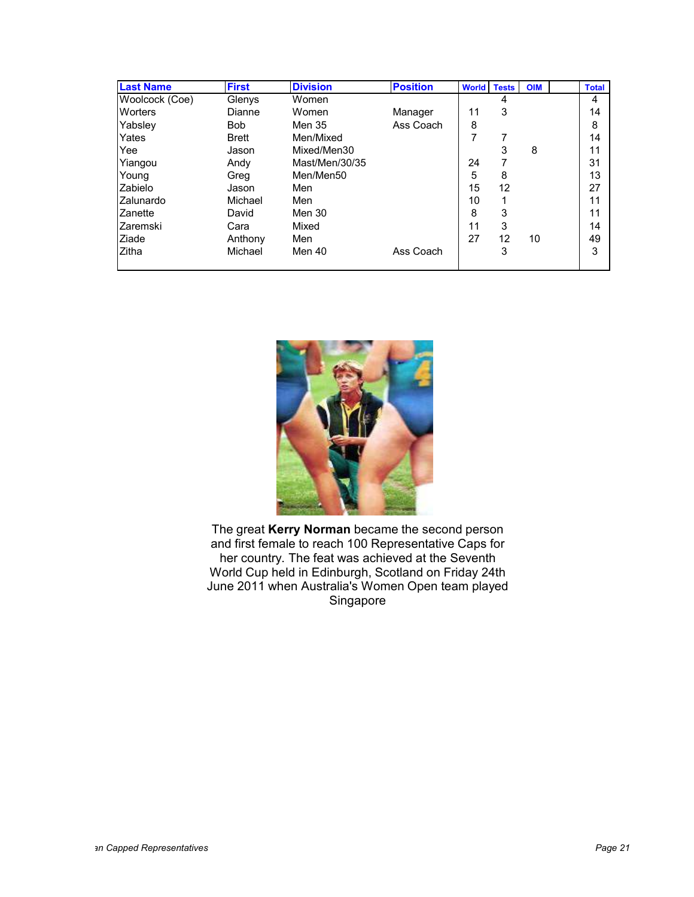| <b>Last Name</b> | <b>First</b> | <b>Division</b> | <b>Position</b> | <b>World Tests</b> |    | <b>OIM</b> | <b>Total</b> |
|------------------|--------------|-----------------|-----------------|--------------------|----|------------|--------------|
| Woolcock (Coe)   | Glenys       | Women           |                 |                    | 4  |            | 4            |
| <b>Worters</b>   | Dianne       | Women           | Manager         | 11                 | 3  |            | 14           |
| Yabsley          | <b>Bob</b>   | Men 35          | Ass Coach       | 8                  |    |            | 8            |
| Yates            | <b>Brett</b> | Men/Mixed       |                 | 7                  | 7  |            | 14           |
| Yee              | Jason        | Mixed/Men30     |                 |                    | 3  | 8          | 11           |
| Yiangou          | Andy         | Mast/Men/30/35  |                 | 24                 | 7  |            | 31           |
| Young            | Greg         | Men/Men50       |                 | 5                  | 8  |            | 13           |
| Zabielo          | Jason        | Men             |                 | 15                 | 12 |            | 27           |
| <b>Zalunardo</b> | Michael      | Men             |                 | 10                 |    |            | 11           |
| <b>Zanette</b>   | David        | Men 30          |                 | 8                  | 3  |            | 11           |
| Zaremski         | Cara         | Mixed           |                 | 11                 | 3  |            | 14           |
| Ziade            | Anthony      | Men             |                 | 27                 | 12 | 10         | 49           |
| <b>Zitha</b>     | Michael      | Men 40          | Ass Coach       |                    | 3  |            | 3            |
|                  |              |                 |                 |                    |    |            |              |



The great **Kerry Norman** became the second person and first female to reach 100 Representative Caps for her country. The feat was achieved at the Seventh World Cup held in Edinburgh, Scotland on Friday 24th June 2011 when Australia's Women Open team played Singapore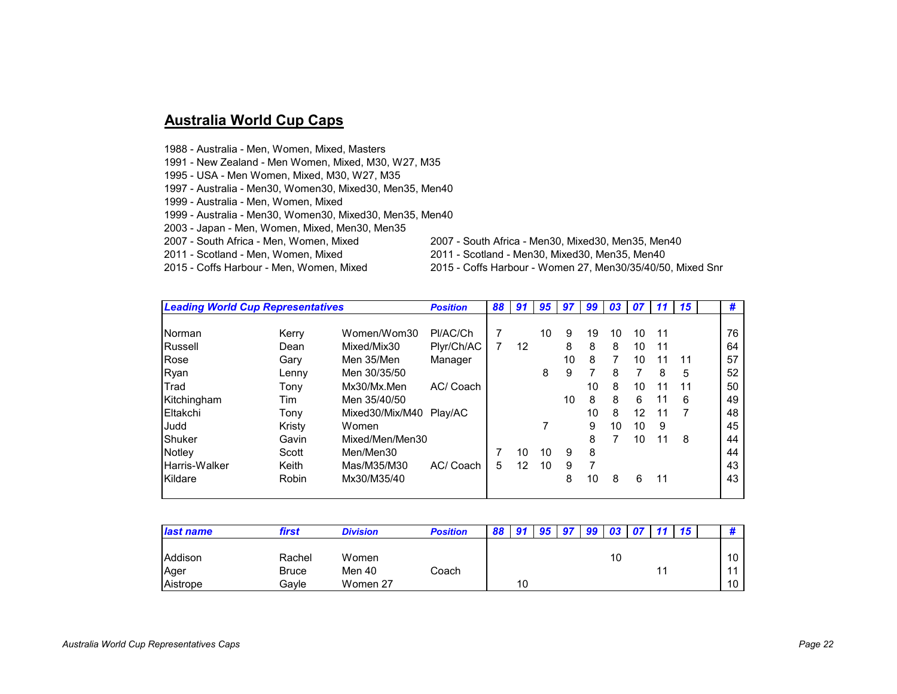## **Australia World Cup Caps**

- 1988 Australia Men, Women, Mixed, Masters
- 1991 New Zealand Men Women, Mixed, M30, W27, M35
- 1995 USA Men Women, Mixed, M30, W27, M35
- 1997 Australia Men30, Women30, Mixed30, Men35, Men40
- 1999 Australia Men, Women, Mixed
- 1999 Australia Men30, Women30, Mixed30, Men35, Men40
- 2003 Japan Men, Women, Mixed, Men30, Men35
- 
- 
- 2007 South Africa Men, Women, Mixed 2007 South Africa Men30, Mixed30, Men35, Men40
	-
- 
- 2011 Scotland Men, Women, Mixed 2011 Scotland Men30, Mixed30, Men35, Men40 2015 - Coffs Harbour - Women 27, Men30/35/40/50, Mixed Snr
- *Leading World Cup Representatives Position <sup>88</sup> <sup>91</sup> <sup>95</sup> <sup>97</sup> <sup>99</sup> <sup>03</sup> <sup>07</sup> <sup>11</sup> <sup>15</sup>* **#** Norman Kerry Women/Wom30 Pl/AC/Ch <sup>7</sup> <sup>10</sup> <sup>9</sup> <sup>19</sup> <sup>10</sup> <sup>10</sup> <sup>11</sup> <sup>76</sup> Russell Dean Mixed/Mix30 Plyr/Ch/AC <sup>7</sup> <sup>12</sup> <sup>8</sup> <sup>8</sup> <sup>8</sup> <sup>10</sup> <sup>11</sup> <sup>64</sup> Rose Gary Men 35/Men Manager <sup>10</sup> <sup>8</sup> <sup>7</sup> <sup>10</sup> <sup>11</sup> <sup>11</sup> <sup>57</sup> Ryan Lenny Men 30/35/50 <sup>8</sup> <sup>9</sup> <sup>7</sup> <sup>8</sup> <sup>7</sup> <sup>8</sup> <sup>5</sup> <sup>52</sup> Trad Tony Mx30/Mx.Men AC/ Coach <sup>10</sup> <sup>8</sup> <sup>10</sup> <sup>11</sup> <sup>11</sup> <sup>50</sup> Kitchingham Tim Men 35/40/50 <sup>10</sup> <sup>8</sup> <sup>8</sup> <sup>6</sup> <sup>11</sup> <sup>6</sup> <sup>49</sup> Eltakchi Tony Mixed30/Mix/M40 Play/AC <sup>10</sup> <sup>8</sup> <sup>12</sup> <sup>11</sup> <sup>7</sup> <sup>48</sup> Judd Kristy Women <sup>7</sup> <sup>9</sup> <sup>10</sup> <sup>10</sup> <sup>9</sup> <sup>45</sup> Shuker Gavin Mixed/Men/Men30 <sup>8</sup> <sup>7</sup> <sup>10</sup> <sup>11</sup> <sup>8</sup> <sup>44</sup> Notley Scott Men/Men30 <sup>7</sup> <sup>10</sup> <sup>10</sup> <sup>9</sup> <sup>8</sup> <sup>44</sup> Harris-Walker Keith Mas/M35/M30 AC/ Coach <sup>5</sup> <sup>12</sup> <sup>10</sup> <sup>9</sup> <sup>7</sup> <sup>43</sup> Kildare Robin Mx30/M35/40 <sup>8</sup> <sup>10</sup> <sup>8</sup> <sup>6</sup> <sup>11</sup> <sup>43</sup>

| <b>last name</b> | first        | <b>Division</b> | <b>Position</b> | $\mathbf{Q}$ |    | <b>OF</b> | - 07 | 99 | 03 |  | 15 <sub>15</sub> |                |
|------------------|--------------|-----------------|-----------------|--------------|----|-----------|------|----|----|--|------------------|----------------|
|                  |              |                 |                 |              |    |           |      |    |    |  |                  |                |
| Addison          | Rachel       | Women           |                 |              |    |           |      |    | 10 |  |                  | 10             |
| Ager             | <b>Bruce</b> | Men 40          | Coach           |              |    |           |      |    |    |  |                  | $\overline{A}$ |
| Aistrope         | Gavle        | Women 27        |                 |              | 10 |           |      |    |    |  |                  | 10             |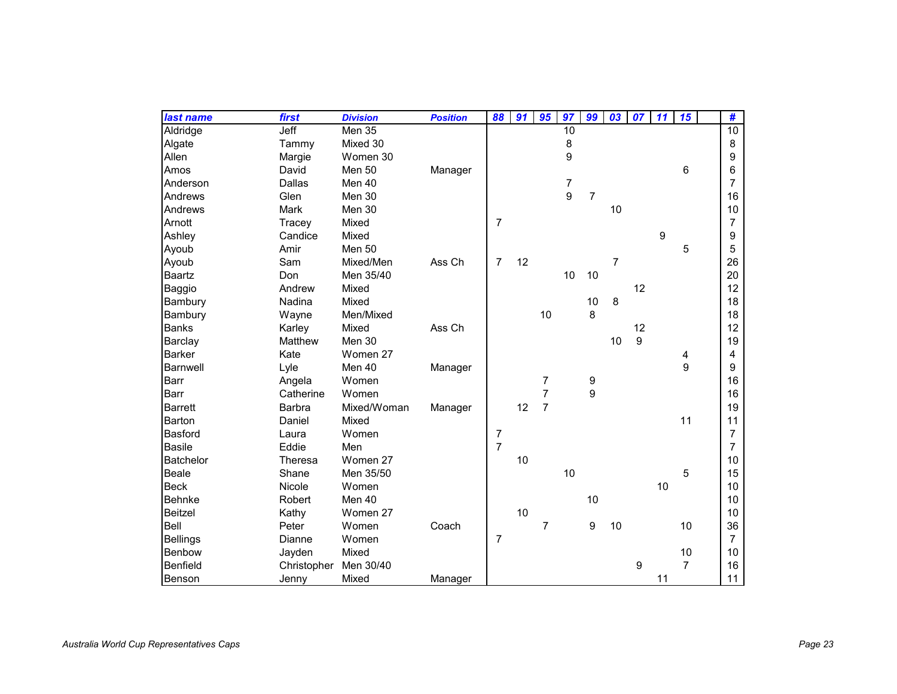| last name        | first         | <b>Division</b> | <b>Position</b> | 88             | 91 | 95             | 97             | 99             | 03 | 07 | 11 | 15             | #               |
|------------------|---------------|-----------------|-----------------|----------------|----|----------------|----------------|----------------|----|----|----|----------------|-----------------|
| Aldridge         | Jeff          | <b>Men 35</b>   |                 |                |    |                | 10             |                |    |    |    |                | $\overline{10}$ |
| Algate           | Tammy         | Mixed 30        |                 |                |    |                | 8              |                |    |    |    |                | 8               |
| Allen            | Margie        | Women 30        |                 |                |    |                | 9              |                |    |    |    |                | 9               |
| Amos             | David         | Men 50          | Manager         |                |    |                |                |                |    |    |    | 6              | 6               |
| Anderson         | Dallas        | Men 40          |                 |                |    |                | $\overline{7}$ |                |    |    |    |                | 7               |
| Andrews          | Glen          | Men 30          |                 |                |    |                | 9              | $\overline{7}$ |    |    |    |                | 16              |
| Andrews          | Mark          | Men 30          |                 |                |    |                |                |                | 10 |    |    |                | 10              |
| Arnott           | Tracey        | Mixed           |                 | $\overline{7}$ |    |                |                |                |    |    |    |                | 7               |
| Ashley           | Candice       | Mixed           |                 |                |    |                |                |                |    |    | 9  |                | 9               |
| Ayoub            | Amir          | Men 50          |                 |                |    |                |                |                |    |    |    | 5              | 5               |
| Ayoub            | Sam           | Mixed/Men       | Ass Ch          | $\overline{7}$ | 12 |                |                |                | 7  |    |    |                | 26              |
| Baartz           | Don           | Men 35/40       |                 |                |    |                | 10             | 10             |    |    |    |                | 20              |
| Baggio           | Andrew        | Mixed           |                 |                |    |                |                |                |    | 12 |    |                | 12              |
| Bambury          | Nadina        | Mixed           |                 |                |    |                |                | 10             | 8  |    |    |                | 18              |
| Bambury          | Wayne         | Men/Mixed       |                 |                |    | 10             |                | 8              |    |    |    |                | 18              |
| <b>Banks</b>     | Karley        | Mixed           | Ass Ch          |                |    |                |                |                |    | 12 |    |                | 12              |
| Barclay          | Matthew       | Men 30          |                 |                |    |                |                |                | 10 | 9  |    |                | 19              |
| <b>Barker</b>    | Kate          | Women 27        |                 |                |    |                |                |                |    |    |    | 4              | 4               |
| <b>Barnwell</b>  | Lyle          | Men 40          | Manager         |                |    |                |                |                |    |    |    | 9              | 9               |
| Barr             | Angela        | Women           |                 |                |    | 7              |                | 9              |    |    |    |                | 16              |
| Barr             | Catherine     | Women           |                 |                |    | 7              |                | 9              |    |    |    |                | 16              |
| <b>Barrett</b>   | <b>Barbra</b> | Mixed/Woman     | Manager         |                | 12 | $\overline{7}$ |                |                |    |    |    |                | 19              |
| Barton           | Daniel        | Mixed           |                 |                |    |                |                |                |    |    |    | 11             | 11              |
| <b>Basford</b>   | Laura         | Women           |                 | 7              |    |                |                |                |    |    |    |                | $\overline{7}$  |
| <b>Basile</b>    | Eddie         | Men             |                 | $\overline{7}$ |    |                |                |                |    |    |    |                | 7               |
| <b>Batchelor</b> | Theresa       | Women 27        |                 |                | 10 |                |                |                |    |    |    |                | 10              |
| <b>Beale</b>     | Shane         | Men 35/50       |                 |                |    |                | 10             |                |    |    |    | 5              | 15              |
| <b>Beck</b>      | Nicole        | Women           |                 |                |    |                |                |                |    |    | 10 |                | 10              |
| <b>Behnke</b>    | Robert        | Men 40          |                 |                |    |                |                | 10             |    |    |    |                | 10              |
| <b>Beitzel</b>   | Kathy         | Women 27        |                 |                | 10 |                |                |                |    |    |    |                | 10              |
| Bell             | Peter         | Women           | Coach           |                |    | $\overline{7}$ |                | 9              | 10 |    |    | 10             | 36              |
| <b>Bellings</b>  | Dianne        | Women           |                 | $\overline{7}$ |    |                |                |                |    |    |    |                | $\overline{7}$  |
| <b>Benbow</b>    | Jayden        | Mixed           |                 |                |    |                |                |                |    |    |    | 10             | 10              |
| Benfield         | Christopher   | Men 30/40       |                 |                |    |                |                |                |    | 9  |    | $\overline{7}$ | 16              |
| Benson           | Jenny         | Mixed           | Manager         |                |    |                |                |                |    |    | 11 |                | 11              |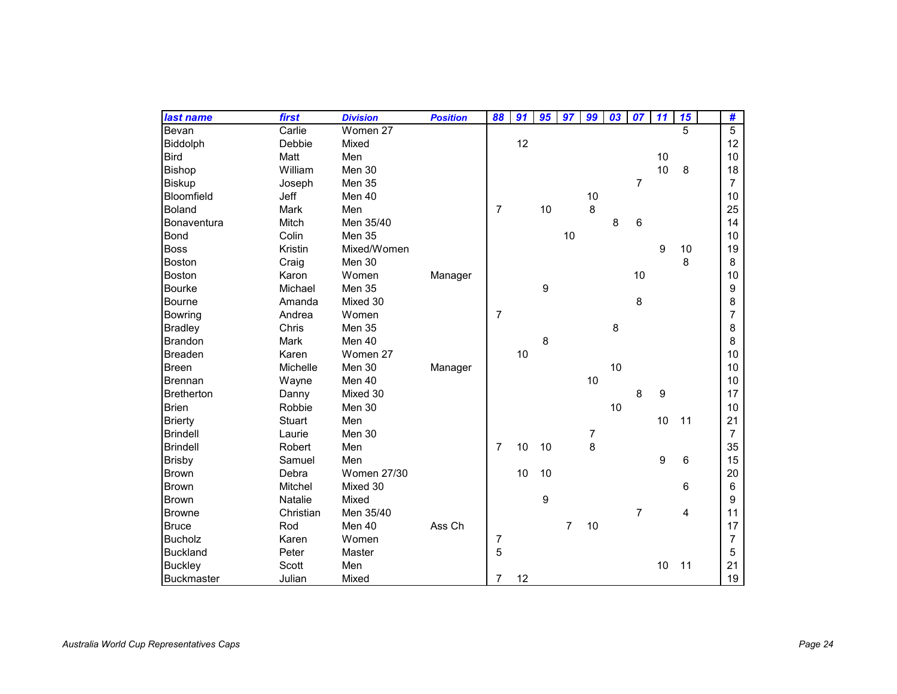| last name          | first         | <b>Division</b>    | <b>Position</b> | 88             | 91 | 95               | 97             | 99 | 03 | 07             | 11 | 15 | #                |
|--------------------|---------------|--------------------|-----------------|----------------|----|------------------|----------------|----|----|----------------|----|----|------------------|
| Bevan              | Carlie        | Women 27           |                 |                |    |                  |                |    |    |                |    | 5  | $\overline{5}$   |
| Biddolph           | Debbie        | Mixed              |                 |                | 12 |                  |                |    |    |                |    |    | 12               |
| <b>Bird</b>        | Matt          | Men                |                 |                |    |                  |                |    |    |                | 10 |    | 10               |
| Bishop             | William       | Men 30             |                 |                |    |                  |                |    |    |                | 10 | 8  | 18               |
| <b>Biskup</b>      | Joseph        | Men 35             |                 |                |    |                  |                |    |    | 7              |    |    | $\overline{7}$   |
| Bloomfield         | Jeff          | Men 40             |                 |                |    |                  |                | 10 |    |                |    |    | 10               |
| <b>Boland</b>      | Mark          | Men                |                 | $\overline{7}$ |    | 10               |                | 8  |    |                |    |    | 25               |
| <b>Bonaventura</b> | Mitch         | Men 35/40          |                 |                |    |                  |                |    | 8  | 6              |    |    | 14               |
| <b>Bond</b>        | Colin         | Men 35             |                 |                |    |                  | 10             |    |    |                |    |    | 10               |
| <b>Boss</b>        | Kristin       | Mixed/Women        |                 |                |    |                  |                |    |    |                | 9  | 10 | 19               |
| <b>Boston</b>      | Craig         | Men 30             |                 |                |    |                  |                |    |    |                |    | 8  | 8                |
| <b>Boston</b>      | Karon         | Women              | Manager         |                |    |                  |                |    |    | 10             |    |    | 10               |
| <b>Bourke</b>      | Michael       | Men 35             |                 |                |    | $\boldsymbol{9}$ |                |    |    |                |    |    | $\boldsymbol{9}$ |
| <b>Bourne</b>      | Amanda        | Mixed 30           |                 |                |    |                  |                |    |    | 8              |    |    | 8                |
| Bowring            | Andrea        | Women              |                 | $\overline{7}$ |    |                  |                |    |    |                |    |    | $\overline{7}$   |
| <b>Bradley</b>     | Chris         | Men 35             |                 |                |    |                  |                |    | 8  |                |    |    | 8                |
| <b>Brandon</b>     | Mark          | Men 40             |                 |                |    | 8                |                |    |    |                |    |    | 8                |
| <b>Breaden</b>     | Karen         | Women 27           |                 |                | 10 |                  |                |    |    |                |    |    | 10               |
| <b>Breen</b>       | Michelle      | Men 30             | Manager         |                |    |                  |                |    | 10 |                |    |    | 10               |
| <b>Brennan</b>     | Wayne         | Men 40             |                 |                |    |                  |                | 10 |    |                |    |    | 10               |
| <b>Bretherton</b>  | Danny         | Mixed 30           |                 |                |    |                  |                |    |    | 8              | 9  |    | 17               |
| <b>Brien</b>       | Robbie        | Men 30             |                 |                |    |                  |                |    | 10 |                |    |    | 10               |
| <b>Brierty</b>     | <b>Stuart</b> | Men                |                 |                |    |                  |                |    |    |                | 10 | 11 | 21               |
| <b>Brindell</b>    | Laurie        | Men 30             |                 |                |    |                  |                | 7  |    |                |    |    | $\overline{7}$   |
| <b>Brindell</b>    | Robert        | Men                |                 | $\overline{7}$ | 10 | 10               |                | 8  |    |                |    |    | 35               |
| <b>Brisby</b>      | Samuel        | Men                |                 |                |    |                  |                |    |    |                | 9  | 6  | 15               |
| <b>Brown</b>       | Debra         | <b>Women 27/30</b> |                 |                | 10 | 10               |                |    |    |                |    |    | 20               |
| <b>Brown</b>       | Mitchel       | Mixed 30           |                 |                |    |                  |                |    |    |                |    | 6  | $6\phantom{1}$   |
| <b>Brown</b>       | Natalie       | Mixed              |                 |                |    | 9                |                |    |    |                |    |    | 9                |
| <b>Browne</b>      | Christian     | Men 35/40          |                 |                |    |                  |                |    |    | $\overline{7}$ |    | 4  | 11               |
| <b>Bruce</b>       | Rod           | Men 40             | Ass Ch          |                |    |                  | $\overline{7}$ | 10 |    |                |    |    | 17               |
| <b>Bucholz</b>     | Karen         | Women              |                 | $\overline{7}$ |    |                  |                |    |    |                |    |    | 7                |
| <b>Buckland</b>    | Peter         | Master             |                 | 5              |    |                  |                |    |    |                |    |    | 5                |
| <b>Buckley</b>     | Scott         | Men                |                 |                |    |                  |                |    |    |                | 10 | 11 | 21               |
| <b>Buckmaster</b>  | Julian        | Mixed              |                 | 7              | 12 |                  |                |    |    |                |    |    | 19               |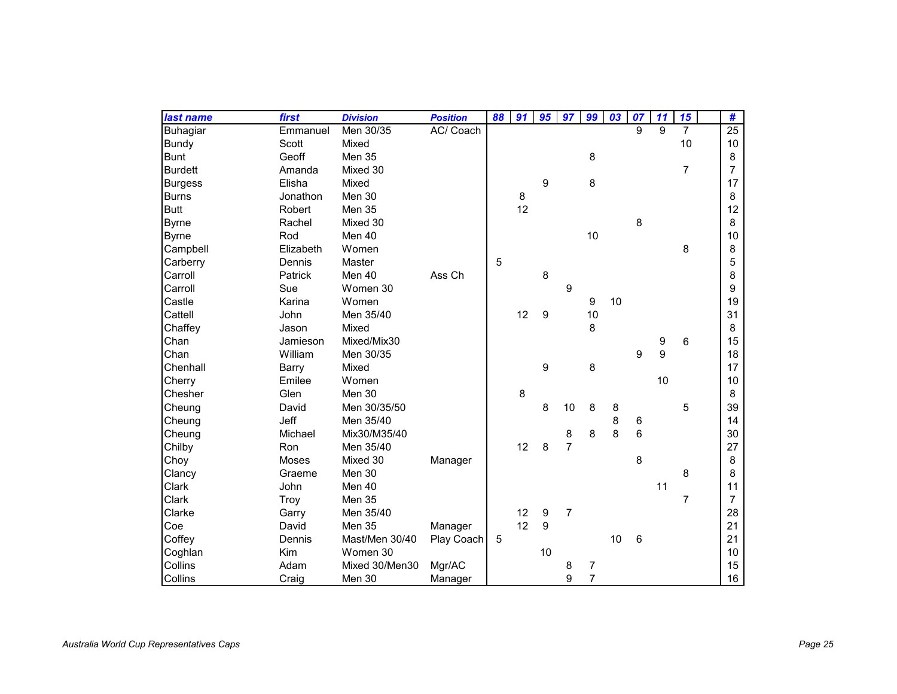| last name       | first        | <b>Division</b> | <b>Position</b> | 88 | 91 | 95               | 97               | 99               | 03 | 07 | 11 | 15             | #               |
|-----------------|--------------|-----------------|-----------------|----|----|------------------|------------------|------------------|----|----|----|----------------|-----------------|
| <b>Buhagiar</b> | Emmanuel     | Men 30/35       | AC/ Coach       |    |    |                  |                  |                  |    | 9  | 9  | $\overline{7}$ | $\overline{25}$ |
| Bundy           | Scott        | Mixed           |                 |    |    |                  |                  |                  |    |    |    | 10             | 10              |
| <b>Bunt</b>     | Geoff        | <b>Men 35</b>   |                 |    |    |                  |                  | 8                |    |    |    |                | 8               |
| <b>Burdett</b>  | Amanda       | Mixed 30        |                 |    |    |                  |                  |                  |    |    |    | $\overline{7}$ | $\overline{7}$  |
| <b>Burgess</b>  | Elisha       | Mixed           |                 |    |    | 9                |                  | 8                |    |    |    |                | 17              |
| <b>Burns</b>    | Jonathon     | Men 30          |                 |    | 8  |                  |                  |                  |    |    |    |                | 8               |
| <b>Butt</b>     | Robert       | Men 35          |                 |    | 12 |                  |                  |                  |    |    |    |                | 12              |
| <b>Byrne</b>    | Rachel       | Mixed 30        |                 |    |    |                  |                  |                  |    | 8  |    |                | 8               |
| <b>Byrne</b>    | Rod          | Men 40          |                 |    |    |                  |                  | 10               |    |    |    |                | 10              |
| Campbell        | Elizabeth    | Women           |                 |    |    |                  |                  |                  |    |    |    | 8              | 8               |
| Carberry        | Dennis       | Master          |                 | 5  |    |                  |                  |                  |    |    |    |                | 5               |
| Carroll         | Patrick      | Men 40          | Ass Ch          |    |    | 8                |                  |                  |    |    |    |                | 8               |
| Carroll         | Sue          | Women 30        |                 |    |    |                  | $\boldsymbol{9}$ |                  |    |    |    |                | 9               |
| Castle          | Karina       | Women           |                 |    |    |                  |                  | $\boldsymbol{9}$ | 10 |    |    |                | 19              |
| Cattell         | John         | Men 35/40       |                 |    | 12 | 9                |                  | 10               |    |    |    |                | 31              |
| Chaffey         | Jason        | Mixed           |                 |    |    |                  |                  | 8                |    |    |    |                | 8               |
| Chan            | Jamieson     | Mixed/Mix30     |                 |    |    |                  |                  |                  |    |    | 9  | 6              | 15              |
| Chan            | William      | Men 30/35       |                 |    |    |                  |                  |                  |    | 9  | 9  |                | 18              |
| Chenhall        | Barry        | Mixed           |                 |    |    | $\boldsymbol{9}$ |                  | 8                |    |    |    |                | 17              |
| Cherry          | Emilee       | Women           |                 |    |    |                  |                  |                  |    |    | 10 |                | 10              |
| Chesher         | Glen         | Men 30          |                 |    | 8  |                  |                  |                  |    |    |    |                | 8               |
| Cheung          | David        | Men 30/35/50    |                 |    |    | 8                | 10               | 8                | 8  |    |    | 5              | 39              |
| Cheung          | Jeff         | Men 35/40       |                 |    |    |                  |                  |                  | 8  | 6  |    |                | 14              |
| Cheung          | Michael      | Mix30/M35/40    |                 |    |    |                  | 8                | 8                | 8  | 6  |    |                | 30              |
| Chilby          | Ron          | Men 35/40       |                 |    | 12 | 8                | $\overline{7}$   |                  |    |    |    |                | 27              |
| Choy            | <b>Moses</b> | Mixed 30        | Manager         |    |    |                  |                  |                  |    | 8  |    |                | 8               |
| Clancy          | Graeme       | Men 30          |                 |    |    |                  |                  |                  |    |    |    | 8              | 8               |
| Clark           | John         | Men 40          |                 |    |    |                  |                  |                  |    |    | 11 |                | 11              |
| Clark           | Troy         | Men 35          |                 |    |    |                  |                  |                  |    |    |    | 7              | $\overline{7}$  |
| Clarke          | Garry        | Men 35/40       |                 |    | 12 | $\boldsymbol{9}$ | $\overline{7}$   |                  |    |    |    |                | 28              |
| Coe             | David        | Men 35          | Manager         |    | 12 | 9                |                  |                  |    |    |    |                | 21              |
| Coffey          | Dennis       | Mast/Men 30/40  | Play Coach      | 5  |    |                  |                  |                  | 10 | 6  |    |                | 21              |
| Coghlan         | Kim          | Women 30        |                 |    |    | 10               |                  |                  |    |    |    |                | 10              |
| Collins         | Adam         | Mixed 30/Men30  | Mgr/AC          |    |    |                  | 8                | $\overline{7}$   |    |    |    |                | 15              |
| Collins         | Craig        | Men 30          | Manager         |    |    |                  | 9                | $\overline{7}$   |    |    |    |                | 16              |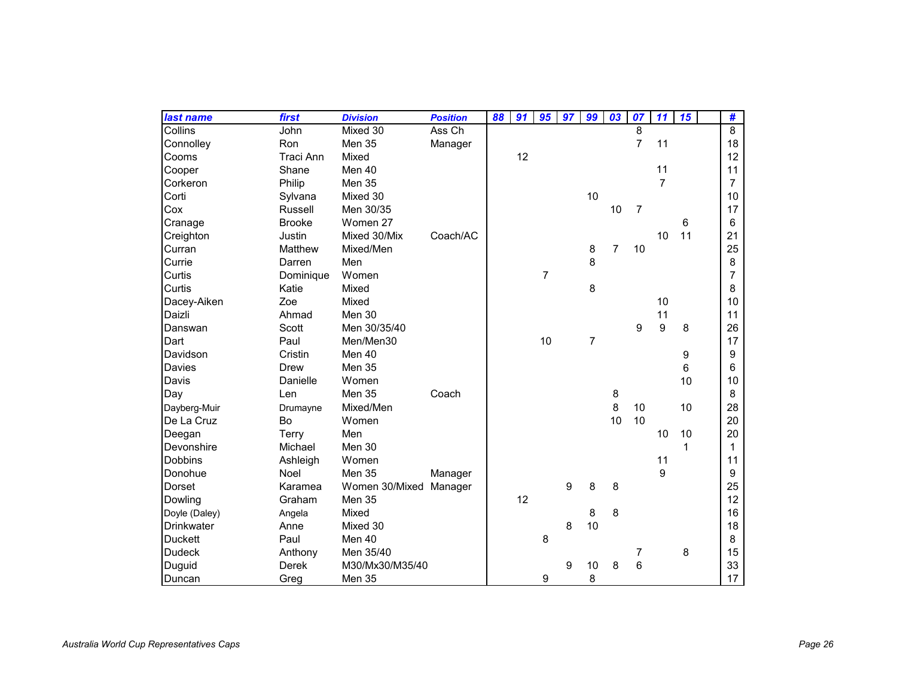| last name         | first            | <b>Division</b> | <b>Position</b> | 88 | 91 | 95             | 97 | 99             | $\overline{03}$ | 07             | 11             | 15 | #              |
|-------------------|------------------|-----------------|-----------------|----|----|----------------|----|----------------|-----------------|----------------|----------------|----|----------------|
| Collins           | John             | Mixed 30        | Ass Ch          |    |    |                |    |                |                 | 8              |                |    | $\overline{8}$ |
| Connolley         | Ron              | Men 35          | Manager         |    |    |                |    |                |                 | $\overline{7}$ | 11             |    | 18             |
| Cooms             | <b>Traci Ann</b> | Mixed           |                 |    | 12 |                |    |                |                 |                |                |    | 12             |
| Cooper            | Shane            | Men 40          |                 |    |    |                |    |                |                 |                | 11             |    | 11             |
| Corkeron          | Philip           | Men 35          |                 |    |    |                |    |                |                 |                | $\overline{7}$ |    | $\overline{7}$ |
| Corti             | Sylvana          | Mixed 30        |                 |    |    |                |    | 10             |                 |                |                |    | 10             |
| Cox               | Russell          | Men 30/35       |                 |    |    |                |    |                | 10              | $\overline{7}$ |                |    | 17             |
| Cranage           | <b>Brooke</b>    | Women 27        |                 |    |    |                |    |                |                 |                |                | 6  | 6              |
| Creighton         | Justin           | Mixed 30/Mix    | Coach/AC        |    |    |                |    |                |                 |                | 10             | 11 | 21             |
| Curran            | Matthew          | Mixed/Men       |                 |    |    |                |    | 8              | $\overline{7}$  | 10             |                |    | 25             |
| Currie            | Darren           | Men             |                 |    |    |                |    | 8              |                 |                |                |    | 8              |
| Curtis            | Dominique        | Women           |                 |    |    | $\overline{7}$ |    |                |                 |                |                |    | $\overline{7}$ |
| Curtis            | Katie            | Mixed           |                 |    |    |                |    | 8              |                 |                |                |    | 8              |
| Dacey-Aiken       | Zoe              | Mixed           |                 |    |    |                |    |                |                 |                | 10             |    | 10             |
| Daizli            | Ahmad            | Men 30          |                 |    |    |                |    |                |                 |                | 11             |    | 11             |
| Danswan           | Scott            | Men 30/35/40    |                 |    |    |                |    |                |                 | 9              | 9              | 8  | 26             |
| Dart              | Paul             | Men/Men30       |                 |    |    | 10             |    | $\overline{7}$ |                 |                |                |    | 17             |
| Davidson          | Cristin          | Men 40          |                 |    |    |                |    |                |                 |                |                | 9  | 9              |
| Davies            | <b>Drew</b>      | Men 35          |                 |    |    |                |    |                |                 |                |                | 6  | 6              |
| Davis             | Danielle         | Women           |                 |    |    |                |    |                |                 |                |                | 10 | 10             |
| Day               | Len              | Men 35          | Coach           |    |    |                |    |                | 8               |                |                |    | 8              |
| Dayberg-Muir      | Drumayne         | Mixed/Men       |                 |    |    |                |    |                | 8               | 10             |                | 10 | 28             |
| De La Cruz        | Bo               | Women           |                 |    |    |                |    |                | 10              | 10             |                |    | 20             |
| Deegan            | Terry            | Men             |                 |    |    |                |    |                |                 |                | 10             | 10 | 20             |
| Devonshire        | Michael          | Men 30          |                 |    |    |                |    |                |                 |                |                | 1  | $\mathbf{1}$   |
| <b>Dobbins</b>    | Ashleigh         | Women           |                 |    |    |                |    |                |                 |                | 11             |    | 11             |
| Donohue           | Noel             | Men 35          | Manager         |    |    |                |    |                |                 |                | 9              |    | 9              |
| Dorset            | Karamea          | Women 30/Mixed  | Manager         |    |    |                | 9  | 8              | 8               |                |                |    | 25             |
| Dowling           | Graham           | Men 35          |                 |    | 12 |                |    |                |                 |                |                |    | 12             |
| Doyle (Daley)     | Angela           | Mixed           |                 |    |    |                |    | 8              | 8               |                |                |    | 16             |
| <b>Drinkwater</b> | Anne             | Mixed 30        |                 |    |    |                | 8  | 10             |                 |                |                |    | 18             |
| <b>Duckett</b>    | Paul             | Men 40          |                 |    |    | 8              |    |                |                 |                |                |    | 8              |
| Dudeck            | Anthony          | Men 35/40       |                 |    |    |                |    |                |                 | 7              |                | 8  | 15             |
| Duguid            | <b>Derek</b>     | M30/Mx30/M35/40 |                 |    |    |                | 9  | 10             | 8               | 6              |                |    | 33             |
| Duncan            | Greg             | Men 35          |                 |    |    | 9              |    | 8              |                 |                |                |    | 17             |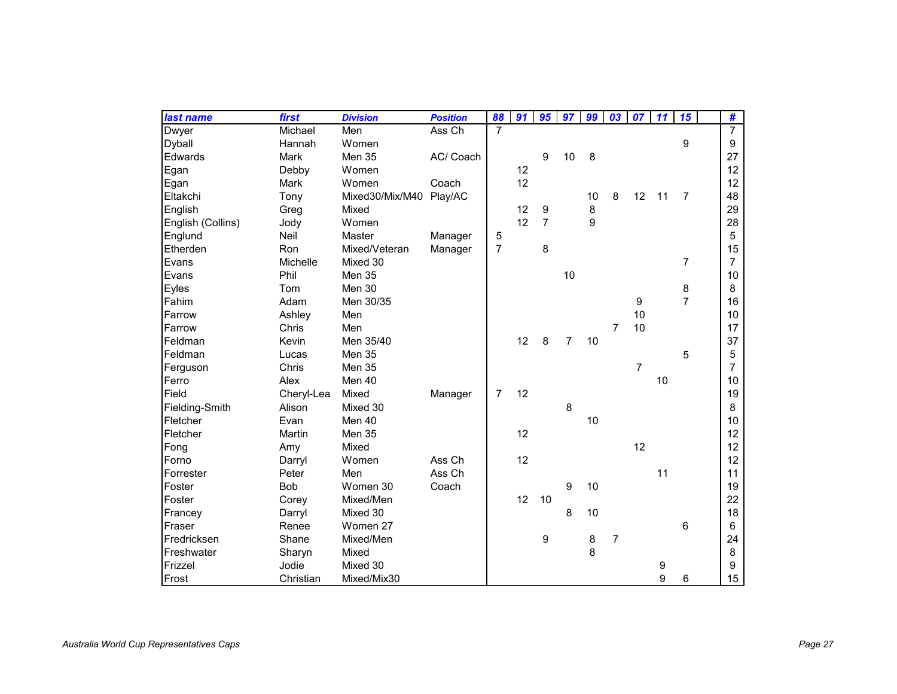| last name         | first       | <b>Division</b> | <b>Position</b> | 88             | 91 | 95             | 97             | 99 | 03             | 07             | 11 | 15             | #              |
|-------------------|-------------|-----------------|-----------------|----------------|----|----------------|----------------|----|----------------|----------------|----|----------------|----------------|
| Dwyer             | Michael     | Men             | Ass Ch          | $\overline{7}$ |    |                |                |    |                |                |    |                | $\overline{7}$ |
| Dyball            | Hannah      | Women           |                 |                |    |                |                |    |                |                |    | 9              | 9              |
| Edwards           | <b>Mark</b> | Men 35          | AC/ Coach       |                |    | 9              | 10             | 8  |                |                |    |                | 27             |
| Egan              | Debby       | Women           |                 |                | 12 |                |                |    |                |                |    |                | 12             |
| Egan              | Mark        | Women           | Coach           |                | 12 |                |                |    |                |                |    |                | 12             |
| Eltakchi          | Tony        | Mixed30/Mix/M40 | Play/AC         |                |    |                |                | 10 | 8              | 12             | 11 | $\overline{7}$ | 48             |
| English           | Greg        | Mixed           |                 |                | 12 | 9              |                | 8  |                |                |    |                | 29             |
| English (Collins) | Jody        | Women           |                 |                | 12 | $\overline{7}$ |                | 9  |                |                |    |                | 28             |
| Englund           | Neil        | Master          | Manager         | 5              |    |                |                |    |                |                |    |                | 5              |
| Etherden          | Ron         | Mixed/Veteran   | Manager         | $\overline{7}$ |    | 8              |                |    |                |                |    |                | 15             |
| Evans             | Michelle    | Mixed 30        |                 |                |    |                |                |    |                |                |    | $\overline{7}$ | $\overline{7}$ |
| Evans             | Phil        | Men 35          |                 |                |    |                | 10             |    |                |                |    |                | 10             |
| <b>Eyles</b>      | Tom         | Men 30          |                 |                |    |                |                |    |                |                |    | 8              | 8              |
| Fahim             | Adam        | Men 30/35       |                 |                |    |                |                |    |                | 9              |    | $\overline{7}$ | 16             |
| Farrow            | Ashley      | Men             |                 |                |    |                |                |    |                | 10             |    |                | 10             |
| Farrow            | Chris       | Men             |                 |                |    |                |                |    | $\overline{7}$ | 10             |    |                | 17             |
| Feldman           | Kevin       | Men 35/40       |                 |                | 12 | 8              | $\overline{7}$ | 10 |                |                |    |                | 37             |
| Feldman           | Lucas       | Men 35          |                 |                |    |                |                |    |                |                |    | 5              | 5              |
| Ferguson          | Chris       | Men 35          |                 |                |    |                |                |    |                | $\overline{7}$ |    |                | $\overline{7}$ |
| Ferro             | Alex        | Men 40          |                 |                |    |                |                |    |                |                | 10 |                | 10             |
| Field             | Cheryl-Lea  | Mixed           | Manager         | $\overline{7}$ | 12 |                |                |    |                |                |    |                | 19             |
| Fielding-Smith    | Alison      | Mixed 30        |                 |                |    |                | 8              |    |                |                |    |                | 8              |
| Fletcher          | Evan        | Men 40          |                 |                |    |                |                | 10 |                |                |    |                | 10             |
| Fletcher          | Martin      | Men 35          |                 |                | 12 |                |                |    |                |                |    |                | 12             |
| Fong              | Amy         | Mixed           |                 |                |    |                |                |    |                | 12             |    |                | 12             |
| Forno             | Darryl      | Women           | Ass Ch          |                | 12 |                |                |    |                |                |    |                | 12             |
| Forrester         | Peter       | Men             | Ass Ch          |                |    |                |                |    |                |                | 11 |                | 11             |
| Foster            | <b>Bob</b>  | Women 30        | Coach           |                |    |                | 9              | 10 |                |                |    |                | 19             |
| Foster            | Corey       | Mixed/Men       |                 |                | 12 | 10             |                |    |                |                |    |                | 22             |
| Francey           | Darryl      | Mixed 30        |                 |                |    |                | 8              | 10 |                |                |    |                | 18             |
| Fraser            | Renee       | Women 27        |                 |                |    |                |                |    |                |                |    | 6              | 6              |
| Fredricksen       | Shane       | Mixed/Men       |                 |                |    | 9              |                | 8  | $\overline{7}$ |                |    |                | 24             |
| Freshwater        | Sharyn      | Mixed           |                 |                |    |                |                | 8  |                |                |    |                | 8              |
| Frizzel           | Jodie       | Mixed 30        |                 |                |    |                |                |    |                |                | 9  |                | 9              |
| Frost             | Christian   | Mixed/Mix30     |                 |                |    |                |                |    |                |                | 9  | 6              | 15             |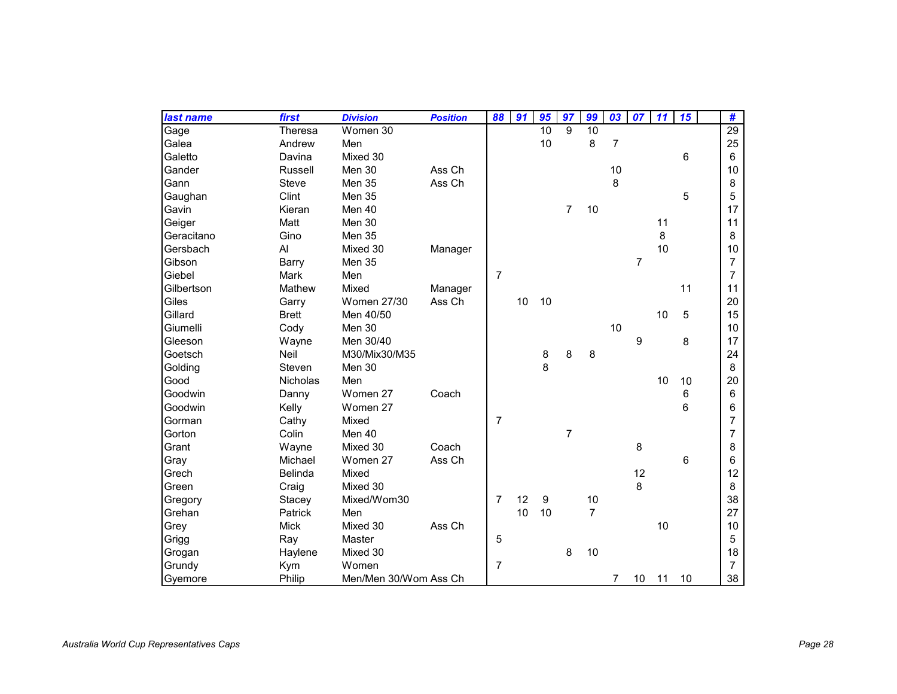| last name  | first           | <b>Division</b>       | <b>Position</b> | 88             | 91 | 95 | 97             | 99             | 03             | 07             | 11 | 15 | #               |
|------------|-----------------|-----------------------|-----------------|----------------|----|----|----------------|----------------|----------------|----------------|----|----|-----------------|
| Gage       | Theresa         | Women 30              |                 |                |    | 10 | 9              | 10             |                |                |    |    | $\overline{29}$ |
| Galea      | Andrew          | Men                   |                 |                |    | 10 |                | 8              | $\overline{7}$ |                |    |    | 25              |
| Galetto    | Davina          | Mixed 30              |                 |                |    |    |                |                |                |                |    | 6  | 6               |
| Gander     | Russell         | Men 30                | Ass Ch          |                |    |    |                |                | 10             |                |    |    | 10              |
| Gann       | <b>Steve</b>    | Men 35                | Ass Ch          |                |    |    |                |                | 8              |                |    |    | 8               |
| Gaughan    | Clint           | Men 35                |                 |                |    |    |                |                |                |                |    | 5  | 5               |
| Gavin      | Kieran          | Men 40                |                 |                |    |    | $\overline{7}$ | 10             |                |                |    |    | 17              |
| Geiger     | Matt            | Men 30                |                 |                |    |    |                |                |                |                | 11 |    | 11              |
| Geracitano | Gino            | Men 35                |                 |                |    |    |                |                |                |                | 8  |    | 8               |
| Gersbach   | Al              | Mixed 30              | Manager         |                |    |    |                |                |                |                | 10 |    | 10              |
| Gibson     | Barry           | Men 35                |                 |                |    |    |                |                |                | $\overline{7}$ |    |    | $\overline{7}$  |
| Giebel     | Mark            | Men                   |                 | $\overline{7}$ |    |    |                |                |                |                |    |    | $\overline{7}$  |
| Gilbertson | Mathew          | Mixed                 | Manager         |                |    |    |                |                |                |                |    | 11 | 11              |
| Giles      | Garry           | <b>Women 27/30</b>    | Ass Ch          |                | 10 | 10 |                |                |                |                |    |    | 20              |
| Gillard    | <b>Brett</b>    | Men 40/50             |                 |                |    |    |                |                |                |                | 10 | 5  | 15              |
| Giumelli   | Cody            | Men 30                |                 |                |    |    |                |                | 10             |                |    |    | 10              |
| Gleeson    | Wayne           | Men 30/40             |                 |                |    |    |                |                |                | 9              |    | 8  | 17              |
| Goetsch    | Neil            | M30/Mix30/M35         |                 |                |    | 8  | 8              | 8              |                |                |    |    | 24              |
| Golding    | Steven          | Men 30                |                 |                |    | 8  |                |                |                |                |    |    | 8               |
| Good       | <b>Nicholas</b> | Men                   |                 |                |    |    |                |                |                |                | 10 | 10 | 20              |
| Goodwin    | Danny           | Women 27              | Coach           |                |    |    |                |                |                |                |    | 6  | 6               |
| Goodwin    | Kelly           | Women 27              |                 |                |    |    |                |                |                |                |    | 6  | 6               |
| Gorman     | Cathy           | Mixed                 |                 | $\overline{7}$ |    |    |                |                |                |                |    |    | $\overline{7}$  |
| Gorton     | Colin           | Men 40                |                 |                |    |    | $\overline{7}$ |                |                |                |    |    | 7               |
| Grant      | Wayne           | Mixed 30              | Coach           |                |    |    |                |                |                | 8              |    |    | 8               |
| Gray       | Michael         | Women 27              | Ass Ch          |                |    |    |                |                |                |                |    | 6  | 6               |
| Grech      | <b>Belinda</b>  | Mixed                 |                 |                |    |    |                |                |                | 12             |    |    | 12              |
| Green      | Craig           | Mixed 30              |                 |                |    |    |                |                |                | 8              |    |    | 8               |
| Gregory    | Stacey          | Mixed/Wom30           |                 | $\overline{7}$ | 12 | 9  |                | 10             |                |                |    |    | 38              |
| Grehan     | Patrick         | Men                   |                 |                | 10 | 10 |                | $\overline{7}$ |                |                |    |    | 27              |
| Grey       | <b>Mick</b>     | Mixed 30              | Ass Ch          |                |    |    |                |                |                |                | 10 |    | 10              |
| Grigg      | Ray             | Master                |                 | 5              |    |    |                |                |                |                |    |    | 5               |
| Grogan     | Haylene         | Mixed 30              |                 |                |    |    | 8              | 10             |                |                |    |    | 18              |
| Grundy     | Kym             | Women                 |                 | $\overline{7}$ |    |    |                |                |                |                |    |    | $\overline{7}$  |
| Gyemore    | Philip          | Men/Men 30/Wom Ass Ch |                 |                |    |    |                |                | $\overline{7}$ | 10             | 11 | 10 | 38              |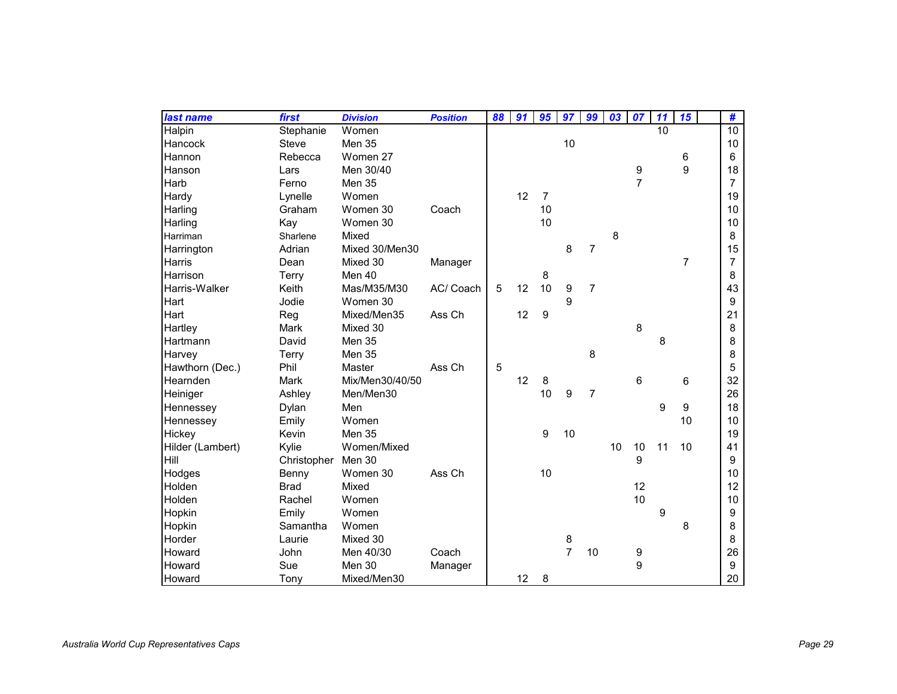| last name        | first        | <b>Division</b> | <b>Position</b> | 88 | 91 | 95             | 97               | 99             | 03 | 07             | 11 | 15             | #               |
|------------------|--------------|-----------------|-----------------|----|----|----------------|------------------|----------------|----|----------------|----|----------------|-----------------|
| <b>Halpin</b>    | Stephanie    | Women           |                 |    |    |                |                  |                |    |                | 10 |                | $\overline{10}$ |
| Hancock          | <b>Steve</b> | Men 35          |                 |    |    |                | 10               |                |    |                |    |                | 10              |
| Hannon           | Rebecca      | Women 27        |                 |    |    |                |                  |                |    |                |    | 6              | 6               |
| Hanson           | Lars         | Men 30/40       |                 |    |    |                |                  |                |    | 9              |    | 9              | 18              |
| Harb             | Ferno        | Men 35          |                 |    |    |                |                  |                |    | $\overline{7}$ |    |                | $\overline{7}$  |
| Hardy            | Lynelle      | Women           |                 |    | 12 | $\overline{7}$ |                  |                |    |                |    |                | 19              |
| Harling          | Graham       | Women 30        | Coach           |    |    | 10             |                  |                |    |                |    |                | 10              |
| Harling          | Kay          | Women 30        |                 |    |    | 10             |                  |                |    |                |    |                | 10              |
| Harriman         | Sharlene     | Mixed           |                 |    |    |                |                  |                | 8  |                |    |                | 8               |
| Harrington       | Adrian       | Mixed 30/Men30  |                 |    |    |                | 8                | 7              |    |                |    |                | 15              |
| Harris           | Dean         | Mixed 30        | Manager         |    |    |                |                  |                |    |                |    | $\overline{7}$ | $\overline{7}$  |
| Harrison         | Terry        | Men 40          |                 |    |    | 8              |                  |                |    |                |    |                | 8               |
| Harris-Walker    | Keith        | Mas/M35/M30     | AC/ Coach       | 5  | 12 | 10             | $\boldsymbol{9}$ | $\overline{7}$ |    |                |    |                | 43              |
| Hart             | Jodie        | Women 30        |                 |    |    |                | 9                |                |    |                |    |                | 9               |
| Hart             | Reg          | Mixed/Men35     | Ass Ch          |    | 12 | 9              |                  |                |    |                |    |                | 21              |
| Hartley          | <b>Mark</b>  | Mixed 30        |                 |    |    |                |                  |                |    | 8              |    |                | 8               |
| Hartmann         | David        | Men 35          |                 |    |    |                |                  |                |    |                | 8  |                | 8               |
| Harvey           | Terry        | Men 35          |                 |    |    |                |                  | 8              |    |                |    |                | 8               |
| Hawthorn (Dec.)  | Phil         | Master          | Ass Ch          | 5  |    |                |                  |                |    |                |    |                | 5               |
| Hearnden         | <b>Mark</b>  | Mix/Men30/40/50 |                 |    | 12 | 8              |                  |                |    | 6              |    | 6              | 32              |
| Heiniger         | Ashley       | Men/Men30       |                 |    |    | 10             | 9                | $\overline{7}$ |    |                |    |                | 26              |
| Hennessey        | Dylan        | Men             |                 |    |    |                |                  |                |    |                | 9  | 9              | 18              |
| Hennessey        | Emily        | Women           |                 |    |    |                |                  |                |    |                |    | 10             | 10              |
| Hickey           | Kevin        | Men 35          |                 |    |    | 9              | 10               |                |    |                |    |                | 19              |
| Hilder (Lambert) | Kylie        | Women/Mixed     |                 |    |    |                |                  |                | 10 | 10             | 11 | 10             | 41              |
| Hill             | Christopher  | Men 30          |                 |    |    |                |                  |                |    | 9              |    |                | 9               |
| Hodges           | Benny        | Women 30        | Ass Ch          |    |    | 10             |                  |                |    |                |    |                | 10              |
| Holden           | <b>Brad</b>  | Mixed           |                 |    |    |                |                  |                |    | 12             |    |                | 12              |
| Holden           | Rachel       | Women           |                 |    |    |                |                  |                |    | 10             |    |                | 10              |
| Hopkin           | Emily        | Women           |                 |    |    |                |                  |                |    |                | 9  |                | 9               |
| Hopkin           | Samantha     | Women           |                 |    |    |                |                  |                |    |                |    | 8              | 8               |
| Horder           | Laurie       | Mixed 30        |                 |    |    |                | 8                |                |    |                |    |                | 8               |
| Howard           | John         | Men 40/30       | Coach           |    |    |                | $\overline{7}$   | 10             |    | 9              |    |                | 26              |
| Howard           | Sue          | Men 30          | Manager         |    |    |                |                  |                |    | 9              |    |                | $9\,$           |
| Howard           | Tony         | Mixed/Men30     |                 |    | 12 | 8              |                  |                |    |                |    |                | 20              |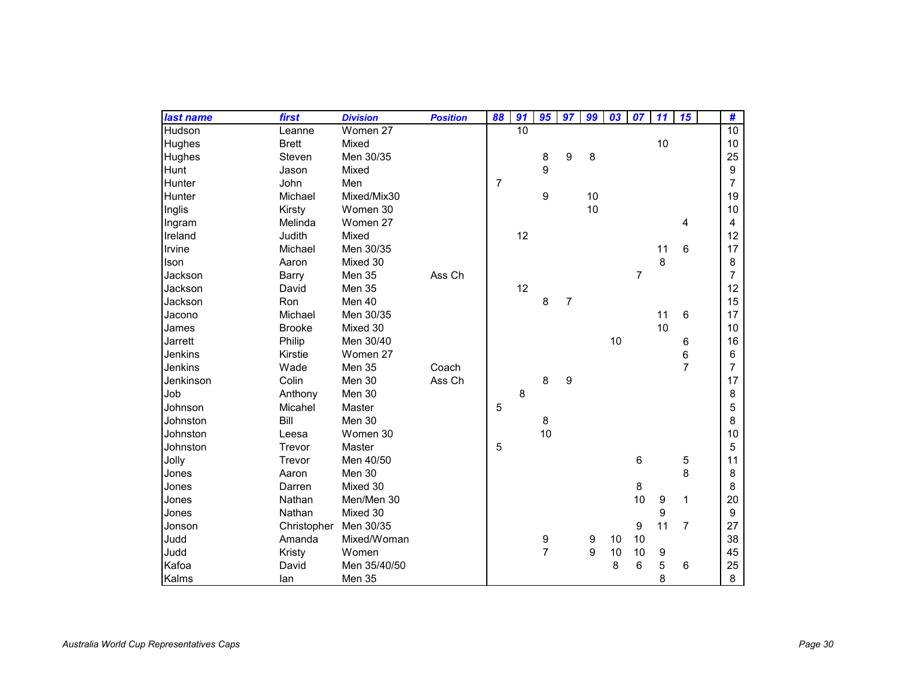| last name | first                 | <b>Division</b> | <b>Position</b> | 88             | 91              | 95             | 97             | 99 | 03 | 07             | 11               | 15             | #                |
|-----------|-----------------------|-----------------|-----------------|----------------|-----------------|----------------|----------------|----|----|----------------|------------------|----------------|------------------|
| Hudson    | Leanne                | Women 27        |                 |                | $\overline{10}$ |                |                |    |    |                |                  |                | $\overline{10}$  |
| Hughes    | <b>Brett</b>          | Mixed           |                 |                |                 |                |                |    |    |                | 10               |                | 10               |
| Hughes    | Steven                | Men 30/35       |                 |                |                 | 8              | 9              | 8  |    |                |                  |                | 25               |
| Hunt      | Jason                 | Mixed           |                 |                |                 | 9              |                |    |    |                |                  |                | $\boldsymbol{9}$ |
| Hunter    | John                  | Men             |                 | $\overline{7}$ |                 |                |                |    |    |                |                  |                | $\overline{7}$   |
| Hunter    | Michael               | Mixed/Mix30     |                 |                |                 | 9              |                | 10 |    |                |                  |                | 19               |
| Inglis    | Kirsty                | Women 30        |                 |                |                 |                |                | 10 |    |                |                  |                | 10               |
| Ingram    | Melinda               | Women 27        |                 |                |                 |                |                |    |    |                |                  | 4              | 4                |
| Ireland   | Judith                | Mixed           |                 |                | 12              |                |                |    |    |                |                  |                | 12               |
| Irvine    | Michael               | Men 30/35       |                 |                |                 |                |                |    |    |                | 11               | 6              | 17               |
| Ison      | Aaron                 | Mixed 30        |                 |                |                 |                |                |    |    |                | 8                |                | 8                |
| Jackson   | Barry                 | Men 35          | Ass Ch          |                |                 |                |                |    |    | $\overline{7}$ |                  |                | $\overline{7}$   |
| Jackson   | David                 | Men 35          |                 |                | 12              |                |                |    |    |                |                  |                | 12               |
| Jackson   | Ron                   | Men 40          |                 |                |                 | 8              | $\overline{7}$ |    |    |                |                  |                | 15               |
| Jacono    | Michael               | Men 30/35       |                 |                |                 |                |                |    |    |                | 11               | 6              | 17               |
| James     | <b>Brooke</b>         | Mixed 30        |                 |                |                 |                |                |    |    |                | 10               |                | 10               |
| Jarrett   | Philip                | Men 30/40       |                 |                |                 |                |                |    | 10 |                |                  | 6              | 16               |
| Jenkins   | Kirstie               | Women 27        |                 |                |                 |                |                |    |    |                |                  | 6              | 6                |
| Jenkins   | Wade                  | Men 35          | Coach           |                |                 |                |                |    |    |                |                  | $\overline{7}$ | 7                |
| Jenkinson | Colin                 | Men 30          | Ass Ch          |                |                 | 8              | 9              |    |    |                |                  |                | 17               |
| Job       | Anthony               | Men 30          |                 |                | 8               |                |                |    |    |                |                  |                | 8                |
| Johnson   | Micahel               | Master          |                 | 5              |                 |                |                |    |    |                |                  |                | 5                |
| Johnston  | Bill                  | Men 30          |                 |                |                 | 8              |                |    |    |                |                  |                | 8                |
| Johnston  | Leesa                 | Women 30        |                 |                |                 | 10             |                |    |    |                |                  |                | 10               |
| Johnston  | Trevor                | Master          |                 | 5              |                 |                |                |    |    |                |                  |                | 5                |
| Jolly     | Trevor                | Men 40/50       |                 |                |                 |                |                |    |    | 6              |                  | 5              | 11               |
| Jones     | Aaron                 | Men 30          |                 |                |                 |                |                |    |    |                |                  | 8              | 8                |
| Jones     | Darren                | Mixed 30        |                 |                |                 |                |                |    |    | 8              |                  |                | 8                |
| Jones     | Nathan                | Men/Men 30      |                 |                |                 |                |                |    |    | 10             | $\boldsymbol{9}$ | 1              | 20               |
| Jones     | Nathan                | Mixed 30        |                 |                |                 |                |                |    |    |                | $\boldsymbol{9}$ |                | $\boldsymbol{9}$ |
| Jonson    | Christopher Men 30/35 |                 |                 |                |                 |                |                |    |    | 9              | 11               | $\overline{7}$ | 27               |
| Judd      | Amanda                | Mixed/Woman     |                 |                |                 | 9              |                | 9  | 10 | 10             |                  |                | 38               |
| Judd      | Kristy                | Women           |                 |                |                 | $\overline{7}$ |                | 9  | 10 | 10             | $\boldsymbol{9}$ |                | 45               |
| Kafoa     | David                 | Men 35/40/50    |                 |                |                 |                |                |    | 8  | 6              | 5                | 6              | 25               |
| Kalms     | lan                   | Men 35          |                 |                |                 |                |                |    |    |                | 8                |                | 8                |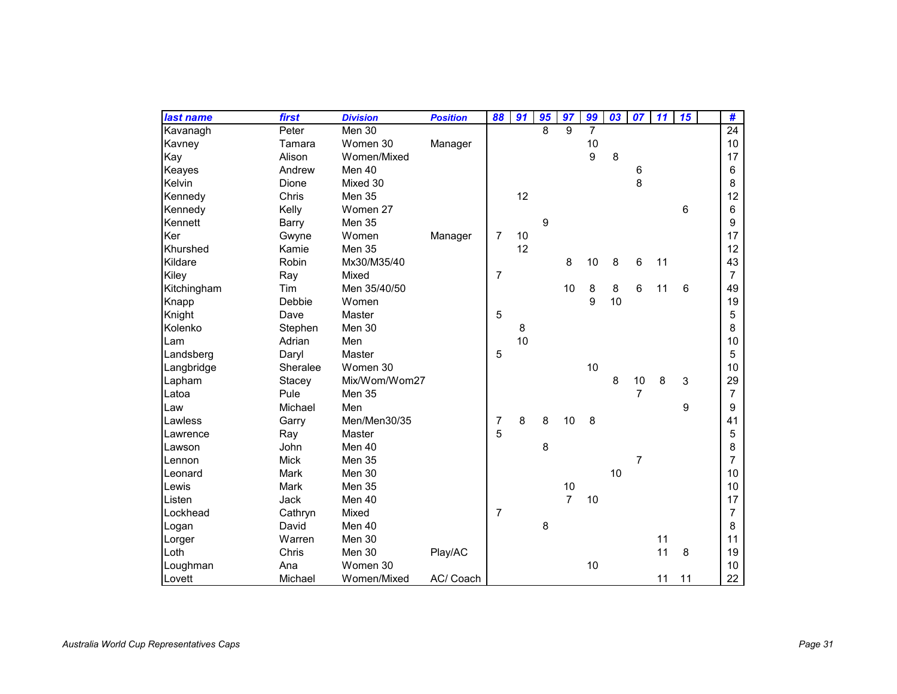| last name   | first        | <b>Division</b> | <b>Position</b> | 88             | 91 | 95 | 97             | 99               | 03 | 07             | 11 | 15 | #               |
|-------------|--------------|-----------------|-----------------|----------------|----|----|----------------|------------------|----|----------------|----|----|-----------------|
| Kavanagh    | Peter        | Men 30          |                 |                |    | 8  | 9              | $\overline{7}$   |    |                |    |    | $\overline{24}$ |
| Kavney      | Tamara       | Women 30        | Manager         |                |    |    |                | 10               |    |                |    |    | 10              |
| Kay         | Alison       | Women/Mixed     |                 |                |    |    |                | $\boldsymbol{9}$ | 8  |                |    |    | 17              |
| Keayes      | Andrew       | Men 40          |                 |                |    |    |                |                  |    | 6              |    |    | 6               |
| Kelvin      | <b>Dione</b> | Mixed 30        |                 |                |    |    |                |                  |    | 8              |    |    | 8               |
| Kennedy     | Chris        | Men 35          |                 |                | 12 |    |                |                  |    |                |    |    | 12              |
| Kennedy     | Kelly        | Women 27        |                 |                |    |    |                |                  |    |                |    | 6  | 6               |
| Kennett     | <b>Barry</b> | Men 35          |                 |                |    | 9  |                |                  |    |                |    |    | 9               |
| Ker         | Gwyne        | Women           | Manager         | 7              | 10 |    |                |                  |    |                |    |    | 17              |
| Khurshed    | Kamie        | Men 35          |                 |                | 12 |    |                |                  |    |                |    |    | 12              |
| Kildare     | Robin        | Mx30/M35/40     |                 |                |    |    | 8              | 10               | 8  | 6              | 11 |    | 43              |
| Kiley       | Ray          | Mixed           |                 | $\overline{7}$ |    |    |                |                  |    |                |    |    | $\overline{7}$  |
| Kitchingham | Tim          | Men 35/40/50    |                 |                |    |    | 10             | 8                | 8  | 6              | 11 | 6  | 49              |
| Knapp       | Debbie       | Women           |                 |                |    |    |                | 9                | 10 |                |    |    | 19              |
| Knight      | Dave         | Master          |                 | 5              |    |    |                |                  |    |                |    |    | 5               |
| Kolenko     | Stephen      | Men 30          |                 |                | 8  |    |                |                  |    |                |    |    | 8               |
| Lam         | Adrian       | Men             |                 |                | 10 |    |                |                  |    |                |    |    | 10              |
| Landsberg   | Daryl        | Master          |                 | 5              |    |    |                |                  |    |                |    |    | 5               |
| Langbridge  | Sheralee     | Women 30        |                 |                |    |    |                | 10               |    |                |    |    | 10              |
| Lapham      | Stacey       | Mix/Wom/Wom27   |                 |                |    |    |                |                  | 8  | 10             | 8  | 3  | 29              |
| Latoa       | Pule         | Men 35          |                 |                |    |    |                |                  |    | $\overline{7}$ |    |    | $\overline{7}$  |
| Law         | Michael      | Men             |                 |                |    |    |                |                  |    |                |    | 9  | 9               |
| Lawless     | Garry        | Men/Men30/35    |                 | 7              | 8  | 8  | 10             | 8                |    |                |    |    | 41              |
| Lawrence    | Ray          | Master          |                 | 5              |    |    |                |                  |    |                |    |    | 5               |
| Lawson      | John         | Men 40          |                 |                |    | 8  |                |                  |    |                |    |    | 8               |
| Lennon      | <b>Mick</b>  | Men 35          |                 |                |    |    |                |                  |    | 7              |    |    | $\overline{7}$  |
| Leonard     | Mark         | Men 30          |                 |                |    |    |                |                  | 10 |                |    |    | 10              |
| Lewis       | Mark         | Men 35          |                 |                |    |    | 10             |                  |    |                |    |    | 10              |
| Listen      | Jack         | Men 40          |                 |                |    |    | $\overline{7}$ | 10               |    |                |    |    | 17              |
| Lockhead    | Cathryn      | Mixed           |                 | 7              |    |    |                |                  |    |                |    |    | $\overline{7}$  |
| Logan       | David        | Men 40          |                 |                |    | 8  |                |                  |    |                |    |    | 8               |
| Lorger      | Warren       | Men 30          |                 |                |    |    |                |                  |    |                | 11 |    | 11              |
| Loth        | Chris        | Men 30          | Play/AC         |                |    |    |                |                  |    |                | 11 | 8  | 19              |
| Loughman    | Ana          | Women 30        |                 |                |    |    |                | 10               |    |                |    |    | 10              |
| Lovett      | Michael      | Women/Mixed     | AC/ Coach       |                |    |    |                |                  |    |                | 11 | 11 | 22              |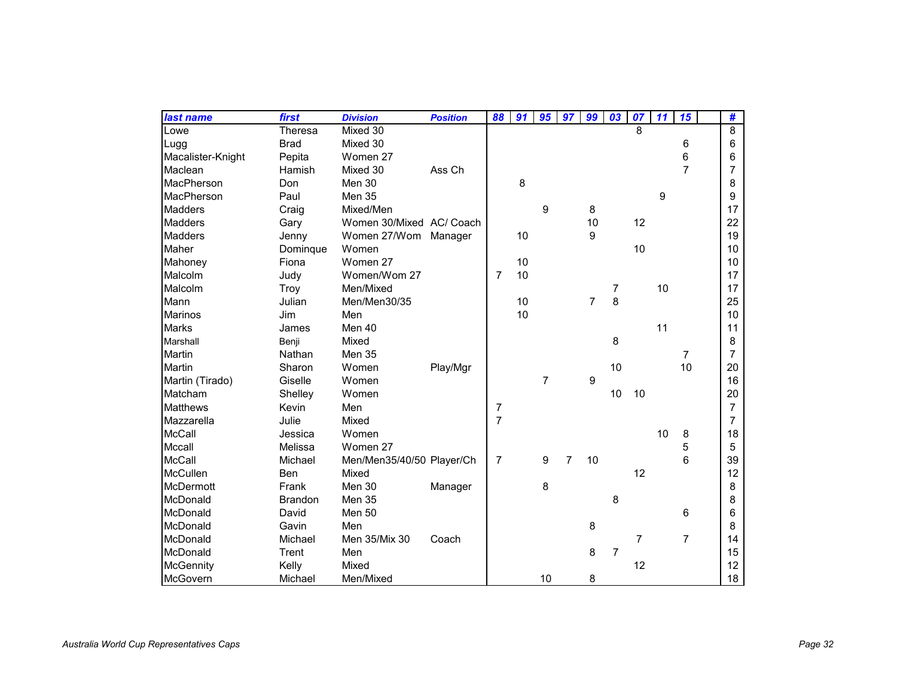| last name         | first          | <b>Division</b>           | <b>Position</b> | 88             | 91 | 95             | 97             | 99             | 03             | 07             | 11 | 15             | #              |
|-------------------|----------------|---------------------------|-----------------|----------------|----|----------------|----------------|----------------|----------------|----------------|----|----------------|----------------|
| Lowe              | Theresa        | Mixed 30                  |                 |                |    |                |                |                |                | 8              |    |                | 8              |
| Lugg              | <b>Brad</b>    | Mixed 30                  |                 |                |    |                |                |                |                |                |    | 6              | 6              |
| Macalister-Knight | Pepita         | Women 27                  |                 |                |    |                |                |                |                |                |    | 6              | 6              |
| Maclean           | Hamish         | Mixed 30                  | Ass Ch          |                |    |                |                |                |                |                |    | $\overline{7}$ | 7              |
| MacPherson        | Don            | Men 30                    |                 |                | 8  |                |                |                |                |                |    |                | 8              |
| MacPherson        | Paul           | Men 35                    |                 |                |    |                |                |                |                |                | 9  |                | 9              |
| <b>Madders</b>    | Craig          | Mixed/Men                 |                 |                |    | 9              |                | 8              |                |                |    |                | 17             |
| <b>Madders</b>    | Gary           | Women 30/Mixed AC/ Coach  |                 |                |    |                |                | 10             |                | 12             |    |                | 22             |
| <b>Madders</b>    | Jenny          | Women 27/Wom              | Manager         |                | 10 |                |                | 9              |                |                |    |                | 19             |
| Maher             | Dominque       | Women                     |                 |                |    |                |                |                |                | 10             |    |                | 10             |
| Mahoney           | Fiona          | Women 27                  |                 |                | 10 |                |                |                |                |                |    |                | 10             |
| Malcolm           | Judy           | Women/Wom 27              |                 | 7              | 10 |                |                |                |                |                |    |                | 17             |
| Malcolm           | Troy           | Men/Mixed                 |                 |                |    |                |                |                | 7              |                | 10 |                | 17             |
| Mann              | Julian         | Men/Men30/35              |                 |                | 10 |                |                | $\overline{7}$ | 8              |                |    |                | 25             |
| <b>Marinos</b>    | Jim            | Men                       |                 |                | 10 |                |                |                |                |                |    |                | 10             |
| <b>Marks</b>      | James          | Men 40                    |                 |                |    |                |                |                |                |                | 11 |                | 11             |
| Marshall          | Benji          | Mixed                     |                 |                |    |                |                |                | 8              |                |    |                | 8              |
| Martin            | Nathan         | Men 35                    |                 |                |    |                |                |                |                |                |    | 7              | $\overline{7}$ |
| Martin            | Sharon         | Women                     | Play/Mgr        |                |    |                |                |                | 10             |                |    | 10             | 20             |
| Martin (Tirado)   | Giselle        | Women                     |                 |                |    | $\overline{7}$ |                | 9              |                |                |    |                | 16             |
| Matcham           | Shelley        | Women                     |                 |                |    |                |                |                | 10             | 10             |    |                | 20             |
| <b>Matthews</b>   | Kevin          | Men                       |                 | 7              |    |                |                |                |                |                |    |                | $\overline{7}$ |
| Mazzarella        | Julie          | Mixed                     |                 | $\overline{7}$ |    |                |                |                |                |                |    |                | $\overline{7}$ |
| <b>McCall</b>     | Jessica        | Women                     |                 |                |    |                |                |                |                |                | 10 | 8              | 18             |
| Mccall            | Melissa        | Women 27                  |                 |                |    |                |                |                |                |                |    | 5              | 5              |
| <b>McCall</b>     | Michael        | Men/Men35/40/50 Player/Ch |                 | $\overline{7}$ |    | 9              | $\overline{7}$ | 10             |                |                |    | 6              | 39             |
| McCullen          | Ben            | Mixed                     |                 |                |    |                |                |                |                | 12             |    |                | 12             |
| McDermott         | Frank          | Men 30                    | Manager         |                |    | 8              |                |                |                |                |    |                | 8              |
| McDonald          | <b>Brandon</b> | Men 35                    |                 |                |    |                |                |                | 8              |                |    |                | 8              |
| McDonald          | David          | Men 50                    |                 |                |    |                |                |                |                |                |    | 6              | 6              |
| McDonald          | Gavin          | Men                       |                 |                |    |                |                | 8              |                |                |    |                | 8              |
| McDonald          | Michael        | Men 35/Mix 30             | Coach           |                |    |                |                |                |                | $\overline{7}$ |    | $\overline{7}$ | 14             |
| McDonald          | Trent          | Men                       |                 |                |    |                |                | 8              | $\overline{7}$ |                |    |                | 15             |
| McGennity         | Kelly          | Mixed                     |                 |                |    |                |                |                |                | 12             |    |                | 12             |
| McGovern          | Michael        | Men/Mixed                 |                 |                |    | 10             |                | 8              |                |                |    |                | 18             |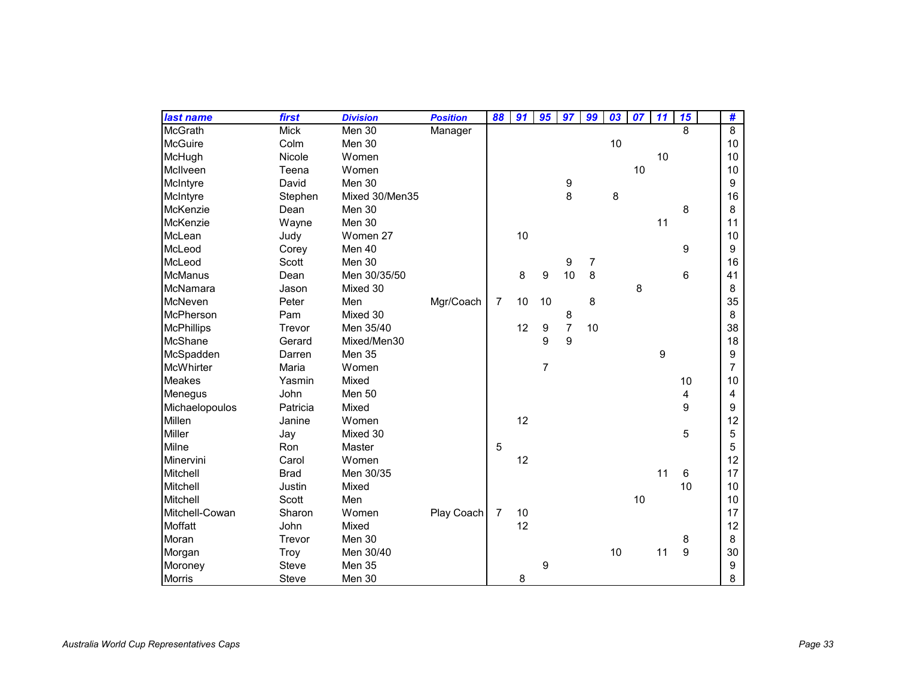| last name         | first       | <b>Division</b> | <b>Position</b> | 88             | 91 | 95               | 97             | 99             | 03 | 07 | 11 | 15 | #              |
|-------------------|-------------|-----------------|-----------------|----------------|----|------------------|----------------|----------------|----|----|----|----|----------------|
| McGrath           | <b>Mick</b> | Men 30          | Manager         |                |    |                  |                |                |    |    |    | 8  | $\overline{8}$ |
| McGuire           | Colm        | Men 30          |                 |                |    |                  |                |                | 10 |    |    |    | 10             |
| McHugh            | Nicole      | Women           |                 |                |    |                  |                |                |    |    | 10 |    | 10             |
| McIlveen          | Teena       | Women           |                 |                |    |                  |                |                |    | 10 |    |    | 10             |
| McIntyre          | David       | Men 30          |                 |                |    |                  | 9              |                |    |    |    |    | 9              |
| McIntyre          | Stephen     | Mixed 30/Men35  |                 |                |    |                  | 8              |                | 8  |    |    |    | 16             |
| McKenzie          | Dean        | Men 30          |                 |                |    |                  |                |                |    |    |    | 8  | 8              |
| McKenzie          | Wayne       | Men 30          |                 |                |    |                  |                |                |    |    | 11 |    | 11             |
| McLean            | Judy        | Women 27        |                 |                | 10 |                  |                |                |    |    |    |    | 10             |
| McLeod            | Corey       | Men 40          |                 |                |    |                  |                |                |    |    |    | 9  | 9              |
| McLeod            | Scott       | Men 30          |                 |                |    |                  | 9              | $\overline{7}$ |    |    |    |    | 16             |
| <b>McManus</b>    | Dean        | Men 30/35/50    |                 |                | 8  | 9                | 10             | 8              |    |    |    | 6  | 41             |
| McNamara          | Jason       | Mixed 30        |                 |                |    |                  |                |                |    | 8  |    |    | 8              |
| McNeven           | Peter       | Men             | Mgr/Coach       | $\overline{7}$ | 10 | 10               |                | 8              |    |    |    |    | 35             |
| McPherson         | Pam         | Mixed 30        |                 |                |    |                  | 8              |                |    |    |    |    | 8              |
| <b>McPhillips</b> | Trevor      | Men 35/40       |                 |                | 12 | $\boldsymbol{9}$ | $\overline{7}$ | 10             |    |    |    |    | 38             |
| McShane           | Gerard      | Mixed/Men30     |                 |                |    | 9                | $\overline{9}$ |                |    |    |    |    | 18             |
| McSpadden         | Darren      | Men 35          |                 |                |    |                  |                |                |    |    | 9  |    | 9              |
| McWhirter         | Maria       | Women           |                 |                |    | $\overline{7}$   |                |                |    |    |    |    | 7              |
| Meakes            | Yasmin      | Mixed           |                 |                |    |                  |                |                |    |    |    | 10 | 10             |
| Menegus           | John        | Men 50          |                 |                |    |                  |                |                |    |    |    | 4  | 4              |
| Michaelopoulos    | Patricia    | Mixed           |                 |                |    |                  |                |                |    |    |    | 9  | 9              |
| Millen            | Janine      | Women           |                 |                | 12 |                  |                |                |    |    |    |    | 12             |
| Miller            | Jay         | Mixed 30        |                 |                |    |                  |                |                |    |    |    | 5  | 5              |
| Milne             | Ron         | Master          |                 | 5              |    |                  |                |                |    |    |    |    | 5              |
| Minervini         | Carol       | Women           |                 |                | 12 |                  |                |                |    |    |    |    | 12             |
| Mitchell          | <b>Brad</b> | Men 30/35       |                 |                |    |                  |                |                |    |    | 11 | 6  | 17             |
| Mitchell          | Justin      | Mixed           |                 |                |    |                  |                |                |    |    |    | 10 | 10             |
| Mitchell          | Scott       | Men             |                 |                |    |                  |                |                |    | 10 |    |    | 10             |
| Mitchell-Cowan    | Sharon      | Women           | Play Coach      | $\overline{7}$ | 10 |                  |                |                |    |    |    |    | 17             |
| Moffatt           | John        | Mixed           |                 |                | 12 |                  |                |                |    |    |    |    | 12             |
| Moran             | Trevor      | Men 30          |                 |                |    |                  |                |                |    |    |    | 8  | 8              |
| Morgan            | <b>Troy</b> | Men 30/40       |                 |                |    |                  |                |                | 10 |    | 11 | 9  | 30             |
| Moroney           | Steve       | Men 35          |                 |                |    | 9                |                |                |    |    |    |    | 9              |
| Morris            | Steve       | Men 30          |                 |                | 8  |                  |                |                |    |    |    |    | 8              |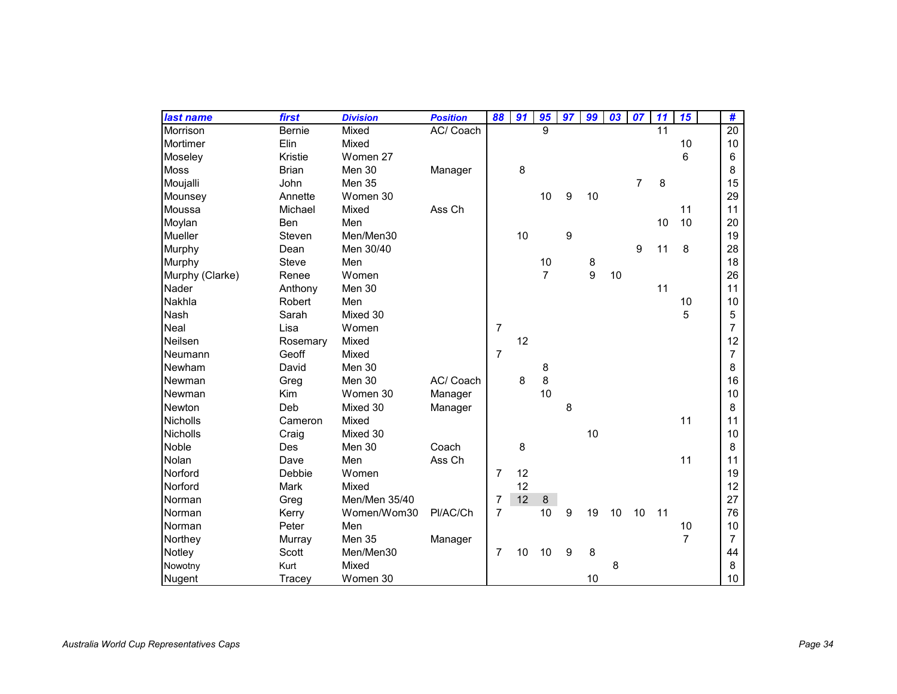| last name       | first         | <b>Division</b> | <b>Position</b> | 88             | 91 | 95             | 97 | 99 | 03 | 07             | 11 | 15             | #              |
|-----------------|---------------|-----------------|-----------------|----------------|----|----------------|----|----|----|----------------|----|----------------|----------------|
| Morrison        | <b>Bernie</b> | Mixed           | AC/ Coach       |                |    | 9              |    |    |    |                | 11 |                | 20             |
| Mortimer        | Elin          | Mixed           |                 |                |    |                |    |    |    |                |    | 10             | 10             |
| Moseley         | Kristie       | Women 27        |                 |                |    |                |    |    |    |                |    | 6              | 6              |
| Moss            | <b>Brian</b>  | Men 30          | Manager         |                | 8  |                |    |    |    |                |    |                | 8              |
| Moujalli        | John          | Men 35          |                 |                |    |                |    |    |    | $\overline{7}$ | 8  |                | 15             |
| Mounsey         | Annette       | Women 30        |                 |                |    | 10             | 9  | 10 |    |                |    |                | 29             |
| Moussa          | Michael       | Mixed           | Ass Ch          |                |    |                |    |    |    |                |    | 11             | 11             |
| Moylan          | <b>Ben</b>    | Men             |                 |                |    |                |    |    |    |                | 10 | 10             | 20             |
| Mueller         | Steven        | Men/Men30       |                 |                | 10 |                | 9  |    |    |                |    |                | 19             |
| Murphy          | Dean          | Men 30/40       |                 |                |    |                |    |    |    | 9              | 11 | 8              | 28             |
| Murphy          | Steve         | Men             |                 |                |    | 10             |    | 8  |    |                |    |                | 18             |
| Murphy (Clarke) | Renee         | Women           |                 |                |    | $\overline{7}$ |    | 9  | 10 |                |    |                | 26             |
| Nader           | Anthony       | Men 30          |                 |                |    |                |    |    |    |                | 11 |                | 11             |
| Nakhla          | Robert        | Men             |                 |                |    |                |    |    |    |                |    | 10             | 10             |
| Nash            | Sarah         | Mixed 30        |                 |                |    |                |    |    |    |                |    | 5              | 5              |
| Neal            | Lisa          | Women           |                 | $\overline{7}$ |    |                |    |    |    |                |    |                | $\overline{7}$ |
| Neilsen         | Rosemary      | Mixed           |                 |                | 12 |                |    |    |    |                |    |                | 12             |
| Neumann         | Geoff         | Mixed           |                 | $\overline{7}$ |    |                |    |    |    |                |    |                | $\overline{7}$ |
| Newham          | David         | Men 30          |                 |                |    | 8              |    |    |    |                |    |                | 8              |
| Newman          | Greg          | Men 30          | AC/ Coach       |                | 8  | 8              |    |    |    |                |    |                | 16             |
| Newman          | Kim           | Women 30        | Manager         |                |    | 10             |    |    |    |                |    |                | 10             |
| <b>Newton</b>   | Deb           | Mixed 30        | Manager         |                |    |                | 8  |    |    |                |    |                | 8              |
| <b>Nicholls</b> | Cameron       | Mixed           |                 |                |    |                |    |    |    |                |    | 11             | 11             |
| Nicholls        | Craig         | Mixed 30        |                 |                |    |                |    | 10 |    |                |    |                | 10             |
| Noble           | Des           | Men 30          | Coach           |                | 8  |                |    |    |    |                |    |                | 8              |
| Nolan           | Dave          | Men             | Ass Ch          |                |    |                |    |    |    |                |    | 11             | 11             |
| Norford         | Debbie        | Women           |                 | $\overline{7}$ | 12 |                |    |    |    |                |    |                | 19             |
| Norford         | Mark          | Mixed           |                 |                | 12 |                |    |    |    |                |    |                | 12             |
| Norman          | Greg          | Men/Men 35/40   |                 | 7              | 12 | $\,8\,$        |    |    |    |                |    |                | 27             |
| Norman          | Kerry         | Women/Wom30     | PI/AC/Ch        | $\overline{7}$ |    | 10             | 9  | 19 | 10 | 10             | 11 |                | 76             |
| Norman          | Peter         | Men             |                 |                |    |                |    |    |    |                |    | 10             | 10             |
| Northey         | Murray        | Men 35          | Manager         |                |    |                |    |    |    |                |    | $\overline{7}$ | $\overline{7}$ |
| Notley          | Scott         | Men/Men30       |                 | 7              | 10 | 10             | 9  | 8  |    |                |    |                | 44             |
| Nowotny         | Kurt          | Mixed           |                 |                |    |                |    |    | 8  |                |    |                | 8              |
| Nugent          | Tracey        | Women 30        |                 |                |    |                |    | 10 |    |                |    |                | 10             |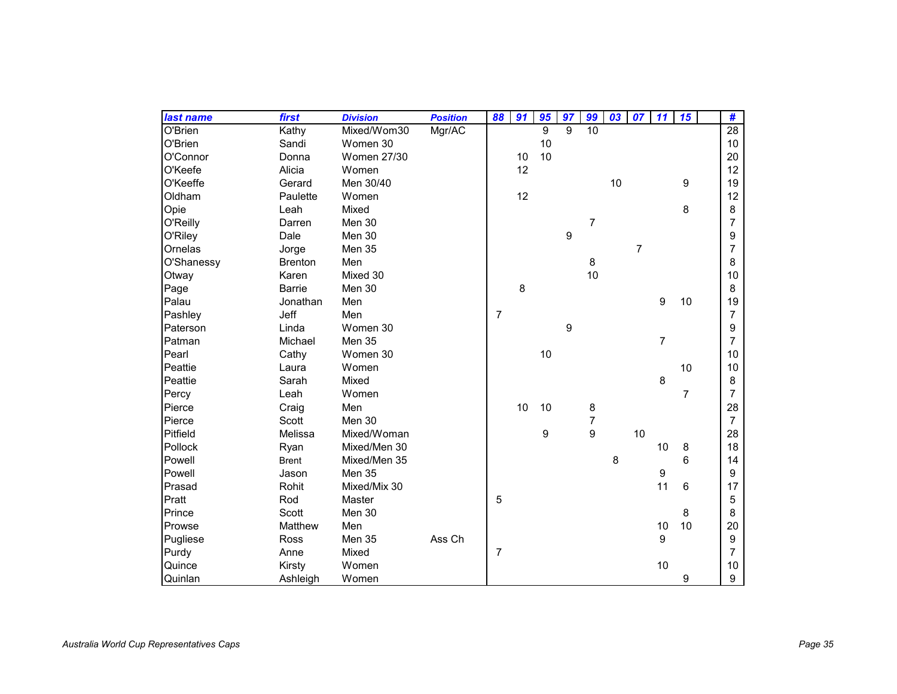| last name  | first          | <b>Division</b>    | <b>Position</b> | 88             | 91 | 95 | 97           | 99             | 03 | 07             | 11               | 15             | #               |
|------------|----------------|--------------------|-----------------|----------------|----|----|--------------|----------------|----|----------------|------------------|----------------|-----------------|
| O'Brien    | Kathy          | Mixed/Wom30        | Mgr/AC          |                |    | 9  | $\mathbf{Q}$ | 10             |    |                |                  |                | $\overline{28}$ |
| O'Brien    | Sandi          | Women 30           |                 |                |    | 10 |              |                |    |                |                  |                | $10$            |
| O'Connor   | Donna          | <b>Women 27/30</b> |                 |                | 10 | 10 |              |                |    |                |                  |                | 20              |
| O'Keefe    | Alicia         | Women              |                 |                | 12 |    |              |                |    |                |                  |                | 12              |
| O'Keeffe   | Gerard         | Men 30/40          |                 |                |    |    |              |                | 10 |                |                  | 9              | 19              |
| Oldham     | Paulette       | Women              |                 |                | 12 |    |              |                |    |                |                  |                | 12              |
| Opie       | Leah           | Mixed              |                 |                |    |    |              |                |    |                |                  | 8              | 8               |
| O'Reilly   | Darren         | Men 30             |                 |                |    |    |              | $\overline{7}$ |    |                |                  |                | $\overline{7}$  |
| O'Riley    | Dale           | Men 30             |                 |                |    |    | 9            |                |    |                |                  |                | 9               |
| Ornelas    | Jorge          | Men 35             |                 |                |    |    |              |                |    | $\overline{7}$ |                  |                | $\overline{7}$  |
| O'Shanessy | <b>Brenton</b> | Men                |                 |                |    |    |              | 8              |    |                |                  |                | 8               |
| Otway      | Karen          | Mixed 30           |                 |                |    |    |              | 10             |    |                |                  |                | 10              |
| Page       | <b>Barrie</b>  | Men 30             |                 |                | 8  |    |              |                |    |                |                  |                | 8               |
| Palau      | Jonathan       | Men                |                 |                |    |    |              |                |    |                | 9                | 10             | 19              |
| Pashley    | Jeff           | Men                |                 | $\overline{7}$ |    |    |              |                |    |                |                  |                | $\overline{7}$  |
| Paterson   | Linda          | Women 30           |                 |                |    |    | 9            |                |    |                |                  |                | 9               |
| Patman     | Michael        | Men 35             |                 |                |    |    |              |                |    |                | $\overline{7}$   |                | $\overline{7}$  |
| Pearl      | Cathy          | Women 30           |                 |                |    | 10 |              |                |    |                |                  |                | 10              |
| Peattie    | Laura          | Women              |                 |                |    |    |              |                |    |                |                  | 10             | 10              |
| Peattie    | Sarah          | Mixed              |                 |                |    |    |              |                |    |                | 8                |                | 8               |
| Percy      | Leah           | Women              |                 |                |    |    |              |                |    |                |                  | $\overline{7}$ | $\overline{7}$  |
| Pierce     | Craig          | Men                |                 |                | 10 | 10 |              | 8              |    |                |                  |                | 28              |
| Pierce     | Scott          | Men 30             |                 |                |    |    |              | $\overline{7}$ |    |                |                  |                | $\overline{7}$  |
| Pitfield   | Melissa        | Mixed/Woman        |                 |                |    | 9  |              | 9              |    | 10             |                  |                | 28              |
| Pollock    | Ryan           | Mixed/Men 30       |                 |                |    |    |              |                |    |                | 10               | 8              | 18              |
| Powell     | <b>Brent</b>   | Mixed/Men 35       |                 |                |    |    |              |                | 8  |                |                  | 6              | 14              |
| Powell     | Jason          | Men 35             |                 |                |    |    |              |                |    |                | $\boldsymbol{9}$ |                | 9               |
| Prasad     | Rohit          | Mixed/Mix 30       |                 |                |    |    |              |                |    |                | 11               | 6              | 17              |
| Pratt      | Rod            | Master             |                 | 5              |    |    |              |                |    |                |                  |                | 5               |
| Prince     | Scott          | Men 30             |                 |                |    |    |              |                |    |                |                  | 8              | 8               |
| Prowse     | Matthew        | Men                |                 |                |    |    |              |                |    |                | 10               | 10             | 20              |
| Pugliese   | <b>Ross</b>    | <b>Men 35</b>      | Ass Ch          |                |    |    |              |                |    |                | 9                |                | 9               |
| Purdy      | Anne           | Mixed              |                 | $\overline{7}$ |    |    |              |                |    |                |                  |                | $\overline{7}$  |
| Quince     | Kirsty         | Women              |                 |                |    |    |              |                |    |                | 10               |                | 10              |
| Quinlan    | Ashleigh       | Women              |                 |                |    |    |              |                |    |                |                  | 9              | 9               |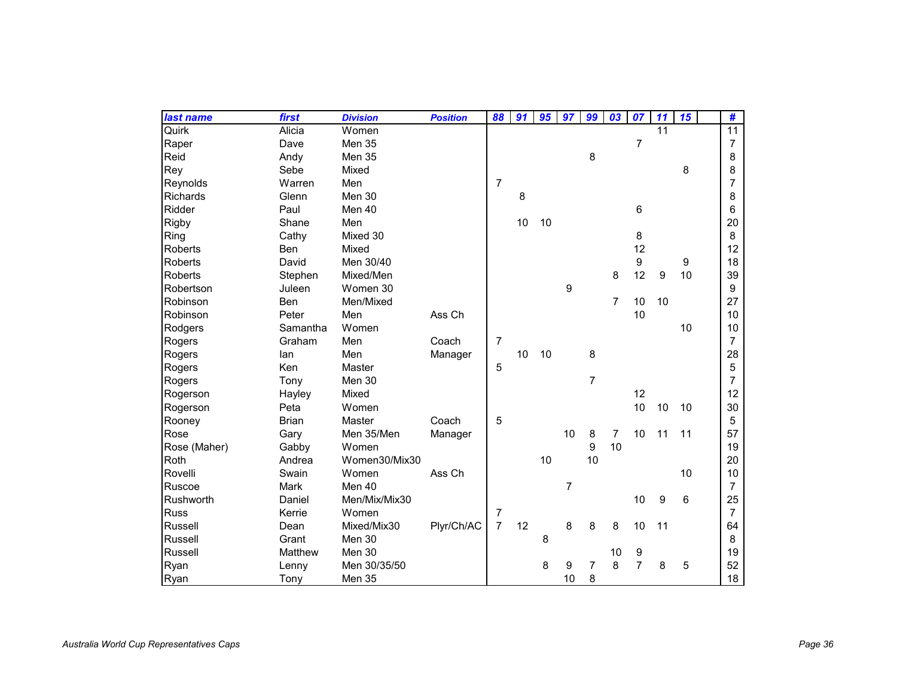| last name       | first        | <b>Division</b> | <b>Position</b> | 88             | 91 | 95 | 97             | 99             | 03             | 07             | 11               | 15 | #               |
|-----------------|--------------|-----------------|-----------------|----------------|----|----|----------------|----------------|----------------|----------------|------------------|----|-----------------|
| Quirk           | Alicia       | Women           |                 |                |    |    |                |                |                |                | 11               |    | $\overline{11}$ |
| Raper           | Dave         | Men 35          |                 |                |    |    |                |                |                | $\overline{7}$ |                  |    | 7               |
| Reid            | Andy         | Men 35          |                 |                |    |    |                | 8              |                |                |                  |    | 8               |
| Rey             | Sebe         | Mixed           |                 |                |    |    |                |                |                |                |                  | 8  | 8               |
| Reynolds        | Warren       | Men             |                 | $\overline{7}$ |    |    |                |                |                |                |                  |    | 7               |
| <b>Richards</b> | Glenn        | Men 30          |                 |                | 8  |    |                |                |                |                |                  |    | 8               |
| Ridder          | Paul         | Men 40          |                 |                |    |    |                |                |                | 6              |                  |    | 6               |
| Rigby           | Shane        | Men             |                 |                | 10 | 10 |                |                |                |                |                  |    | 20              |
| Ring            | Cathy        | Mixed 30        |                 |                |    |    |                |                |                | 8              |                  |    | 8               |
| Roberts         | <b>Ben</b>   | Mixed           |                 |                |    |    |                |                |                | 12             |                  |    | 12              |
| Roberts         | David        | Men 30/40       |                 |                |    |    |                |                |                | 9              |                  | 9  | 18              |
| Roberts         | Stephen      | Mixed/Men       |                 |                |    |    |                |                | 8              | 12             | $\boldsymbol{9}$ | 10 | 39              |
| Robertson       | Juleen       | Women 30        |                 |                |    |    | 9              |                |                |                |                  |    | 9               |
| Robinson        | Ben          | Men/Mixed       |                 |                |    |    |                |                | 7              | 10             | 10               |    | 27              |
| Robinson        | Peter        | Men             | Ass Ch          |                |    |    |                |                |                | 10             |                  |    | 10              |
| Rodgers         | Samantha     | Women           |                 |                |    |    |                |                |                |                |                  | 10 | 10              |
| Rogers          | Graham       | Men             | Coach           | 7              |    |    |                |                |                |                |                  |    | $\overline{7}$  |
| Rogers          | lan          | Men             | Manager         |                | 10 | 10 |                | 8              |                |                |                  |    | 28              |
| Rogers          | Ken          | Master          |                 | 5              |    |    |                |                |                |                |                  |    | 5               |
| Rogers          | Tony         | Men 30          |                 |                |    |    |                | $\overline{7}$ |                |                |                  |    | $\overline{7}$  |
| Rogerson        | Hayley       | Mixed           |                 |                |    |    |                |                |                | 12             |                  |    | 12              |
| Rogerson        | Peta         | Women           |                 |                |    |    |                |                |                | 10             | 10               | 10 | 30              |
| Rooney          | <b>Brian</b> | Master          | Coach           | 5              |    |    |                |                |                |                |                  |    | 5               |
| Rose            | Gary         | Men 35/Men      | Manager         |                |    |    | 10             | 8              | $\overline{7}$ | 10             | 11               | 11 | 57              |
| Rose (Maher)    | Gabby        | Women           |                 |                |    |    |                | 9              | 10             |                |                  |    | 19              |
| Roth            | Andrea       | Women30/Mix30   |                 |                |    | 10 |                | 10             |                |                |                  |    | 20              |
| Rovelli         | Swain        | Women           | Ass Ch          |                |    |    |                |                |                |                |                  | 10 | 10              |
| Ruscoe          | Mark         | Men 40          |                 |                |    |    | $\overline{7}$ |                |                |                |                  |    | $\overline{7}$  |
| Rushworth       | Daniel       | Men/Mix/Mix30   |                 |                |    |    |                |                |                | 10             | 9                | 6  | 25              |
| <b>Russ</b>     | Kerrie       | Women           |                 | 7              |    |    |                |                |                |                |                  |    | $\overline{7}$  |
| Russell         | Dean         | Mixed/Mix30     | Plyr/Ch/AC      | $\overline{7}$ | 12 |    | 8              | 8              | 8              | 10             | 11               |    | 64              |
| Russell         | Grant        | Men 30          |                 |                |    | 8  |                |                |                |                |                  |    | 8               |
| Russell         | Matthew      | Men 30          |                 |                |    |    |                |                | 10             | 9              |                  |    | 19              |
| Ryan            | Lenny        | Men 30/35/50    |                 |                |    | 8  | 9              | $\overline{7}$ | 8              | $\overline{7}$ | 8                | 5  | 52              |
| Ryan            | Tony         | Men 35          |                 |                |    |    | 10             | 8              |                |                |                  |    | 18              |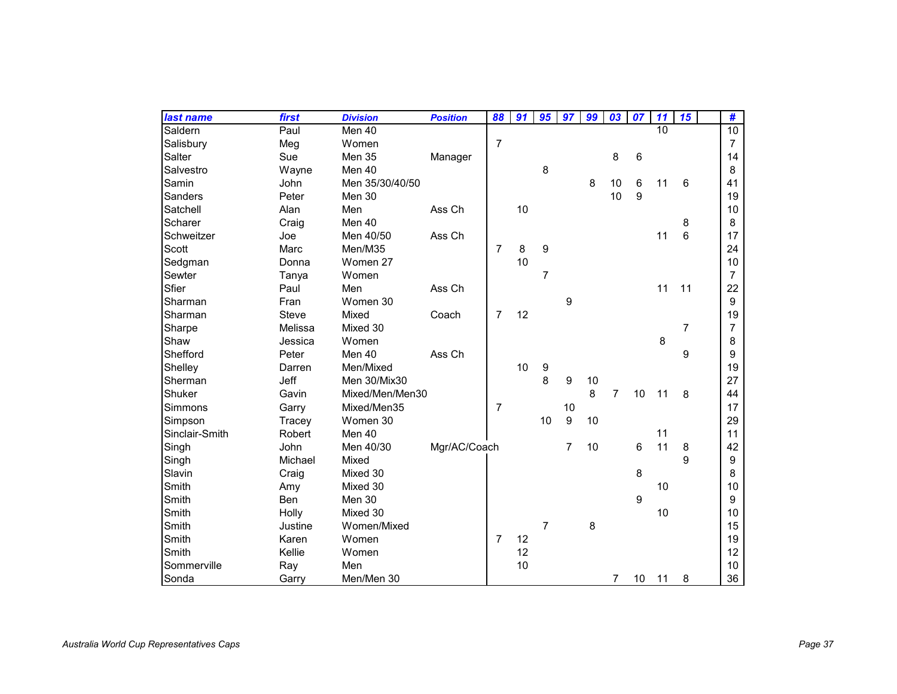| last name      | first       | <b>Division</b> | <b>Position</b> | 88             | 91 | 95             | 97             | 99 | 03             | 07 | 11 | 15 | #               |
|----------------|-------------|-----------------|-----------------|----------------|----|----------------|----------------|----|----------------|----|----|----|-----------------|
| Saldern        | Paul        | Men 40          |                 |                |    |                |                |    |                |    | 10 |    | $\overline{10}$ |
| Salisbury      | Meg         | Women           |                 | $\overline{7}$ |    |                |                |    |                |    |    |    | $\overline{7}$  |
| Salter         | Sue         | Men 35          | Manager         |                |    |                |                |    | 8              | 6  |    |    | 14              |
| Salvestro      | Wayne       | Men 40          |                 |                |    | 8              |                |    |                |    |    |    | 8               |
| Samin          | John        | Men 35/30/40/50 |                 |                |    |                |                | 8  | 10             | 6  | 11 | 6  | 41              |
| Sanders        | Peter       | Men 30          |                 |                |    |                |                |    | 10             | 9  |    |    | 19              |
| Satchell       | Alan        | Men             | Ass Ch          |                | 10 |                |                |    |                |    |    |    | 10              |
| Scharer        | Craig       | Men 40          |                 |                |    |                |                |    |                |    |    | 8  | 8               |
| Schweitzer     | Joe         | Men 40/50       | Ass Ch          |                |    |                |                |    |                |    | 11 | 6  | 17              |
| Scott          | Marc        | Men/M35         |                 | $\overline{7}$ | 8  | 9              |                |    |                |    |    |    | 24              |
| Sedgman        | Donna       | Women 27        |                 |                | 10 |                |                |    |                |    |    |    | 10              |
| Sewter         | Tanya       | Women           |                 |                |    | $\overline{7}$ |                |    |                |    |    |    | 7               |
| Sfier          | Paul        | Men             | Ass Ch          |                |    |                |                |    |                |    | 11 | 11 | 22              |
| Sharman        | Fran        | Women 30        |                 |                |    |                | 9              |    |                |    |    |    | 9               |
| Sharman        | Steve       | Mixed           | Coach           | $\overline{7}$ | 12 |                |                |    |                |    |    |    | 19              |
| Sharpe         | Melissa     | Mixed 30        |                 |                |    |                |                |    |                |    |    | 7  | $\overline{7}$  |
| Shaw           | Jessica     | Women           |                 |                |    |                |                |    |                |    | 8  |    | 8               |
| Shefford       | Peter       | Men 40          | Ass Ch          |                |    |                |                |    |                |    |    | 9  | 9               |
| Shelley        | Darren      | Men/Mixed       |                 |                | 10 | 9              |                |    |                |    |    |    | 19              |
| Sherman        | <b>Jeff</b> | Men 30/Mix30    |                 |                |    | 8              | 9              | 10 |                |    |    |    | 27              |
| Shuker         | Gavin       | Mixed/Men/Men30 |                 |                |    |                |                | 8  | $\overline{7}$ | 10 | 11 | 8  | 44              |
| Simmons        | Garry       | Mixed/Men35     |                 | $\overline{7}$ |    |                | 10             |    |                |    |    |    | 17              |
| Simpson        | Tracey      | Women 30        |                 |                |    | 10             | 9              | 10 |                |    |    |    | 29              |
| Sinclair-Smith | Robert      | Men 40          |                 |                |    |                |                |    |                |    | 11 |    | 11              |
| Singh          | John        | Men 40/30       | Mgr/AC/Coach    |                |    |                | $\overline{7}$ | 10 |                | 6  | 11 | 8  | 42              |
| Singh          | Michael     | Mixed           |                 |                |    |                |                |    |                |    |    | 9  | 9               |
| Slavin         | Craig       | Mixed 30        |                 |                |    |                |                |    |                | 8  |    |    | 8               |
| Smith          | Amy         | Mixed 30        |                 |                |    |                |                |    |                |    | 10 |    | 10              |
| Smith          | Ben         | Men 30          |                 |                |    |                |                |    |                | 9  |    |    | 9               |
| Smith          | Holly       | Mixed 30        |                 |                |    |                |                |    |                |    | 10 |    | 10              |
| Smith          | Justine     | Women/Mixed     |                 |                |    | $\overline{7}$ |                | 8  |                |    |    |    | 15              |
| Smith          | Karen       | Women           |                 | $\overline{7}$ | 12 |                |                |    |                |    |    |    | 19              |
| Smith          | Kellie      | Women           |                 |                | 12 |                |                |    |                |    |    |    | 12              |
| Sommerville    | Ray         | Men             |                 |                | 10 |                |                |    |                |    |    |    | 10              |
| Sonda          | Garry       | Men/Men 30      |                 |                |    |                |                |    | $\overline{7}$ | 10 | 11 | 8  | 36              |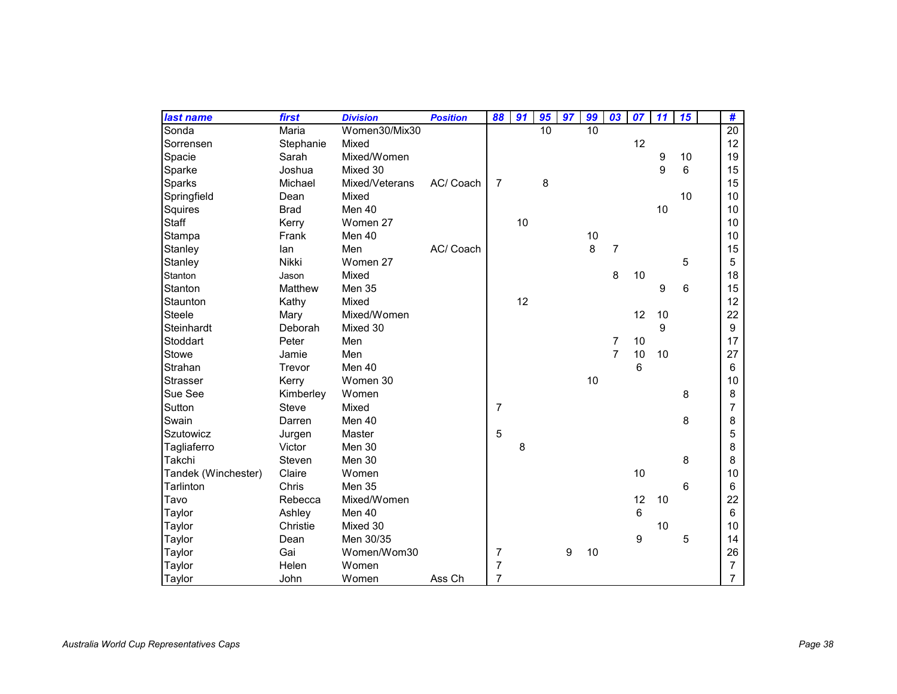| last name           | first       | <b>Division</b> | <b>Position</b> | 88             | 91 | 95 | 97 | 99 | 03             | 07 | 11 | 15 | #                |
|---------------------|-------------|-----------------|-----------------|----------------|----|----|----|----|----------------|----|----|----|------------------|
| Sonda               | Maria       | Women30/Mix30   |                 |                |    | 10 |    | 10 |                |    |    |    | 20               |
| Sorrensen           | Stephanie   | Mixed           |                 |                |    |    |    |    |                | 12 |    |    | 12               |
| Spacie              | Sarah       | Mixed/Women     |                 |                |    |    |    |    |                |    | 9  | 10 | 19               |
| Sparke              | Joshua      | Mixed 30        |                 |                |    |    |    |    |                |    | 9  | 6  | 15               |
| Sparks              | Michael     | Mixed/Veterans  | AC/ Coach       | $\overline{7}$ |    | 8  |    |    |                |    |    |    | 15               |
| Springfield         | Dean        | Mixed           |                 |                |    |    |    |    |                |    |    | 10 | 10               |
| Squires             | <b>Brad</b> | Men 40          |                 |                |    |    |    |    |                |    | 10 |    | 10               |
| Staff               | Kerry       | Women 27        |                 |                | 10 |    |    |    |                |    |    |    | 10               |
| Stampa              | Frank       | Men 40          |                 |                |    |    |    | 10 |                |    |    |    | 10               |
| Stanley             | lan         | Men             | AC/ Coach       |                |    |    |    | 8  | 7              |    |    |    | 15               |
| Stanley             | Nikki       | Women 27        |                 |                |    |    |    |    |                |    |    | 5  | 5                |
| Stanton             | Jason       | Mixed           |                 |                |    |    |    |    | 8              | 10 |    |    | 18               |
| Stanton             | Matthew     | Men 35          |                 |                |    |    |    |    |                |    | 9  | 6  | 15               |
| Staunton            | Kathy       | Mixed           |                 |                | 12 |    |    |    |                |    |    |    | 12               |
| <b>Steele</b>       | Mary        | Mixed/Women     |                 |                |    |    |    |    |                | 12 | 10 |    | 22               |
| Steinhardt          | Deborah     | Mixed 30        |                 |                |    |    |    |    |                |    | 9  |    | $\boldsymbol{9}$ |
| Stoddart            | Peter       | Men             |                 |                |    |    |    |    | 7              | 10 |    |    | 17               |
| Stowe               | Jamie       | Men             |                 |                |    |    |    |    | $\overline{7}$ | 10 | 10 |    | 27               |
| Strahan             | Trevor      | Men 40          |                 |                |    |    |    |    |                | 6  |    |    | 6                |
| <b>Strasser</b>     | Kerry       | Women 30        |                 |                |    |    |    | 10 |                |    |    |    | 10               |
| Sue See             | Kimberley   | Women           |                 |                |    |    |    |    |                |    |    | 8  | 8                |
| Sutton              | Steve       | Mixed           |                 | 7              |    |    |    |    |                |    |    |    | 7                |
| Swain               | Darren      | Men 40          |                 |                |    |    |    |    |                |    |    | 8  | 8                |
| Szutowicz           | Jurgen      | Master          |                 | 5              |    |    |    |    |                |    |    |    | 5                |
| Tagliaferro         | Victor      | Men 30          |                 |                | 8  |    |    |    |                |    |    |    | 8                |
| Takchi              | Steven      | Men 30          |                 |                |    |    |    |    |                |    |    | 8  | 8                |
| Tandek (Winchester) | Claire      | Women           |                 |                |    |    |    |    |                | 10 |    |    | 10               |
| Tarlinton           | Chris       | Men 35          |                 |                |    |    |    |    |                |    |    | 6  | 6                |
| Tavo                | Rebecca     | Mixed/Women     |                 |                |    |    |    |    |                | 12 | 10 |    | 22               |
| Taylor              | Ashley      | Men 40          |                 |                |    |    |    |    |                | 6  |    |    | 6                |
| Taylor              | Christie    | Mixed 30        |                 |                |    |    |    |    |                |    | 10 |    | 10               |
| Taylor              | Dean        | Men 30/35       |                 |                |    |    |    |    |                | 9  |    | 5  | 14               |
| Taylor              | Gai         | Women/Wom30     |                 | $\overline{7}$ |    |    | 9  | 10 |                |    |    |    | 26               |
| Taylor              | Helen       | Women           |                 | 7              |    |    |    |    |                |    |    |    | $\overline{7}$   |
| Taylor              | John        | Women           | Ass Ch          | 7              |    |    |    |    |                |    |    |    | $\overline{7}$   |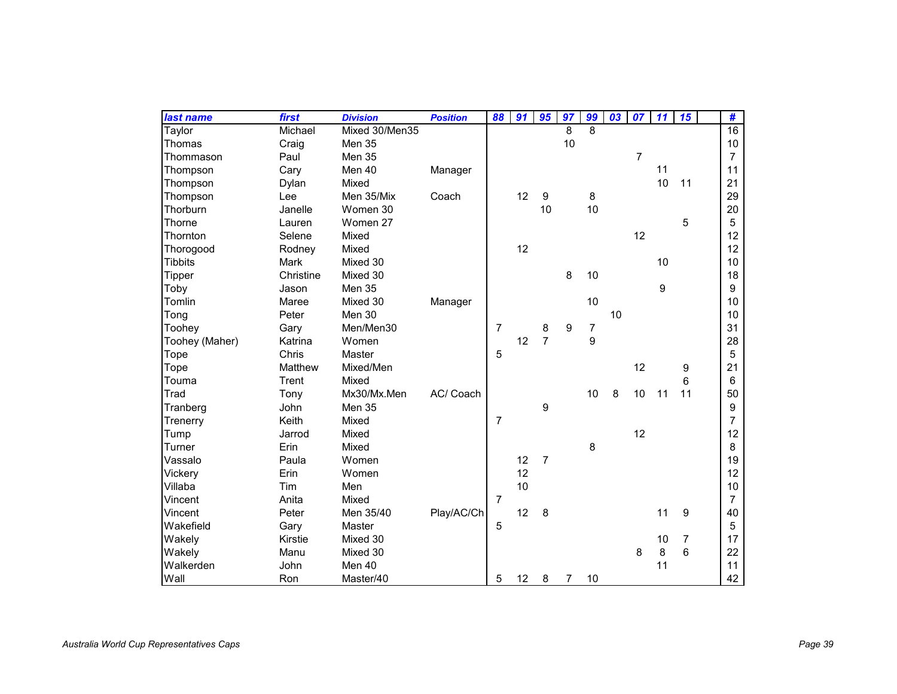| last name      | first       | <b>Division</b> | <b>Position</b> | 88             | 91 | 95             | 97             | 99 | 03 | 07             | 11 | 15             | #              |
|----------------|-------------|-----------------|-----------------|----------------|----|----------------|----------------|----|----|----------------|----|----------------|----------------|
| Taylor         | Michael     | Mixed 30/Men35  |                 |                |    |                | 8              | 8  |    |                |    |                | 16             |
| Thomas         | Craig       | Men 35          |                 |                |    |                | 10             |    |    |                |    |                | 10             |
| Thommason      | Paul        | <b>Men 35</b>   |                 |                |    |                |                |    |    | $\overline{7}$ |    |                | $\overline{7}$ |
| Thompson       | Cary        | Men 40          | Manager         |                |    |                |                |    |    |                | 11 |                | 11             |
| Thompson       | Dylan       | Mixed           |                 |                |    |                |                |    |    |                | 10 | 11             | 21             |
| Thompson       | Lee         | Men 35/Mix      | Coach           |                | 12 | 9              |                | 8  |    |                |    |                | 29             |
| Thorburn       | Janelle     | Women 30        |                 |                |    | 10             |                | 10 |    |                |    |                | 20             |
| Thorne         | Lauren      | Women 27        |                 |                |    |                |                |    |    |                |    | 5              | 5              |
| Thornton       | Selene      | Mixed           |                 |                |    |                |                |    |    | 12             |    |                | 12             |
| Thorogood      | Rodney      | Mixed           |                 |                | 12 |                |                |    |    |                |    |                | 12             |
| <b>Tibbits</b> | <b>Mark</b> | Mixed 30        |                 |                |    |                |                |    |    |                | 10 |                | 10             |
| Tipper         | Christine   | Mixed 30        |                 |                |    |                | 8              | 10 |    |                |    |                | 18             |
| Toby           | Jason       | Men 35          |                 |                |    |                |                |    |    |                | 9  |                | 9              |
| Tomlin         | Maree       | Mixed 30        | Manager         |                |    |                |                | 10 |    |                |    |                | 10             |
| Tong           | Peter       | Men 30          |                 |                |    |                |                |    | 10 |                |    |                | 10             |
| Toohey         | Gary        | Men/Men30       |                 | $\overline{7}$ |    | 8              | 9              | 7  |    |                |    |                | 31             |
| Toohey (Maher) | Katrina     | Women           |                 |                | 12 | $\overline{7}$ |                | 9  |    |                |    |                | 28             |
| Tope           | Chris       | Master          |                 | 5              |    |                |                |    |    |                |    |                | 5              |
| Tope           | Matthew     | Mixed/Men       |                 |                |    |                |                |    |    | 12             |    | 9              | 21             |
| Touma          | Trent       | Mixed           |                 |                |    |                |                |    |    |                |    | 6              | 6              |
| Trad           | Tony        | Mx30/Mx.Men     | AC/ Coach       |                |    |                |                | 10 | 8  | 10             | 11 | 11             | 50             |
| Tranberg       | John        | Men 35          |                 |                |    | 9              |                |    |    |                |    |                | 9              |
| Trenerry       | Keith       | Mixed           |                 | $\overline{7}$ |    |                |                |    |    |                |    |                | $\overline{7}$ |
| Tump           | Jarrod      | Mixed           |                 |                |    |                |                |    |    | 12             |    |                | 12             |
| Turner         | Erin        | Mixed           |                 |                |    |                |                | 8  |    |                |    |                | 8              |
| Vassalo        | Paula       | Women           |                 |                | 12 | $\overline{7}$ |                |    |    |                |    |                | 19             |
| Vickery        | Erin        | Women           |                 |                | 12 |                |                |    |    |                |    |                | 12             |
| Villaba        | Tim         | Men             |                 |                | 10 |                |                |    |    |                |    |                | 10             |
| Vincent        | Anita       | Mixed           |                 | $\overline{7}$ |    |                |                |    |    |                |    |                | $\overline{7}$ |
| Vincent        | Peter       | Men 35/40       | Play/AC/Ch      |                | 12 | 8              |                |    |    |                | 11 | 9              | 40             |
| Wakefield      | Gary        | Master          |                 | 5              |    |                |                |    |    |                |    |                | 5              |
| Wakely         | Kirstie     | Mixed 30        |                 |                |    |                |                |    |    |                | 10 | $\overline{7}$ | 17             |
| Wakely         | Manu        | Mixed 30        |                 |                |    |                |                |    |    | 8              | 8  | 6              | 22             |
| Walkerden      | John        | Men 40          |                 |                |    |                |                |    |    |                | 11 |                | 11             |
| Wall           | Ron         | Master/40       |                 | 5              | 12 | 8              | $\overline{7}$ | 10 |    |                |    |                | 42             |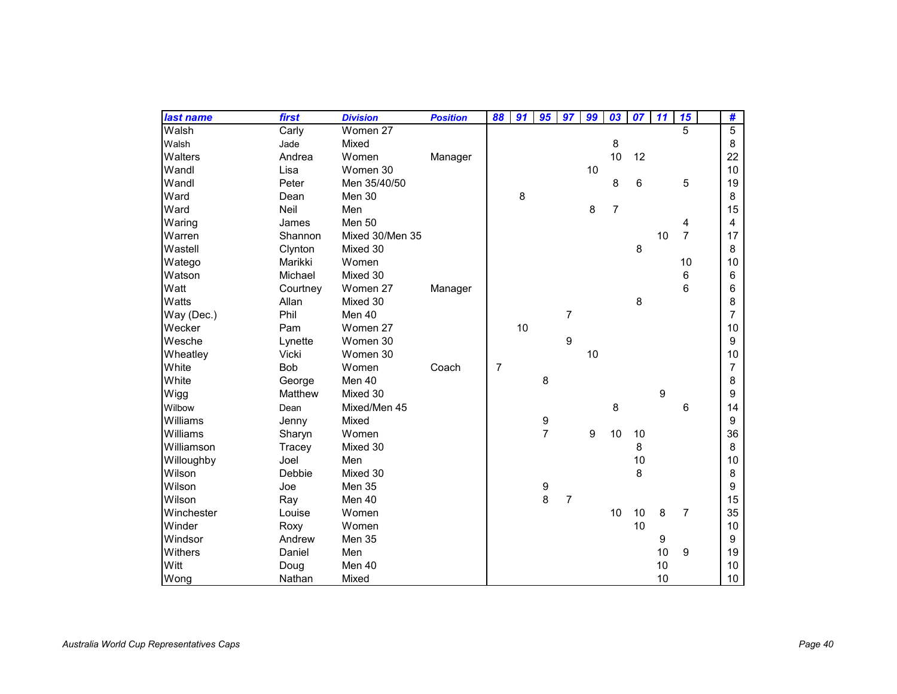| last name  | first      | <b>Division</b> | <b>Position</b> | 88 | 91 | 95             | 97             | 99 | 03             | 07 | 11 | 15             | #              |
|------------|------------|-----------------|-----------------|----|----|----------------|----------------|----|----------------|----|----|----------------|----------------|
| Walsh      | Carly      | Women 27        |                 |    |    |                |                |    |                |    |    | 5              | $\overline{5}$ |
| Walsh      | Jade       | Mixed           |                 |    |    |                |                |    | 8              |    |    |                | 8              |
| Walters    | Andrea     | Women           | Manager         |    |    |                |                |    | 10             | 12 |    |                | 22             |
| Wandl      | Lisa       | Women 30        |                 |    |    |                |                | 10 |                |    |    |                | 10             |
| Wandl      | Peter      | Men 35/40/50    |                 |    |    |                |                |    | 8              | 6  |    | 5              | 19             |
| Ward       | Dean       | Men 30          |                 |    | 8  |                |                |    |                |    |    |                | 8              |
| Ward       | Neil       | Men             |                 |    |    |                |                | 8  | $\overline{7}$ |    |    |                | 15             |
| Waring     | James      | Men 50          |                 |    |    |                |                |    |                |    |    | 4              | $\overline{4}$ |
| Warren     | Shannon    | Mixed 30/Men 35 |                 |    |    |                |                |    |                |    | 10 | $\overline{7}$ | 17             |
| Wastell    | Clynton    | Mixed 30        |                 |    |    |                |                |    |                | 8  |    |                | 8              |
| Watego     | Marikki    | Women           |                 |    |    |                |                |    |                |    |    | 10             | 10             |
| Watson     | Michael    | Mixed 30        |                 |    |    |                |                |    |                |    |    | 6              | 6              |
| Watt       | Courtney   | Women 27        | Manager         |    |    |                |                |    |                |    |    | 6              | 6              |
| Watts      | Allan      | Mixed 30        |                 |    |    |                |                |    |                | 8  |    |                | 8              |
| Way (Dec.) | Phil       | Men 40          |                 |    |    |                | $\overline{7}$ |    |                |    |    |                | $\overline{7}$ |
| Wecker     | Pam        | Women 27        |                 |    | 10 |                |                |    |                |    |    |                | 10             |
| Wesche     | Lynette    | Women 30        |                 |    |    |                | 9              |    |                |    |    |                | 9              |
| Wheatley   | Vicki      | Women 30        |                 |    |    |                |                | 10 |                |    |    |                | 10             |
| White      | <b>Bob</b> | Women           | Coach           | 7  |    |                |                |    |                |    |    |                | $\overline{7}$ |
| White      | George     | Men 40          |                 |    |    | 8              |                |    |                |    |    |                | 8              |
| Wigg       | Matthew    | Mixed 30        |                 |    |    |                |                |    |                |    | 9  |                | 9              |
| Wilbow     | Dean       | Mixed/Men 45    |                 |    |    |                |                |    | 8              |    |    | 6              | 14             |
| Williams   | Jenny      | Mixed           |                 |    |    | 9              |                |    |                |    |    |                | 9              |
| Williams   | Sharyn     | Women           |                 |    |    | $\overline{7}$ |                | 9  | 10             | 10 |    |                | 36             |
| Williamson | Tracey     | Mixed 30        |                 |    |    |                |                |    |                | 8  |    |                | 8              |
| Willoughby | Joel       | Men             |                 |    |    |                |                |    |                | 10 |    |                | 10             |
| Wilson     | Debbie     | Mixed 30        |                 |    |    |                |                |    |                | 8  |    |                | 8              |
| Wilson     | Joe        | Men 35          |                 |    |    | 9              |                |    |                |    |    |                | 9              |
| Wilson     | Ray        | Men 40          |                 |    |    | 8              | $\overline{7}$ |    |                |    |    |                | 15             |
| Winchester | Louise     | Women           |                 |    |    |                |                |    | 10             | 10 | 8  | $\overline{7}$ | 35             |
| Winder     | Roxy       | Women           |                 |    |    |                |                |    |                | 10 |    |                | 10             |
| Windsor    | Andrew     | Men 35          |                 |    |    |                |                |    |                |    | 9  |                | 9              |
| Withers    | Daniel     | Men             |                 |    |    |                |                |    |                |    | 10 | 9              | 19             |
| Witt       | Doug       | Men 40          |                 |    |    |                |                |    |                |    | 10 |                | 10             |
| Wong       | Nathan     | Mixed           |                 |    |    |                |                |    |                |    | 10 |                | 10             |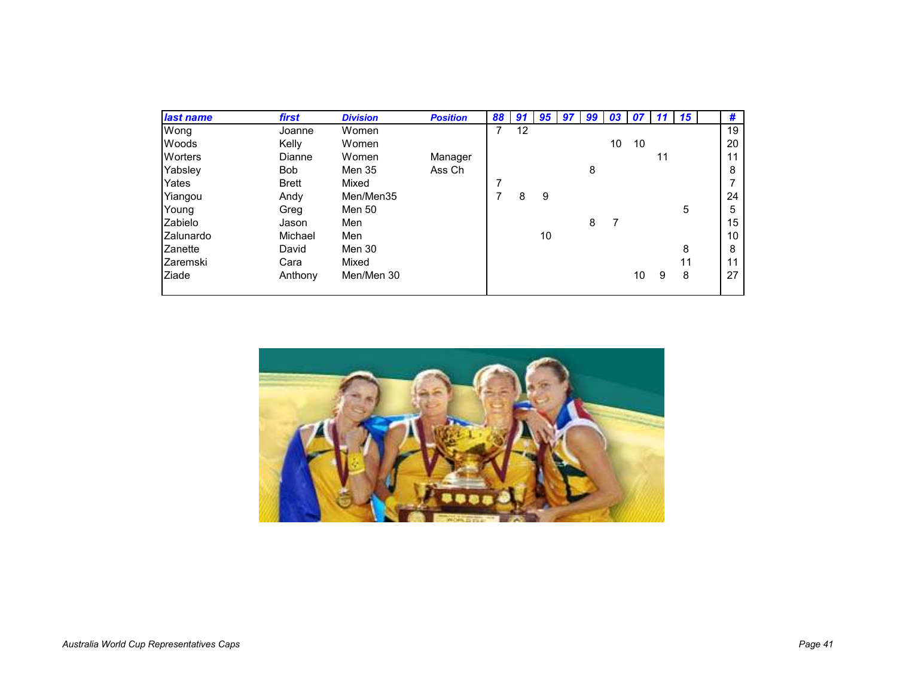| last name      | first        | <b>Division</b> | <b>Position</b> | 88 | 91 | 95 | 97 | 99 | 03 | U 1 |    | 15 | #  |
|----------------|--------------|-----------------|-----------------|----|----|----|----|----|----|-----|----|----|----|
| Wong           | Joanne       | Women           |                 | 7  | 12 |    |    |    |    |     |    |    | 19 |
| Woods          | Kelly        | Women           |                 |    |    |    |    |    | 10 | 10  |    |    | 20 |
| <b>Worters</b> | Dianne       | Women           | Manager         |    |    |    |    |    |    |     | 11 |    | 11 |
| Yabsley        | <b>Bob</b>   | Men 35          | Ass Ch          |    |    |    |    | 8  |    |     |    |    | 8  |
| Yates          | <b>Brett</b> | Mixed           |                 | 7  |    |    |    |    |    |     |    |    |    |
| Yiangou        | Andy         | Men/Men35       |                 |    | 8  | 9  |    |    |    |     |    |    | 24 |
| Young          | Greg         | Men 50          |                 |    |    |    |    |    |    |     |    | 5  | 5  |
| Zabielo        | Jason        | Men             |                 |    |    |    |    | 8  |    |     |    |    | 15 |
| Zalunardo      | Michael      | Men             |                 |    |    | 10 |    |    |    |     |    |    | 10 |
| Zanette        | David        | Men 30          |                 |    |    |    |    |    |    |     |    | 8  | 8  |
| Zaremski       | Cara         | Mixed           |                 |    |    |    |    |    |    |     |    | 11 | 11 |
| Ziade          | Anthony      | Men/Men 30      |                 |    |    |    |    |    |    | 10  | 9  | 8  | 27 |
|                |              |                 |                 |    |    |    |    |    |    |     |    |    |    |

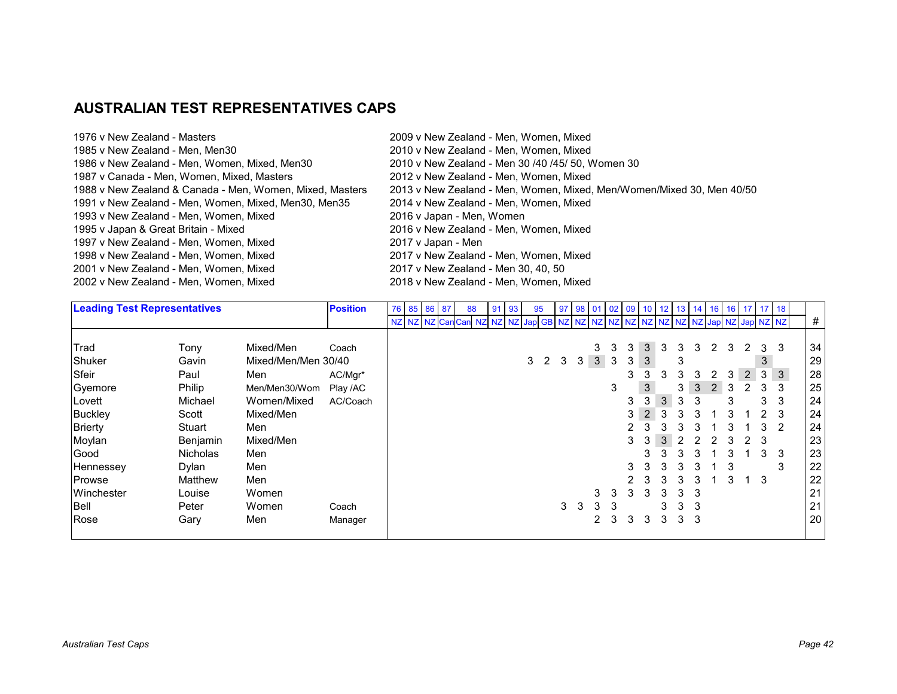# **AUSTRALIAN TEST REPRESENTATIVES CAPS**

| 1976 v New Zealand - Masters                             | 2009 v New Zealand - Men, Women, Mixed                                |
|----------------------------------------------------------|-----------------------------------------------------------------------|
| 1985 v New Zealand - Men, Men30                          | 2010 v New Zealand - Men, Women, Mixed                                |
| 1986 v New Zealand - Men, Women, Mixed, Men30            | 2010 v New Zealand - Men 30 /40 /45/ 50, Women 30                     |
| 1987 v Canada - Men, Women, Mixed, Masters               | 2012 v New Zealand - Men, Women, Mixed                                |
| 1988 v New Zealand & Canada - Men, Women, Mixed, Masters | 2013 v New Zealand - Men, Women, Mixed, Men/Women/Mixed 30, Men 40/50 |
| 1991 v New Zealand - Men, Women, Mixed, Men30, Men35     | 2014 v New Zealand - Men, Women, Mixed                                |
| 1993 v New Zealand - Men, Women, Mixed                   | 2016 v Japan - Men, Women                                             |
| 1995 v Japan & Great Britain - Mixed                     | 2016 v New Zealand - Men, Women, Mixed                                |
| 1997 v New Zealand - Men, Women, Mixed                   | 2017 v Japan - Men                                                    |
| 1998 v New Zealand - Men, Women, Mixed                   | 2017 v New Zealand - Men, Women, Mixed                                |
| 2001 v New Zealand - Men, Women, Mixed                   | 2017 v New Zealand - Men 30, 40, 50                                   |
| 2002 v New Zealand - Men, Women, Mixed                   | 2018 v New Zealand - Men, Women, Mixed                                |
|                                                          |                                                                       |

| <b>Leading Test Representatives</b> |                 |                     | <b>Position</b> | 76 85 86 87      |  | 88 | 91 | 93 | 95           |                   | 97 |             |              |   |   |   |                                             |   |   |   |   |                | 98   01   02   09   10   12   13   14   16   16   17   17   18 |       |    |
|-------------------------------------|-----------------|---------------------|-----------------|------------------|--|----|----|----|--------------|-------------------|----|-------------|--------------|---|---|---|---------------------------------------------|---|---|---|---|----------------|----------------------------------------------------------------|-------|----|
|                                     |                 |                     |                 | NZ NZ NZ Can Can |  |    |    |    | NZ NZ NZ Jap |                   |    |             |              |   |   |   | GB NZ NZ NZ NZ NZ NZ NZ NZ NZ NZ Jap NZ Jap |   |   |   |   |                |                                                                | NZ NZ | #  |
|                                     |                 |                     |                 |                  |  |    |    |    |              |                   |    |             |              |   |   |   |                                             |   |   |   |   |                |                                                                |       |    |
| Trad                                | Tony            | Mixed/Men           | Coach           |                  |  |    |    |    |              |                   |    |             | 3            | 3 | 3 | 3 | 3                                           | 3 | 3 | 2 | 3 | 2              | 3                                                              | -3    | 34 |
| Shuker                              | Gavin           | Mixed/Men/Men 30/40 |                 |                  |  |    |    |    |              | $3\quad 2\quad 3$ |    | 3           | $\mathbf{3}$ | 3 | 3 | 3 |                                             | 3 |   |   |   |                | 3                                                              |       | 29 |
| Sfeir                               | Paul            | Men                 | AC/Mgr*         |                  |  |    |    |    |              |                   |    |             |              |   | 3 | 3 | 3                                           | 3 | 3 | 2 | 3 | $\overline{2}$ | 3                                                              | 3     | 28 |
| Gyemore                             | Philip          | Men/Men30/Wom       | Play /AC        |                  |  |    |    |    |              |                   |    |             |              | 3 |   | 3 |                                             | 3 | 3 | 2 | 3 | $\mathfrak{p}$ | 3                                                              | 3     | 25 |
| Lovett                              | Michael         | Women/Mixed         | AC/Coach        |                  |  |    |    |    |              |                   |    |             |              |   | 3 | 3 | 3                                           | 3 | 3 |   | 3 |                | 3                                                              | 3     | 24 |
| Buckley                             | Scott           | Mixed/Men           |                 |                  |  |    |    |    |              |                   |    |             |              |   | 3 | 2 | 3                                           | 3 | 3 |   | 3 |                |                                                                | 3     | 24 |
| <b>Brierty</b>                      | Stuart          | Men                 |                 |                  |  |    |    |    |              |                   |    |             |              |   | 2 |   |                                             |   | 3 |   |   |                | 3                                                              | 2     | 24 |
| Moylan                              | Benjamin        | Mixed/Men           |                 |                  |  |    |    |    |              |                   |    |             |              |   | 3 | 3 | 3                                           | 2 |   |   | 3 | $\mathcal{P}$  | -3                                                             |       | 23 |
| Good                                | <b>Nicholas</b> | Men                 |                 |                  |  |    |    |    |              |                   |    |             |              |   |   | 3 | 3                                           |   | 3 |   | 3 |                | 3                                                              | 3     | 23 |
| Hennessey                           | Dylan           | Men                 |                 |                  |  |    |    |    |              |                   |    |             |              |   | 3 | 3 | 3                                           | 3 | 3 |   | 3 |                |                                                                | 3     | 22 |
| Prowse                              | Matthew         | Men                 |                 |                  |  |    |    |    |              |                   |    |             |              |   |   | 3 | 3                                           | 3 | 3 |   | 3 | $\mathbf 1$    | 3                                                              |       | 22 |
| Winchester                          | Louise          | Women               |                 |                  |  |    |    |    |              |                   |    |             | 3            | 3 | 3 | 3 | 3                                           | 3 | 3 |   |   |                |                                                                |       | 21 |
| <b>Bell</b>                         | Peter           | Women               | Coach           |                  |  |    |    |    |              |                   | 3  | $3^{\circ}$ | 3            | 3 |   |   | 3                                           | 3 | 3 |   |   |                |                                                                |       | 21 |
| Rose                                | Gary            | Men                 | Manager         |                  |  |    |    |    |              |                   |    |             | 2            | 3 | 3 | 3 | 3                                           | 3 | 3 |   |   |                |                                                                |       | 20 |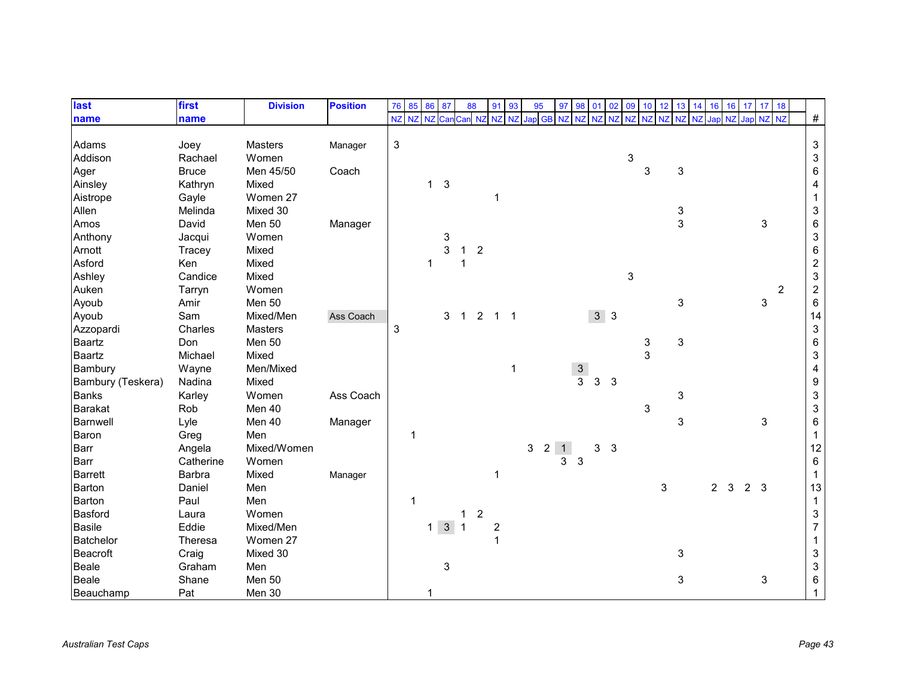| last              | first        | <b>Division</b> | <b>Position</b> | 76             | 85        | 86           | 87                  | 88             |                | 91             | 93        | 95  | 97                           | 98             | 01             | 02             | 09 | 10 <sup>1</sup> | 12        | 13                        | 16<br>14 | 16             |    | 17 <sup>1</sup> | 17 18 |                |                           |
|-------------------|--------------|-----------------|-----------------|----------------|-----------|--------------|---------------------|----------------|----------------|----------------|-----------|-----|------------------------------|----------------|----------------|----------------|----|-----------------|-----------|---------------------------|----------|----------------|----|-----------------|-------|----------------|---------------------------|
| name              | name         |                 |                 | NZ             | <b>NZ</b> | NZ           | Car                 | Can NZ         |                | <b>NZ</b>      | <b>NZ</b> | Jap | <b>NZ</b><br><b>GB</b>       | N <sub>7</sub> | NZ             | <b>NZ</b>      | NZ | <b>NZ</b>       | <b>NZ</b> | <b>NZ</b>                 | Jap      |                | NZ | Jap NZ          |       | <b>NZ</b>      | $\#$                      |
|                   |              |                 |                 |                |           |              |                     |                |                |                |           |     |                              |                |                |                |    |                 |           |                           |          |                |    |                 |       |                |                           |
| Adams             | Joey         | Masters         | Manager         | $\mathfrak{S}$ |           |              |                     |                |                |                |           |     |                              |                |                |                |    |                 |           |                           |          |                |    |                 |       |                | $\ensuremath{\mathsf{3}}$ |
| Addison           | Rachael      | Women           |                 |                |           |              |                     |                |                |                |           |     |                              |                |                |                | 3  |                 |           |                           |          |                |    |                 |       |                | $\ensuremath{\mathsf{3}}$ |
| Ager              | <b>Bruce</b> | Men 45/50       | Coach           |                |           |              |                     |                |                |                |           |     |                              |                |                |                |    | 3               |           | 3                         |          |                |    |                 |       |                | $\,6\,$                   |
| Ainsley           | Kathryn      | Mixed           |                 |                |           | $\mathbf{1}$ | $\mathbf{3}$        |                |                |                |           |     |                              |                |                |                |    |                 |           |                           |          |                |    |                 |       |                | 4                         |
| Aistrope          | Gayle        | Women 27        |                 |                |           |              |                     |                |                | 1              |           |     |                              |                |                |                |    |                 |           |                           |          |                |    |                 |       |                | $\mathbf{1}$              |
| Allen             | Melinda      | Mixed 30        |                 |                |           |              |                     |                |                |                |           |     |                              |                |                |                |    |                 |           | 3                         |          |                |    |                 |       |                | $\ensuremath{\mathsf{3}}$ |
| Amos              | David        | Men 50          | Manager         |                |           |              |                     |                |                |                |           |     |                              |                |                |                |    |                 |           | 3                         |          |                |    |                 | 3     |                | $\,6\,$                   |
| Anthony           | Jacqui       | Women           |                 |                |           |              | 3                   |                |                |                |           |     |                              |                |                |                |    |                 |           |                           |          |                |    |                 |       |                | $\ensuremath{\mathsf{3}}$ |
| Arnott            | Tracey       | Mixed           |                 |                |           |              | 3                   | $\mathbf{1}$   | $\overline{2}$ |                |           |     |                              |                |                |                |    |                 |           |                           |          |                |    |                 |       |                | $\,6\,$                   |
| Asford            | Ken          | Mixed           |                 |                |           | 1            |                     |                |                |                |           |     |                              |                |                |                |    |                 |           |                           |          |                |    |                 |       |                | $\sqrt{2}$                |
| Ashley            | Candice      | Mixed           |                 |                |           |              |                     |                |                |                |           |     |                              |                |                |                | 3  |                 |           |                           |          |                |    |                 |       |                | $\ensuremath{\mathsf{3}}$ |
| Auken             | Tarryn       | Women           |                 |                |           |              |                     |                |                |                |           |     |                              |                |                |                |    |                 |           |                           |          |                |    |                 |       | $\overline{2}$ | $\boldsymbol{2}$          |
| Ayoub             | Amir         | Men 50          |                 |                |           |              |                     |                |                |                |           |     |                              |                |                |                |    |                 |           | 3                         |          |                |    |                 | 3     |                | 6                         |
| Ayoub             | Sam          | Mixed/Men       | Ass Coach       |                |           |              | 3                   | $\overline{1}$ | $\overline{c}$ | $1 \quad 1$    |           |     |                              |                |                | 3 <sup>3</sup> |    |                 |           |                           |          |                |    |                 |       |                | 14                        |
| Azzopardi         | Charles      | <b>Masters</b>  |                 | 3              |           |              |                     |                |                |                |           |     |                              |                |                |                |    |                 |           |                           |          |                |    |                 |       |                | $\mathbf{3}$              |
| Baartz            | Don          | Men 50          |                 |                |           |              |                     |                |                |                |           |     |                              |                |                |                |    | 3               |           | $\mathbf{3}$              |          |                |    |                 |       |                | $\,6\,$                   |
| <b>Baartz</b>     | Michael      | Mixed           |                 |                |           |              |                     |                |                |                |           |     |                              |                |                |                |    | 3               |           |                           |          |                |    |                 |       |                | $\ensuremath{\mathsf{3}}$ |
| Bambury           | Wayne        | Men/Mixed       |                 |                |           |              |                     |                |                |                | 1         |     |                              | $\frac{3}{3}$  |                |                |    |                 |           |                           |          |                |    |                 |       |                | $\overline{\mathbf{4}}$   |
| Bambury (Teskera) | Nadina       | Mixed           |                 |                |           |              |                     |                |                |                |           |     |                              |                | $\mathsf 3$    | $\mathbf{3}$   |    |                 |           |                           |          |                |    |                 |       |                | $\boldsymbol{9}$          |
| <b>Banks</b>      | Karley       | Women           | Ass Coach       |                |           |              |                     |                |                |                |           |     |                              |                |                |                |    |                 |           | $\ensuremath{\mathsf{3}}$ |          |                |    |                 |       |                | $\ensuremath{\mathsf{3}}$ |
| <b>Barakat</b>    | Rob          | Men 40          |                 |                |           |              |                     |                |                |                |           |     |                              |                |                |                |    | 3               |           |                           |          |                |    |                 |       |                | $\ensuremath{\mathsf{3}}$ |
| <b>Barnwell</b>   | Lyle         | Men 40          | Manager         |                |           |              |                     |                |                |                |           |     |                              |                |                |                |    |                 |           | 3                         |          |                |    |                 | 3     |                | $\,6\,$                   |
| Baron             | Greg         | Men             |                 |                | 1         |              |                     |                |                |                |           |     |                              |                |                |                |    |                 |           |                           |          |                |    |                 |       |                | $\mathbf{1}$              |
| <b>Barr</b>       | Angela       | Mixed/Women     |                 |                |           |              |                     |                |                |                |           | 3   | 2 <sup>1</sup><br>$\bigodot$ |                | 3 <sup>1</sup> | $\mathbf{3}$   |    |                 |           |                           |          |                |    |                 |       |                | 12                        |
| <b>Barr</b>       | Catherine    | Women           |                 |                |           |              |                     |                |                |                |           |     | 3                            | 3              |                |                |    |                 |           |                           |          |                |    |                 |       |                | $\,6\,$                   |
| <b>Barrett</b>    | Barbra       | Mixed           | Manager         |                |           |              |                     |                |                | 1              |           |     |                              |                |                |                |    |                 |           |                           |          |                |    |                 |       |                | $\mathbf{1}$              |
| Barton            | Daniel       | Men             |                 |                |           |              |                     |                |                |                |           |     |                              |                |                |                |    |                 | 3         |                           |          | 2 <sub>3</sub> |    | 2 <sub>3</sub>  |       |                | 13                        |
| Barton            | Paul         | Men             |                 |                | 1         |              |                     |                |                |                |           |     |                              |                |                |                |    |                 |           |                           |          |                |    |                 |       |                | $\mathbf{1}$              |
| Basford           | Laura        | Women           |                 |                |           |              |                     | 1              | $\overline{c}$ |                |           |     |                              |                |                |                |    |                 |           |                           |          |                |    |                 |       |                | $\ensuremath{\mathsf{3}}$ |
| <b>Basile</b>     | Eddie        | Mixed/Men       |                 |                |           |              | $1 \quad 3 \quad 1$ |                |                | $\overline{c}$ |           |     |                              |                |                |                |    |                 |           |                           |          |                |    |                 |       |                | $\overline{7}$            |
| <b>Batchelor</b>  | Theresa      | Women 27        |                 |                |           |              |                     |                |                | 1              |           |     |                              |                |                |                |    |                 |           |                           |          |                |    |                 |       |                | $\mathbf{1}$              |
| <b>Beacroft</b>   | Craig        | Mixed 30        |                 |                |           |              |                     |                |                |                |           |     |                              |                |                |                |    |                 |           | 3                         |          |                |    |                 |       |                | $\ensuremath{\mathsf{3}}$ |
| <b>Beale</b>      | Graham       | Men             |                 |                |           |              | 3                   |                |                |                |           |     |                              |                |                |                |    |                 |           |                           |          |                |    |                 |       |                | $\ensuremath{\mathsf{3}}$ |
| <b>Beale</b>      | Shane        | Men 50          |                 |                |           |              |                     |                |                |                |           |     |                              |                |                |                |    |                 |           | 3                         |          |                |    |                 | 3     |                | $\,6\,$                   |
| Beauchamp         | Pat          | Men 30          |                 |                |           |              |                     |                |                |                |           |     |                              |                |                |                |    |                 |           |                           |          |                |    |                 |       |                |                           |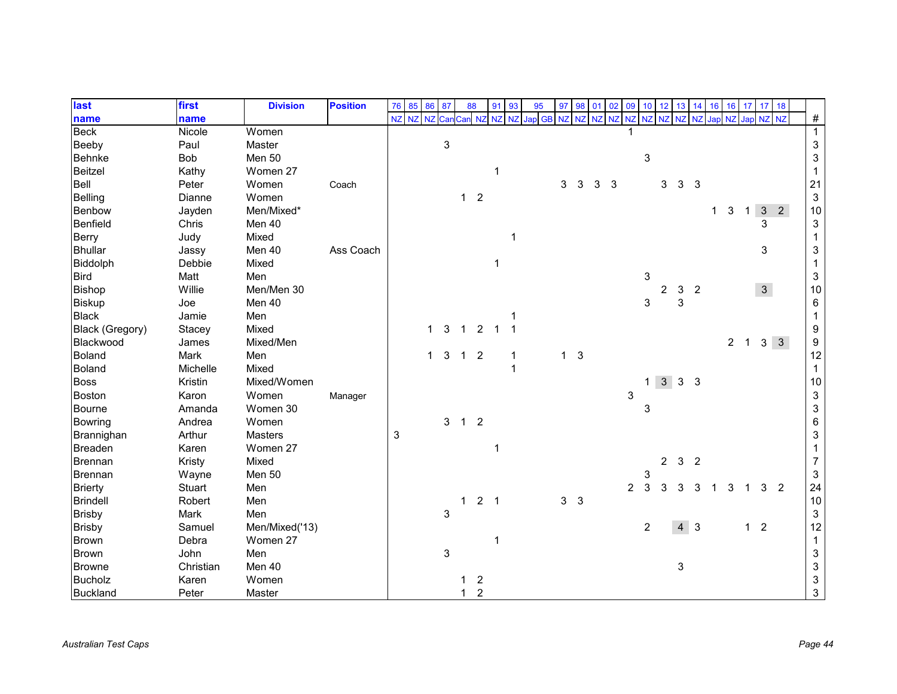| last            | first     | <b>Division</b> | <b>Position</b> | 76 | 85        | 86 87     |              | 88           |                | 91    | 93 | 95     | 97             | 98         | 01       | 02 | 09             | 10 <sup>°</sup> | 12             | 13             | 14                         | 16          | 16             | 17           | 17 18          |             |                           |
|-----------------|-----------|-----------------|-----------------|----|-----------|-----------|--------------|--------------|----------------|-------|----|--------|----------------|------------|----------|----|----------------|-----------------|----------------|----------------|----------------------------|-------------|----------------|--------------|----------------|-------------|---------------------------|
| name            | name      |                 |                 | NZ | <b>NZ</b> | <b>NZ</b> | Can          |              | <b>NZ</b>      | NZ NZ |    | Jap GB | <b>NZ</b>      |            | NZ NZ NZ |    | NZ             |                 | NZ NZ          | <b>NZ</b>      | <b>NZ</b>                  | <b>Jap</b>  | <b>N7</b>      | Jap NZ NZ    |                |             | $\#$                      |
| <b>Beck</b>     | Nicole    | Women           |                 |    |           |           |              |              |                |       |    |        |                |            |          |    |                |                 |                |                |                            |             |                |              |                |             | $\mathbf 1$               |
| Beeby           | Paul      | Master          |                 |    |           |           | $\mathbf{3}$ |              |                |       |    |        |                |            |          |    |                |                 |                |                |                            |             |                |              |                |             | $\ensuremath{\mathsf{3}}$ |
| <b>Behnke</b>   | Bob       | Men 50          |                 |    |           |           |              |              |                |       |    |        |                |            |          |    |                | 3               |                |                |                            |             |                |              |                |             | $\ensuremath{\mathsf{3}}$ |
| <b>Beitzel</b>  | Kathy     | Women 27        |                 |    |           |           |              |              |                |       |    |        |                |            |          |    |                |                 |                |                |                            |             |                |              |                |             | -1                        |
| Bell            | Peter     | Women           | Coach           |    |           |           |              |              |                |       |    |        | 3              | 3          | 3        | 3  |                |                 | 3              | 3              | $\mathbf{3}$               |             |                |              |                |             | 21                        |
| Belling         | Dianne    | Women           |                 |    |           |           |              | $\mathbf{1}$ | $\overline{2}$ |       |    |        |                |            |          |    |                |                 |                |                |                            |             |                |              |                |             | 3                         |
| Benbow          | Jayden    | Men/Mixed*      |                 |    |           |           |              |              |                |       |    |        |                |            |          |    |                |                 |                |                |                            | $\mathbf 1$ | 3              | $\mathbf{1}$ |                | $3\quad2$   | 10                        |
| <b>Benfield</b> | Chris     | Men 40          |                 |    |           |           |              |              |                |       |    |        |                |            |          |    |                |                 |                |                |                            |             |                |              | 3              |             | 3                         |
| <b>Berry</b>    | Judy      | Mixed           |                 |    |           |           |              |              |                |       |    |        |                |            |          |    |                |                 |                |                |                            |             |                |              |                |             |                           |
| <b>Bhullar</b>  | Jassy     | Men 40          | Ass Coach       |    |           |           |              |              |                |       |    |        |                |            |          |    |                |                 |                |                |                            |             |                |              | 3              |             | 3                         |
| Biddolph        | Debbie    | Mixed           |                 |    |           |           |              |              |                |       |    |        |                |            |          |    |                |                 |                |                |                            |             |                |              |                |             | -1                        |
| <b>Bird</b>     | Matt      | Men             |                 |    |           |           |              |              |                |       |    |        |                |            |          |    |                | 3               |                |                |                            |             |                |              |                |             | 3                         |
| <b>Bishop</b>   | Willie    | Men/Men 30      |                 |    |           |           |              |              |                |       |    |        |                |            |          |    |                |                 | 2              | 3              | $\overline{c}$             |             |                |              | 3 <sup>1</sup> |             | 10                        |
| <b>Biskup</b>   | Joe       | Men 40          |                 |    |           |           |              |              |                |       |    |        |                |            |          |    |                | 3               |                | 3              |                            |             |                |              |                |             | 6                         |
| <b>Black</b>    | Jamie     | Men             |                 |    |           |           |              |              |                |       |    |        |                |            |          |    |                |                 |                |                |                            |             |                |              |                |             |                           |
| Black (Gregory) | Stacey    | Mixed           |                 |    |           | 1         | 3            | $\mathbf{1}$ | $\overline{2}$ |       |    |        |                |            |          |    |                |                 |                |                |                            |             |                |              |                |             | 9                         |
| Blackwood       | James     | Mixed/Men       |                 |    |           |           |              |              |                |       |    |        |                |            |          |    |                |                 |                |                |                            |             | $\overline{2}$ | $\mathbf{1}$ |                | $3 \quad 3$ | 9                         |
| <b>Boland</b>   | Mark      | Men             |                 |    |           | 1         | 3            | $\mathbf{1}$ | $\overline{2}$ |       | 1  |        | 1              | $\sqrt{3}$ |          |    |                |                 |                |                |                            |             |                |              |                |             | 12                        |
| <b>Boland</b>   | Michelle  | Mixed           |                 |    |           |           |              |              |                |       |    |        |                |            |          |    |                |                 |                |                |                            |             |                |              |                |             | 1                         |
| <b>Boss</b>     | Kristin   | Mixed/Women     |                 |    |           |           |              |              |                |       |    |        |                |            |          |    |                | 1.              | 3 <sup>1</sup> | 3 <sub>3</sub> |                            |             |                |              |                |             | $10\,$                    |
| <b>Boston</b>   | Karon     | Women           | Manager         |    |           |           |              |              |                |       |    |        |                |            |          |    | 3              |                 |                |                |                            |             |                |              |                |             | $\sqrt{3}$                |
| Bourne          | Amanda    | Women 30        |                 |    |           |           |              |              |                |       |    |        |                |            |          |    |                | 3               |                |                |                            |             |                |              |                |             | $\mathsf 3$               |
| <b>Bowring</b>  | Andrea    | Women           |                 |    |           |           | 3            | $\mathbf{1}$ | $\overline{2}$ |       |    |        |                |            |          |    |                |                 |                |                |                            |             |                |              |                |             | 6                         |
| Brannighan      | Arthur    | <b>Masters</b>  |                 | 3  |           |           |              |              |                |       |    |        |                |            |          |    |                |                 |                |                |                            |             |                |              |                |             | 3                         |
| <b>Breaden</b>  | Karen     | Women 27        |                 |    |           |           |              |              |                |       |    |        |                |            |          |    |                |                 |                |                |                            |             |                |              |                |             |                           |
| <b>Brennan</b>  | Kristy    | Mixed           |                 |    |           |           |              |              |                |       |    |        |                |            |          |    |                |                 | $\overline{2}$ | $\mathbf{3}$   | $\overline{\phantom{0}}^2$ |             |                |              |                |             | $\overline{7}$            |
| Brennan         | Wayne     | Men 50          |                 |    |           |           |              |              |                |       |    |        |                |            |          |    |                | 3               |                |                |                            |             |                |              |                |             | 3                         |
| <b>Brierty</b>  | Stuart    | Men             |                 |    |           |           |              |              |                |       |    |        |                |            |          |    | $\overline{2}$ | 3               | 3              |                | 3                          |             |                |              | 3              | 2           | 24                        |
| <b>Brindell</b> | Robert    | Men             |                 |    |           |           |              | 1            | 2 <sub>1</sub> |       |    |        | 3 <sup>1</sup> | $\sqrt{3}$ |          |    |                |                 |                |                |                            |             |                |              |                |             | $10$                      |
| <b>Brisby</b>   | Mark      | Men             |                 |    |           |           | $\mathbf{3}$ |              |                |       |    |        |                |            |          |    |                |                 |                |                |                            |             |                |              |                |             | $\ensuremath{\mathsf{3}}$ |
| <b>Brisby</b>   | Samuel    | Men/Mixed('13)  |                 |    |           |           |              |              |                |       |    |        |                |            |          |    |                | 2               |                |                | $4 \overline{3}$           |             |                | 1            | $\overline{2}$ |             | 12                        |
| <b>Brown</b>    | Debra     | Women 27        |                 |    |           |           |              |              |                |       |    |        |                |            |          |    |                |                 |                |                |                            |             |                |              |                |             | $\mathbf 1$               |
| <b>Brown</b>    | John      | Men             |                 |    |           |           | 3            |              |                |       |    |        |                |            |          |    |                |                 |                |                |                            |             |                |              |                |             | $\ensuremath{\mathsf{3}}$ |
| <b>Browne</b>   | Christian | Men 40          |                 |    |           |           |              |              |                |       |    |        |                |            |          |    |                |                 |                | 3              |                            |             |                |              |                |             | 3                         |
| <b>Bucholz</b>  | Karen     | Women           |                 |    |           |           |              |              | $\overline{2}$ |       |    |        |                |            |          |    |                |                 |                |                |                            |             |                |              |                |             | 3                         |
| <b>Buckland</b> | Peter     | Master          |                 |    |           |           |              | 1            | $\overline{c}$ |       |    |        |                |            |          |    |                |                 |                |                |                            |             |                |              |                |             | 3                         |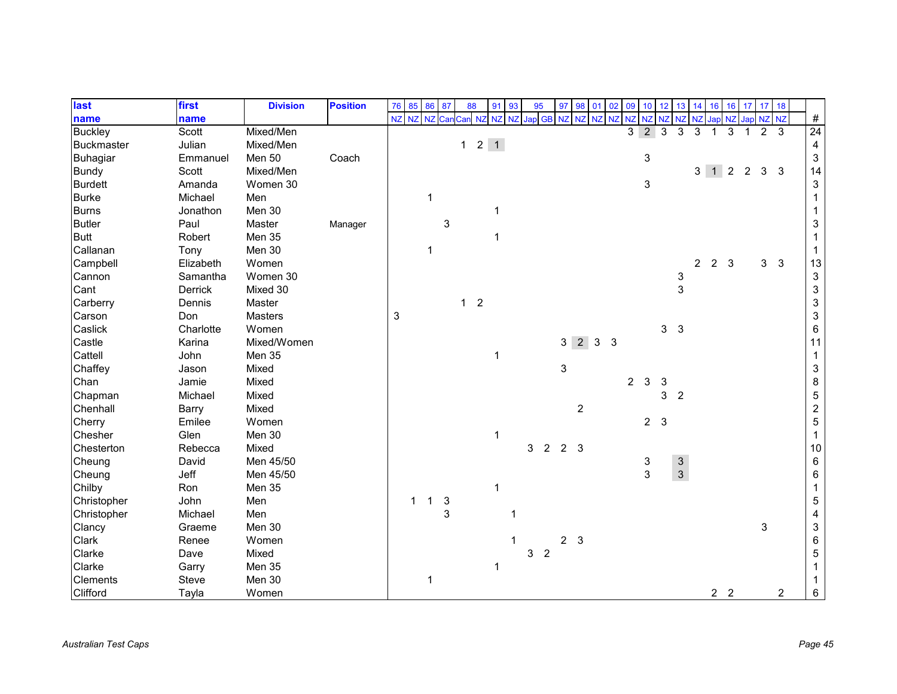| last              | first     | <b>Division</b> | <b>Position</b> | 76        | 85          | 86 87        |              | 88         |                     | 91 93       | 95           |                | 97             | 98                  | 01       | 02             | 09             | 10 <sup>°</sup> | 12                        | 13             | 14             | 16             | 16                          | 17  | 17             | 18             |                           |
|-------------------|-----------|-----------------|-----------------|-----------|-------------|--------------|--------------|------------|---------------------|-------------|--------------|----------------|----------------|---------------------|----------|----------------|----------------|-----------------|---------------------------|----------------|----------------|----------------|-----------------------------|-----|----------------|----------------|---------------------------|
| name              | name      |                 |                 | <b>NZ</b> | <b>NZ</b>   | <b>NZ</b>    | Car          | Can NZ     |                     | NZ NZ       | Jap GB       |                | <b>NZ</b>      |                     | NZ NZ NZ |                | NZ             |                 | NZ NZ                     | <b>NZ</b>      | <b>NZ</b>      | Jap            | <b>NZ</b>                   | Jap | NZ NZ          |                | $\#$                      |
| <b>Buckley</b>    | Scott     | Mixed/Men       |                 |           |             |              |              |            |                     |             |              |                |                |                     |          |                | 3              | $\overline{2}$  | 3                         | 3              | 3              |                | 3                           |     | $\mathcal{P}$  | 3              | 24                        |
| <b>Buckmaster</b> | Julian    | Mixed/Men       |                 |           |             |              |              |            | $1 \quad 2 \quad 1$ |             |              |                |                |                     |          |                |                |                 |                           |                |                |                |                             |     |                |                | 4                         |
| <b>Buhagiar</b>   | Emmanuel  | Men 50          | Coach           |           |             |              |              |            |                     |             |              |                |                |                     |          |                |                | 3               |                           |                |                |                |                             |     |                |                | $\ensuremath{\mathsf{3}}$ |
| <b>Bundy</b>      | Scott     | Mixed/Men       |                 |           |             |              |              |            |                     |             |              |                |                |                     |          |                |                |                 |                           |                |                |                | $3 \quad 1 \quad 2 \quad 2$ |     | 3 <sup>3</sup> |                | 14                        |
| <b>Burdett</b>    | Amanda    | Women 30        |                 |           |             |              |              |            |                     |             |              |                |                |                     |          |                |                | 3               |                           |                |                |                |                             |     |                |                | 3                         |
| <b>Burke</b>      | Michael   | Men             |                 |           |             | 1            |              |            |                     |             |              |                |                |                     |          |                |                |                 |                           |                |                |                |                             |     |                |                |                           |
| <b>Burns</b>      | Jonathon  | Men 30          |                 |           |             |              |              |            |                     |             |              |                |                |                     |          |                |                |                 |                           |                |                |                |                             |     |                |                |                           |
| <b>Butler</b>     | Paul      | Master          | Manager         |           |             |              | 3            |            |                     |             |              |                |                |                     |          |                |                |                 |                           |                |                |                |                             |     |                |                | 3                         |
| <b>Butt</b>       | Robert    | Men 35          |                 |           |             |              |              |            |                     | $\mathbf 1$ |              |                |                |                     |          |                |                |                 |                           |                |                |                |                             |     |                |                |                           |
| Callanan          | Tony      | Men 30          |                 |           |             | $\mathbf 1$  |              |            |                     |             |              |                |                |                     |          |                |                |                 |                           |                |                |                |                             |     |                |                |                           |
| Campbell          | Elizabeth | Women           |                 |           |             |              |              |            |                     |             |              |                |                |                     |          |                |                |                 |                           |                | $\overline{2}$ | $\overline{2}$ | 3                           |     | 3 <sup>1</sup> | $\mathbf{3}$   | 13                        |
| Cannon            | Samantha  | Women 30        |                 |           |             |              |              |            |                     |             |              |                |                |                     |          |                |                |                 |                           | 3              |                |                |                             |     |                |                | $\ensuremath{\mathsf{3}}$ |
| Cant              | Derrick   | Mixed 30        |                 |           |             |              |              |            |                     |             |              |                |                |                     |          |                |                |                 |                           | $\mathbf{3}$   |                |                |                             |     |                |                | $\ensuremath{\mathsf{3}}$ |
| Carberry          | Dennis    | Master          |                 |           |             |              |              | $1\quad 2$ |                     |             |              |                |                |                     |          |                |                |                 |                           |                |                |                |                             |     |                |                | $\ensuremath{\mathsf{3}}$ |
| Carson            | Don       | Masters         |                 | 3         |             |              |              |            |                     |             |              |                |                |                     |          |                |                |                 |                           |                |                |                |                             |     |                |                | $\ensuremath{\mathsf{3}}$ |
| Caslick           | Charlotte | Women           |                 |           |             |              |              |            |                     |             |              |                |                |                     |          |                |                |                 |                           | 3 <sup>3</sup> |                |                |                             |     |                |                | 6                         |
| Castle            | Karina    | Mixed/Women     |                 |           |             |              |              |            |                     |             |              |                |                | $3 \quad 2 \quad 3$ |          | $\overline{3}$ |                |                 |                           |                |                |                |                             |     |                |                | 11                        |
| Cattell           | John      | Men 35          |                 |           |             |              |              |            |                     |             |              |                |                |                     |          |                |                |                 |                           |                |                |                |                             |     |                |                | $\mathbf 1$               |
| Chaffey           | Jason     | Mixed           |                 |           |             |              |              |            |                     |             |              |                | $\mathfrak{S}$ |                     |          |                |                |                 |                           |                |                |                |                             |     |                |                | $\ensuremath{\mathsf{3}}$ |
| Chan              | Jamie     | Mixed           |                 |           |             |              |              |            |                     |             |              |                |                |                     |          |                | $\overline{c}$ | $\mathbf{3}$    | $\ensuremath{\mathsf{3}}$ |                |                |                |                             |     |                |                | 8                         |
| Chapman           | Michael   | Mixed           |                 |           |             |              |              |            |                     |             |              |                |                |                     |          |                |                |                 | 3                         | 2              |                |                |                             |     |                |                | $\mathbf 5$               |
| Chenhall          | Barry     | Mixed           |                 |           |             |              |              |            |                     |             |              |                |                | $\sqrt{2}$          |          |                |                |                 |                           |                |                |                |                             |     |                |                | $\overline{2}$            |
| Cherry            | Emilee    | Women           |                 |           |             |              |              |            |                     |             |              |                |                |                     |          |                |                |                 | 2 <sub>3</sub>            |                |                |                |                             |     |                |                | 5                         |
| Chesher           | Glen      | Men 30          |                 |           |             |              |              |            |                     | 1           |              |                |                |                     |          |                |                |                 |                           |                |                |                |                             |     |                |                | $\mathbf 1$               |
| Chesterton        | Rebecca   | Mixed           |                 |           |             |              |              |            |                     |             | 3            | $\overline{2}$ | $2^{\circ}$    | $\mathbf{3}$        |          |                |                |                 |                           |                |                |                |                             |     |                |                | $10\,$                    |
| Cheung            | David     | Men 45/50       |                 |           |             |              |              |            |                     |             |              |                |                |                     |          |                |                | 3               |                           | $\mathsf 3$    |                |                |                             |     |                |                | 6                         |
| Cheung            | Jeff      | Men 45/50       |                 |           |             |              |              |            |                     |             |              |                |                |                     |          |                |                | 3               |                           | $\mathbf{3}$   |                |                |                             |     |                |                | 6                         |
| Chilby            | Ron       | Men 35          |                 |           |             |              |              |            |                     | 1           |              |                |                |                     |          |                |                |                 |                           |                |                |                |                             |     |                |                |                           |
| Christopher       | John      | Men             |                 |           | $\mathbf 1$ | $\mathbf{1}$ | $\mathbf{3}$ |            |                     |             |              |                |                |                     |          |                |                |                 |                           |                |                |                |                             |     |                |                | $\,$ 5 $\,$               |
| Christopher       | Michael   | Men             |                 |           |             |              | 3            |            |                     |             |              |                |                |                     |          |                |                |                 |                           |                |                |                |                             |     |                |                | 4                         |
| Clancy            | Graeme    | Men 30          |                 |           |             |              |              |            |                     |             |              |                |                |                     |          |                |                |                 |                           |                |                |                |                             |     | 3              |                | 3                         |
| Clark             | Renee     | Women           |                 |           |             |              |              |            |                     |             |              |                | 2 <sub>3</sub> |                     |          |                |                |                 |                           |                |                |                |                             |     |                |                | 6                         |
| Clarke            | Dave      | Mixed           |                 |           |             |              |              |            |                     |             | $\mathbf{3}$ | $\overline{2}$ |                |                     |          |                |                |                 |                           |                |                |                |                             |     |                |                | 5                         |
| Clarke            | Garry     | Men 35          |                 |           |             |              |              |            |                     | 1           |              |                |                |                     |          |                |                |                 |                           |                |                |                |                             |     |                |                |                           |
| <b>Clements</b>   | Steve     | Men 30          |                 |           |             | 1            |              |            |                     |             |              |                |                |                     |          |                |                |                 |                           |                |                |                |                             |     |                |                |                           |
| Clifford          | Tayla     | Women           |                 |           |             |              |              |            |                     |             |              |                |                |                     |          |                |                |                 |                           |                |                |                | 2 <sub>2</sub>              |     |                | $\overline{2}$ | 6                         |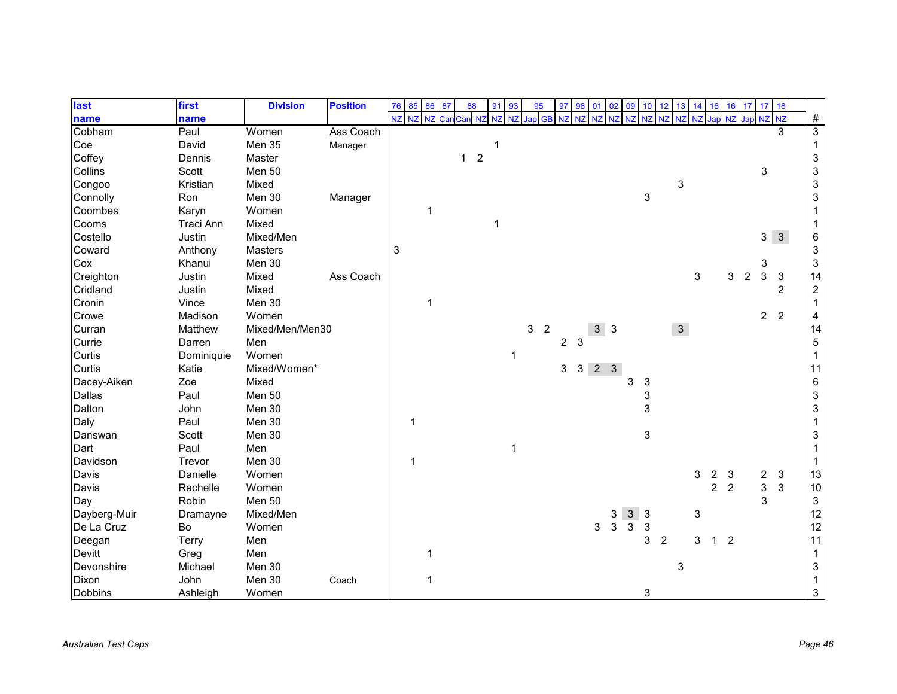| last           | first      | <b>Division</b> | <b>Position</b> | 76 | 85       | 86          | 87  | 88           |                  | 91<br>93     |   | 95               | 97                    | 98             | 01                      | 02          | 09             | 10           | 12             | 13             | 14 | 16             | 16             | 17                  | 17             | 18             |                           |
|----------------|------------|-----------------|-----------------|----|----------|-------------|-----|--------------|------------------|--------------|---|------------------|-----------------------|----------------|-------------------------|-------------|----------------|--------------|----------------|----------------|----|----------------|----------------|---------------------|----------------|----------------|---------------------------|
| name           | name       |                 |                 |    | NZ NZ NZ |             | Car | 1 NZ<br>Car  |                  | NZ<br>NZ     |   | Jap<br><b>GB</b> | <b>NZ</b>             | <b>NZ</b>      | NZ                      | <b>NZ</b>   | NZ             |              | NZ NZ          | NZ             |    |                |                | NZ Jap NZ Jap NZ NZ |                |                | $\#$                      |
| Cobham         | Paul       | Women           | Ass Coach       |    |          |             |     |              |                  |              |   |                  |                       |                |                         |             |                |              |                |                |    |                |                |                     |                | 3              | $\overline{3}$            |
| Coe            | David      | Men 35          | Manager         |    |          |             |     |              |                  |              |   |                  |                       |                |                         |             |                |              |                |                |    |                |                |                     |                |                | $\mathbf{1}$              |
| Coffey         | Dennis     | Master          |                 |    |          |             |     | $\mathbf{1}$ | $\boldsymbol{2}$ |              |   |                  |                       |                |                         |             |                |              |                |                |    |                |                |                     |                |                | $\ensuremath{\mathsf{3}}$ |
| Collins        | Scott      | Men 50          |                 |    |          |             |     |              |                  |              |   |                  |                       |                |                         |             |                |              |                |                |    |                |                |                     | 3              |                | $\ensuremath{\mathsf{3}}$ |
| Congoo         | Kristian   | Mixed           |                 |    |          |             |     |              |                  |              |   |                  |                       |                |                         |             |                |              |                | 3              |    |                |                |                     |                |                | $\ensuremath{\mathsf{3}}$ |
| Connolly       | Ron        | Men 30          | Manager         |    |          |             |     |              |                  |              |   |                  |                       |                |                         |             |                | 3            |                |                |    |                |                |                     |                |                | $\ensuremath{\mathsf{3}}$ |
| Coombes        | Karyn      | Women           |                 |    |          | $\mathbf 1$ |     |              |                  |              |   |                  |                       |                |                         |             |                |              |                |                |    |                |                |                     |                |                | 1                         |
| Cooms          | Traci Ann  | Mixed           |                 |    |          |             |     |              | 1                |              |   |                  |                       |                |                         |             |                |              |                |                |    |                |                |                     |                |                | 1                         |
| Costello       | Justin     | Mixed/Men       |                 |    |          |             |     |              |                  |              |   |                  |                       |                |                         |             |                |              |                |                |    |                |                |                     | 3              | $\mathbf{3}$   | 6                         |
| Coward         | Anthony    | <b>Masters</b>  |                 | 3  |          |             |     |              |                  |              |   |                  |                       |                |                         |             |                |              |                |                |    |                |                |                     |                |                | $\ensuremath{\mathsf{3}}$ |
| Cox            | Khanui     | Men 30          |                 |    |          |             |     |              |                  |              |   |                  |                       |                |                         |             |                |              |                |                |    |                |                |                     | 3              |                | $\sqrt{3}$                |
| Creighton      | Justin     | Mixed           | Ass Coach       |    |          |             |     |              |                  |              |   |                  |                       |                |                         |             |                |              |                |                | 3  |                | 3              | $\overline{2}$      | 3              | $\mathbf{3}$   | 14                        |
| Cridland       | Justin     | Mixed           |                 |    |          |             |     |              |                  |              |   |                  |                       |                |                         |             |                |              |                |                |    |                |                |                     |                | $\overline{2}$ | $\sqrt{2}$                |
| Cronin         | Vince      | Men 30          |                 |    |          | $\mathbf 1$ |     |              |                  |              |   |                  |                       |                |                         |             |                |              |                |                |    |                |                |                     |                |                |                           |
| Crowe          | Madison    | Women           |                 |    |          |             |     |              |                  |              |   |                  |                       |                |                         |             |                |              |                |                |    |                |                |                     | 2 <sup>1</sup> | $\overline{2}$ | 4                         |
| Curran         | Matthew    | Mixed/Men/Men30 |                 |    |          |             |     |              |                  |              | 3 | $\overline{2}$   |                       |                | $3 \overline{\smash)3}$ |             |                |              |                | 3 <sup>1</sup> |    |                |                |                     |                |                | 14                        |
| Currie         | Darren     | Men             |                 |    |          |             |     |              |                  |              |   |                  | $\mathbf{2}^{\prime}$ | 3              |                         |             |                |              |                |                |    |                |                |                     |                |                | $\,$ 5 $\,$               |
| Curtis         | Dominiquie | Women           |                 |    |          |             |     |              |                  | 1            |   |                  |                       |                |                         |             |                |              |                |                |    |                |                |                     |                |                | $\mathbf{1}$              |
| Curtis         | Katie      | Mixed/Women*    |                 |    |          |             |     |              |                  |              |   |                  | 3                     | 3 <sup>1</sup> |                         | $2 \quad 3$ |                |              |                |                |    |                |                |                     |                |                | 11                        |
| Dacey-Aiken    | Zoe        | Mixed           |                 |    |          |             |     |              |                  |              |   |                  |                       |                |                         |             | 3              | 3            |                |                |    |                |                |                     |                |                | $\,6\,$                   |
| Dallas         | Paul       | Men 50          |                 |    |          |             |     |              |                  |              |   |                  |                       |                |                         |             |                | 3            |                |                |    |                |                |                     |                |                | $\ensuremath{\mathsf{3}}$ |
| Dalton         | John       | Men 30          |                 |    |          |             |     |              |                  |              |   |                  |                       |                |                         |             |                | 3            |                |                |    |                |                |                     |                |                | $\ensuremath{\mathsf{3}}$ |
| Daly           | Paul       | Men 30          |                 |    | 1        |             |     |              |                  |              |   |                  |                       |                |                         |             |                |              |                |                |    |                |                |                     |                |                | 1                         |
| Danswan        | Scott      | Men 30          |                 |    |          |             |     |              |                  |              |   |                  |                       |                |                         |             |                | 3            |                |                |    |                |                |                     |                |                | $\ensuremath{\mathsf{3}}$ |
| Dart           | Paul       | Men             |                 |    |          |             |     |              |                  | $\mathbf{1}$ |   |                  |                       |                |                         |             |                |              |                |                |    |                |                |                     |                |                | $\mathbf 1$               |
| Davidson       | Trevor     | Men 30          |                 |    | 1        |             |     |              |                  |              |   |                  |                       |                |                         |             |                |              |                |                |    |                |                |                     |                |                | $\mathbf 1$               |
| Davis          | Danielle   | Women           |                 |    |          |             |     |              |                  |              |   |                  |                       |                |                         |             |                |              |                |                | 3  | 2              | 3              |                     | $\overline{c}$ | $\sqrt{3}$     | 13                        |
| Davis          | Rachelle   | Women           |                 |    |          |             |     |              |                  |              |   |                  |                       |                |                         |             |                |              |                |                |    | $\overline{2}$ | $\overline{2}$ |                     | $\mathbf{3}$   | $\mathbf{3}$   | $10$                      |
| Day            | Robin      | Men 50          |                 |    |          |             |     |              |                  |              |   |                  |                       |                |                         |             |                |              |                |                |    |                |                |                     | 3              |                | $\ensuremath{\mathsf{3}}$ |
| Dayberg-Muir   | Dramayne   | Mixed/Men       |                 |    |          |             |     |              |                  |              |   |                  |                       |                |                         | 3           | 3 <sup>1</sup> | $\mathbf{3}$ |                |                | 3  |                |                |                     |                |                | 12                        |
| De La Cruz     | Bo         | Women           |                 |    |          |             |     |              |                  |              |   |                  |                       |                | 3                       | 3           | 3              | 3            |                |                |    |                |                |                     |                |                | 12                        |
| Deegan         | Terry      | Men             |                 |    |          |             |     |              |                  |              |   |                  |                       |                |                         |             |                | 3            | $\overline{2}$ |                | 3  | $\mathbf 1$    | $\overline{2}$ |                     |                |                | 11                        |
| Devitt         | Greg       | Men             |                 |    |          | 1           |     |              |                  |              |   |                  |                       |                |                         |             |                |              |                |                |    |                |                |                     |                |                | $\mathbf{1}$              |
| Devonshire     | Michael    | Men 30          |                 |    |          |             |     |              |                  |              |   |                  |                       |                |                         |             |                |              |                | 3              |    |                |                |                     |                |                | $\ensuremath{\mathsf{3}}$ |
| Dixon          | John       | Men 30          | Coach           |    |          | 1           |     |              |                  |              |   |                  |                       |                |                         |             |                |              |                |                |    |                |                |                     |                |                |                           |
| <b>Dobbins</b> | Ashleigh   | Women           |                 |    |          |             |     |              |                  |              |   |                  |                       |                |                         |             |                | 3            |                |                |    |                |                |                     |                |                | $\sqrt{3}$                |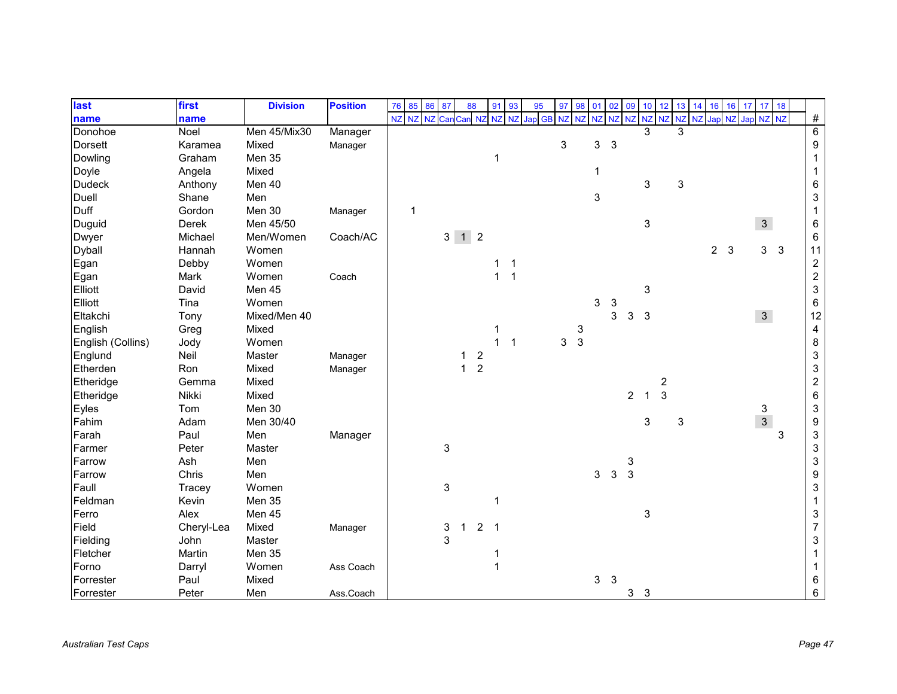| last              | first      | <b>Division</b> | <b>Position</b> | 76 | 85        | 86 87 |                           | 88                |                  | 91 93          |              | 95            | 97        | 98           | 01    | 02           | 09             | 10           | 12             | 13        | 14        | 16             | 16 | 17               | $17 \quad 18$  |              |                           |
|-------------------|------------|-----------------|-----------------|----|-----------|-------|---------------------------|-------------------|------------------|----------------|--------------|---------------|-----------|--------------|-------|--------------|----------------|--------------|----------------|-----------|-----------|----------------|----|------------------|----------------|--------------|---------------------------|
| name              | name       |                 |                 | NZ | NZ NZ Can |       |                           | Can NZ            |                  | NZ NZ          |              | <b>Jap</b> GB | <b>NZ</b> | <b>NZ</b>    | NZ NZ |              | NZ             |              | NZ NZ          | <b>NZ</b> | <b>NZ</b> |                |    | Jap NZ Jap NZ NZ |                |              | $\#$                      |
| Donohoe           | Noel       | Men 45/Mix30    | Manager         |    |           |       |                           |                   |                  |                |              |               |           |              |       |              |                | 3            |                | 3         |           |                |    |                  |                |              | $\overline{6}$            |
| <b>Dorsett</b>    | Karamea    | Mixed           | Manager         |    |           |       |                           |                   |                  |                |              |               | 3         |              | 3     | $\mathbf{3}$ |                |              |                |           |           |                |    |                  |                |              | 9                         |
| Dowling           | Graham     | Men 35          |                 |    |           |       |                           |                   |                  |                |              |               |           |              |       |              |                |              |                |           |           |                |    |                  |                |              |                           |
| Doyle             | Angela     | Mixed           |                 |    |           |       |                           |                   |                  |                |              |               |           |              | 1     |              |                |              |                |           |           |                |    |                  |                |              |                           |
| <b>Dudeck</b>     | Anthony    | Men 40          |                 |    |           |       |                           |                   |                  |                |              |               |           |              |       |              |                | 3            |                | 3         |           |                |    |                  |                |              | 6                         |
| Duell             | Shane      | Men             |                 |    |           |       |                           |                   |                  |                |              |               |           |              | 3     |              |                |              |                |           |           |                |    |                  |                |              | 3                         |
| Duff              | Gordon     | Men 30          | Manager         |    |           |       |                           |                   |                  |                |              |               |           |              |       |              |                |              |                |           |           |                |    |                  |                |              |                           |
| Duguid            | Derek      | Men 45/50       |                 |    |           |       |                           |                   |                  |                |              |               |           |              |       |              |                | 3            |                |           |           |                |    |                  | $\mathbf{3}$   |              | 6                         |
| <b>Dwyer</b>      | Michael    | Men/Women       | Coach/AC        |    |           |       |                           | $3 \mid 1 \mid 2$ |                  |                |              |               |           |              |       |              |                |              |                |           |           |                |    |                  |                |              | 6                         |
| <b>Dyball</b>     | Hannah     | Women           |                 |    |           |       |                           |                   |                  |                |              |               |           |              |       |              |                |              |                |           |           | 2 <sub>3</sub> |    |                  | $\mathbf{3}$   | $\mathbf{3}$ | 11                        |
| Egan              | Debby      | Women           |                 |    |           |       |                           |                   |                  | 1              |              |               |           |              |       |              |                |              |                |           |           |                |    |                  |                |              | $\boldsymbol{2}$          |
| Egan              | Mark       | Women           | Coach           |    |           |       |                           |                   |                  | $\mathbf{1}$   |              |               |           |              |       |              |                |              |                |           |           |                |    |                  |                |              | $\boldsymbol{2}$          |
| Elliott           | David      | Men 45          |                 |    |           |       |                           |                   |                  |                |              |               |           |              |       |              |                | 3            |                |           |           |                |    |                  |                |              | $\ensuremath{\mathsf{3}}$ |
| Elliott           | Tina       | Women           |                 |    |           |       |                           |                   |                  |                |              |               |           |              | 3     | 3            |                |              |                |           |           |                |    |                  |                |              | 6                         |
| Eltakchi          | Tony       | Mixed/Men 40    |                 |    |           |       |                           |                   |                  |                |              |               |           |              |       | 3            | 3              | $\mathbf{3}$ |                |           |           |                |    |                  | 3 <sup>1</sup> |              | 12                        |
| English           | Greg       | Mixed           |                 |    |           |       |                           |                   |                  | 1              |              |               |           | 3            |       |              |                |              |                |           |           |                |    |                  |                |              | 4                         |
| English (Collins) | Jody       | Women           |                 |    |           |       |                           |                   |                  | $\overline{1}$ | $\mathbf{1}$ |               | 3         | $\mathbf{3}$ |       |              |                |              |                |           |           |                |    |                  |                |              | 8                         |
| Englund           | Neil       | Master          | Manager         |    |           |       |                           |                   | $\boldsymbol{2}$ |                |              |               |           |              |       |              |                |              |                |           |           |                |    |                  |                |              | 3                         |
| Etherden          | Ron        | Mixed           | Manager         |    |           |       |                           | $\mathbf{1}$      | $\overline{2}$   |                |              |               |           |              |       |              |                |              |                |           |           |                |    |                  |                |              | 3                         |
| Etheridge         | Gemma      | Mixed           |                 |    |           |       |                           |                   |                  |                |              |               |           |              |       |              |                |              | $\overline{c}$ |           |           |                |    |                  |                |              | $\overline{\mathbf{c}}$   |
| Etheridge         | Nikki      | Mixed           |                 |    |           |       |                           |                   |                  |                |              |               |           |              |       |              | $\overline{c}$ | $\mathbf{1}$ | $\mathbf{3}$   |           |           |                |    |                  |                |              | 6                         |
| Eyles             | Tom        | Men 30          |                 |    |           |       |                           |                   |                  |                |              |               |           |              |       |              |                |              |                |           |           |                |    |                  | 3              |              | $\mathsf 3$               |
| Fahim             | Adam       | Men 30/40       |                 |    |           |       |                           |                   |                  |                |              |               |           |              |       |              |                | 3            |                | 3         |           |                |    |                  | $\overline{3}$ |              | 9                         |
| Farah             | Paul       | Men             | Manager         |    |           |       |                           |                   |                  |                |              |               |           |              |       |              |                |              |                |           |           |                |    |                  |                | 3            | 3                         |
| Farmer            | Peter      | Master          |                 |    |           |       | 3                         |                   |                  |                |              |               |           |              |       |              |                |              |                |           |           |                |    |                  |                |              | 3                         |
| Farrow            | Ash        | Men             |                 |    |           |       |                           |                   |                  |                |              |               |           |              |       |              | 3              |              |                |           |           |                |    |                  |                |              | 3                         |
| Farrow            | Chris      | Men             |                 |    |           |       |                           |                   |                  |                |              |               |           |              | 3     | $\mathbf{3}$ | 3              |              |                |           |           |                |    |                  |                |              | 9                         |
| Faull             | Tracey     | Women           |                 |    |           |       | $\ensuremath{\mathsf{3}}$ |                   |                  |                |              |               |           |              |       |              |                |              |                |           |           |                |    |                  |                |              | 3                         |
| Feldman           | Kevin      | Men 35          |                 |    |           |       |                           |                   |                  | 1              |              |               |           |              |       |              |                |              |                |           |           |                |    |                  |                |              |                           |
| Ferro             | Alex       | Men 45          |                 |    |           |       |                           |                   |                  |                |              |               |           |              |       |              |                | 3            |                |           |           |                |    |                  |                |              | 3                         |
| Field             | Cheryl-Lea | Mixed           | Manager         |    |           |       | 3                         | $\mathbf 1$       | $2^{\circ}$      | $\overline{1}$ |              |               |           |              |       |              |                |              |                |           |           |                |    |                  |                |              | $\overline{7}$            |
| Fielding          | John       | Master          |                 |    |           |       | 3                         |                   |                  |                |              |               |           |              |       |              |                |              |                |           |           |                |    |                  |                |              | 3                         |
| Fletcher          | Martin     | Men 35          |                 |    |           |       |                           |                   |                  |                |              |               |           |              |       |              |                |              |                |           |           |                |    |                  |                |              |                           |
| Forno             | Darryl     | Women           | Ass Coach       |    |           |       |                           |                   |                  |                |              |               |           |              |       |              |                |              |                |           |           |                |    |                  |                |              |                           |
| Forrester         | Paul       | Mixed           |                 |    |           |       |                           |                   |                  |                |              |               |           |              | 3     | 3            |                |              |                |           |           |                |    |                  |                |              | 6                         |
| Forrester         | Peter      | Men             | Ass.Coach       |    |           |       |                           |                   |                  |                |              |               |           |              |       |              | 3 <sub>3</sub> |              |                |           |           |                |    |                  |                |              | 6                         |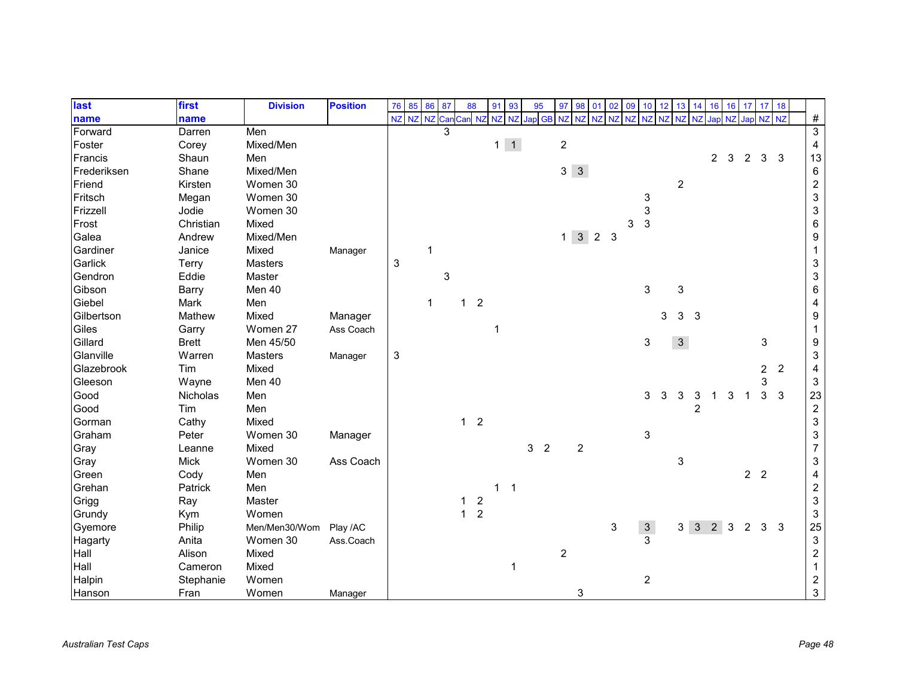| last        | first        | <b>Division</b> | <b>Position</b> | 76           | 85        | 86                   | 87 | 88           |                | 91           | 93             | 95     | 97             | 98             | 01                  | 02        | 09        |                | $10$ 12 | 13               | 14                      | 16             | 16           | 17 <sup>1</sup> | 17 18          |                |                           |
|-------------|--------------|-----------------|-----------------|--------------|-----------|----------------------|----|--------------|----------------|--------------|----------------|--------|----------------|----------------|---------------------|-----------|-----------|----------------|---------|------------------|-------------------------|----------------|--------------|-----------------|----------------|----------------|---------------------------|
| name        | name         |                 |                 | NZ           | NZ NZ Can |                      |    | Can NZ       |                | <b>NZ</b>    | <b>NZ</b>      | Jap GB | <b>NZ</b>      | <b>NZ</b>      | NZ                  | <b>NZ</b> | <b>NZ</b> | NZ NZ          |         | NZ               | N <sub>7</sub>          | Japl           | <b>NZ</b>    | Jap NZ NZ       |                |                | $\#$                      |
| Forward     | Darren       | Men             |                 |              |           |                      |    |              |                |              |                |        |                |                |                     |           |           |                |         |                  |                         |                |              |                 |                |                | $\overline{3}$            |
| Foster      | Corey        | Mixed/Men       |                 |              |           |                      |    |              |                | $1 \mid 1$   |                |        |                | $\overline{c}$ |                     |           |           |                |         |                  |                         |                |              |                 |                |                | $\overline{\mathbf{4}}$   |
| Francis     | Shaun        | Men             |                 |              |           |                      |    |              |                |              |                |        |                |                |                     |           |           |                |         |                  |                         | $\overline{2}$ | $\mathbf{3}$ | $\overline{2}$  | $\mathbf{3}$   | 3              | 13                        |
| Frederiksen | Shane        | Mixed/Men       |                 |              |           |                      |    |              |                |              |                |        |                | $3 \quad 3$    |                     |           |           |                |         |                  |                         |                |              |                 |                |                | $\,6\,$                   |
| Friend      | Kirsten      | Women 30        |                 |              |           |                      |    |              |                |              |                |        |                |                |                     |           |           |                |         | $\boldsymbol{2}$ |                         |                |              |                 |                |                | $\boldsymbol{2}$          |
| Fritsch     | Megan        | Women 30        |                 |              |           |                      |    |              |                |              |                |        |                |                |                     |           |           | 3              |         |                  |                         |                |              |                 |                |                | $\ensuremath{\mathsf{3}}$ |
| Frizzell    | Jodie        | Women 30        |                 |              |           |                      |    |              |                |              |                |        |                |                |                     |           |           | 3              |         |                  |                         |                |              |                 |                |                | $\ensuremath{\mathsf{3}}$ |
| Frost       | Christian    | Mixed           |                 |              |           |                      |    |              |                |              |                |        |                |                |                     |           | 3         | $\mathbf{3}$   |         |                  |                         |                |              |                 |                |                | $\,6\,$                   |
| Galea       | Andrew       | Mixed/Men       |                 |              |           |                      |    |              |                |              |                |        |                |                | $1 \quad 3 \quad 2$ | 3         |           |                |         |                  |                         |                |              |                 |                |                | $\boldsymbol{9}$          |
| Gardiner    | Janice       | Mixed           | Manager         |              |           | 1                    |    |              |                |              |                |        |                |                |                     |           |           |                |         |                  |                         |                |              |                 |                |                | $\mathbf 1$               |
| Garlick     | <b>Terry</b> | <b>Masters</b>  |                 | $\sqrt{3}$   |           |                      |    |              |                |              |                |        |                |                |                     |           |           |                |         |                  |                         |                |              |                 |                |                | $\ensuremath{\mathsf{3}}$ |
| Gendron     | Eddie        | Master          |                 |              |           |                      | 3  |              |                |              |                |        |                |                |                     |           |           |                |         |                  |                         |                |              |                 |                |                | $\ensuremath{\mathsf{3}}$ |
| Gibson      | Barry        | Men 40          |                 |              |           |                      |    |              |                |              |                |        |                |                |                     |           |           | 3              |         | 3                |                         |                |              |                 |                |                | $\,6\,$                   |
| Giebel      | Mark         | Men             |                 |              |           | $\blacktriangleleft$ |    | $\mathbf 1$  | $\overline{2}$ |              |                |        |                |                |                     |           |           |                |         |                  |                         |                |              |                 |                |                | 4                         |
| Gilbertson  | Mathew       | Mixed           | Manager         |              |           |                      |    |              |                |              |                |        |                |                |                     |           |           |                | 3       | 3                | $\overline{\mathbf{3}}$ |                |              |                 |                |                | $\boldsymbol{9}$          |
| Giles       | Garry        | Women 27        | Ass Coach       |              |           |                      |    |              |                |              |                |        |                |                |                     |           |           |                |         |                  |                         |                |              |                 |                |                | $\mathbf{1}$              |
| Gillard     | <b>Brett</b> | Men 45/50       |                 |              |           |                      |    |              |                |              |                |        |                |                |                     |           |           | 3              |         | 3 <sup>1</sup>   |                         |                |              |                 | 3              |                | 9                         |
| Glanville   | Warren       | Masters         | Manager         | $\mathbf{3}$ |           |                      |    |              |                |              |                |        |                |                |                     |           |           |                |         |                  |                         |                |              |                 |                |                | $\sqrt{3}$                |
| Glazebrook  | Tim          | Mixed           |                 |              |           |                      |    |              |                |              |                |        |                |                |                     |           |           |                |         |                  |                         |                |              |                 | $\overline{c}$ | $\overline{2}$ | 4                         |
| Gleeson     | Wayne        | Men 40          |                 |              |           |                      |    |              |                |              |                |        |                |                |                     |           |           |                |         |                  |                         |                |              |                 | 3              |                | $\sqrt{3}$                |
| Good        | Nicholas     | Men             |                 |              |           |                      |    |              |                |              |                |        |                |                |                     |           |           | 3              | 3       | 3                | 3                       |                | 3            | 1               | 3              | $\mathbf{3}$   | 23                        |
| Good        | Tim          | Men             |                 |              |           |                      |    |              |                |              |                |        |                |                |                     |           |           |                |         |                  | $\overline{2}$          |                |              |                 |                |                | $\sqrt{2}$                |
| Gorman      | Cathy        | Mixed           |                 |              |           |                      |    | $1\quad 2$   |                |              |                |        |                |                |                     |           |           |                |         |                  |                         |                |              |                 |                |                | $\ensuremath{\mathsf{3}}$ |
| Graham      | Peter        | Women 30        | Manager         |              |           |                      |    |              |                |              |                |        |                |                |                     |           |           | 3              |         |                  |                         |                |              |                 |                |                | $\ensuremath{\mathsf{3}}$ |
| Gray        | Leanne       | Mixed           |                 |              |           |                      |    |              |                |              |                | 3      | $\overline{2}$ |                | $\sqrt{2}$          |           |           |                |         |                  |                         |                |              |                 |                |                | $\overline{7}$            |
| Gray        | <b>Mick</b>  | Women 30        | Ass Coach       |              |           |                      |    |              |                |              |                |        |                |                |                     |           |           |                |         | 3                |                         |                |              |                 |                |                | $\ensuremath{\mathsf{3}}$ |
| Green       | Cody         | Men             |                 |              |           |                      |    |              |                |              |                |        |                |                |                     |           |           |                |         |                  |                         |                |              | 2 <sub>2</sub>  |                |                | $\overline{\mathbf{4}}$   |
| Grehan      | Patrick      | Men             |                 |              |           |                      |    |              |                | $\mathbf{1}$ | $\overline{1}$ |        |                |                |                     |           |           |                |         |                  |                         |                |              |                 |                |                | $\sqrt{2}$                |
| Grigg       | Ray          | Master          |                 |              |           |                      |    | 1            | $\overline{c}$ |              |                |        |                |                |                     |           |           |                |         |                  |                         |                |              |                 |                |                | $\sqrt{3}$                |
| Grundy      | Kym          | Women           |                 |              |           |                      |    | $\mathbf{1}$ | $\overline{2}$ |              |                |        |                |                |                     |           |           |                |         |                  |                         |                |              |                 |                |                | $\mathsf 3$               |
| Gyemore     | Philip       | Men/Men30/Wom   | Play /AC        |              |           |                      |    |              |                |              |                |        |                |                |                     | 3         |           | $\frac{3}{3}$  |         |                  | $3 \quad 3 \quad 2$     |                | $\mathbf{3}$ | $\overline{2}$  | 3 <sub>3</sub> |                | 25                        |
| Hagarty     | Anita        | Women 30        | Ass.Coach       |              |           |                      |    |              |                |              |                |        |                |                |                     |           |           |                |         |                  |                         |                |              |                 |                |                | $\ensuremath{\mathsf{3}}$ |
| Hall        | Alison       | Mixed           |                 |              |           |                      |    |              |                |              |                |        |                | $\overline{c}$ |                     |           |           |                |         |                  |                         |                |              |                 |                |                | $\boldsymbol{2}$          |
| Hall        | Cameron      | Mixed           |                 |              |           |                      |    |              |                |              | 1              |        |                |                |                     |           |           |                |         |                  |                         |                |              |                 |                |                | $\mathbf{1}$              |
| Halpin      | Stephanie    | Women           |                 |              |           |                      |    |              |                |              |                |        |                |                |                     |           |           | $\overline{2}$ |         |                  |                         |                |              |                 |                |                | $\overline{c}$            |
| Hanson      | Fran         | Women           | Manager         |              |           |                      |    |              |                |              |                |        |                |                | 3                   |           |           |                |         |                  |                         |                |              |                 |                |                | $\mathbf{3}$              |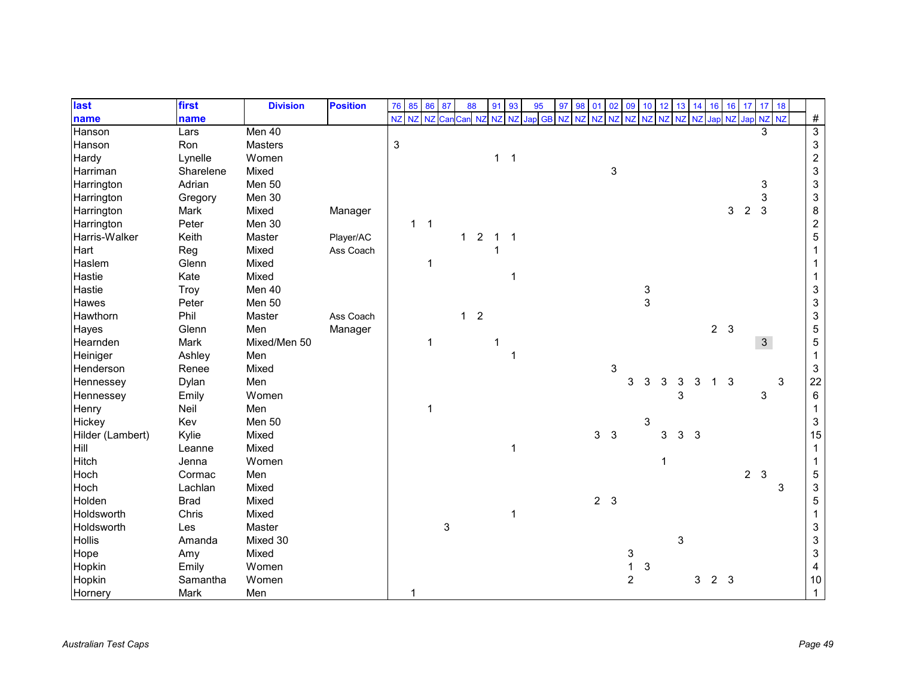| last             | first       | <b>Division</b> | <b>Position</b> | 76             | 85           | 86             | 87  | 88           |                | 91          | 93           | 95        | 97<br>98 | 01 | 02             | 09             |            | $10 \quad 12$ | 13 | 14           | 16             | 16             |                     | 17 17 18     |   |                           |
|------------------|-------------|-----------------|-----------------|----------------|--------------|----------------|-----|--------------|----------------|-------------|--------------|-----------|----------|----|----------------|----------------|------------|---------------|----|--------------|----------------|----------------|---------------------|--------------|---|---------------------------|
| name             | name        |                 |                 | NZ             | NZ           | NZ             | Car | Can NZ       |                | <b>NZ</b>   | NZ           | Jap GB NZ | NZ       | NZ | <b>NZ</b>      | NZ             | NZ NZ      |               | NZ |              |                |                | NZ Jap NZ Jap NZ NZ |              |   | $\#$                      |
| Hanson           | Lars        | Men 40          |                 |                |              |                |     |              |                |             |              |           |          |    |                |                |            |               |    |              |                |                |                     | 3            |   | $\overline{3}$            |
| Hanson           | Ron         | Masters         |                 | $\mathfrak{S}$ |              |                |     |              |                |             |              |           |          |    |                |                |            |               |    |              |                |                |                     |              |   | $\ensuremath{\mathsf{3}}$ |
| Hardy            | Lynelle     | Women           |                 |                |              |                |     |              |                | $1 \quad 1$ |              |           |          |    |                |                |            |               |    |              |                |                |                     |              |   | $\sqrt{2}$                |
| Harriman         | Sharelene   | Mixed           |                 |                |              |                |     |              |                |             |              |           |          |    | 3              |                |            |               |    |              |                |                |                     |              |   | $\ensuremath{\mathsf{3}}$ |
| Harrington       | Adrian      | Men 50          |                 |                |              |                |     |              |                |             |              |           |          |    |                |                |            |               |    |              |                |                |                     | 3            |   | $\ensuremath{\mathsf{3}}$ |
| Harrington       | Gregory     | Men 30          |                 |                |              |                |     |              |                |             |              |           |          |    |                |                |            |               |    |              |                |                |                     | 3            |   | $\ensuremath{\mathsf{3}}$ |
| Harrington       | Mark        | Mixed           | Manager         |                |              |                |     |              |                |             |              |           |          |    |                |                |            |               |    |              |                | 3              | $\overline{c}$      | $\mathbf{3}$ |   | $\bf 8$                   |
| Harrington       | Peter       | Men 30          |                 |                | $\mathbf{1}$ | $\overline{1}$ |     |              |                |             |              |           |          |    |                |                |            |               |    |              |                |                |                     |              |   | $\boldsymbol{2}$          |
| Harris-Walker    | Keith       | Master          | Player/AC       |                |              |                |     | $\mathbf 1$  | $\overline{2}$ | $1 \quad 1$ |              |           |          |    |                |                |            |               |    |              |                |                |                     |              |   | $\sqrt{5}$                |
| Hart             | Reg         | Mixed           | Ass Coach       |                |              |                |     |              |                |             |              |           |          |    |                |                |            |               |    |              |                |                |                     |              |   |                           |
| Haslem           | Glenn       | Mixed           |                 |                |              | -1             |     |              |                |             |              |           |          |    |                |                |            |               |    |              |                |                |                     |              |   |                           |
| Hastie           | Kate        | Mixed           |                 |                |              |                |     |              |                |             |              |           |          |    |                |                |            |               |    |              |                |                |                     |              |   |                           |
| Hastie           | Troy        | Men 40          |                 |                |              |                |     |              |                |             |              |           |          |    |                |                | 3          |               |    |              |                |                |                     |              |   | $\ensuremath{\mathsf{3}}$ |
| <b>Hawes</b>     | Peter       | Men 50          |                 |                |              |                |     |              |                |             |              |           |          |    |                |                | 3          |               |    |              |                |                |                     |              |   | $\ensuremath{\mathsf{3}}$ |
| Hawthorn         | Phil        | Master          | Ass Coach       |                |              |                |     | $\mathbf{1}$ | $\overline{2}$ |             |              |           |          |    |                |                |            |               |    |              |                |                |                     |              |   | $\ensuremath{\mathsf{3}}$ |
| Hayes            | Glenn       | Men             | Manager         |                |              |                |     |              |                |             |              |           |          |    |                |                |            |               |    |              |                | 2 <sub>3</sub> |                     |              |   | $\sqrt{5}$                |
| Hearnden         | Mark        | Mixed/Men 50    |                 |                |              | $\mathbf 1$    |     |              |                |             |              |           |          |    |                |                |            |               |    |              |                |                |                     | $\mathbf{3}$ |   | $\sqrt{5}$                |
| Heiniger         | Ashley      | Men             |                 |                |              |                |     |              |                |             |              |           |          |    |                |                |            |               |    |              |                |                |                     |              |   | $\mathbf{1}$              |
| Henderson        | Renee       | Mixed           |                 |                |              |                |     |              |                |             |              |           |          |    | 3              |                |            |               |    |              |                |                |                     |              |   | $\sqrt{3}$                |
| Hennessey        | Dylan       | Men             |                 |                |              |                |     |              |                |             |              |           |          |    |                | 3              | 3          | 3             | 3  | 3            | 1              | 3              |                     |              | 3 | 22                        |
| Hennessey        | Emily       | Women           |                 |                |              |                |     |              |                |             |              |           |          |    |                |                |            |               | 3  |              |                |                |                     | 3            |   | $\,6$                     |
| Henry            | Neil        | Men             |                 |                |              | $\mathbf 1$    |     |              |                |             |              |           |          |    |                |                |            |               |    |              |                |                |                     |              |   | $\mathbf 1$               |
| Hickey           | Kev         | Men 50          |                 |                |              |                |     |              |                |             |              |           |          |    |                |                | 3          |               |    |              |                |                |                     |              |   | $\mathsf 3$               |
| Hilder (Lambert) | Kylie       | Mixed           |                 |                |              |                |     |              |                |             |              |           |          |    | 3 <sup>3</sup> |                |            | 3             | 3  | $\mathbf{3}$ |                |                |                     |              |   | 15                        |
| Hill             | Leanne      | Mixed           |                 |                |              |                |     |              |                |             | 1            |           |          |    |                |                |            |               |    |              |                |                |                     |              |   | 1                         |
| <b>Hitch</b>     | Jenna       | Women           |                 |                |              |                |     |              |                |             |              |           |          |    |                |                |            | 1             |    |              |                |                |                     |              |   | 1                         |
| Hoch             | Cormac      | Men             |                 |                |              |                |     |              |                |             |              |           |          |    |                |                |            |               |    |              |                |                | 2 <sub>3</sub>      |              |   | $\sqrt{5}$                |
| Hoch             | Lachlan     | Mixed           |                 |                |              |                |     |              |                |             |              |           |          |    |                |                |            |               |    |              |                |                |                     |              | 3 | $\ensuremath{\mathsf{3}}$ |
| Holden           | <b>Brad</b> | Mixed           |                 |                |              |                |     |              |                |             |              |           |          |    | 2 <sub>3</sub> |                |            |               |    |              |                |                |                     |              |   | $\sqrt{5}$                |
| Holdsworth       | Chris       | Mixed           |                 |                |              |                |     |              |                |             | $\mathbf{1}$ |           |          |    |                |                |            |               |    |              |                |                |                     |              |   | $\mathbf{1}$              |
| Holdsworth       | Les         | Master          |                 |                |              |                | 3   |              |                |             |              |           |          |    |                |                |            |               |    |              |                |                |                     |              |   | $\sqrt{3}$                |
| <b>Hollis</b>    | Amanda      | Mixed 30        |                 |                |              |                |     |              |                |             |              |           |          |    |                |                |            |               | 3  |              |                |                |                     |              |   | $\ensuremath{\mathsf{3}}$ |
| Hope             | Amy         | Mixed           |                 |                |              |                |     |              |                |             |              |           |          |    |                | 3              |            |               |    |              |                |                |                     |              |   | $\ensuremath{\mathsf{3}}$ |
| Hopkin           | Emily       | Women           |                 |                |              |                |     |              |                |             |              |           |          |    |                | $\mathbf 1$    | $\sqrt{3}$ |               |    |              |                |                |                     |              |   | 4                         |
| Hopkin           | Samantha    | Women           |                 |                |              |                |     |              |                |             |              |           |          |    |                | $\overline{c}$ |            |               |    | 3            | 2 <sub>3</sub> |                |                     |              |   | 10                        |
| Hornery          | Mark        | Men             |                 |                |              |                |     |              |                |             |              |           |          |    |                |                |            |               |    |              |                |                |                     |              |   | $\overline{1}$            |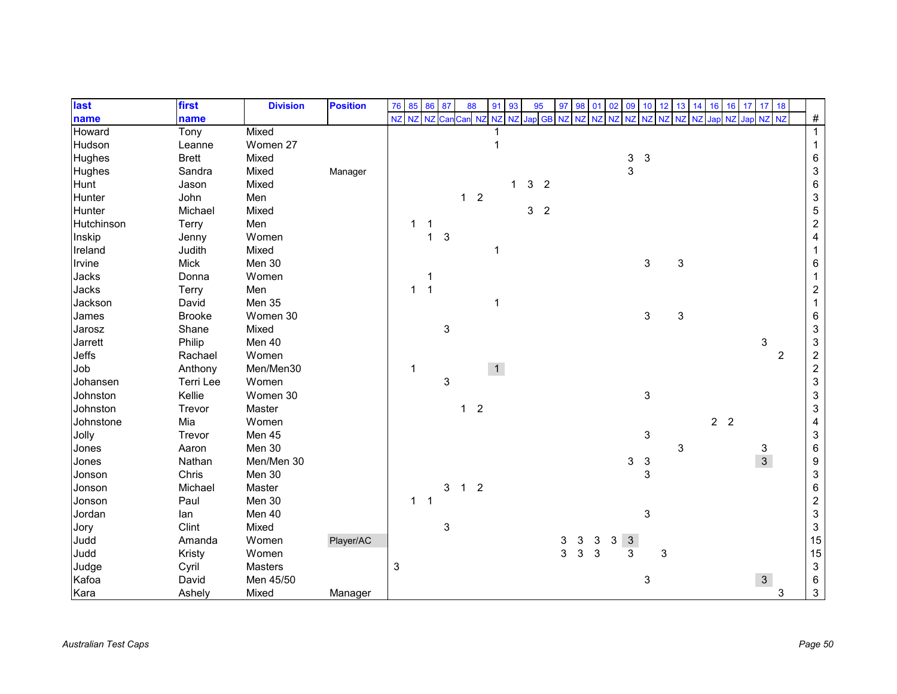| last          | first         | <b>Division</b> | <b>Position</b> | 76 | 85        | 86        | 87                        | 88             |                | 91             | 93           | 95 |                | 97 | 98 | 01        | 02             | 09           | 10             | 12        | 13         | 14 | 16             | 16        | 17 <sup>1</sup> | 17 18         |                |                           |
|---------------|---------------|-----------------|-----------------|----|-----------|-----------|---------------------------|----------------|----------------|----------------|--------------|----|----------------|----|----|-----------|----------------|--------------|----------------|-----------|------------|----|----------------|-----------|-----------------|---------------|----------------|---------------------------|
| name          | name          |                 |                 | NZ | <b>NZ</b> | <b>NZ</b> | Car                       | Can NZ         |                | NZ             | <b>NZ</b>    |    | Jap GB NZ      |    |    | <b>NZ</b> | N <sub>7</sub> | <b>NZ</b>    | N <sub>Z</sub> | <b>NZ</b> | N7         |    | Jap            | <b>NZ</b> | Jap NZ          |               | <b>NZ</b>      | $\#$                      |
| Howard        | Tony          | Mixed           |                 |    |           |           |                           |                |                |                |              |    |                |    |    |           |                |              |                |           |            |    |                |           |                 |               |                | $\overline{1}$            |
| Hudson        | Leanne        | Women 27        |                 |    |           |           |                           |                |                |                |              |    |                |    |    |           |                |              |                |           |            |    |                |           |                 |               |                | $\mathbf{1}$              |
| <b>Hughes</b> | <b>Brett</b>  | Mixed           |                 |    |           |           |                           |                |                |                |              |    |                |    |    |           |                | 3            | $\mathbf{3}$   |           |            |    |                |           |                 |               |                | $\,6\,$                   |
| Hughes        | Sandra        | Mixed           | Manager         |    |           |           |                           |                |                |                |              |    |                |    |    |           |                | 3            |                |           |            |    |                |           |                 |               |                | $\ensuremath{\mathsf{3}}$ |
| Hunt          | Jason         | Mixed           |                 |    |           |           |                           |                |                |                | $\mathbf{1}$ | 3  | $\overline{2}$ |    |    |           |                |              |                |           |            |    |                |           |                 |               |                | $\,6$                     |
| Hunter        | John          | Men             |                 |    |           |           |                           | $\mathbf{1}$   | $\overline{2}$ |                |              |    |                |    |    |           |                |              |                |           |            |    |                |           |                 |               |                | $\ensuremath{\mathsf{3}}$ |
| Hunter        | Michael       | Mixed           |                 |    |           |           |                           |                |                |                |              | 3  | $\overline{2}$ |    |    |           |                |              |                |           |            |    |                |           |                 |               |                | $\sqrt{5}$                |
| Hutchinson    | Terry         | Men             |                 |    | 1         |           |                           |                |                |                |              |    |                |    |    |           |                |              |                |           |            |    |                |           |                 |               |                | $\boldsymbol{2}$          |
| Inskip        | Jenny         | Women           |                 |    |           | 1         | 3                         |                |                |                |              |    |                |    |    |           |                |              |                |           |            |    |                |           |                 |               |                | $\overline{\mathbf{4}}$   |
| Ireland       | Judith        | Mixed           |                 |    |           |           |                           |                |                | 1              |              |    |                |    |    |           |                |              |                |           |            |    |                |           |                 |               |                | -1                        |
| Irvine        | <b>Mick</b>   | Men 30          |                 |    |           |           |                           |                |                |                |              |    |                |    |    |           |                |              | 3              |           | $\sqrt{3}$ |    |                |           |                 |               |                | 6                         |
| Jacks         | Donna         | Women           |                 |    |           |           |                           |                |                |                |              |    |                |    |    |           |                |              |                |           |            |    |                |           |                 |               |                | 1                         |
| Jacks         | Terry         | Men             |                 |    | 1         |           |                           |                |                |                |              |    |                |    |    |           |                |              |                |           |            |    |                |           |                 |               |                | $\sqrt{2}$                |
| Jackson       | David         | Men 35          |                 |    |           |           |                           |                |                | 1              |              |    |                |    |    |           |                |              |                |           |            |    |                |           |                 |               |                |                           |
| James         | <b>Brooke</b> | Women 30        |                 |    |           |           |                           |                |                |                |              |    |                |    |    |           |                |              | 3              |           | 3          |    |                |           |                 |               |                | $\,6\,$                   |
| Jarosz        | Shane         | Mixed           |                 |    |           |           | $\ensuremath{\mathsf{3}}$ |                |                |                |              |    |                |    |    |           |                |              |                |           |            |    |                |           |                 |               |                | $\ensuremath{\mathsf{3}}$ |
| Jarrett       | Philip        | Men 40          |                 |    |           |           |                           |                |                |                |              |    |                |    |    |           |                |              |                |           |            |    |                |           |                 | 3             |                | $\ensuremath{\mathsf{3}}$ |
| Jeffs         | Rachael       | Women           |                 |    |           |           |                           |                |                |                |              |    |                |    |    |           |                |              |                |           |            |    |                |           |                 |               | $\overline{c}$ | $\boldsymbol{2}$          |
| Job           | Anthony       | Men/Men30       |                 |    | 1         |           |                           |                |                | $\overline{1}$ |              |    |                |    |    |           |                |              |                |           |            |    |                |           |                 |               |                | $\sqrt{2}$                |
| Johansen      | Terri Lee     | Women           |                 |    |           |           | 3                         |                |                |                |              |    |                |    |    |           |                |              |                |           |            |    |                |           |                 |               |                | $\ensuremath{\mathsf{3}}$ |
| Johnston      | Kellie        | Women 30        |                 |    |           |           |                           |                |                |                |              |    |                |    |    |           |                |              | 3              |           |            |    |                |           |                 |               |                | $\ensuremath{\mathsf{3}}$ |
| Johnston      | Trevor        | Master          |                 |    |           |           |                           | $\mathbf{1}$   | $\overline{2}$ |                |              |    |                |    |    |           |                |              |                |           |            |    |                |           |                 |               |                | $\ensuremath{\mathsf{3}}$ |
| Johnstone     | Mia           | Women           |                 |    |           |           |                           |                |                |                |              |    |                |    |    |           |                |              |                |           |            |    | 2 <sub>2</sub> |           |                 |               |                | $\overline{\mathbf{4}}$   |
| Jolly         | Trevor        | Men 45          |                 |    |           |           |                           |                |                |                |              |    |                |    |    |           |                |              | 3              |           |            |    |                |           |                 |               |                | $\ensuremath{\mathsf{3}}$ |
| Jones         | Aaron         | Men 30          |                 |    |           |           |                           |                |                |                |              |    |                |    |    |           |                |              |                |           | 3          |    |                |           |                 |               |                | $\,6\,$                   |
| Jones         | Nathan        | Men/Men 30      |                 |    |           |           |                           |                |                |                |              |    |                |    |    |           |                | 3            | $\mathbf{3}$   |           |            |    |                |           |                 | $\frac{3}{3}$ |                | $\boldsymbol{9}$          |
| Jonson        | Chris         | Men 30          |                 |    |           |           |                           |                |                |                |              |    |                |    |    |           |                |              | 3              |           |            |    |                |           |                 |               |                | $\ensuremath{\mathsf{3}}$ |
| Jonson        | Michael       | Master          |                 |    |           |           | 3                         | $\overline{1}$ | $\overline{2}$ |                |              |    |                |    |    |           |                |              |                |           |            |    |                |           |                 |               |                | $\,6$                     |
| Jonson        | Paul          | Men 30          |                 |    | 1         | -1        |                           |                |                |                |              |    |                |    |    |           |                |              |                |           |            |    |                |           |                 |               |                | $\boldsymbol{2}$          |
| Jordan        | lan           | Men 40          |                 |    |           |           |                           |                |                |                |              |    |                |    |    |           |                |              | 3              |           |            |    |                |           |                 |               |                | $\mathsf 3$               |
| Jory          | Clint         | Mixed           |                 |    |           |           | 3                         |                |                |                |              |    |                |    |    |           |                |              |                |           |            |    |                |           |                 |               |                | $\mathbf{3}$              |
| Judd          | Amanda        | Women           | Player/AC       |    |           |           |                           |                |                |                |              |    |                | 3  | 3  | 3         | 3              | $\mathbf{3}$ |                |           |            |    |                |           |                 |               |                | 15                        |
| Judd          | Kristy        | Women           |                 |    |           |           |                           |                |                |                |              |    |                | 3  | 3  | 3         |                | 3            |                | 3         |            |    |                |           |                 |               |                | 15                        |
| Judge         | Cyril         | Masters         |                 | 3  |           |           |                           |                |                |                |              |    |                |    |    |           |                |              |                |           |            |    |                |           |                 |               |                | $\ensuremath{\mathsf{3}}$ |
| Kafoa         | David         | Men 45/50       |                 |    |           |           |                           |                |                |                |              |    |                |    |    |           |                |              | 3              |           |            |    |                |           |                 | $\mathbf{3}$  |                | $\,6$                     |
| Kara          | Ashely        | Mixed           | Manager         |    |           |           |                           |                |                |                |              |    |                |    |    |           |                |              |                |           |            |    |                |           |                 |               | 3              | $\mathfrak{S}$            |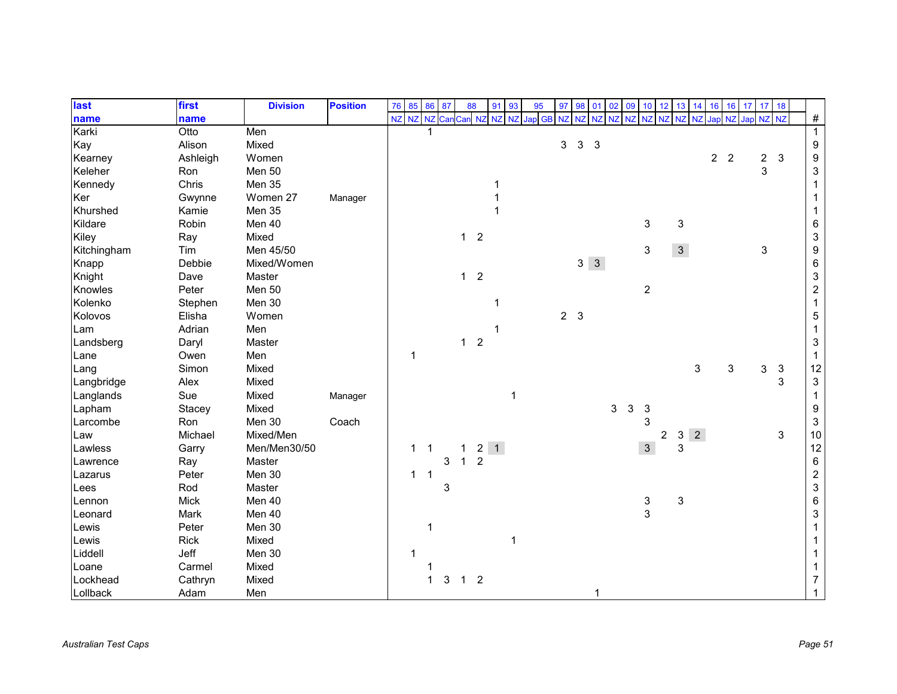| last        | first       | <b>Division</b> | <b>Position</b> | 76 | 85                      | 86             | 87  | 88             |                | 91              | 93        | 95     | 97 | 98             | 01                      | 02        | 09         | 10 <sup>1</sup> | 12             | 13           | 14             | 16             | 16             | 17     | 17 18          |              |                           |
|-------------|-------------|-----------------|-----------------|----|-------------------------|----------------|-----|----------------|----------------|-----------------|-----------|--------|----|----------------|-------------------------|-----------|------------|-----------------|----------------|--------------|----------------|----------------|----------------|--------|----------------|--------------|---------------------------|
| name        | name        |                 |                 | NZ | $\overline{\mathsf{N}}$ | NZ             | Can | Can NZ         |                | NZ              | <b>NZ</b> | Jap GB | NZ | N <sub>7</sub> | NZ                      | <b>NZ</b> | NZ         | <b>NZ</b>       | <b>NZ</b>      | <b>NZ</b>    |                | Japl           | <b>NZ</b>      | Jap NZ |                | <b>NZ</b>    | $\#$                      |
| Karki       | Otto        | Men             |                 |    |                         |                |     |                |                |                 |           |        |    |                |                         |           |            |                 |                |              |                |                |                |        |                |              | $\overline{1}$            |
| Kay         | Alison      | Mixed           |                 |    |                         |                |     |                |                |                 |           |        | 3  | $\mathbf{3}$   | $\overline{\mathbf{3}}$ |           |            |                 |                |              |                |                |                |        |                |              | $\boldsymbol{9}$          |
| Kearney     | Ashleigh    | Women           |                 |    |                         |                |     |                |                |                 |           |        |    |                |                         |           |            |                 |                |              |                | $\overline{2}$ | $\overline{2}$ |        | $\overline{c}$ | $\mathbf{3}$ | $\boldsymbol{9}$          |
| Keleher     | Ron         | Men 50          |                 |    |                         |                |     |                |                |                 |           |        |    |                |                         |           |            |                 |                |              |                |                |                |        | 3              |              | $\ensuremath{\mathsf{3}}$ |
| Kennedy     | Chris       | Men 35          |                 |    |                         |                |     |                |                |                 |           |        |    |                |                         |           |            |                 |                |              |                |                |                |        |                |              |                           |
| Ker         | Gwynne      | Women 27        | Manager         |    |                         |                |     |                |                |                 |           |        |    |                |                         |           |            |                 |                |              |                |                |                |        |                |              |                           |
| Khurshed    | Kamie       | Men 35          |                 |    |                         |                |     |                |                |                 |           |        |    |                |                         |           |            |                 |                |              |                |                |                |        |                |              |                           |
| Kildare     | Robin       | Men 40          |                 |    |                         |                |     |                |                |                 |           |        |    |                |                         |           |            | 3               |                | 3            |                |                |                |        |                |              | $\,6$                     |
| Kiley       | Ray         | Mixed           |                 |    |                         |                |     | $\mathbf{1}$   | $\overline{2}$ |                 |           |        |    |                |                         |           |            |                 |                |              |                |                |                |        |                |              | $\ensuremath{\mathsf{3}}$ |
| Kitchingham | Tim         | Men 45/50       |                 |    |                         |                |     |                |                |                 |           |        |    |                |                         |           |            | 3               |                | $\mathbf{3}$ |                |                |                |        | 3              |              | $\boldsymbol{9}$          |
| Knapp       | Debbie      | Mixed/Women     |                 |    |                         |                |     |                |                |                 |           |        |    |                | $3 \quad 3$             |           |            |                 |                |              |                |                |                |        |                |              | $\,6$                     |
| Knight      | Dave        | Master          |                 |    |                         |                |     | $1\quad 2$     |                |                 |           |        |    |                |                         |           |            |                 |                |              |                |                |                |        |                |              | $\ensuremath{\mathsf{3}}$ |
| Knowles     | Peter       | Men 50          |                 |    |                         |                |     |                |                |                 |           |        |    |                |                         |           |            | $\overline{c}$  |                |              |                |                |                |        |                |              | $\boldsymbol{2}$          |
| Kolenko     | Stephen     | Men 30          |                 |    |                         |                |     |                |                |                 |           |        |    |                |                         |           |            |                 |                |              |                |                |                |        |                |              |                           |
| Kolovos     | Elisha      | Women           |                 |    |                         |                |     |                |                |                 |           |        |    | 2 <sub>3</sub> |                         |           |            |                 |                |              |                |                |                |        |                |              | $\,$ 5 $\,$               |
| Lam         | Adrian      | Men             |                 |    |                         |                |     |                |                |                 |           |        |    |                |                         |           |            |                 |                |              |                |                |                |        |                |              | $\mathbf 1$               |
| Landsberg   | Daryl       | Master          |                 |    |                         |                |     | 1              | $\overline{2}$ |                 |           |        |    |                |                         |           |            |                 |                |              |                |                |                |        |                |              | $\sqrt{3}$                |
| Lane        | Owen        | Men             |                 |    | 1                       |                |     |                |                |                 |           |        |    |                |                         |           |            |                 |                |              |                |                |                |        |                |              | $\mathbf 1$               |
| Lang        | Simon       | Mixed           |                 |    |                         |                |     |                |                |                 |           |        |    |                |                         |           |            |                 |                |              | 3              |                | 3              |        | 3              | $\sqrt{3}$   | 12                        |
| Langbridge  | Alex        | Mixed           |                 |    |                         |                |     |                |                |                 |           |        |    |                |                         |           |            |                 |                |              |                |                |                |        |                | 3            | $\ensuremath{\mathsf{3}}$ |
| Langlands   | Sue         | Mixed           | Manager         |    |                         |                |     |                |                |                 |           |        |    |                |                         |           |            |                 |                |              |                |                |                |        |                |              | $\mathbf 1$               |
| Lapham      | Stacey      | Mixed           |                 |    |                         |                |     |                |                |                 |           |        |    |                |                         | 3         | $\sqrt{3}$ | 3               |                |              |                |                |                |        |                |              | 9                         |
| Larcombe    | Ron         | Men 30          | Coach           |    |                         |                |     |                |                |                 |           |        |    |                |                         |           |            | 3               |                |              |                |                |                |        |                |              | $\sqrt{3}$                |
| Law         | Michael     | Mixed/Men       |                 |    |                         |                |     |                |                |                 |           |        |    |                |                         |           |            |                 | $\overline{c}$ | 3            | $\overline{2}$ |                |                |        |                | 3            | $10\,$                    |
| Lawless     | Garry       | Men/Men30/50    |                 |    | $\mathbf{1}$            | $\overline{1}$ |     | 1              |                | $2 \mid 1 \mid$ |           |        |    |                |                         |           |            | $\mathbf{3}$    |                | 3            |                |                |                |        |                |              | 12                        |
| Lawrence    | Ray         | Master          |                 |    |                         |                | 3   | $\mathbf{1}$   | $\overline{2}$ |                 |           |        |    |                |                         |           |            |                 |                |              |                |                |                |        |                |              | $\,6\,$                   |
| Lazarus     | Peter       | Men 30          |                 |    | 1                       | $\overline{1}$ |     |                |                |                 |           |        |    |                |                         |           |            |                 |                |              |                |                |                |        |                |              | $\boldsymbol{2}$          |
| Lees        | Rod         | Master          |                 |    |                         |                | 3   |                |                |                 |           |        |    |                |                         |           |            |                 |                |              |                |                |                |        |                |              | $\ensuremath{\mathsf{3}}$ |
| Lennon      | <b>Mick</b> | Men 40          |                 |    |                         |                |     |                |                |                 |           |        |    |                |                         |           |            | 3               |                | 3            |                |                |                |        |                |              | $\,6$                     |
| Leonard     | Mark        | Men 40          |                 |    |                         |                |     |                |                |                 |           |        |    |                |                         |           |            | 3               |                |              |                |                |                |        |                |              | $\sqrt{3}$                |
| Lewis       | Peter       | Men 30          |                 |    |                         | 1              |     |                |                |                 |           |        |    |                |                         |           |            |                 |                |              |                |                |                |        |                |              |                           |
| Lewis       | <b>Rick</b> | Mixed           |                 |    |                         |                |     |                |                |                 | 1         |        |    |                |                         |           |            |                 |                |              |                |                |                |        |                |              |                           |
| Liddell     | Jeff        | Men 30          |                 |    |                         |                |     |                |                |                 |           |        |    |                |                         |           |            |                 |                |              |                |                |                |        |                |              |                           |
| Loane       | Carmel      | Mixed           |                 |    |                         |                |     |                |                |                 |           |        |    |                |                         |           |            |                 |                |              |                |                |                |        |                |              |                           |
| Lockhead    | Cathryn     | Mixed           |                 |    |                         |                | 3   | 1 <sub>2</sub> |                |                 |           |        |    |                |                         |           |            |                 |                |              |                |                |                |        |                |              |                           |
| Lollback    | Adam        | Men             |                 |    |                         |                |     |                |                |                 |           |        |    |                |                         |           |            |                 |                |              |                |                |                |        |                |              |                           |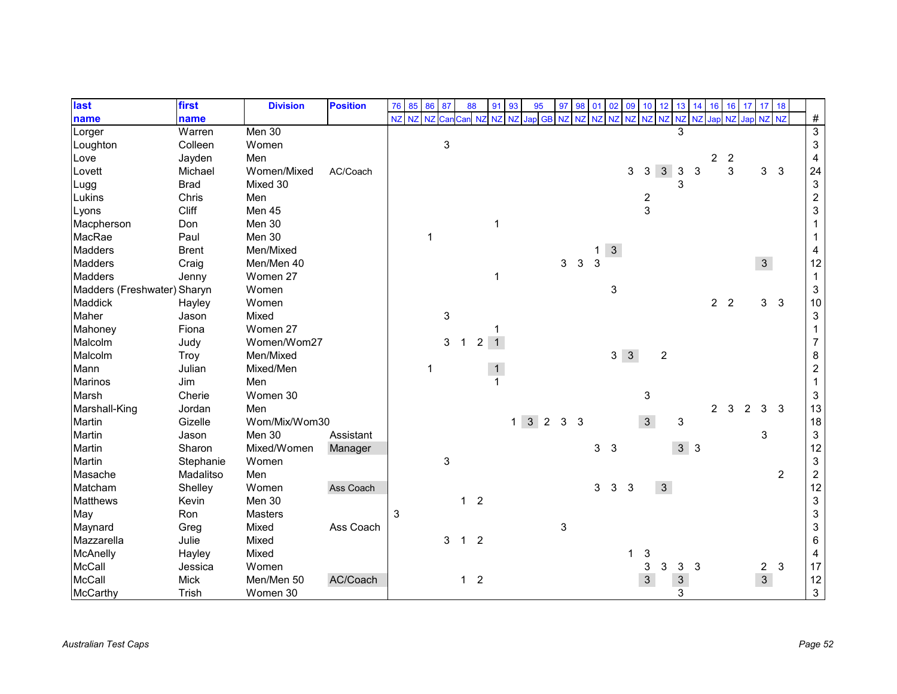| last                        | first        | <b>Division</b> | <b>Position</b> | 76 | 85 | 86          | 87  | 88             |                | 91             | 93          | 95             | 97 | 98             | 01             | 02             | 09          | 10                      | 12             | 13             | 14 | 16             | 16             | 17               | 17             | 18             |                           |
|-----------------------------|--------------|-----------------|-----------------|----|----|-------------|-----|----------------|----------------|----------------|-------------|----------------|----|----------------|----------------|----------------|-------------|-------------------------|----------------|----------------|----|----------------|----------------|------------------|----------------|----------------|---------------------------|
| name                        | name         |                 |                 | NZ | NZ | <b>NZ</b>   | Can | Can NZ         |                | NZ             | <b>NZ</b>   | Jap GB NZ      |    | N <sub>7</sub> | <b>NZ</b>      | <b>NZ</b>      |             |                         | NZ NZ NZ       | NZ             |    |                |                | NZ Jap NZ Jap NZ |                | NZ             | $\#$                      |
| Lorger                      | Warren       | Men 30          |                 |    |    |             |     |                |                |                |             |                |    |                |                |                |             |                         |                | 3              |    |                |                |                  |                |                | $\overline{3}$            |
| Loughton                    | Colleen      | Women           |                 |    |    |             | 3   |                |                |                |             |                |    |                |                |                |             |                         |                |                |    |                |                |                  |                |                | $\sqrt{3}$                |
| Love                        | Jayden       | Men             |                 |    |    |             |     |                |                |                |             |                |    |                |                |                |             |                         |                |                |    | $\overline{c}$ | $\overline{c}$ |                  |                |                | $\overline{\mathbf{4}}$   |
| Lovett                      | Michael      | Women/Mixed     | AC/Coach        |    |    |             |     |                |                |                |             |                |    |                |                |                | 3           | 3                       | $\mathbf{3}$   | $\mathbf{3}$   | 3  |                | 3              |                  | 3              | $\mathbf{3}$   | 24                        |
| Lugg                        | <b>Brad</b>  | Mixed 30        |                 |    |    |             |     |                |                |                |             |                |    |                |                |                |             |                         |                | 3              |    |                |                |                  |                |                | $\ensuremath{\mathsf{3}}$ |
| Lukins                      | Chris        | Men             |                 |    |    |             |     |                |                |                |             |                |    |                |                |                |             | $\overline{\mathbf{c}}$ |                |                |    |                |                |                  |                |                | $\boldsymbol{2}$          |
| Lyons                       | Cliff        | Men 45          |                 |    |    |             |     |                |                |                |             |                |    |                |                |                |             | 3                       |                |                |    |                |                |                  |                |                | $\ensuremath{\mathsf{3}}$ |
| Macpherson                  | Don          | Men 30          |                 |    |    |             |     |                |                | 1              |             |                |    |                |                |                |             |                         |                |                |    |                |                |                  |                |                |                           |
| MacRae                      | Paul         | Men 30          |                 |    |    | $\mathbf 1$ |     |                |                |                |             |                |    |                |                |                |             |                         |                |                |    |                |                |                  |                |                |                           |
| <b>Madders</b>              | <b>Brent</b> | Men/Mixed       |                 |    |    |             |     |                |                |                |             |                |    |                | $\mathbf{1}$   | 3 <sup>1</sup> |             |                         |                |                |    |                |                |                  |                |                | 4                         |
| <b>Madders</b>              | Craig        | Men/Men 40      |                 |    |    |             |     |                |                |                |             |                | 3  | 3              | 3              |                |             |                         |                |                |    |                |                |                  | $\overline{3}$ |                | 12                        |
| <b>Madders</b>              | Jenny        | Women 27        |                 |    |    |             |     |                |                | 1              |             |                |    |                |                |                |             |                         |                |                |    |                |                |                  |                |                | $\mathbf 1$               |
| Madders (Freshwater) Sharyn |              | Women           |                 |    |    |             |     |                |                |                |             |                |    |                |                | 3              |             |                         |                |                |    |                |                |                  |                |                | $\ensuremath{\mathsf{3}}$ |
| Maddick                     | Hayley       | Women           |                 |    |    |             |     |                |                |                |             |                |    |                |                |                |             |                         |                |                |    | 2 <sub>2</sub> |                |                  | 3 <sup>1</sup> | $\mathbf{3}$   | 10                        |
| Maher                       | Jason        | Mixed           |                 |    |    |             | 3   |                |                |                |             |                |    |                |                |                |             |                         |                |                |    |                |                |                  |                |                | $\ensuremath{\mathsf{3}}$ |
| Mahoney                     | Fiona        | Women 27        |                 |    |    |             |     |                |                |                |             |                |    |                |                |                |             |                         |                |                |    |                |                |                  |                |                |                           |
| Malcolm                     | Judy         | Women/Wom27     |                 |    |    |             | 3   | $\mathbf{1}$   | $\overline{c}$ | $\overline{1}$ |             |                |    |                |                |                |             |                         |                |                |    |                |                |                  |                |                | $\overline{7}$            |
| Malcolm                     | Troy         | Men/Mixed       |                 |    |    |             |     |                |                |                |             |                |    |                |                |                | $3 \quad 3$ |                         | $\overline{2}$ |                |    |                |                |                  |                |                | 8                         |
| Mann                        | Julian       | Mixed/Men       |                 |    |    | 1           |     |                |                |                |             |                |    |                |                |                |             |                         |                |                |    |                |                |                  |                |                | $\overline{c}$            |
| <b>Marinos</b>              | Jim          | Men             |                 |    |    |             |     |                |                |                |             |                |    |                |                |                |             |                         |                |                |    |                |                |                  |                |                | $\mathbf{1}$              |
| Marsh                       | Cherie       | Women 30        |                 |    |    |             |     |                |                |                |             |                |    |                |                |                |             | 3                       |                |                |    |                |                |                  |                |                | $\ensuremath{\mathsf{3}}$ |
| Marshall-King               | Jordan       | Men             |                 |    |    |             |     |                |                |                |             |                |    |                |                |                |             |                         |                |                |    | $\overline{2}$ | 3              | $\overline{c}$   | 3              | 3              | 13                        |
| Martin                      | Gizelle      | Wom/Mix/Wom30   |                 |    |    |             |     |                |                |                | $1 \quad 3$ | $\overline{2}$ | 3  | 3              |                |                |             | $\mathbf{3}$            |                | 3              |    |                |                |                  |                |                | $18$                      |
| Martin                      | Jason        | Men 30          | Assistant       |    |    |             |     |                |                |                |             |                |    |                |                |                |             |                         |                |                |    |                |                |                  | 3              |                | $\ensuremath{\mathsf{3}}$ |
| Martin                      | Sharon       | Mixed/Women     | Manager         |    |    |             |     |                |                |                |             |                |    |                | 3 <sup>1</sup> | $\mathbf{3}$   |             |                         |                | 3 <sup>3</sup> |    |                |                |                  |                |                | 12                        |
| Martin                      | Stephanie    | Women           |                 |    |    |             | 3   |                |                |                |             |                |    |                |                |                |             |                         |                |                |    |                |                |                  |                |                | $\ensuremath{\mathsf{3}}$ |
| Masache                     | Madalitso    | Men             |                 |    |    |             |     |                |                |                |             |                |    |                |                |                |             |                         |                |                |    |                |                |                  |                | $\overline{2}$ | $\boldsymbol{2}$          |
| Matcham                     | Shelley      | Women           | Ass Coach       |    |    |             |     |                |                |                |             |                |    |                | 3              | 3              | 3           |                         | 3 <sup>1</sup> |                |    |                |                |                  |                |                | 12                        |
| <b>Matthews</b>             | Kevin        | Men 30          |                 |    |    |             |     | $\mathbf{1}$   | $\overline{2}$ |                |             |                |    |                |                |                |             |                         |                |                |    |                |                |                  |                |                | $\ensuremath{\mathsf{3}}$ |
| May                         | Ron          | Masters         |                 | 3  |    |             |     |                |                |                |             |                |    |                |                |                |             |                         |                |                |    |                |                |                  |                |                | $\ensuremath{\mathsf{3}}$ |
| Maynard                     | Greg         | Mixed           | Ass Coach       |    |    |             |     |                |                |                |             |                | 3  |                |                |                |             |                         |                |                |    |                |                |                  |                |                | $\mathsf 3$               |
| Mazzarella                  | Julie        | Mixed           |                 |    |    |             | 3   | $\mathbf{1}$   | $\overline{2}$ |                |             |                |    |                |                |                |             |                         |                |                |    |                |                |                  |                |                | $\,6\,$                   |
| McAnelly                    | Hayley       | Mixed           |                 |    |    |             |     |                |                |                |             |                |    |                |                |                |             | 3                       |                |                |    |                |                |                  |                |                | 4                         |
| <b>McCall</b>               | Jessica      | Women           |                 |    |    |             |     |                |                |                |             |                |    |                |                |                |             | 3                       | 3              | 3              | 3  |                |                |                  | 2 <sup>7</sup> | $\mathbf{3}$   | 17                        |
| McCall                      | <b>Mick</b>  | Men/Men 50      | AC/Coach        |    |    |             |     | 1 <sub>2</sub> |                |                |             |                |    |                |                |                |             | $\mathfrak{S}$          |                | $\mathbf{3}$   |    |                |                |                  | $\mathbf{3}$   |                | 12                        |
| McCarthy                    | Trish        | Women 30        |                 |    |    |             |     |                |                |                |             |                |    |                |                |                |             |                         |                | 3              |    |                |                |                  |                |                | $\mathfrak{S}$            |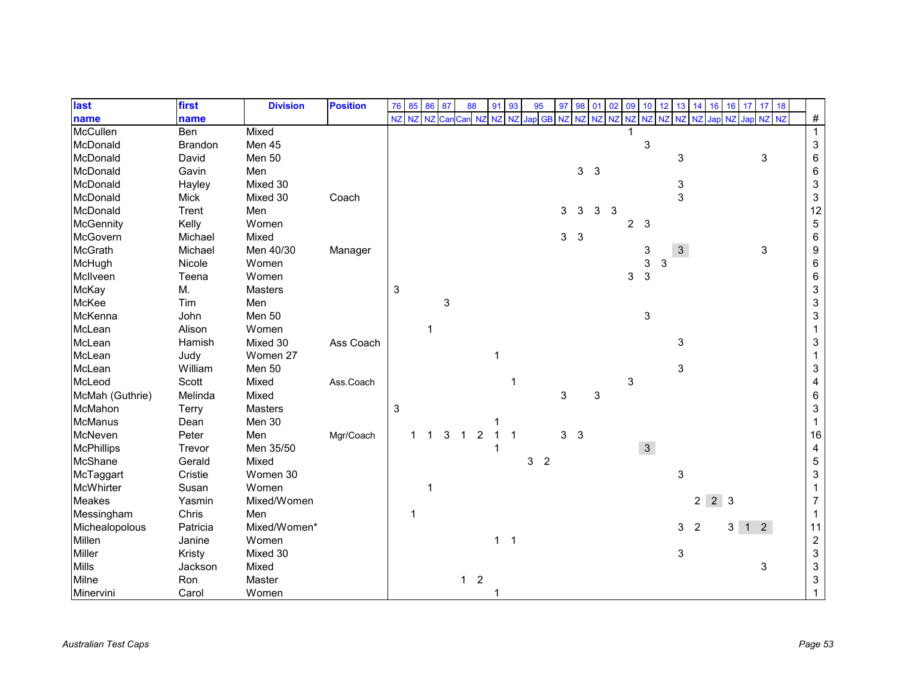| last              | first       | <b>Division</b> | <b>Position</b> | 76           | 85 | 86        | 87  | 88             |                | 91          | 93          | 95 |                | 97 | 98             | 01    | 02 | 09             | 10 <sup>1</sup> | 12 | 13           | 14             | 16          | 16                  | 17 <sup>1</sup> | 17 18     |                           |
|-------------------|-------------|-----------------|-----------------|--------------|----|-----------|-----|----------------|----------------|-------------|-------------|----|----------------|----|----------------|-------|----|----------------|-----------------|----|--------------|----------------|-------------|---------------------|-----------------|-----------|---------------------------|
| name              | name        |                 |                 | NZ           | NZ | <b>NZ</b> | Car | Can NZ         |                | NZ          | NZ          |    | Jap GB NZ      |    | <b>NZ</b>      | NZ NZ |    | NZ             | NZ NZ           |    | NZ           | NZ             | Japl        | <b>NZ</b>           |                 | Jap NZ NZ | $\#$                      |
| <b>McCullen</b>   | Ben         | Mixed           |                 |              |    |           |     |                |                |             |             |    |                |    |                |       |    |                |                 |    |              |                |             |                     |                 |           | $\overline{1}$            |
| McDonald          | Brandon     | Men 45          |                 |              |    |           |     |                |                |             |             |    |                |    |                |       |    |                | 3               |    |              |                |             |                     |                 |           | $\sqrt{3}$                |
| McDonald          | David       | Men 50          |                 |              |    |           |     |                |                |             |             |    |                |    |                |       |    |                |                 |    | 3            |                |             |                     |                 | 3         | $\,6$                     |
| McDonald          | Gavin       | Men             |                 |              |    |           |     |                |                |             |             |    |                |    | 3 <sup>3</sup> |       |    |                |                 |    |              |                |             |                     |                 |           | $\,6$                     |
| McDonald          | Hayley      | Mixed 30        |                 |              |    |           |     |                |                |             |             |    |                |    |                |       |    |                |                 |    | 3            |                |             |                     |                 |           | $\ensuremath{\mathsf{3}}$ |
| McDonald          | <b>Mick</b> | Mixed 30        | Coach           |              |    |           |     |                |                |             |             |    |                |    |                |       |    |                |                 |    | 3            |                |             |                     |                 |           | $\ensuremath{\mathsf{3}}$ |
| McDonald          | Trent       | Men             |                 |              |    |           |     |                |                |             |             |    |                | 3  | 3              | 3     | 3  |                |                 |    |              |                |             |                     |                 |           | 12                        |
| <b>McGennity</b>  | Kelly       | Women           |                 |              |    |           |     |                |                |             |             |    |                |    |                |       |    | 2 <sub>3</sub> |                 |    |              |                |             |                     |                 |           | $\overline{5}$            |
| McGovern          | Michael     | Mixed           |                 |              |    |           |     |                |                |             |             |    |                | 3  | $\mathbf{3}$   |       |    |                |                 |    |              |                |             |                     |                 |           | $\,6\,$                   |
| <b>McGrath</b>    | Michael     | Men 40/30       | Manager         |              |    |           |     |                |                |             |             |    |                |    |                |       |    |                | 3               |    | $\mathbf{3}$ |                |             |                     |                 | 3         | $\boldsymbol{9}$          |
| McHugh            | Nicole      | Women           |                 |              |    |           |     |                |                |             |             |    |                |    |                |       |    |                | 3               | 3  |              |                |             |                     |                 |           | $\,6\,$                   |
| McIlveen          | Teena       | Women           |                 |              |    |           |     |                |                |             |             |    |                |    |                |       |    | 3              | $\mathbf{3}$    |    |              |                |             |                     |                 |           | $\,6\,$                   |
| McKay             | M.          | Masters         |                 | 3            |    |           |     |                |                |             |             |    |                |    |                |       |    |                |                 |    |              |                |             |                     |                 |           | $\ensuremath{\mathsf{3}}$ |
| McKee             | Tim         | Men             |                 |              |    |           | 3   |                |                |             |             |    |                |    |                |       |    |                |                 |    |              |                |             |                     |                 |           | $\ensuremath{\mathsf{3}}$ |
| McKenna           | John        | Men 50          |                 |              |    |           |     |                |                |             |             |    |                |    |                |       |    |                | 3               |    |              |                |             |                     |                 |           | $\ensuremath{\mathsf{3}}$ |
| McLean            | Alison      | Women           |                 |              |    | 1         |     |                |                |             |             |    |                |    |                |       |    |                |                 |    |              |                |             |                     |                 |           | 1                         |
| McLean            | Hamish      | Mixed 30        | Ass Coach       |              |    |           |     |                |                |             |             |    |                |    |                |       |    |                |                 |    | 3            |                |             |                     |                 |           | $\ensuremath{\mathsf{3}}$ |
| McLean            | Judy        | Women 27        |                 |              |    |           |     |                |                | 1           |             |    |                |    |                |       |    |                |                 |    |              |                |             |                     |                 |           | $\mathbf 1$               |
| McLean            | William     | Men 50          |                 |              |    |           |     |                |                |             |             |    |                |    |                |       |    |                |                 |    | 3            |                |             |                     |                 |           | $\ensuremath{\mathsf{3}}$ |
| McLeod            | Scott       | Mixed           | Ass.Coach       |              |    |           |     |                |                |             |             |    |                |    |                |       |    | 3              |                 |    |              |                |             |                     |                 |           | $\overline{\mathbf{4}}$   |
| McMah (Guthrie)   | Melinda     | Mixed           |                 |              |    |           |     |                |                |             |             |    |                | 3  |                | 3     |    |                |                 |    |              |                |             |                     |                 |           | $\,6$                     |
| McMahon           | Terry       | <b>Masters</b>  |                 | $\mathbf{3}$ |    |           |     |                |                |             |             |    |                |    |                |       |    |                |                 |    |              |                |             |                     |                 |           | $\mathsf 3$               |
| <b>McManus</b>    | Dean        | Men 30          |                 |              |    |           |     |                |                |             |             |    |                |    |                |       |    |                |                 |    |              |                |             |                     |                 |           | $\overline{1}$            |
| McNeven           | Peter       | Men             | Mgr/Coach       |              |    |           | 3   | $\mathbf 1$    | $\overline{c}$ |             | $\mathbf 1$ |    |                | 3  | $\mathbf{3}$   |       |    |                |                 |    |              |                |             |                     |                 |           | 16                        |
| <b>McPhillips</b> | Trevor      | Men 35/50       |                 |              |    |           |     |                |                |             |             |    |                |    |                |       |    |                | $\mathbf{3}$    |    |              |                |             |                     |                 |           | $\overline{\mathbf{4}}$   |
| McShane           | Gerald      | Mixed           |                 |              |    |           |     |                |                |             |             | 3  | $\overline{2}$ |    |                |       |    |                |                 |    |              |                |             |                     |                 |           | $\,$ 5 $\,$               |
| McTaggart         | Cristie     | Women 30        |                 |              |    |           |     |                |                |             |             |    |                |    |                |       |    |                |                 |    | 3            |                |             |                     |                 |           | $\ensuremath{\mathsf{3}}$ |
| McWhirter         | Susan       | Women           |                 |              |    | -1        |     |                |                |             |             |    |                |    |                |       |    |                |                 |    |              |                |             |                     |                 |           | 1                         |
| <b>Meakes</b>     | Yasmin      | Mixed/Women     |                 |              |    |           |     |                |                |             |             |    |                |    |                |       |    |                |                 |    |              | 2 <sup>1</sup> | $2^{\circ}$ | -3                  |                 |           | $\overline{7}$            |
| Messingham        | Chris       | Men             |                 |              | 1  |           |     |                |                |             |             |    |                |    |                |       |    |                |                 |    |              |                |             |                     |                 |           |                           |
| Michealopolous    | Patricia    | Mixed/Women*    |                 |              |    |           |     |                |                |             |             |    |                |    |                |       |    |                |                 |    | 3            | $\overline{2}$ |             | $3 \quad 1 \quad 2$ |                 |           | 11                        |
| Millen            | Janine      | Women           |                 |              |    |           |     |                |                | $1 \quad 1$ |             |    |                |    |                |       |    |                |                 |    |              |                |             |                     |                 |           | $\boldsymbol{2}$          |
| Miller            | Kristy      | Mixed 30        |                 |              |    |           |     |                |                |             |             |    |                |    |                |       |    |                |                 |    | 3            |                |             |                     |                 |           | $\ensuremath{\mathsf{3}}$ |
| <b>Mills</b>      | Jackson     | Mixed           |                 |              |    |           |     |                |                |             |             |    |                |    |                |       |    |                |                 |    |              |                |             |                     |                 | 3         | $\ensuremath{\mathsf{3}}$ |
| Milne             | Ron         | Master          |                 |              |    |           |     | 1 <sub>2</sub> |                |             |             |    |                |    |                |       |    |                |                 |    |              |                |             |                     |                 |           | $\ensuremath{\mathsf{3}}$ |
| Minervini         | Carol       | Women           |                 |              |    |           |     |                |                |             |             |    |                |    |                |       |    |                |                 |    |              |                |             |                     |                 |           |                           |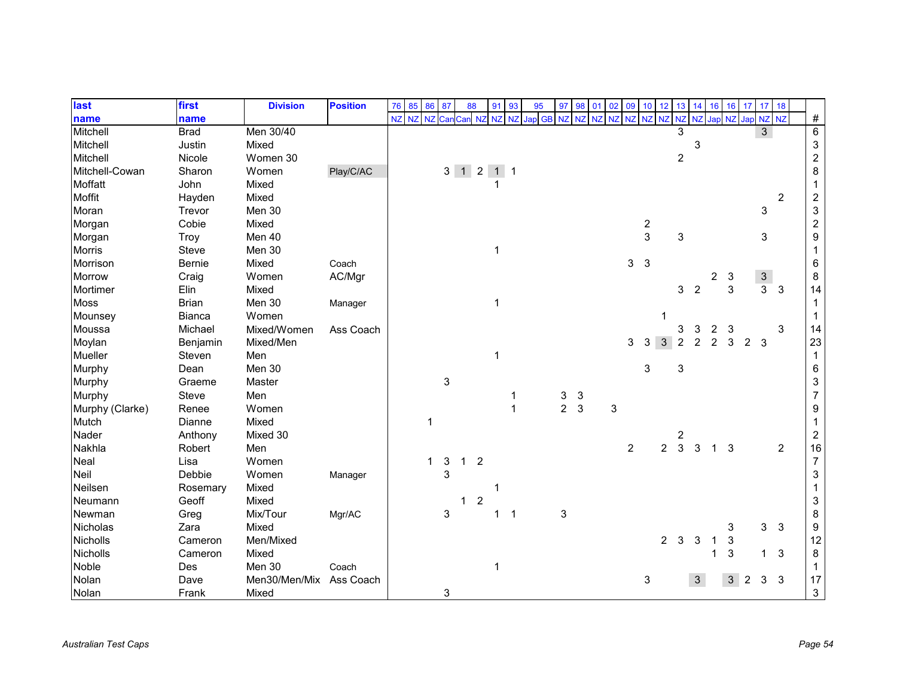| last            | first         | <b>Division</b> | <b>Position</b> | 76 | 85 | 86             | 87                        | 88           |                | 91 | 93             | 95     | 97             | 98             | 01        | 02          | 09             | 10            | 12             | 13                        | 14             | 16             | 16     |                | $17 \quad 17$  | 18             |                  |
|-----------------|---------------|-----------------|-----------------|----|----|----------------|---------------------------|--------------|----------------|----|----------------|--------|----------------|----------------|-----------|-------------|----------------|---------------|----------------|---------------------------|----------------|----------------|--------|----------------|----------------|----------------|------------------|
| name            | name          |                 |                 | NZ | NZ | <b>NZ</b>      | Car                       | Can NZ       |                | NZ | NZ             | Jap GB | <b>NZ</b>      | N <sub>7</sub> | <b>NZ</b> | <b>NZ</b>   | <b>NZ</b>      | NZ NZ         |                | NZ                        | NZ Jap         |                | NZ Jap |                | NZ NZ          |                | $\#$             |
| Mitchell        | <b>Brad</b>   | Men 30/40       |                 |    |    |                |                           |              |                |    |                |        |                |                |           |             |                |               |                | 3                         |                |                |        |                | 3              |                | $\overline{6}$   |
| Mitchell        | Justin        | Mixed           |                 |    |    |                |                           |              |                |    |                |        |                |                |           |             |                |               |                |                           | 3              |                |        |                |                |                | $\sqrt{3}$       |
| Mitchell        | Nicole        | Women 30        |                 |    |    |                |                           |              |                |    |                |        |                |                |           |             |                |               |                | $\overline{c}$            |                |                |        |                |                |                | $\boldsymbol{2}$ |
| Mitchell-Cowan  | Sharon        | Women           | Play/C/AC       |    |    |                |                           | $3$ 1 2 1 1  |                |    |                |        |                |                |           |             |                |               |                |                           |                |                |        |                |                |                | 8                |
| Moffatt         | John          | Mixed           |                 |    |    |                |                           |              |                |    |                |        |                |                |           |             |                |               |                |                           |                |                |        |                |                |                | 1                |
| Moffit          | Hayden        | Mixed           |                 |    |    |                |                           |              |                |    |                |        |                |                |           |             |                |               |                |                           |                |                |        |                |                | $\overline{2}$ | $\overline{c}$   |
| Moran           | Trevor        | Men 30          |                 |    |    |                |                           |              |                |    |                |        |                |                |           |             |                |               |                |                           |                |                |        |                | 3              |                | 3                |
| Morgan          | Cobie         | Mixed           |                 |    |    |                |                           |              |                |    |                |        |                |                |           |             |                | $\frac{2}{3}$ |                |                           |                |                |        |                |                |                | $\overline{c}$   |
| Morgan          | Troy          | Men 40          |                 |    |    |                |                           |              |                |    |                |        |                |                |           |             |                |               |                | 3                         |                |                |        |                | 3              |                | 9                |
| <b>Morris</b>   | Steve         | Men 30          |                 |    |    |                |                           |              |                | 1  |                |        |                |                |           |             |                |               |                |                           |                |                |        |                |                |                | 1                |
| Morrison        | <b>Bernie</b> | Mixed           | Coach           |    |    |                |                           |              |                |    |                |        |                |                |           |             | 3              | 3             |                |                           |                |                |        |                |                |                | 6                |
| <b>Morrow</b>   | Craig         | Women           | AC/Mgr          |    |    |                |                           |              |                |    |                |        |                |                |           |             |                |               |                |                           |                | 2              | 3      |                | $\mathbf{3}$   |                | 8                |
| Mortimer        | Elin          | Mixed           |                 |    |    |                |                           |              |                |    |                |        |                |                |           |             |                |               |                | 3                         | $\overline{2}$ |                | 3      |                | 3              | 3              | 14               |
| <b>Moss</b>     | <b>Brian</b>  | Men 30          | Manager         |    |    |                |                           |              |                | 1  |                |        |                |                |           |             |                |               |                |                           |                |                |        |                |                |                | 1                |
| Mounsey         | <b>Bianca</b> | Women           |                 |    |    |                |                           |              |                |    |                |        |                |                |           |             |                |               |                |                           |                |                |        |                |                |                | 1                |
| Moussa          | Michael       | Mixed/Women     | Ass Coach       |    |    |                |                           |              |                |    |                |        |                |                |           |             |                |               |                | 3                         | 3              | $\overline{c}$ | 3      |                |                | 3              | 14               |
| Moylan          | Benjamin      | Mixed/Men       |                 |    |    |                |                           |              |                |    |                |        |                |                |           |             | 3              | 3             | 3              | $\overline{c}$            | $\overline{c}$ | $\overline{2}$ | 3      | $\overline{2}$ | 3              |                | 23               |
| Mueller         | Steven        | Men             |                 |    |    |                |                           |              |                | 1  |                |        |                |                |           |             |                |               |                |                           |                |                |        |                |                |                | $\mathbf{1}$     |
| Murphy          | Dean          | Men 30          |                 |    |    |                |                           |              |                |    |                |        |                |                |           |             |                | 3             |                | $\ensuremath{\mathsf{3}}$ |                |                |        |                |                |                | $\,6\,$          |
| Murphy          | Graeme        | Master          |                 |    |    |                | $\ensuremath{\mathsf{3}}$ |              |                |    |                |        |                |                |           |             |                |               |                |                           |                |                |        |                |                |                | 3                |
| Murphy          | Steve         | Men             |                 |    |    |                |                           |              |                |    |                |        | 3              | 3              |           |             |                |               |                |                           |                |                |        |                |                |                | $\overline{7}$   |
| Murphy (Clarke) | Renee         | Women           |                 |    |    |                |                           |              |                |    | $\mathbf{1}$   |        | $\overline{a}$ | 3              |           | $\mathsf 3$ |                |               |                |                           |                |                |        |                |                |                | 9                |
| Mutch           | Dianne        | Mixed           |                 |    |    | $\overline{1}$ |                           |              |                |    |                |        |                |                |           |             |                |               |                |                           |                |                |        |                |                |                | 1                |
| Nader           | Anthony       | Mixed 30        |                 |    |    |                |                           |              |                |    |                |        |                |                |           |             |                |               |                | 2                         |                |                |        |                |                |                | $\overline{c}$   |
| Nakhla          | Robert        | Men             |                 |    |    |                |                           |              |                |    |                |        |                |                |           |             | $\overline{c}$ |               | $\overline{c}$ | $\mathbf{3}$              | $\mathbf{3}$   | $\mathbf 1$    | 3      |                |                | $\overline{2}$ | 16               |
| Neal            | Lisa          | Women           |                 |    |    | $\mathbf 1$    | 3                         | $\mathbf{1}$ | $\overline{2}$ |    |                |        |                |                |           |             |                |               |                |                           |                |                |        |                |                |                | $\boldsymbol{7}$ |
| Neil            | Debbie        | Women           | Manager         |    |    |                | 3                         |              |                |    |                |        |                |                |           |             |                |               |                |                           |                |                |        |                |                |                | 3                |
| Neilsen         | Rosemary      | Mixed           |                 |    |    |                |                           |              |                | 1  |                |        |                |                |           |             |                |               |                |                           |                |                |        |                |                |                | 1                |
| Neumann         | Geoff         | Mixed           |                 |    |    |                |                           | 1            | $\overline{c}$ |    |                |        |                |                |           |             |                |               |                |                           |                |                |        |                |                |                | 3                |
| Newman          | Greg          | Mix/Tour        | Mgr/AC          |    |    |                | 3                         |              |                | 1  | $\overline{1}$ |        | 3              |                |           |             |                |               |                |                           |                |                |        |                |                |                | 8                |
| Nicholas        | Zara          | Mixed           |                 |    |    |                |                           |              |                |    |                |        |                |                |           |             |                |               |                |                           |                |                | 3      |                | $\mathbf{3}$   | $\mathbf{3}$   | 9                |
| Nicholls        | Cameron       | Men/Mixed       |                 |    |    |                |                           |              |                |    |                |        |                |                |           |             |                |               | $2^{\circ}$    | $\mathbf{3}$              | 3              |                | 3      |                |                |                | 12               |
| Nicholls        | Cameron       | Mixed           |                 |    |    |                |                           |              |                |    |                |        |                |                |           |             |                |               |                |                           |                |                | 3      |                | 1              | $\mathbf{3}$   | 8                |
| Noble           | Des           | Men 30          | Coach           |    |    |                |                           |              |                | 1  |                |        |                |                |           |             |                |               |                |                           |                |                |        |                |                |                | 1                |
| Nolan           | Dave          | Men30/Men/Mix   | Ass Coach       |    |    |                |                           |              |                |    |                |        |                |                |           |             |                | 3             |                |                           | $\mathbf{3}$   |                |        | $3 \quad 2$    | 3 <sup>1</sup> | $\mathbf{3}$   | 17               |
| Nolan           | Frank         | Mixed           |                 |    |    |                | 3                         |              |                |    |                |        |                |                |           |             |                |               |                |                           |                |                |        |                |                |                | 3                |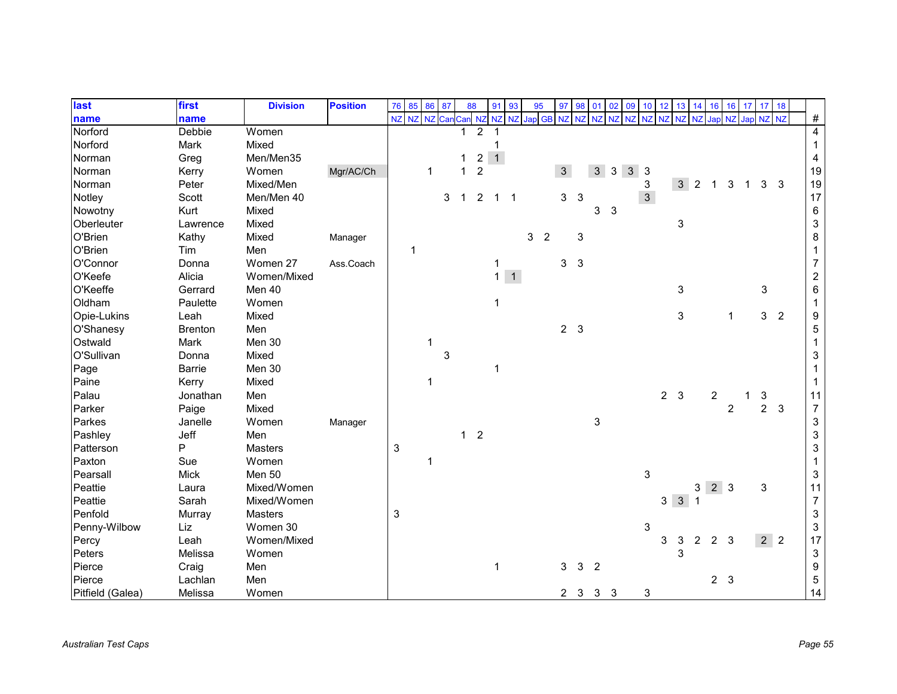| last             | first          | <b>Division</b> | <b>Position</b> | 76                        | 85    | 86 | 87  | 88           |                         | 91                     | 93 | 95 |                | 97             | 98             | 01             | 02 | 09             | 10 <sup>1</sup> | 12             | 13             | 14             | 16                      | 16             | 17 <sup>1</sup> | 17 18          |                |                           |
|------------------|----------------|-----------------|-----------------|---------------------------|-------|----|-----|--------------|-------------------------|------------------------|----|----|----------------|----------------|----------------|----------------|----|----------------|-----------------|----------------|----------------|----------------|-------------------------|----------------|-----------------|----------------|----------------|---------------------------|
| name             | name           |                 |                 | NZ                        | NZ NZ |    | Can |              |                         | Can NZ NZ NZ Jap GB NZ |    |    |                |                | N <sub>7</sub> | NZ             | NZ | NZ             | <b>NZ</b>       | <b>NZ</b>      | <b>NZ</b>      | <b>NZ</b>      | Jap                     | <b>NZ</b>      | Jap NZ NZ       |                |                | $\#$                      |
| Norford          | <b>Debbie</b>  | Women           |                 |                           |       |    |     |              | 2                       |                        |    |    |                |                |                |                |    |                |                 |                |                |                |                         |                |                 |                |                | 4                         |
| Norford          | Mark           | Mixed           |                 |                           |       |    |     |              |                         |                        |    |    |                |                |                |                |    |                |                 |                |                |                |                         |                |                 |                |                | $\mathbf{1}$              |
| Norman           | Greg           | Men/Men35       |                 |                           |       |    |     | 1            | $\overline{\mathbf{c}}$ | $\overline{1}$         |    |    |                |                |                |                |    |                |                 |                |                |                |                         |                |                 |                |                | $\overline{4}$            |
| Norman           | Kerry          | Women           | Mgr/AC/Ch       |                           |       | 1  |     | 1            | $\overline{c}$          |                        |    |    |                | 3              |                | $\mathfrak{S}$ | 3  | $\mathfrak{S}$ | 3               |                |                |                |                         |                |                 |                |                | 19                        |
| Norman           | Peter          | Mixed/Men       |                 |                           |       |    |     |              |                         |                        |    |    |                |                |                |                |    |                | 3               |                | 3              | $\overline{2}$ |                         | 3              | 1               | 3              | 3              | $19$                      |
| Notley           | Scott          | Men/Men 40      |                 |                           |       |    | 3   | $\mathbf{1}$ | 2                       | $1 \quad 1$            |    |    |                | 3              | $\mathbf{3}$   |                |    |                | $\mathfrak{S}$  |                |                |                |                         |                |                 |                |                | 17                        |
| Nowotny          | Kurt           | Mixed           |                 |                           |       |    |     |              |                         |                        |    |    |                |                |                | 3              | 3  |                |                 |                |                |                |                         |                |                 |                |                | $\,6\,$                   |
| Oberleuter       | Lawrence       | Mixed           |                 |                           |       |    |     |              |                         |                        |    |    |                |                |                |                |    |                |                 |                | 3              |                |                         |                |                 |                |                | $\ensuremath{\mathsf{3}}$ |
| O'Brien          | Kathy          | Mixed           | Manager         |                           |       |    |     |              |                         |                        |    | 3  | $\overline{2}$ |                | 3              |                |    |                |                 |                |                |                |                         |                |                 |                |                | $\bf 8$                   |
| O'Brien          | Tim            | Men             |                 |                           | 1     |    |     |              |                         |                        |    |    |                |                |                |                |    |                |                 |                |                |                |                         |                |                 |                |                | 1                         |
| O'Connor         | Donna          | Women 27        | Ass.Coach       |                           |       |    |     |              |                         | $\mathbf{1}$           |    |    |                | 3              | $\sqrt{3}$     |                |    |                |                 |                |                |                |                         |                |                 |                |                | 7                         |
| O'Keefe          | Alicia         | Women/Mixed     |                 |                           |       |    |     |              |                         | $1 \overline{1}$       |    |    |                |                |                |                |    |                |                 |                |                |                |                         |                |                 |                |                | $\boldsymbol{2}$          |
| O'Keeffe         | Gerrard        | Men 40          |                 |                           |       |    |     |              |                         |                        |    |    |                |                |                |                |    |                |                 |                | 3              |                |                         |                |                 | 3              |                | 6                         |
| Oldham           | Paulette       | Women           |                 |                           |       |    |     |              |                         | 1                      |    |    |                |                |                |                |    |                |                 |                |                |                |                         |                |                 |                |                | 1                         |
| Opie-Lukins      | Leah           | Mixed           |                 |                           |       |    |     |              |                         |                        |    |    |                |                |                |                |    |                |                 |                | 3              |                |                         | 1              |                 | $\mathbf{3}$   | $\overline{2}$ | $\boldsymbol{9}$          |
| O'Shanesy        | <b>Brenton</b> | Men             |                 |                           |       |    |     |              |                         |                        |    |    |                | 2 <sub>3</sub> |                |                |    |                |                 |                |                |                |                         |                |                 |                |                | $\sqrt{5}$                |
| Ostwald          | Mark           | Men 30          |                 |                           |       | 1  |     |              |                         |                        |    |    |                |                |                |                |    |                |                 |                |                |                |                         |                |                 |                |                |                           |
| O'Sullivan       | Donna          | Mixed           |                 |                           |       |    | 3   |              |                         |                        |    |    |                |                |                |                |    |                |                 |                |                |                |                         |                |                 |                |                | 3                         |
| Page             | Barrie         | Men 30          |                 |                           |       |    |     |              |                         | 1                      |    |    |                |                |                |                |    |                |                 |                |                |                |                         |                |                 |                |                | 1                         |
| Paine            | Kerry          | Mixed           |                 |                           |       |    |     |              |                         |                        |    |    |                |                |                |                |    |                |                 |                |                |                |                         |                |                 |                |                |                           |
| Palau            | Jonathan       | Men             |                 |                           |       |    |     |              |                         |                        |    |    |                |                |                |                |    |                |                 | 2 <sub>3</sub> |                |                | $\overline{\mathbf{c}}$ |                | 1               | 3              |                | 11                        |
| Parker           | Paige          | Mixed           |                 |                           |       |    |     |              |                         |                        |    |    |                |                |                |                |    |                |                 |                |                |                |                         | $\overline{2}$ |                 | $\overline{2}$ | $\mathbf{3}$   | $\overline{7}$            |
| Parkes           | Janelle        | Women           | Manager         |                           |       |    |     |              |                         |                        |    |    |                |                |                | 3              |    |                |                 |                |                |                |                         |                |                 |                |                | $\ensuremath{\mathsf{3}}$ |
| Pashley          | Jeff           | Men             |                 |                           |       |    |     | $\mathbf{1}$ | $\overline{2}$          |                        |    |    |                |                |                |                |    |                |                 |                |                |                |                         |                |                 |                |                | $\ensuremath{\mathsf{3}}$ |
| Patterson        | P              | <b>Masters</b>  |                 | $\ensuremath{\mathsf{3}}$ |       |    |     |              |                         |                        |    |    |                |                |                |                |    |                |                 |                |                |                |                         |                |                 |                |                | $\ensuremath{\mathsf{3}}$ |
| Paxton           | Sue            | Women           |                 |                           |       | 1  |     |              |                         |                        |    |    |                |                |                |                |    |                |                 |                |                |                |                         |                |                 |                |                | $\mathbf{1}$              |
| Pearsall         | <b>Mick</b>    | Men 50          |                 |                           |       |    |     |              |                         |                        |    |    |                |                |                |                |    |                | 3               |                |                |                |                         |                |                 |                |                | $\sqrt{3}$                |
| Peattie          | Laura          | Mixed/Women     |                 |                           |       |    |     |              |                         |                        |    |    |                |                |                |                |    |                |                 |                |                | 3              | $2 \mid 3$              |                |                 | 3              |                | 11                        |
| Peattie          | Sarah          | Mixed/Women     |                 |                           |       |    |     |              |                         |                        |    |    |                |                |                |                |    |                |                 |                | 3 <sup>3</sup> |                |                         |                |                 |                |                | $\overline{7}$            |
| Penfold          | Murray         | Masters         |                 | 3                         |       |    |     |              |                         |                        |    |    |                |                |                |                |    |                |                 |                |                |                |                         |                |                 |                |                | $\ensuremath{\mathsf{3}}$ |
| Penny-Wilbow     | Liz            | Women 30        |                 |                           |       |    |     |              |                         |                        |    |    |                |                |                |                |    |                | 3               |                |                |                |                         |                |                 |                |                | $\ensuremath{\mathsf{3}}$ |
| Percy            | Leah           | Women/Mixed     |                 |                           |       |    |     |              |                         |                        |    |    |                |                |                |                |    |                |                 | 3              | 3              | $\overline{2}$ | $2^{\circ}$             | -3             |                 | 2 <sup>2</sup> |                | 17                        |
| Peters           | Melissa        | Women           |                 |                           |       |    |     |              |                         |                        |    |    |                |                |                |                |    |                |                 |                | 3              |                |                         |                |                 |                |                | $\ensuremath{\mathsf{3}}$ |
| Pierce           | Craig          | Men             |                 |                           |       |    |     |              |                         | 1                      |    |    |                | 3              | 3              | $\overline{2}$ |    |                |                 |                |                |                |                         |                |                 |                |                | $\boldsymbol{9}$          |
| Pierce           | Lachlan        | Men             |                 |                           |       |    |     |              |                         |                        |    |    |                |                |                |                |    |                |                 |                |                |                | 2 <sub>3</sub>          |                |                 |                |                | $\,$ 5 $\,$               |
| Pitfield (Galea) | Melissa        | Women           |                 |                           |       |    |     |              |                         |                        |    |    |                | $2$ 3 3 3      |                |                |    |                | 3               |                |                |                |                         |                |                 |                |                | 14                        |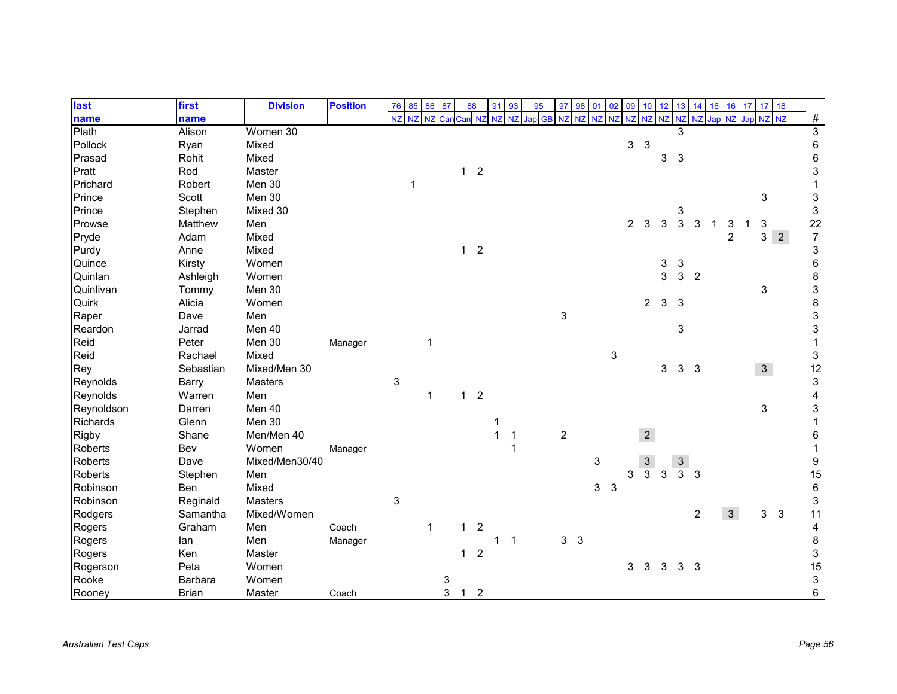| last           | first        | <b>Division</b> | <b>Position</b> | 76                        | 85    | 86          | 87  | 88           |                | 91           | 93             | 95        | 97             | 98             | 01    | 02 | 09             | 10             | 12           | 13             | 14                      | 16 | 16             | 17 | 17             | 18          |                           |
|----------------|--------------|-----------------|-----------------|---------------------------|-------|-------------|-----|--------------|----------------|--------------|----------------|-----------|----------------|----------------|-------|----|----------------|----------------|--------------|----------------|-------------------------|----|----------------|----|----------------|-------------|---------------------------|
| name           | name         |                 |                 | NZ                        | NZ NZ |             | Car | Can NZ       |                | <b>NZ</b>    | <b>NZ</b>      | Jap GB NZ |                | <b>NZ</b>      | NZ NZ |    | NZ NZ NZ       |                |              | <b>NZ</b>      | NZ Jap NZ Jap NZ NZ     |    |                |    |                |             | $\#$                      |
| Plath          | Alison       | Women 30        |                 |                           |       |             |     |              |                |              |                |           |                |                |       |    |                |                |              | 3              |                         |    |                |    |                |             | $\overline{3}$            |
| Pollock        | Ryan         | Mixed           |                 |                           |       |             |     |              |                |              |                |           |                |                |       |    | 3              | $\mathbf{3}$   |              |                |                         |    |                |    |                |             | $\,6\,$                   |
| Prasad         | Rohit        | Mixed           |                 |                           |       |             |     |              |                |              |                |           |                |                |       |    |                |                | 3            | 3              |                         |    |                |    |                |             | $\,6\,$                   |
| Pratt          | Rod          | Master          |                 |                           |       |             |     | $\mathbf{1}$ | $\overline{2}$ |              |                |           |                |                |       |    |                |                |              |                |                         |    |                |    |                |             | $\ensuremath{\mathsf{3}}$ |
| Prichard       | Robert       | Men 30          |                 |                           | 1     |             |     |              |                |              |                |           |                |                |       |    |                |                |              |                |                         |    |                |    |                |             | $\mathbf{1}$              |
| Prince         | Scott        | Men 30          |                 |                           |       |             |     |              |                |              |                |           |                |                |       |    |                |                |              |                |                         |    |                |    | 3              |             | $\ensuremath{\mathsf{3}}$ |
| Prince         | Stephen      | Mixed 30        |                 |                           |       |             |     |              |                |              |                |           |                |                |       |    |                |                |              | 3              |                         |    |                |    |                |             | $\sqrt{3}$                |
| Prowse         | Matthew      | Men             |                 |                           |       |             |     |              |                |              |                |           |                |                |       |    | $\overline{c}$ | 3              | 3            | 3              | 3                       |    |                |    | 3              |             | 22                        |
| Pryde          | Adam         | Mixed           |                 |                           |       |             |     |              |                |              |                |           |                |                |       |    |                |                |              |                |                         |    | $\overline{2}$ |    | 3              | $2^{\circ}$ | $\boldsymbol{7}$          |
| Purdy          | Anne         | Mixed           |                 |                           |       |             |     | $\mathbf{1}$ | $\overline{2}$ |              |                |           |                |                |       |    |                |                |              |                |                         |    |                |    |                |             | $\ensuremath{\mathsf{3}}$ |
| Quince         | Kirsty       | Women           |                 |                           |       |             |     |              |                |              |                |           |                |                |       |    |                |                | 3            | 3              |                         |    |                |    |                |             | 6                         |
| Quinlan        | Ashleigh     | Women           |                 |                           |       |             |     |              |                |              |                |           |                |                |       |    |                |                | 3            | 3              | $\overline{2}$          |    |                |    |                |             | $\,8\,$                   |
| Quinlivan      | Tommy        | Men 30          |                 |                           |       |             |     |              |                |              |                |           |                |                |       |    |                |                |              |                |                         |    |                |    | 3              |             | $\ensuremath{\mathsf{3}}$ |
| Quirk          | Alicia       | Women           |                 |                           |       |             |     |              |                |              |                |           |                |                |       |    |                | $\overline{a}$ | $\mathbf{3}$ | 3              |                         |    |                |    |                |             | $\, 8$                    |
| Raper          | Dave         | Men             |                 |                           |       |             |     |              |                |              |                |           | 3              |                |       |    |                |                |              |                |                         |    |                |    |                |             | $\ensuremath{\mathsf{3}}$ |
| Reardon        | Jarrad       | Men 40          |                 |                           |       |             |     |              |                |              |                |           |                |                |       |    |                |                |              | 3              |                         |    |                |    |                |             | $\ensuremath{\mathsf{3}}$ |
| Reid           | Peter        | Men 30          | Manager         |                           |       | 1           |     |              |                |              |                |           |                |                |       |    |                |                |              |                |                         |    |                |    |                |             | $\mathbf{1}$              |
| Reid           | Rachael      | Mixed           |                 |                           |       |             |     |              |                |              |                |           |                |                |       | 3  |                |                |              |                |                         |    |                |    |                |             | $\sqrt{3}$                |
| Rey            | Sebastian    | Mixed/Men 30    |                 |                           |       |             |     |              |                |              |                |           |                |                |       |    |                |                | 3            | 3              | $\overline{\mathbf{3}}$ |    |                |    | 3 <sup>1</sup> |             | 12                        |
| Reynolds       | Barry        | <b>Masters</b>  |                 | $\ensuremath{\mathsf{3}}$ |       |             |     |              |                |              |                |           |                |                |       |    |                |                |              |                |                         |    |                |    |                |             | $\ensuremath{\mathsf{3}}$ |
| Reynolds       | Warren       | Men             |                 |                           |       | 1           |     | $\mathbf{1}$ | $\overline{2}$ |              |                |           |                |                |       |    |                |                |              |                |                         |    |                |    |                |             | $\overline{\mathbf{4}}$   |
| Reynoldson     | Darren       | Men 40          |                 |                           |       |             |     |              |                |              |                |           |                |                |       |    |                |                |              |                |                         |    |                |    | 3              |             | $\ensuremath{\mathsf{3}}$ |
| Richards       | Glenn        | Men 30          |                 |                           |       |             |     |              |                | 1            |                |           |                |                |       |    |                |                |              |                |                         |    |                |    |                |             | $\mathbf{1}$              |
| <b>Rigby</b>   | Shane        | Men/Men 40      |                 |                           |       |             |     |              |                | $\mathbf{1}$ | $\mathbf 1$    |           | $\overline{c}$ |                |       |    |                | $\overline{2}$ |              |                |                         |    |                |    |                |             | 6                         |
| <b>Roberts</b> | Bev          | Women           | Manager         |                           |       |             |     |              |                |              |                |           |                |                |       |    |                |                |              |                |                         |    |                |    |                |             | $\mathbf{1}$              |
| <b>Roberts</b> | Dave         | Mixed/Men30/40  |                 |                           |       |             |     |              |                |              |                |           |                |                | 3     |    |                | $\sqrt{3}$     |              | $\mathbf{3}$   |                         |    |                |    |                |             | $\boldsymbol{9}$          |
| <b>Roberts</b> | Stephen      | Men             |                 |                           |       |             |     |              |                |              |                |           |                |                |       |    | 3              | $\overline{3}$ | 3            | $\overline{3}$ | 3                       |    |                |    |                |             | 15                        |
| Robinson       | Ben          | Mixed           |                 |                           |       |             |     |              |                |              |                |           |                |                | 3     | 3  |                |                |              |                |                         |    |                |    |                |             | $\,6\,$                   |
| Robinson       | Reginald     | Masters         |                 | 3                         |       |             |     |              |                |              |                |           |                |                |       |    |                |                |              |                |                         |    |                |    |                |             | $\sqrt{3}$                |
| Rodgers        | Samantha     | Mixed/Women     |                 |                           |       |             |     |              |                |              |                |           |                |                |       |    |                |                |              |                | 2                       |    | $\mathbf{3}$   |    | 3              | $\sqrt{3}$  | 11                        |
| Rogers         | Graham       | Men             | Coach           |                           |       | $\mathbf 1$ |     | 1            | $\overline{2}$ |              |                |           |                |                |       |    |                |                |              |                |                         |    |                |    |                |             | $\overline{\mathbf{4}}$   |
| Rogers         | lan          | Men             | Manager         |                           |       |             |     |              |                | 1            | $\overline{1}$ |           |                | 3 <sub>3</sub> |       |    |                |                |              |                |                         |    |                |    |                |             | $\bf 8$                   |
| Rogers         | Ken          | Master          |                 |                           |       |             |     | $\mathbf{1}$ | $\overline{2}$ |              |                |           |                |                |       |    |                |                |              |                |                         |    |                |    |                |             | $\ensuremath{\mathsf{3}}$ |
| Rogerson       | Peta         | Women           |                 |                           |       |             |     |              |                |              |                |           |                |                |       |    | 3              | 3              | 3            | 3 <sub>3</sub> |                         |    |                |    |                |             | 15                        |
| Rooke          | Barbara      | Women           |                 |                           |       |             | 3   |              |                |              |                |           |                |                |       |    |                |                |              |                |                         |    |                |    |                |             | $\ensuremath{\mathsf{3}}$ |
| Rooney         | <b>Brian</b> | Master          | Coach           |                           |       |             | 3   | $\mathbf 1$  | $\overline{2}$ |              |                |           |                |                |       |    |                |                |              |                |                         |    |                |    |                |             | 6                         |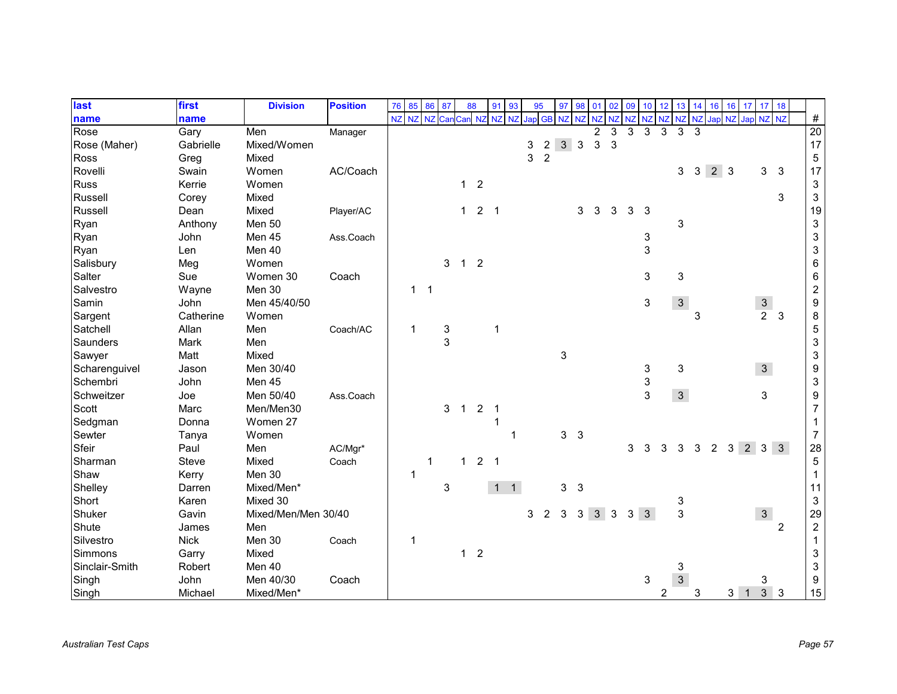| last           | first        | <b>Division</b>     | <b>Position</b> | 76 | 85        | 86             | 87  | 88             |                | 91          | 93           | 95 |                | 97             | 98           | 01             | 02 | 09           | 10 <sup>°</sup> | 12             | 13             | 14 | 16             | 16             | 17                  | 17 18                           |                |                           |
|----------------|--------------|---------------------|-----------------|----|-----------|----------------|-----|----------------|----------------|-------------|--------------|----|----------------|----------------|--------------|----------------|----|--------------|-----------------|----------------|----------------|----|----------------|----------------|---------------------|---------------------------------|----------------|---------------------------|
| name           | name         |                     |                 | NZ | <b>NZ</b> | <b>NZ</b>      | Can | Can            | <b>NZ</b>      | NZ          | NZ           |    | Jap GB NZ      |                | <b>NZ</b>    | NZ NZ          |    | NZ           | NZ NZ           |                | NZ             |    |                |                | NZ Jap NZ Jap NZ NZ |                                 |                | $\#$                      |
| Rose           | Gary         | Men                 | Manager         |    |           |                |     |                |                |             |              |    |                |                |              | $\overline{2}$ | 3  | 3            | 3               | 3              | 3              | 3  |                |                |                     |                                 |                | 20                        |
| Rose (Maher)   | Gabrielle    | Mixed/Women         |                 |    |           |                |     |                |                |             |              | 3  | $\overline{c}$ | 3 <sup>1</sup> | $\mathbf{3}$ | 3              | 3  |              |                 |                |                |    |                |                |                     |                                 |                | 17                        |
| Ross           | Greg         | Mixed               |                 |    |           |                |     |                |                |             |              | 3  | $\overline{2}$ |                |              |                |    |              |                 |                |                |    |                |                |                     |                                 |                | $\sqrt{5}$                |
| Rovelli        | Swain        | Women               | AC/Coach        |    |           |                |     |                |                |             |              |    |                |                |              |                |    |              |                 |                | 3              | 3  | 2 <sup>1</sup> | 3              |                     | 3                               | $\mathbf{3}$   | 17                        |
| <b>Russ</b>    | Kerrie       | Women               |                 |    |           |                |     | $\mathbf{1}$   | $\overline{2}$ |             |              |    |                |                |              |                |    |              |                 |                |                |    |                |                |                     |                                 |                | $\ensuremath{\mathsf{3}}$ |
| Russell        | Corey        | Mixed               |                 |    |           |                |     |                |                |             |              |    |                |                |              |                |    |              |                 |                |                |    |                |                |                     |                                 | 3              | $\ensuremath{\mathsf{3}}$ |
| Russell        | Dean         | Mixed               | Player/AC       |    |           |                |     | $\mathbf{1}$   | 2 <sub>1</sub> |             |              |    |                |                | 3            | 3              | 3  | 3            | 3               |                |                |    |                |                |                     |                                 |                | 19                        |
| Ryan           | Anthony      | Men 50              |                 |    |           |                |     |                |                |             |              |    |                |                |              |                |    |              |                 |                | 3              |    |                |                |                     |                                 |                | $\ensuremath{\mathsf{3}}$ |
| Ryan           | John         | Men 45              | Ass.Coach       |    |           |                |     |                |                |             |              |    |                |                |              |                |    |              | 3               |                |                |    |                |                |                     |                                 |                | $\ensuremath{\mathsf{3}}$ |
| Ryan           | Len          | Men 40              |                 |    |           |                |     |                |                |             |              |    |                |                |              |                |    |              | 3               |                |                |    |                |                |                     |                                 |                | $\ensuremath{\mathsf{3}}$ |
| Salisbury      | Meg          | Women               |                 |    |           |                | 3   | $\overline{1}$ | $\overline{2}$ |             |              |    |                |                |              |                |    |              |                 |                |                |    |                |                |                     |                                 |                | $\,6\,$                   |
| Salter         | Sue          | Women 30            | Coach           |    |           |                |     |                |                |             |              |    |                |                |              |                |    |              | 3               |                | 3              |    |                |                |                     |                                 |                | $\,6\,$                   |
| Salvestro      | Wayne        | Men 30              |                 |    | 1         | $\overline{1}$ |     |                |                |             |              |    |                |                |              |                |    |              |                 |                |                |    |                |                |                     |                                 |                | $\overline{\mathbf{c}}$   |
| Samin          | John         | Men 45/40/50        |                 |    |           |                |     |                |                |             |              |    |                |                |              |                |    |              | 3               |                | 3 <sup>1</sup> |    |                |                |                     | $\frac{3}{2}$                   |                | $\boldsymbol{9}$          |
| Sargent        | Catherine    | Women               |                 |    |           |                |     |                |                |             |              |    |                |                |              |                |    |              |                 |                |                | 3  |                |                |                     |                                 | $\mathbf{3}$   | $\bf 8$                   |
| Satchell       | Allan        | Men                 | Coach/AC        |    | 1         |                | 3   |                |                | $\mathbf 1$ |              |    |                |                |              |                |    |              |                 |                |                |    |                |                |                     |                                 |                | $\sqrt{5}$                |
| Saunders       | Mark         | Men                 |                 |    |           |                | 3   |                |                |             |              |    |                |                |              |                |    |              |                 |                |                |    |                |                |                     |                                 |                | $\ensuremath{\mathsf{3}}$ |
| Sawyer         | Matt         | Mixed               |                 |    |           |                |     |                |                |             |              |    |                | $\sqrt{3}$     |              |                |    |              |                 |                |                |    |                |                |                     |                                 |                | $\ensuremath{\mathsf{3}}$ |
| Scharenguivel  | Jason        | Men 30/40           |                 |    |           |                |     |                |                |             |              |    |                |                |              |                |    |              | 3               |                | 3              |    |                |                |                     | $\mathbf{3}$                    |                | $\boldsymbol{9}$          |
| Schembri       | John         | Men 45              |                 |    |           |                |     |                |                |             |              |    |                |                |              |                |    |              | $\mathsf 3$     |                |                |    |                |                |                     |                                 |                | $\sqrt{3}$                |
| Schweitzer     | Joe          | Men 50/40           | Ass.Coach       |    |           |                |     |                |                |             |              |    |                |                |              |                |    |              | 3               |                | $\mathbf{3}$   |    |                |                |                     | 3                               |                | $\boldsymbol{9}$          |
| Scott          | Marc         | Men/Men30           |                 |    |           |                | 3   | $\mathbf{1}$   | $\overline{2}$ | -1          |              |    |                |                |              |                |    |              |                 |                |                |    |                |                |                     |                                 |                | $\overline{7}$            |
| Sedgman        | Donna        | Women 27            |                 |    |           |                |     |                |                |             |              |    |                |                |              |                |    |              |                 |                |                |    |                |                |                     |                                 |                | $\mathbf 1$               |
| Sewter         | Tanya        | Women               |                 |    |           |                |     |                |                |             |              |    |                | 3              | $\mathbf{3}$ |                |    |              |                 |                |                |    |                |                |                     |                                 |                | $\overline{7}$            |
| Sfeir          | Paul         | Men                 | AC/Mgr*         |    |           |                |     |                |                |             |              |    |                |                |              |                |    | 3            | 3               | 3              | 3              | 3  | 2              | 3              | $2 \quad 3 \quad 3$ |                                 |                | 28                        |
| Sharman        | <b>Steve</b> | Mixed               | Coach           |    |           | 1              |     | $\mathbf{1}$   | 2 <sub>1</sub> |             |              |    |                |                |              |                |    |              |                 |                |                |    |                |                |                     |                                 |                | $\,$ 5 $\,$               |
| Shaw           | Kerry        | Men 30              |                 |    | 1         |                |     |                |                |             |              |    |                |                |              |                |    |              |                 |                |                |    |                |                |                     |                                 |                | $\mathbf{1}$              |
| Shelley        | Darren       | Mixed/Men*          |                 |    |           |                | 3   |                |                | $\mathbf 1$ | $\mathbf{1}$ |    |                | 3              | 3            |                |    |              |                 |                |                |    |                |                |                     |                                 |                | 11                        |
| Short          | Karen        | Mixed 30            |                 |    |           |                |     |                |                |             |              |    |                |                |              |                |    |              |                 |                | 3              |    |                |                |                     |                                 |                | $\sqrt{3}$                |
| Shuker         | Gavin        | Mixed/Men/Men 30/40 |                 |    |           |                |     |                |                |             |              | 3  | $\overline{2}$ | 3              | $\mathbf{3}$ | $\mathfrak{S}$ | 3  | $\mathbf{3}$ | $\mathbf{3}$    |                | 3              |    |                |                |                     | 3 <sup>1</sup>                  |                | 29                        |
| Shute          | James        | Men                 |                 |    |           |                |     |                |                |             |              |    |                |                |              |                |    |              |                 |                |                |    |                |                |                     |                                 | $\overline{2}$ | $\boldsymbol{2}$          |
| Silvestro      | <b>Nick</b>  | Men 30              | Coach           |    | 1         |                |     |                |                |             |              |    |                |                |              |                |    |              |                 |                |                |    |                |                |                     |                                 |                | $\mathbf 1$               |
| Simmons        | Garry        | Mixed               |                 |    |           |                |     | 1              | $\overline{2}$ |             |              |    |                |                |              |                |    |              |                 |                |                |    |                |                |                     |                                 |                | $\sqrt{3}$                |
| Sinclair-Smith | Robert       | Men 40              |                 |    |           |                |     |                |                |             |              |    |                |                |              |                |    |              |                 |                | 3              |    |                |                |                     |                                 |                | $\sqrt{3}$                |
| Singh          | John         | Men 40/30           | Coach           |    |           |                |     |                |                |             |              |    |                |                |              |                |    |              | 3               |                | 3              |    |                |                |                     | 3                               |                | 9                         |
| Singh          | Michael      | Mixed/Men*          |                 |    |           |                |     |                |                |             |              |    |                |                |              |                |    |              |                 | $\overline{2}$ |                | 3  |                | 3 <sup>1</sup> |                     | $3 \overline{\smash{\big)}\ 3}$ |                | 15                        |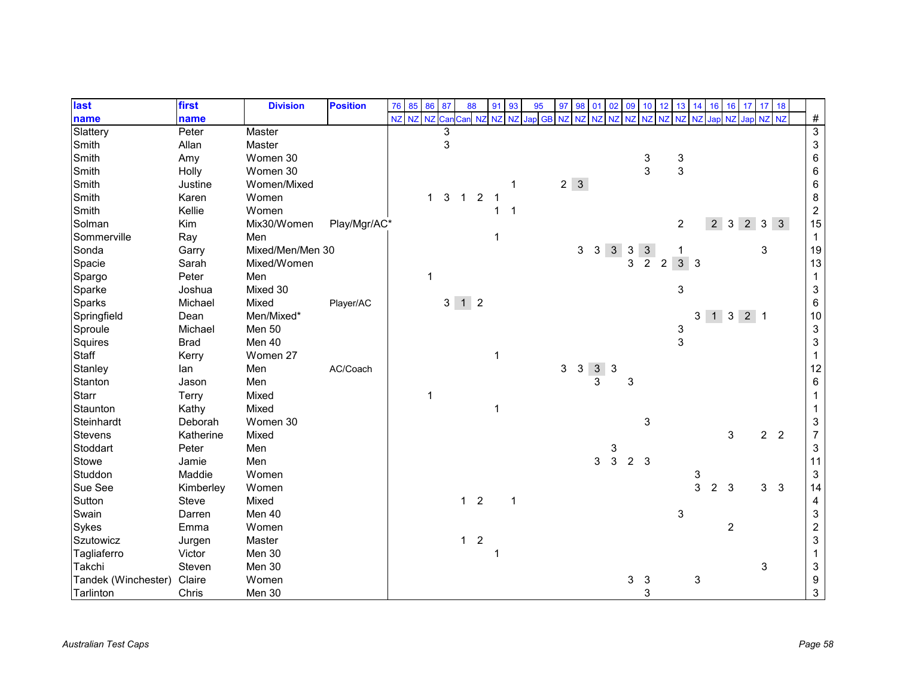| last                | first       | <b>Division</b>  | <b>Position</b> | 76 | 85        | 86           | 87 | 88                  |                | 91          | 93 | 95                 | 97 | 98          | 01             | 02           | 09             | 10           | 12             | 13                      | 14             | 16             | 16             | 17               | 17             | 18             |                           |
|---------------------|-------------|------------------|-----------------|----|-----------|--------------|----|---------------------|----------------|-------------|----|--------------------|----|-------------|----------------|--------------|----------------|--------------|----------------|-------------------------|----------------|----------------|----------------|------------------|----------------|----------------|---------------------------|
| name                | name        |                  |                 | NZ | NZ NZ Can |              |    | Car                 |                |             |    | NZ NZ NZ Jap GB NZ |    | <b>NZ</b>   | <b>NZ</b>      | <b>NZ</b>    | <b>NZ</b>      | NZ NZ        |                | NZ                      | N <sub>7</sub> | Japl           | NZ             | Jap NZ NZ        |                |                | $\#$                      |
| Slattery            | Peter       | Master           |                 |    |           |              |    |                     |                |             |    |                    |    |             |                |              |                |              |                |                         |                |                |                |                  |                |                | $\overline{3}$            |
| Smith               | Allan       | Master           |                 |    |           |              | 3  |                     |                |             |    |                    |    |             |                |              |                |              |                |                         |                |                |                |                  |                |                | $\ensuremath{\mathsf{3}}$ |
| Smith               | Amy         | Women 30         |                 |    |           |              |    |                     |                |             |    |                    |    |             |                |              |                | 3            |                | 3                       |                |                |                |                  |                |                | $\,6$                     |
| Smith               | Holly       | Women 30         |                 |    |           |              |    |                     |                |             |    |                    |    |             |                |              |                | 3            |                | 3                       |                |                |                |                  |                |                | $\,6\,$                   |
| Smith               | Justine     | Women/Mixed      |                 |    |           |              |    |                     |                |             | 1  |                    |    | $2 \quad 3$ |                |              |                |              |                |                         |                |                |                |                  |                |                | $\,6\,$                   |
| Smith               | Karen       | Women            |                 |    |           | $\mathbf{1}$ | 3  | $\mathbf{1}$        | $\overline{2}$ |             |    |                    |    |             |                |              |                |              |                |                         |                |                |                |                  |                |                | $\bf 8$                   |
| Smith               | Kellie      | Women            |                 |    |           |              |    |                     |                | 1           | 1  |                    |    |             |                |              |                |              |                |                         |                |                |                |                  |                |                | $\sqrt{2}$                |
| Solman              | Kim         | Mix30/Women      | Play/Mgr/AC*    |    |           |              |    |                     |                |             |    |                    |    |             |                |              |                |              |                | $\overline{c}$          |                | 2 <sup>1</sup> | $\mathbf{3}$   | $2 \overline{3}$ |                | 3              | 15                        |
| Sommerville         | Ray         | Men              |                 |    |           |              |    |                     |                | -1          |    |                    |    |             |                |              |                |              |                |                         |                |                |                |                  |                |                | $\mathbf{1}$              |
| Sonda               | Garry       | Mixed/Men/Men 30 |                 |    |           |              |    |                     |                |             |    |                    |    | 3           | $\mathbf{3}$   | $\mathbf{3}$ | 3              | $\mathbf{3}$ |                |                         |                |                |                |                  | 3              |                | $19$                      |
| Spacie              | Sarah       | Mixed/Women      |                 |    |           |              |    |                     |                |             |    |                    |    |             |                |              | 3              | 2            | $\overline{2}$ | $3 \overline{\smash)3}$ |                |                |                |                  |                |                | 13                        |
| Spargo              | Peter       | Men              |                 |    |           | $\mathbf 1$  |    |                     |                |             |    |                    |    |             |                |              |                |              |                |                         |                |                |                |                  |                |                | $\mathbf{1}$              |
| Sparke              | Joshua      | Mixed 30         |                 |    |           |              |    |                     |                |             |    |                    |    |             |                |              |                |              |                | 3                       |                |                |                |                  |                |                | $\ensuremath{\mathsf{3}}$ |
| Sparks              | Michael     | Mixed            | Player/AC       |    |           |              |    | $3 \quad 1 \quad 2$ |                |             |    |                    |    |             |                |              |                |              |                |                         |                |                |                |                  |                |                | $\,6$                     |
| Springfield         | Dean        | Men/Mixed*       |                 |    |           |              |    |                     |                |             |    |                    |    |             |                |              |                |              |                |                         | 3              |                | $1 \quad 3$    | $2 \mid 1$       |                |                | 10                        |
| Sproule             | Michael     | Men 50           |                 |    |           |              |    |                     |                |             |    |                    |    |             |                |              |                |              |                | 3                       |                |                |                |                  |                |                | $\ensuremath{\mathsf{3}}$ |
| Squires             | <b>Brad</b> | Men 40           |                 |    |           |              |    |                     |                |             |    |                    |    |             |                |              |                |              |                | 3                       |                |                |                |                  |                |                | $\ensuremath{\mathsf{3}}$ |
| Staff               | Kerry       | Women 27         |                 |    |           |              |    |                     |                | -1          |    |                    |    |             |                |              |                |              |                |                         |                |                |                |                  |                |                | $\mathbf{1}$              |
| Stanley             | lan         | Men              | AC/Coach        |    |           |              |    |                     |                |             |    |                    | 3  | $\sqrt{3}$  | 3 <sup>1</sup> | $\mathbf{3}$ |                |              |                |                         |                |                |                |                  |                |                | 12                        |
| Stanton             | Jason       | Men              |                 |    |           |              |    |                     |                |             |    |                    |    |             | 3              |              | 3              |              |                |                         |                |                |                |                  |                |                | $\,6\,$                   |
| Starr               | Terry       | Mixed            |                 |    |           | $\mathbf 1$  |    |                     |                |             |    |                    |    |             |                |              |                |              |                |                         |                |                |                |                  |                |                | $\mathbf 1$               |
| Staunton            | Kathy       | Mixed            |                 |    |           |              |    |                     |                | $\mathbf 1$ |    |                    |    |             |                |              |                |              |                |                         |                |                |                |                  |                |                | -1                        |
| Steinhardt          | Deborah     | Women 30         |                 |    |           |              |    |                     |                |             |    |                    |    |             |                |              |                | 3            |                |                         |                |                |                |                  |                |                | $\ensuremath{\mathsf{3}}$ |
| <b>Stevens</b>      | Katherine   | Mixed            |                 |    |           |              |    |                     |                |             |    |                    |    |             |                |              |                |              |                |                         |                |                | 3              |                  | $\overline{2}$ | $\overline{2}$ | $\overline{7}$            |
| Stoddart            | Peter       | Men              |                 |    |           |              |    |                     |                |             |    |                    |    |             |                | 3            |                |              |                |                         |                |                |                |                  |                |                | $\sqrt{3}$                |
| Stowe               | Jamie       | Men              |                 |    |           |              |    |                     |                |             |    |                    |    |             | 3              | $\mathbf{3}$ | 2 <sup>3</sup> |              |                |                         |                |                |                |                  |                |                | 11                        |
| Studdon             | Maddie      | Women            |                 |    |           |              |    |                     |                |             |    |                    |    |             |                |              |                |              |                |                         | 3              |                |                |                  |                |                | $\sqrt{3}$                |
| Sue See             | Kimberley   | Women            |                 |    |           |              |    |                     |                |             |    |                    |    |             |                |              |                |              |                |                         | 3              | 2              | 3              |                  | 3              | $\mathbf{3}$   | 14                        |
| Sutton              | Steve       | Mixed            |                 |    |           |              |    | 1 <sub>2</sub>      |                |             | 1  |                    |    |             |                |              |                |              |                |                         |                |                |                |                  |                |                | 4                         |
| Swain               | Darren      | Men 40           |                 |    |           |              |    |                     |                |             |    |                    |    |             |                |              |                |              |                | 3                       |                |                |                |                  |                |                | $\ensuremath{\mathsf{3}}$ |
| Sykes               | Emma        | Women            |                 |    |           |              |    |                     |                |             |    |                    |    |             |                |              |                |              |                |                         |                |                | $\overline{c}$ |                  |                |                | $\mathbf 2$               |
| Szutowicz           | Jurgen      | Master           |                 |    |           |              |    | $1 \quad 2$         |                |             |    |                    |    |             |                |              |                |              |                |                         |                |                |                |                  |                |                | $\mathsf 3$               |
| Tagliaferro         | Victor      | Men 30           |                 |    |           |              |    |                     |                |             |    |                    |    |             |                |              |                |              |                |                         |                |                |                |                  |                |                | 1                         |
| Takchi              | Steven      | Men 30           |                 |    |           |              |    |                     |                |             |    |                    |    |             |                |              |                |              |                |                         |                |                |                |                  | 3              |                | $\ensuremath{\mathsf{3}}$ |
| Tandek (Winchester) | Claire      | Women            |                 |    |           |              |    |                     |                |             |    |                    |    |             |                |              | 3              | $\mathbf{3}$ |                |                         | 3              |                |                |                  |                |                | 9                         |
| Tarlinton           | Chris       | Men 30           |                 |    |           |              |    |                     |                |             |    |                    |    |             |                |              |                | 3            |                |                         |                |                |                |                  |                |                | $\mathbf{3}$              |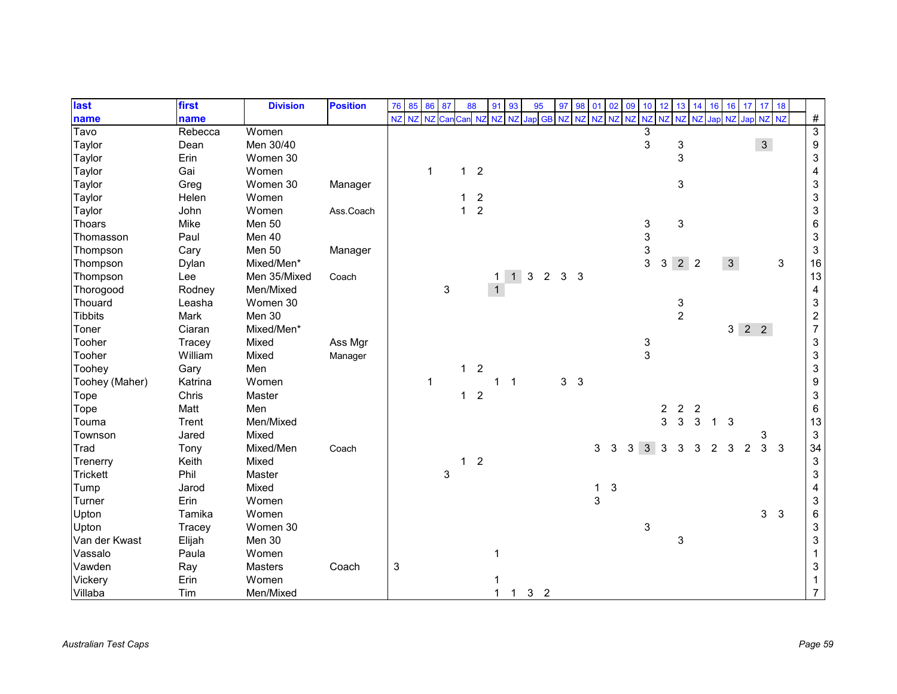| last            | first   | <b>Division</b> | <b>Position</b> | 76           | 85        | 86          | 87  | 88           |                | 91           | 93             | 95             |                | 97             | 98             | 01 02        |   | 09       | $10 \quad 12$ |                | 13                        | 14             | 16           | 16           | 17                  | 17 18          |              |                           |
|-----------------|---------|-----------------|-----------------|--------------|-----------|-------------|-----|--------------|----------------|--------------|----------------|----------------|----------------|----------------|----------------|--------------|---|----------|---------------|----------------|---------------------------|----------------|--------------|--------------|---------------------|----------------|--------------|---------------------------|
| name            | name    |                 |                 | NZ           | <b>NZ</b> | <b>NZ</b>   | Can | Can NZ       |                | <b>NZ</b>    | <b>NZ</b>      | Jap GB NZ      |                |                | <b>NZ</b>      | NZ NZ        |   | NZ NZ NZ |               |                | NZ                        | N <sub>7</sub> | Japl         | <b>NZ</b>    | Jap NZ NZ           |                |              | $\#$                      |
| Tavo            | Rebecca | Women           |                 |              |           |             |     |              |                |              |                |                |                |                |                |              |   |          | 3             |                |                           |                |              |              |                     |                |              | $\overline{3}$            |
| Taylor          | Dean    | Men 30/40       |                 |              |           |             |     |              |                |              |                |                |                |                |                |              |   |          | 3             |                | 3                         |                |              |              |                     | $\mathbf{3}$   |              | $\boldsymbol{9}$          |
| Taylor          | Erin    | Women 30        |                 |              |           |             |     |              |                |              |                |                |                |                |                |              |   |          |               |                | 3                         |                |              |              |                     |                |              | $\ensuremath{\mathsf{3}}$ |
| Taylor          | Gai     | Women           |                 |              |           | $\mathbf 1$ |     | $\mathbf{1}$ | $\overline{2}$ |              |                |                |                |                |                |              |   |          |               |                |                           |                |              |              |                     |                |              | $\overline{\mathbf{4}}$   |
| Taylor          | Greg    | Women 30        | Manager         |              |           |             |     |              |                |              |                |                |                |                |                |              |   |          |               |                | $\ensuremath{\mathsf{3}}$ |                |              |              |                     |                |              | $\ensuremath{\mathsf{3}}$ |
| Taylor          | Helen   | Women           |                 |              |           |             |     | 1            | $\overline{c}$ |              |                |                |                |                |                |              |   |          |               |                |                           |                |              |              |                     |                |              | $\ensuremath{\mathsf{3}}$ |
| Taylor          | John    | Women           | Ass.Coach       |              |           |             |     | $\mathbf{1}$ | $\overline{2}$ |              |                |                |                |                |                |              |   |          |               |                |                           |                |              |              |                     |                |              | $\ensuremath{\mathsf{3}}$ |
| Thoars          | Mike    | <b>Men 50</b>   |                 |              |           |             |     |              |                |              |                |                |                |                |                |              |   |          | 3             |                | 3                         |                |              |              |                     |                |              | $\,6\,$                   |
| Thomasson       | Paul    | Men 40          |                 |              |           |             |     |              |                |              |                |                |                |                |                |              |   |          | 3             |                |                           |                |              |              |                     |                |              | $\sqrt{3}$                |
| Thompson        | Cary    | Men 50          | Manager         |              |           |             |     |              |                |              |                |                |                |                |                |              |   |          | 3             |                |                           |                |              |              |                     |                |              | $\ensuremath{\mathsf{3}}$ |
| Thompson        | Dylan   | Mixed/Men*      |                 |              |           |             |     |              |                |              |                |                |                |                |                |              |   |          | 3             | $\mathbf{3}$   | $2^{\circ}2$              |                |              | $\mathbf{3}$ |                     |                | $\mathbf{3}$ | 16                        |
| Thompson        | Lee     | Men 35/Mixed    | Coach           |              |           |             |     |              |                | 1            | 1              | $\mathbf{3}$   | $\overline{2}$ | 3 <sub>3</sub> |                |              |   |          |               |                |                           |                |              |              |                     |                |              | 13                        |
| Thorogood       | Rodney  | Men/Mixed       |                 |              |           |             | 3   |              |                | $\mathbf{1}$ |                |                |                |                |                |              |   |          |               |                |                           |                |              |              |                     |                |              | $\overline{\mathbf{4}}$   |
| Thouard         | Leasha  | Women 30        |                 |              |           |             |     |              |                |              |                |                |                |                |                |              |   |          |               |                | 3                         |                |              |              |                     |                |              | $\ensuremath{\mathsf{3}}$ |
| <b>Tibbits</b>  | Mark    | Men 30          |                 |              |           |             |     |              |                |              |                |                |                |                |                |              |   |          |               |                | $\overline{2}$            |                |              |              |                     |                |              | $\frac{2}{7}$             |
| Toner           | Ciaran  | Mixed/Men*      |                 |              |           |             |     |              |                |              |                |                |                |                |                |              |   |          |               |                |                           |                |              |              | $3 \quad 2 \quad 2$ |                |              |                           |
| Tooher          | Tracey  | Mixed           | Ass Mgr         |              |           |             |     |              |                |              |                |                |                |                |                |              |   |          | 3             |                |                           |                |              |              |                     |                |              | $\ensuremath{\mathsf{3}}$ |
| Tooher          | William | Mixed           | Manager         |              |           |             |     |              |                |              |                |                |                |                |                |              |   |          | 3             |                |                           |                |              |              |                     |                |              | $\ensuremath{\mathsf{3}}$ |
| Toohey          | Gary    | Men             |                 |              |           |             |     | $\mathbf{1}$ | $\overline{c}$ |              |                |                |                |                |                |              |   |          |               |                |                           |                |              |              |                     |                |              | $\ensuremath{\mathsf{3}}$ |
| Toohey (Maher)  | Katrina | Women           |                 |              |           | $\mathbf 1$ |     |              |                | $\mathbf 1$  | $\overline{1}$ |                |                | 3 <sup>1</sup> | $\overline{3}$ |              |   |          |               |                |                           |                |              |              |                     |                |              | $\boldsymbol{9}$          |
| Tope            | Chris   | Master          |                 |              |           |             |     | $1\quad 2$   |                |              |                |                |                |                |                |              |   |          |               |                |                           |                |              |              |                     |                |              | $\ensuremath{\mathsf{3}}$ |
| Tope            | Matt    | Men             |                 |              |           |             |     |              |                |              |                |                |                |                |                |              |   |          |               | $\overline{c}$ | $\overline{c}$            | $\overline{2}$ |              |              |                     |                |              | $\,6\,$                   |
| Touma           | Trent   | Men/Mixed       |                 |              |           |             |     |              |                |              |                |                |                |                |                |              |   |          |               | 3              | 3                         | 3              | $\mathbf{1}$ | $\mathbf{3}$ |                     |                |              | 13                        |
| Townson         | Jared   | Mixed           |                 |              |           |             |     |              |                |              |                |                |                |                |                |              |   |          |               |                |                           |                |              |              |                     | 3              |              | $\ensuremath{\mathsf{3}}$ |
| Trad            | Tony    | Mixed/Men       | Coach           |              |           |             |     |              |                |              |                |                |                |                |                | 3            | 3 | 3        | 3             | 3              | 3                         | 3              | 2            | 3            | $\overline{2}$      | $\overline{3}$ | $\mathbf{3}$ | 34                        |
| Trenerry        | Keith   | Mixed           |                 |              |           |             |     | $\mathbf{1}$ | $\overline{2}$ |              |                |                |                |                |                |              |   |          |               |                |                           |                |              |              |                     |                |              | $\ensuremath{\mathsf{3}}$ |
| <b>Trickett</b> | Phil    | Master          |                 |              |           |             | 3   |              |                |              |                |                |                |                |                |              |   |          |               |                |                           |                |              |              |                     |                |              | $\ensuremath{\mathsf{3}}$ |
| Tump            | Jarod   | Mixed           |                 |              |           |             |     |              |                |              |                |                |                |                |                | $\mathbf{1}$ | 3 |          |               |                |                           |                |              |              |                     |                |              | 4                         |
| Turner          | Erin    | Women           |                 |              |           |             |     |              |                |              |                |                |                |                |                | 3            |   |          |               |                |                           |                |              |              |                     |                |              | $\sqrt{3}$                |
| Upton           | Tamika  | Women           |                 |              |           |             |     |              |                |              |                |                |                |                |                |              |   |          |               |                |                           |                |              |              |                     | $\mathbf{3}$   | $\sqrt{3}$   | $\,6$                     |
| Upton           | Tracey  | Women 30        |                 |              |           |             |     |              |                |              |                |                |                |                |                |              |   |          | 3             |                |                           |                |              |              |                     |                |              | $\sqrt{3}$                |
| Van der Kwast   | Elijah  | Men 30          |                 |              |           |             |     |              |                |              |                |                |                |                |                |              |   |          |               |                | 3                         |                |              |              |                     |                |              | $\mathsf 3$               |
| Vassalo         | Paula   | Women           |                 |              |           |             |     |              |                |              |                |                |                |                |                |              |   |          |               |                |                           |                |              |              |                     |                |              |                           |
| Vawden          | Ray     | Masters         | Coach           | $\mathbf{3}$ |           |             |     |              |                |              |                |                |                |                |                |              |   |          |               |                |                           |                |              |              |                     |                |              | $\sqrt{3}$                |
| Vickery         | Erin    | Women           |                 |              |           |             |     |              |                |              |                |                |                |                |                |              |   |          |               |                |                           |                |              |              |                     |                |              |                           |
| Villaba         | Tim     | Men/Mixed       |                 |              |           |             |     |              |                | 1            | 1              | 3 <sub>2</sub> |                |                |                |              |   |          |               |                |                           |                |              |              |                     |                |              | $\overline{7}$            |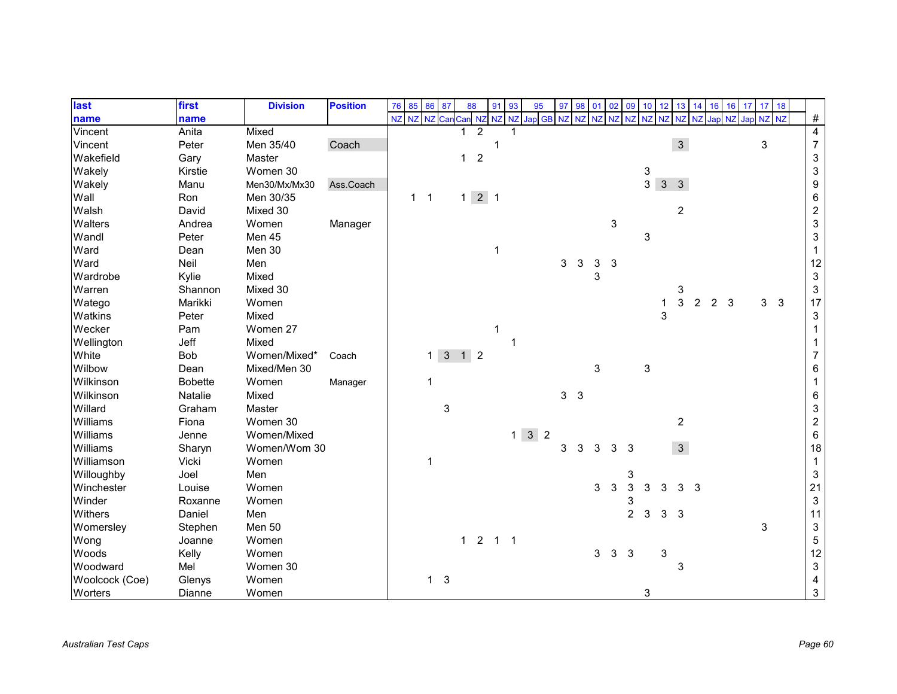| last           | first          | <b>Division</b> | <b>Position</b> | 76 | 85           | 86           | 87                  | 88           |                   | 91 | 93 | 95                     | 97             | 98             | 01 | 02        | 09             | 10             | 12           | 13             | 14 | 16             | 16 | 17        | 17 <sup>°</sup> | 18           |                           |
|----------------|----------------|-----------------|-----------------|----|--------------|--------------|---------------------|--------------|-------------------|----|----|------------------------|----------------|----------------|----|-----------|----------------|----------------|--------------|----------------|----|----------------|----|-----------|-----------------|--------------|---------------------------|
| name           | name           |                 |                 |    | NZ NZ NZ Can |              |                     |              |                   |    |    | Can NZ NZ NZ Jap GB NZ |                | NZ NZ          |    | <b>NZ</b> | <b>NZ</b>      | <b>NZ</b>      | <b>NZ</b>    | <b>NZ</b>      |    | Jap            | NZ | Jap NZ NZ |                 |              | $\#$                      |
| Vincent        | Anita          | Mixed           |                 |    |              |              |                     |              | $\overline{2}$    |    |    |                        |                |                |    |           |                |                |              |                |    |                |    |           |                 |              | $\overline{4}$            |
| Vincent        | Peter          | Men 35/40       | Coach           |    |              |              |                     |              |                   | 1  |    |                        |                |                |    |           |                |                |              | $\mathfrak{S}$ |    |                |    |           | 3               |              | $\boldsymbol{7}$          |
| Wakefield      | Gary           | Master          |                 |    |              |              |                     | $\mathbf{1}$ | $\sqrt{2}$        |    |    |                        |                |                |    |           |                |                |              |                |    |                |    |           |                 |              | $\ensuremath{\mathsf{3}}$ |
| Wakely         | Kirstie        | Women 30        |                 |    |              |              |                     |              |                   |    |    |                        |                |                |    |           |                | 3              |              |                |    |                |    |           |                 |              | $\ensuremath{\mathsf{3}}$ |
| Wakely         | Manu           | Men30/Mx/Mx30   | Ass.Coach       |    |              |              |                     |              |                   |    |    |                        |                |                |    |           |                | $\overline{3}$ | $\mathbf{3}$ | $\mathbf{3}$   |    |                |    |           |                 |              | $\boldsymbol{9}$          |
| Wall           | Ron            | Men 30/35       |                 |    | $1 \quad 1$  |              |                     |              | $1 \mid 2 \mid 1$ |    |    |                        |                |                |    |           |                |                |              |                |    |                |    |           |                 |              | $\,6$                     |
| Walsh          | David          | Mixed 30        |                 |    |              |              |                     |              |                   |    |    |                        |                |                |    |           |                |                |              | $\overline{c}$ |    |                |    |           |                 |              | $\boldsymbol{2}$          |
| Walters        | Andrea         | Women           | Manager         |    |              |              |                     |              |                   |    |    |                        |                |                |    | 3         |                |                |              |                |    |                |    |           |                 |              | $\ensuremath{\mathsf{3}}$ |
| Wandl          | Peter          | Men 45          |                 |    |              |              |                     |              |                   |    |    |                        |                |                |    |           |                | 3              |              |                |    |                |    |           |                 |              | $\ensuremath{\mathsf{3}}$ |
| Ward           | Dean           | Men 30          |                 |    |              |              |                     |              |                   | 1  |    |                        |                |                |    |           |                |                |              |                |    |                |    |           |                 |              | $\mathbf 1$               |
| Ward           | Neil           | Men             |                 |    |              |              |                     |              |                   |    |    |                        | 3              | 3              | 3  | 3         |                |                |              |                |    |                |    |           |                 |              | 12                        |
| Wardrobe       | Kylie          | Mixed           |                 |    |              |              |                     |              |                   |    |    |                        |                |                | 3  |           |                |                |              |                |    |                |    |           |                 |              | $\ensuremath{\mathsf{3}}$ |
| Warren         | Shannon        | Mixed 30        |                 |    |              |              |                     |              |                   |    |    |                        |                |                |    |           |                |                |              | 3              |    |                |    |           |                 |              | $\ensuremath{\mathsf{3}}$ |
| Watego         | Marikki        | Women           |                 |    |              |              |                     |              |                   |    |    |                        |                |                |    |           |                |                | 1            | 3              | 2  | $\overline{2}$ | 3  |           | 3               | $\mathbf{3}$ | 17                        |
| Watkins        | Peter          | Mixed           |                 |    |              |              |                     |              |                   |    |    |                        |                |                |    |           |                |                | 3            |                |    |                |    |           |                 |              | $\ensuremath{\mathsf{3}}$ |
| Wecker         | Pam            | Women 27        |                 |    |              |              |                     |              |                   | 1  |    |                        |                |                |    |           |                |                |              |                |    |                |    |           |                 |              | 1                         |
| Wellington     | Jeff           | Mixed           |                 |    |              |              |                     |              |                   |    |    |                        |                |                |    |           |                |                |              |                |    |                |    |           |                 |              |                           |
| White          | Bob            | Women/Mixed*    | Coach           |    |              | $\mathbf{1}$ | $3 \quad 1 \quad 2$ |              |                   |    |    |                        |                |                |    |           |                |                |              |                |    |                |    |           |                 |              | $\overline{7}$            |
| Wilbow         | Dean           | Mixed/Men 30    |                 |    |              |              |                     |              |                   |    |    |                        |                |                | 3  |           |                | 3              |              |                |    |                |    |           |                 |              | 6                         |
| Wilkinson      | <b>Bobette</b> | Women           | Manager         |    |              | 1            |                     |              |                   |    |    |                        |                |                |    |           |                |                |              |                |    |                |    |           |                 |              | $\mathbf 1$               |
| Wilkinson      | Natalie        | Mixed           |                 |    |              |              |                     |              |                   |    |    |                        | 3 <sup>1</sup> | $\overline{3}$ |    |           |                |                |              |                |    |                |    |           |                 |              | $\,6$                     |
| Willard        | Graham         | Master          |                 |    |              |              | 3                   |              |                   |    |    |                        |                |                |    |           |                |                |              |                |    |                |    |           |                 |              | $\ensuremath{\mathsf{3}}$ |
| Williams       | Fiona          | Women 30        |                 |    |              |              |                     |              |                   |    |    |                        |                |                |    |           |                |                |              | $\overline{c}$ |    |                |    |           |                 |              | $\boldsymbol{2}$          |
| Williams       | Jenne          | Women/Mixed     |                 |    |              |              |                     |              |                   |    |    | $1 \overline{3}$ 2     |                |                |    |           |                |                |              |                |    |                |    |           |                 |              | $\,6\,$                   |
| Williams       | Sharyn         | Women/Wom 30    |                 |    |              |              |                     |              |                   |    |    |                        | 3              | 3              | 3  | 3         | 3              |                |              | 3 <sup>1</sup> |    |                |    |           |                 |              | $18$                      |
| Williamson     | Vicki          | Women           |                 |    |              | $\mathbf 1$  |                     |              |                   |    |    |                        |                |                |    |           |                |                |              |                |    |                |    |           |                 |              | $\mathbf{1}$              |
| Willoughby     | Joel           | Men             |                 |    |              |              |                     |              |                   |    |    |                        |                |                |    |           | 3              |                |              |                |    |                |    |           |                 |              | $\sqrt{3}$                |
| Winchester     | Louise         | Women           |                 |    |              |              |                     |              |                   |    |    |                        |                |                | 3  | 3         | 3              | 3              |              | 3              | -3 |                |    |           |                 |              | 21                        |
| Winder         | Roxanne        | Women           |                 |    |              |              |                     |              |                   |    |    |                        |                |                |    |           | 3              |                |              |                |    |                |    |           |                 |              | $\ensuremath{\mathsf{3}}$ |
| Withers        | Daniel         | Men             |                 |    |              |              |                     |              |                   |    |    |                        |                |                |    |           | $\overline{2}$ | $\mathbf{3}$   | 3            | 3              |    |                |    |           |                 |              | 11                        |
| Womersley      | Stephen        | Men 50          |                 |    |              |              |                     |              |                   |    |    |                        |                |                |    |           |                |                |              |                |    |                |    |           | 3               |              | $\sqrt{3}$                |
| Wong           | Joanne         | Women           |                 |    |              |              |                     |              | $1 2 1 1$         |    |    |                        |                |                |    |           |                |                |              |                |    |                |    |           |                 |              | $\mathbf 5$               |
| Woods          | Kelly          | Women           |                 |    |              |              |                     |              |                   |    |    |                        |                |                | 3  | 3         | 3              |                | 3            |                |    |                |    |           |                 |              | 12                        |
| Woodward       | Mel            | Women 30        |                 |    |              |              |                     |              |                   |    |    |                        |                |                |    |           |                |                |              | 3              |    |                |    |           |                 |              | $\ensuremath{\mathsf{3}}$ |
| Woolcock (Coe) | Glenys         | Women           |                 |    |              | $1 \quad 3$  |                     |              |                   |    |    |                        |                |                |    |           |                |                |              |                |    |                |    |           |                 |              | 4                         |
| Worters        | Dianne         | Women           |                 |    |              |              |                     |              |                   |    |    |                        |                |                |    |           |                | 3              |              |                |    |                |    |           |                 |              | $\mathbf{3}$              |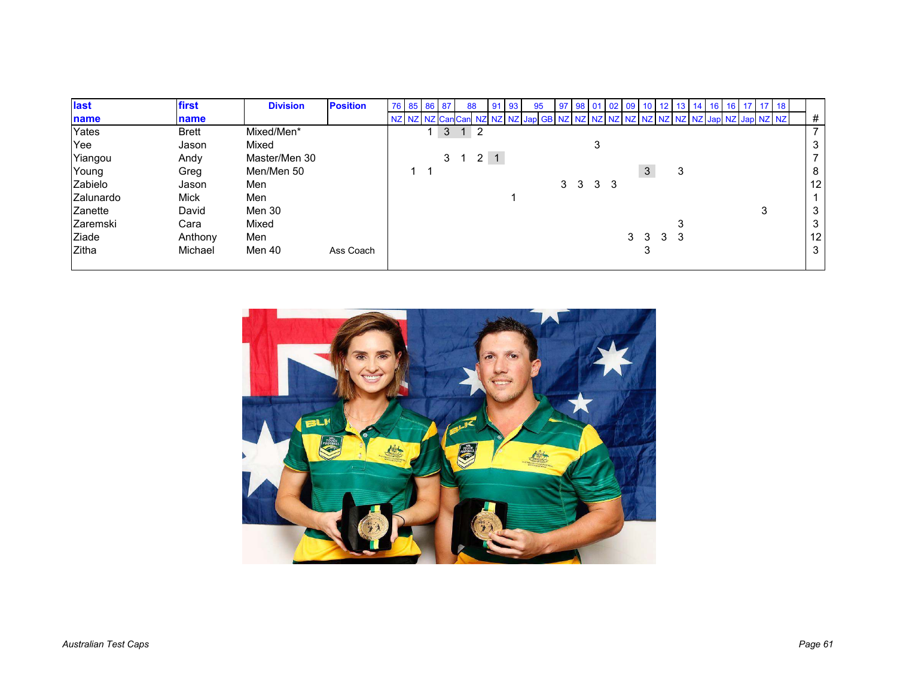| last         | first        | <b>Division</b> | <b>Position</b> | 76 85 86 87 |                |                | 88              | 91          | -93 | 95                                                                             | 97 | 98 01          |                | 02 09 |   |         | 13 | 16 | 16 | 71718 |  |                |
|--------------|--------------|-----------------|-----------------|-------------|----------------|----------------|-----------------|-------------|-----|--------------------------------------------------------------------------------|----|----------------|----------------|-------|---|---------|----|----|----|-------|--|----------------|
| name         | name         |                 |                 |             |                |                |                 |             |     | NZ NZ NZ CanCan NZ NZ NZ Jap GB NZ NZ NZ NZ NZ NZ NZ NZ NZ NZ Jap NZ Jap NZ NZ |    |                |                |       |   |         |    |    |    |       |  | #              |
| Yates        | <b>Brett</b> | Mixed/Men*      |                 |             | 3 <sup>1</sup> |                | $1\overline{2}$ |             |     |                                                                                |    |                |                |       |   |         |    |    |    |       |  | $\overline{ }$ |
| Yee          | Jason        | Mixed           |                 |             |                |                |                 |             |     |                                                                                |    |                | 3              |       |   |         |    |    |    |       |  | 3              |
| Yiangou      | Andy         | Master/Men 30   |                 |             | 3              | $\overline{1}$ |                 | $2 \quad 1$ |     |                                                                                |    |                |                |       |   |         |    |    |    |       |  |                |
| Young        | Greg         | Men/Men 50      |                 |             |                |                |                 |             |     |                                                                                |    |                |                |       | 3 |         | 3  |    |    |       |  | 8              |
| Zabielo      | Jason        | Men             |                 |             |                |                |                 |             |     |                                                                                |    | 3 <sub>3</sub> | 3 <sub>3</sub> |       |   |         |    |    |    |       |  | 12             |
| Zalunardo    | Mick         | Men             |                 |             |                |                |                 |             |     |                                                                                |    |                |                |       |   |         |    |    |    |       |  |                |
| Zanette      | David        | Men 30          |                 |             |                |                |                 |             |     |                                                                                |    |                |                |       |   |         |    |    |    | 3     |  | 3              |
| Zaremski     | Cara         | Mixed           |                 |             |                |                |                 |             |     |                                                                                |    |                |                |       |   |         | 3  |    |    |       |  | 3              |
| Ziade        | Anthony      | Men             |                 |             |                |                |                 |             |     |                                                                                |    |                |                |       |   | 3 3 3 3 |    |    |    |       |  | 12             |
| <b>Zitha</b> | Michael      | Men 40          | Ass Coach       |             |                |                |                 |             |     |                                                                                |    |                |                |       | 3 |         |    |    |    |       |  | 3              |
|              |              |                 |                 |             |                |                |                 |             |     |                                                                                |    |                |                |       |   |         |    |    |    |       |  |                |

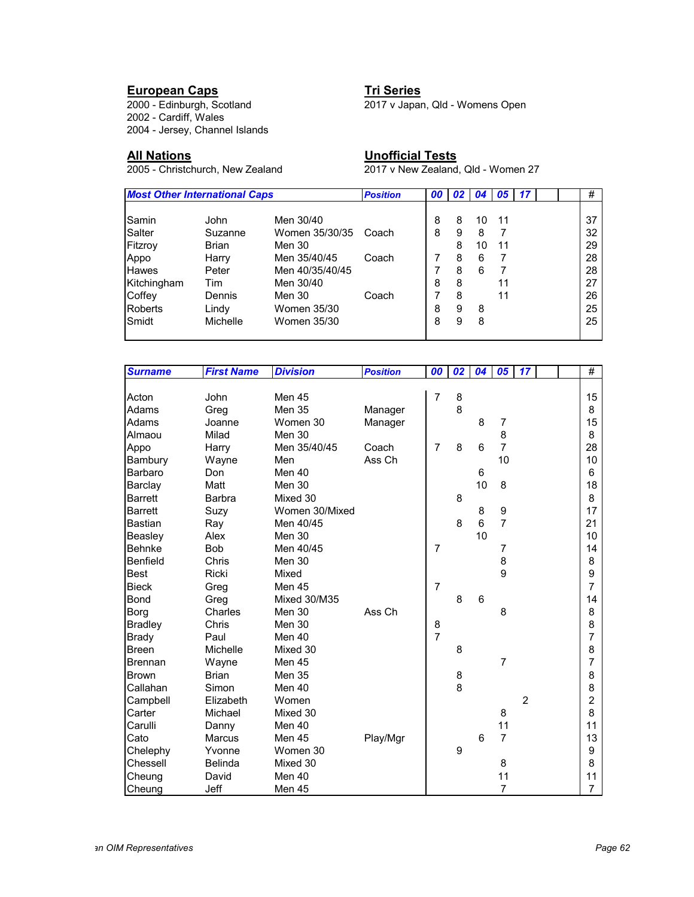### **European Caps Tri Series**

2002 - Cardiff, Wales 2004 - Jersey, Channel Islands

**All Nations Unofficial Tests**

2000 - Edinburgh, Scotland 2017 v Japan, Qld - Womens Open

2017 v New Zealand, Qld - Women 27

| <b>Most Other International Caps</b> |              |                 | <b>Position</b> | 00 | 02 <sub>1</sub> | 04 <sup>1</sup> | 05 | 17 |  | #  |
|--------------------------------------|--------------|-----------------|-----------------|----|-----------------|-----------------|----|----|--|----|
|                                      |              |                 |                 |    |                 |                 |    |    |  |    |
| Samin                                | John         | Men 30/40       |                 | 8  | 8               | 10              | 11 |    |  | 37 |
| Salter                               | Suzanne      | Women 35/30/35  | Coach           | 8  | 9               | 8               |    |    |  | 32 |
| Fitzroy                              | <b>Brian</b> | Men 30          |                 |    | 8               | 10              | 11 |    |  | 29 |
| Appo                                 | Harry        | Men 35/40/45    | Coach           |    | 8               | 6               |    |    |  | 28 |
| <b>Hawes</b>                         | Peter        | Men 40/35/40/45 |                 |    | 8               | 6               |    |    |  | 28 |
| Kitchingham                          | Tim          | Men 30/40       |                 | 8  | 8               |                 | 11 |    |  | 27 |
| Coffey                               | Dennis       | Men 30          | Coach           |    | 8               |                 | 11 |    |  | 26 |
| <b>Roberts</b>                       | Lindy        | Women 35/30     |                 | 8  | 9               | 8               |    |    |  | 25 |
| Smidt                                | Michelle     | Women 35/30     |                 | 8  | 9               | 8               |    |    |  | 25 |
|                                      |              |                 |                 |    |                 |                 |    |    |  |    |

| <b>Surname</b> | <b>First Name</b> | <b>Division</b>     | <b>Position</b> | 00             | 02 | 04 | 05               | 17             |  | #              |
|----------------|-------------------|---------------------|-----------------|----------------|----|----|------------------|----------------|--|----------------|
|                |                   |                     |                 |                |    |    |                  |                |  |                |
| Acton          | John              | Men 45              |                 | 7              | 8  |    |                  |                |  | 15             |
| Adams          | Greg              | <b>Men 35</b>       | Manager         |                | 8  |    |                  |                |  | 8              |
| Adams          | Joanne            | Women 30            | Manager         |                |    | 8  | 7                |                |  | 15             |
| Almaou         | Milad             | Men 30              |                 |                |    |    | 8                |                |  | 8              |
| Appo           | Harry             | Men 35/40/45        | Coach           | $\overline{7}$ | 8  | 6  | $\overline{7}$   |                |  | 28             |
| Bambury        | Wayne             | Men                 | Ass Ch          |                |    |    | 10               |                |  | 10             |
| Barbaro        | Don               | Men 40              |                 |                |    | 6  |                  |                |  | 6              |
| Barclay        | Matt              | Men 30              |                 |                |    | 10 | 8                |                |  | 18             |
| <b>Barrett</b> | Barbra            | Mixed 30            |                 |                | 8  |    |                  |                |  | 8              |
| <b>Barrett</b> | Suzy              | Women 30/Mixed      |                 |                |    | 8  | $\boldsymbol{9}$ |                |  | 17             |
| <b>Bastian</b> | Ray               | Men 40/45           |                 |                | 8  | 6  | $\overline{7}$   |                |  | 21             |
| Beasley        | Alex              | Men 30              |                 |                |    | 10 |                  |                |  | 10             |
| <b>Behnke</b>  | <b>Bob</b>        | Men 40/45           |                 | $\overline{7}$ |    |    | 7                |                |  | 14             |
| Benfield       | Chris             | Men 30              |                 |                |    |    | 8                |                |  | 8              |
| <b>Best</b>    | Ricki             | Mixed               |                 |                |    |    | 9                |                |  | 9              |
| <b>Bieck</b>   | Greg              | Men 45              |                 | $\overline{7}$ |    |    |                  |                |  | 7              |
| <b>Bond</b>    | Greg              | <b>Mixed 30/M35</b> |                 |                | 8  | 6  |                  |                |  | 14             |
| Borg           | Charles           | Men 30              | Ass Ch          |                |    |    | 8                |                |  | 8              |
| <b>Bradley</b> | Chris             | Men 30              |                 | 8              |    |    |                  |                |  | 8              |
| <b>Brady</b>   | Paul              | Men 40              |                 | $\overline{7}$ |    |    |                  |                |  | 7              |
| <b>Breen</b>   | Michelle          | Mixed 30            |                 |                | 8  |    |                  |                |  | 8              |
| <b>Brennan</b> | Wayne             | Men 45              |                 |                |    |    | $\overline{7}$   |                |  | 7              |
| <b>Brown</b>   | <b>Brian</b>      | <b>Men 35</b>       |                 |                | 8  |    |                  |                |  | 8              |
| Callahan       | Simon             | Men 40              |                 |                | 8  |    |                  |                |  | 8              |
| Campbell       | Elizabeth         | Women               |                 |                |    |    |                  | $\overline{2}$ |  | $\overline{2}$ |
| Carter         | Michael           | Mixed 30            |                 |                |    |    | 8                |                |  | 8              |
| Carulli        | Danny             | Men 40              |                 |                |    |    | 11               |                |  | 11             |
| Cato           | Marcus            | Men 45              | Play/Mgr        |                |    | 6  | $\overline{7}$   |                |  | 13             |
| Chelephy       | Yvonne            | Women 30            |                 |                | 9  |    |                  |                |  | 9              |
| Chessell       | <b>Belinda</b>    | Mixed 30            |                 |                |    |    | 8                |                |  | 8              |
| Cheung         | David             | Men 40              |                 |                |    |    | 11               |                |  | 11             |
| Cheung         | Jeff              | Men 45              |                 |                |    |    | 7                |                |  | 7              |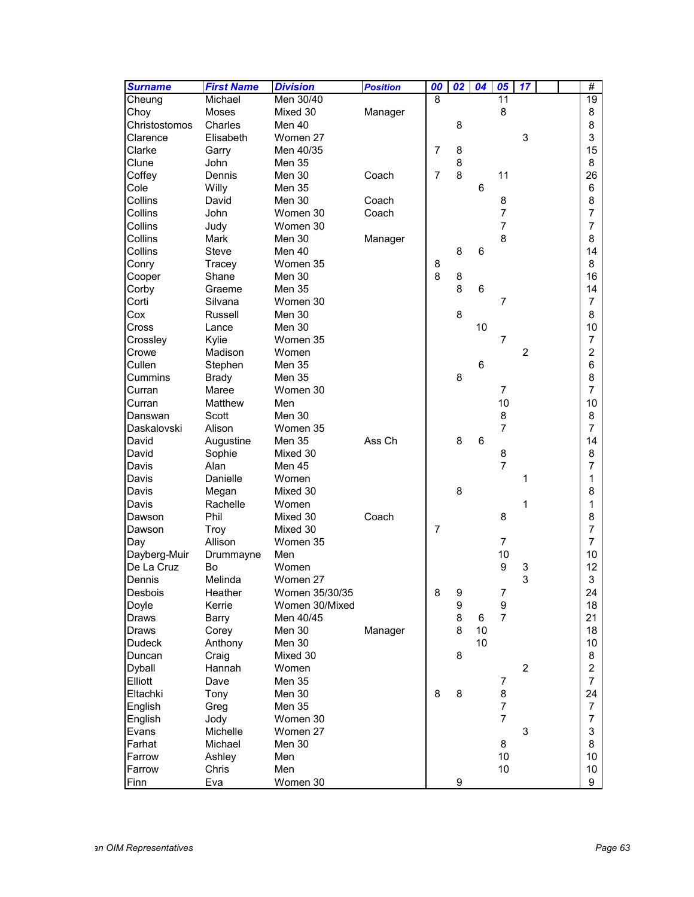| <b>Surname</b>   | <b>First Name</b> | <b>Division</b> | <b>Position</b> | 00             | 02               | 04 | $\overline{\overline{\mathbf{05}}}$ | $\overline{17}$ |  | #               |
|------------------|-------------------|-----------------|-----------------|----------------|------------------|----|-------------------------------------|-----------------|--|-----------------|
| Cheung           | Michael           | Men 30/40       |                 | 8              |                  |    | 11                                  |                 |  | $\overline{19}$ |
| Choy             | Moses             | Mixed 30        | Manager         |                |                  |    | 8                                   |                 |  | 8               |
| Christostomos    | Charles           | Men 40          |                 |                | 8                |    |                                     |                 |  | 8               |
| Clarence         | Elisabeth         | Women 27        |                 |                |                  |    |                                     | 3               |  | 3               |
| Clarke           | Garry             | Men 40/35       |                 | $\overline{7}$ | 8                |    |                                     |                 |  | 15              |
| Clune            | John              | Men 35          |                 |                | 8                |    |                                     |                 |  | 8               |
| Coffey           | Dennis            | Men 30          | Coach           | $\overline{7}$ | 8                |    | 11                                  |                 |  | 26              |
| Cole             | Willy             | Men 35          |                 |                |                  | 6  |                                     |                 |  | 6               |
| Collins          | David             | Men 30          | Coach           |                |                  |    | 8                                   |                 |  | 8               |
| Collins          | John              | Women 30        | Coach           |                |                  |    | $\overline{7}$                      |                 |  | 7               |
| Collins          | Judy              | Women 30        |                 |                |                  |    | $\overline{7}$                      |                 |  | 7               |
| Collins          | Mark              | Men 30          | Manager         |                |                  |    | 8                                   |                 |  | 8               |
| Collins          | Steve             | Men 40          |                 |                | 8                | 6  |                                     |                 |  | 14              |
| Conry            | Tracey            | Women 35        |                 | 8              |                  |    |                                     |                 |  | 8               |
| Cooper           | Shane             | Men 30          |                 | 8              | 8                |    |                                     |                 |  | 16              |
| Corby            | Graeme            | <b>Men 35</b>   |                 |                | 8                | 6  |                                     |                 |  | 14              |
| Corti            | Silvana           | Women 30        |                 |                |                  |    | $\overline{7}$                      |                 |  | $\overline{7}$  |
| Cox              | Russell           | Men 30          |                 |                | 8                |    |                                     |                 |  | 8               |
| Cross            | Lance             | Men 30          |                 |                |                  | 10 |                                     |                 |  | 10              |
| Crossley         | Kylie             | Women 35        |                 |                |                  |    | 7                                   |                 |  | $\overline{7}$  |
| Crowe            | Madison           | Women           |                 |                |                  |    |                                     | $\overline{c}$  |  | $\overline{c}$  |
| Cullen           | Stephen           | Men 35          |                 |                |                  | 6  |                                     |                 |  | 6               |
| Cummins          | <b>Brady</b>      | Men 35          |                 |                | 8                |    |                                     |                 |  | 8               |
| Curran           | Maree             | Women 30        |                 |                |                  |    | $\overline{7}$                      |                 |  | 7               |
| Curran           | Matthew           | Men             |                 |                |                  |    | 10                                  |                 |  | 10              |
| Danswan          | Scott             | Men 30          |                 |                |                  |    | 8                                   |                 |  | 8               |
| Daskalovski      | Alison            | Women 35        |                 |                |                  |    | $\overline{7}$                      |                 |  | 7               |
| David            | Augustine         | Men 35          | Ass Ch          |                | 8                | 6  |                                     |                 |  | 14              |
| David            | Sophie            | Mixed 30        |                 |                |                  |    | 8                                   |                 |  | 8               |
| Davis            | Alan              | Men 45          |                 |                |                  |    | $\overline{7}$                      |                 |  | 7               |
| Davis            | Danielle          | Women           |                 |                |                  |    |                                     | 1               |  | 1               |
| Davis            | Megan             | Mixed 30        |                 |                | 8                |    |                                     |                 |  | 8               |
| Davis            | Rachelle          | Women           |                 |                |                  |    |                                     | 1               |  | 1               |
| Dawson           | Phil              | Mixed 30        | Coach           |                |                  |    | 8                                   |                 |  | 8               |
| Dawson           | Troy              | Mixed 30        |                 | 7              |                  |    |                                     |                 |  | 7               |
| Day              | Allison           | Women 35        |                 |                |                  |    | $\overline{7}$                      |                 |  | $\overline{7}$  |
| Dayberg-Muir     | Drummayne         | Men             |                 |                |                  |    | 10                                  |                 |  | 10              |
| De La Cruz       | Bo                | Women           |                 |                |                  |    | 9                                   | 3               |  | 12              |
| Dennis           | Melinda           | Women 27        |                 |                |                  |    |                                     | 3               |  | 3               |
| Desbois          | Heather           | Women 35/30/35  |                 | 8              | 9                |    | $\boldsymbol{7}$                    |                 |  | 24              |
| Doyle            | Kerrie            | Women 30/Mixed  |                 |                | $\boldsymbol{9}$ |    | 9                                   |                 |  | 18              |
| Draws            | Barry             | Men 40/45       |                 |                | 8                | 6  | $\overline{7}$                      |                 |  | 21              |
| Draws            | Corey             | Men 30          | Manager         |                | 8                | 10 |                                     |                 |  | 18              |
| <b>Dudeck</b>    | Anthony           | Men 30          |                 |                |                  | 10 |                                     |                 |  | 10              |
| Duncan           | Craig             | Mixed 30        |                 |                | 8                |    |                                     |                 |  | 8               |
| Dyball           | Hannah            | Women           |                 |                |                  |    |                                     | $\overline{c}$  |  | $\overline{c}$  |
| Elliott          | Dave              | Men 35          |                 |                |                  |    | 7                                   |                 |  | $\overline{7}$  |
| Eltachki         | Tony              | Men 30          |                 | 8              | 8                |    | 8                                   |                 |  | 24              |
| English          | Greg              | Men 35          |                 |                |                  |    | $\overline{7}$                      |                 |  | $\overline{7}$  |
|                  |                   | Women 30        |                 |                |                  |    | $\overline{7}$                      |                 |  | $\overline{7}$  |
| English<br>Evans | Jody<br>Michelle  | Women 27        |                 |                |                  |    |                                     | 3               |  | 3               |
| Farhat           | Michael           | Men 30          |                 |                |                  |    | 8                                   |                 |  | 8               |
| Farrow           |                   |                 |                 |                |                  |    | 10                                  |                 |  |                 |
| Farrow           | Ashley<br>Chris   | Men<br>Men      |                 |                |                  |    | 10 <sup>1</sup>                     |                 |  | 10<br>10        |
|                  |                   | Women 30        |                 |                | 9                |    |                                     |                 |  | 9               |
| Finn             | Eva               |                 |                 |                |                  |    |                                     |                 |  |                 |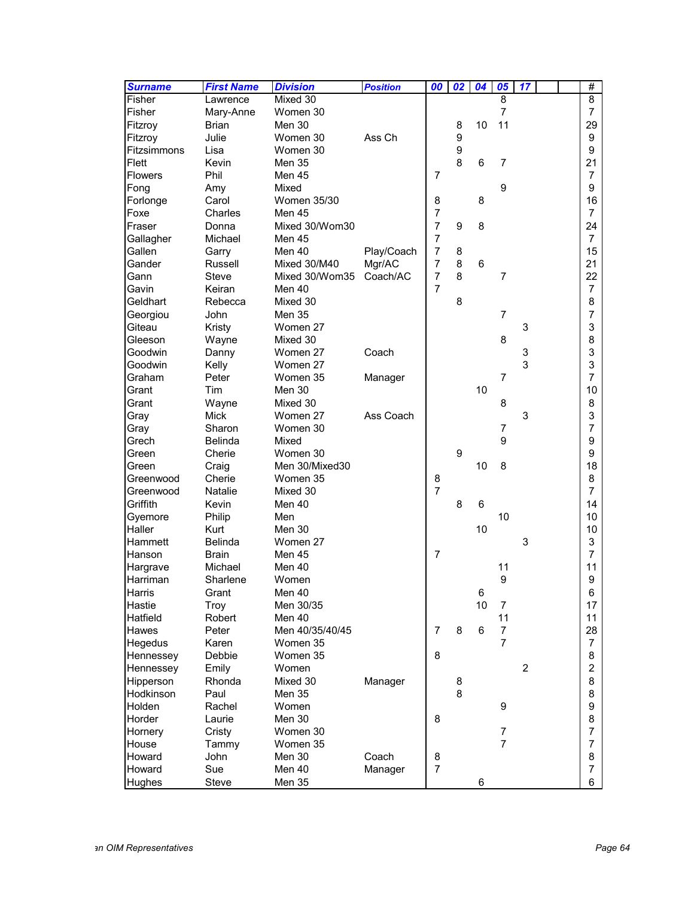| <b>Surname</b>          | <b>First Name</b> | <b>Division</b>   | <b>Position</b> | 00             | $\overline{02}$ | 04 | 05             | 17 |  | #                   |
|-------------------------|-------------------|-------------------|-----------------|----------------|-----------------|----|----------------|----|--|---------------------|
| Fisher                  | Lawrence          | Mixed 30          |                 |                |                 |    | 8              |    |  | 8                   |
| Fisher                  | Mary-Anne         | Women 30          |                 |                |                 |    | $\overline{7}$ |    |  | $\overline{7}$      |
| Fitzroy                 | <b>Brian</b>      | Men 30            |                 |                | 8               | 10 | 11             |    |  | 29                  |
| Fitzroy                 | Julie             | Women 30          | Ass Ch          |                | 9               |    |                |    |  | 9                   |
| Fitzsimmons             | Lisa              | Women 30          |                 |                | 9               |    |                |    |  | 9                   |
| Flett                   | Kevin             | Men 35            |                 |                | 8               | 6  | 7              |    |  | 21                  |
| <b>Flowers</b>          | Phil              | Men 45            |                 | 7              |                 |    |                |    |  | 7                   |
| Fong                    | Amy               | Mixed             |                 |                |                 |    | 9              |    |  | 9                   |
| Forlonge                | Carol             | Women 35/30       |                 | 8              |                 | 8  |                |    |  | 16                  |
| Foxe                    | Charles           | Men 45            |                 | $\overline{7}$ |                 |    |                |    |  | $\overline{7}$      |
| Fraser                  | Donna             | Mixed 30/Wom30    |                 | $\overline{7}$ | 9               | 8  |                |    |  | 24                  |
| Gallagher               | Michael           | Men 45            |                 | $\overline{7}$ |                 |    |                |    |  | $\overline{7}$      |
| Gallen                  | Garry             | Men 40            | Play/Coach      | $\overline{7}$ | 8               |    |                |    |  | 15                  |
| Gander                  | Russell           | Mixed 30/M40      | Mgr/AC          | $\overline{7}$ | 8               | 6  |                |    |  | 21                  |
| Gann                    | <b>Steve</b>      | Mixed 30/Wom35    | Coach/AC        | $\overline{7}$ | 8               |    | $\overline{7}$ |    |  | 22                  |
| Gavin                   | Keiran            | Men 40            |                 | $\overline{7}$ |                 |    |                |    |  | $\overline{7}$      |
| Geldhart                | Rebecca           | Mixed 30          |                 |                | 8               |    |                |    |  | 8                   |
| Georgiou                | John              | <b>Men 35</b>     |                 |                |                 |    | $\overline{7}$ |    |  | 7                   |
| Giteau                  | Kristy            | Women 27          |                 |                |                 |    |                | 3  |  | 3                   |
| Gleeson                 | Wayne             | Mixed 30          |                 |                |                 |    | 8              |    |  | 8                   |
| Goodwin                 | Danny             | Women 27          | Coach           |                |                 |    |                | 3  |  | 3                   |
| Goodwin                 | Kelly             | Women 27          |                 |                |                 |    |                | 3  |  | 3                   |
| Graham                  | Peter             | Women 35          | Manager         |                |                 |    | $\overline{7}$ |    |  | 7                   |
| Grant                   | Tim               | Men 30            |                 |                |                 | 10 |                |    |  | 10                  |
| Grant                   | Wayne             | Mixed 30          |                 |                |                 |    | 8              |    |  | 8                   |
| Gray                    | Mick              | Women 27          | Ass Coach       |                |                 |    |                | 3  |  | 3                   |
| Gray                    | Sharon            | Women 30          |                 |                |                 |    | 7              |    |  | 7                   |
| Grech                   | <b>Belinda</b>    | Mixed             |                 |                |                 |    | 9              |    |  | 9                   |
| Green                   | Cherie            | Women 30          |                 |                | 9               |    |                |    |  | 9                   |
| Green                   | Craig             | Men 30/Mixed30    |                 |                |                 | 10 | 8              |    |  | 18                  |
| Greenwood               | Cherie            | Women 35          |                 | 8              |                 |    |                |    |  | 8                   |
| Greenwood               | <b>Natalie</b>    | Mixed 30          |                 | $\overline{7}$ |                 |    |                |    |  | $\overline{7}$      |
| Griffith                | Kevin             | Men 40            |                 |                | 8               | 6  |                |    |  | 14                  |
| Gyemore                 | Philip            | Men               |                 |                |                 |    | 10             |    |  | 10                  |
| Haller                  | Kurt              | Men 30            |                 |                |                 | 10 |                |    |  | 10                  |
| Hammett                 | <b>Belinda</b>    | Women 27          |                 |                |                 |    |                | 3  |  | 3                   |
| Hanson                  | <b>Brain</b>      | Men 45            |                 | $\overline{7}$ |                 |    |                |    |  | $\overline{7}$      |
| Hargrave                | Michael           | Men 40            |                 |                |                 |    | 11             |    |  | 11                  |
| Harriman                | Sharlene          | Women             |                 |                |                 |    | 9              |    |  | 9                   |
|                         |                   | Men 40            |                 |                |                 | 6  |                |    |  |                     |
| Harris<br><b>Hastie</b> | Grant             | Men 30/35         |                 |                |                 | 10 | 7              |    |  | 6<br>17             |
| Hatfield                | Troy<br>Robert    | Men 40            |                 |                |                 |    | 11             |    |  | 11                  |
|                         |                   |                   |                 | $\overline{7}$ | 8               | 6  | $\overline{7}$ |    |  | 28                  |
| Hawes<br>Hegedus        | Peter<br>Karen    | Men 40/35/40/45   |                 |                |                 |    | $\overline{7}$ |    |  |                     |
|                         |                   | Women 35          |                 | 8              |                 |    |                |    |  | $\overline{7}$      |
| Hennessey               | Debbie            | Women 35<br>Women |                 |                |                 |    |                | 2  |  | 8<br>$\overline{c}$ |
| Hennessey<br>Hipperson  | Emily             |                   |                 |                |                 |    |                |    |  |                     |
|                         | Rhonda            | Mixed 30          | Manager         |                | 8               |    |                |    |  | 8                   |
| Hodkinson               | Paul              | Men 35            |                 |                | 8               |    |                |    |  | 8                   |
| Holden                  | Rachel            | Women             |                 |                |                 |    | 9              |    |  | 9                   |
| Horder                  | Laurie            | Men 30            |                 | 8              |                 |    |                |    |  | 8                   |
| Hornery                 | Cristy            | Women 30          |                 |                |                 |    | 7              |    |  | $\overline{7}$      |
| House                   | Tammy             | Women 35          |                 |                |                 |    | $\overline{7}$ |    |  | 7                   |
| Howard                  | John              | Men 30            | Coach           | 8              |                 |    |                |    |  | 8                   |
| Howard                  | Sue               | Men 40            | Manager         | 7              |                 |    |                |    |  | 7                   |
| Hughes                  | Steve             | Men 35            |                 |                |                 | 6  |                |    |  | 6                   |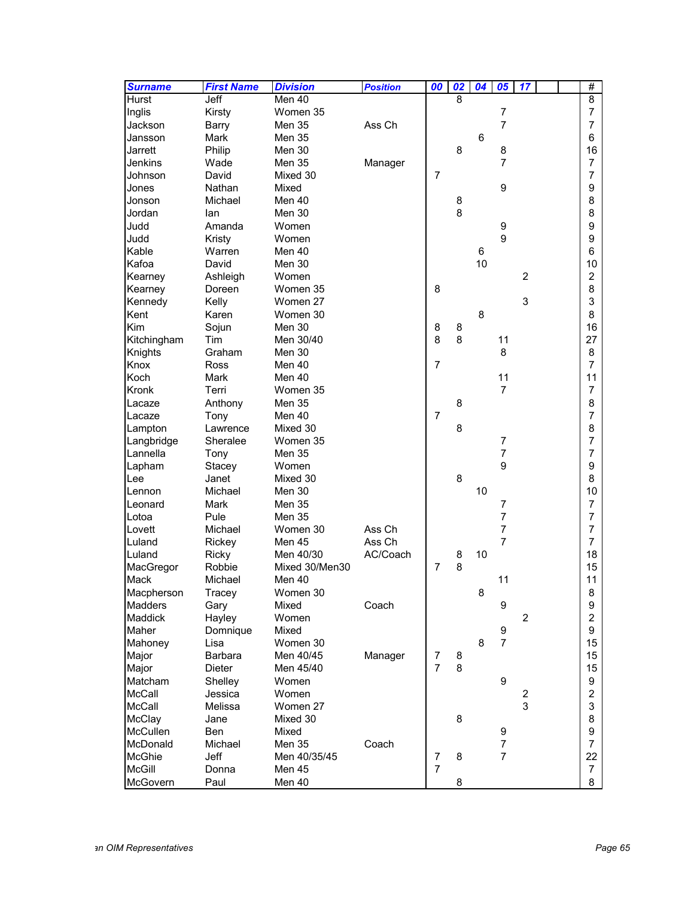| <b>Surname</b>  | <b>First Name</b> | <b>Division</b>   | <b>Position</b> | 00                               | $\overline{\mathbf{02}}$ | 04 | 05               | 17             |  | #                       |
|-----------------|-------------------|-------------------|-----------------|----------------------------------|--------------------------|----|------------------|----------------|--|-------------------------|
| <b>Hurst</b>    | Jeff              | Men 40            |                 |                                  | 8                        |    |                  |                |  | $\overline{8}$          |
| Inglis          | Kirsty            | Women 35          |                 |                                  |                          |    | $\overline{7}$   |                |  | $\overline{7}$          |
| Jackson         | Barry             | <b>Men 35</b>     | Ass Ch          |                                  |                          |    | $\overline{7}$   |                |  | $\overline{7}$          |
| Jansson         | Mark              | Men 35            |                 |                                  |                          | 6  |                  |                |  | 6                       |
| Jarrett         | Philip            | Men 30            |                 |                                  | 8                        |    | 8                |                |  | 16                      |
| Jenkins         | Wade              | Men 35            | Manager         |                                  |                          |    | $\overline{7}$   |                |  | $\overline{7}$          |
| Johnson         | David             | Mixed 30          |                 | 7                                |                          |    |                  |                |  | $\overline{7}$          |
| Jones           | Nathan            | Mixed             |                 |                                  |                          |    | 9                |                |  | 9                       |
| Jonson          | Michael           | Men 40            |                 |                                  | 8                        |    |                  |                |  | 8                       |
| Jordan          | lan               | Men 30            |                 |                                  | 8                        |    |                  |                |  | 8                       |
| Judd            | Amanda            | Women             |                 |                                  |                          |    | $\boldsymbol{9}$ |                |  | 9                       |
| Judd            | Kristy            | Women             |                 |                                  |                          |    | 9                |                |  | 9                       |
| Kable           | Warren            | Men 40            |                 |                                  |                          | 6  |                  |                |  | 6                       |
| Kafoa           | David             | Men 30            |                 |                                  |                          | 10 |                  |                |  | 10                      |
| Kearney         | Ashleigh          | Women             |                 |                                  |                          |    |                  | $\overline{2}$ |  | $\overline{c}$          |
| Kearney         | Doreen            | Women 35          |                 | 8                                |                          |    |                  |                |  | 8                       |
| Kennedy         | Kelly             | Women 27          |                 |                                  |                          |    |                  | 3              |  | 3                       |
| Kent            | Karen             | Women 30          |                 |                                  |                          | 8  |                  |                |  | 8                       |
| Kim             | Sojun             | Men 30            |                 | 8                                | 8                        |    |                  |                |  | 16                      |
| Kitchingham     | Tim               | Men 30/40         |                 | 8                                | 8                        |    | 11               |                |  | 27                      |
| Knights         | Graham            | Men 30            |                 |                                  |                          |    | 8                |                |  | 8                       |
| Knox            | Ross              | Men 40            |                 | $\overline{7}$                   |                          |    |                  |                |  | $\overline{7}$          |
| Koch            | Mark              | Men 40            |                 |                                  |                          |    | 11               |                |  | 11                      |
| Kronk           | Terri             | Women 35          |                 |                                  |                          |    | $\overline{7}$   |                |  | $\overline{7}$          |
| Lacaze          | Anthony           | Men 35            |                 |                                  | 8                        |    |                  |                |  | 8                       |
| Lacaze          | Tony              | Men 40            |                 | $\overline{7}$                   |                          |    |                  |                |  | 7                       |
| Lampton         | Lawrence          | Mixed 30          |                 |                                  | 8                        |    |                  |                |  | 8                       |
| Langbridge      | Sheralee          | Women 35          |                 |                                  |                          |    | 7                |                |  | $\overline{7}$          |
| Lannella        | Tony              | Men 35            |                 |                                  |                          |    | $\overline{7}$   |                |  | $\overline{7}$          |
| Lapham          | Stacey            | Women             |                 |                                  |                          |    | 9                |                |  | 9                       |
| Lee             | Janet             | Mixed 30          |                 |                                  | 8                        |    |                  |                |  | 8                       |
| <b>Lennon</b>   | Michael           | Men 30            |                 |                                  |                          | 10 |                  |                |  | 10                      |
| Leonard         | Mark              | <b>Men 35</b>     |                 |                                  |                          |    | 7                |                |  | $\overline{7}$          |
| Lotoa           | Pule              | <b>Men 35</b>     |                 |                                  |                          |    | 7                |                |  | 7                       |
| Lovett          | Michael           | Women 30          | Ass Ch          |                                  |                          |    | $\overline{7}$   |                |  | 7                       |
| Luland          | Rickey            | Men 45            | Ass Ch          |                                  |                          |    | $\overline{7}$   |                |  | $\overline{7}$          |
| Luland          | Ricky             | Men 40/30         | AC/Coach        |                                  | 8                        | 10 |                  |                |  | 18                      |
| MacGregor       | Robbie            | Mixed 30/Men30    |                 | $\overline{7}$                   | 8                        |    |                  |                |  | 15                      |
| Mack            | Michael           | Men 40            |                 |                                  |                          |    | 11               |                |  | 11                      |
| Macpherson      | Tracey            | Women 30          |                 |                                  |                          | 8  |                  |                |  | 8                       |
| Madders         |                   | Mixed             | Coach           |                                  |                          |    | 9                |                |  | 9                       |
| Maddick         | Gary<br>Hayley    | Women             |                 |                                  |                          |    |                  | $\overline{c}$ |  | $\overline{\mathbf{c}}$ |
| Maher           |                   | Mixed             |                 |                                  |                          |    | 9                |                |  | 9                       |
| Mahoney         | Domnique<br>Lisa  | Women 30          |                 |                                  |                          | 8  | $\overline{7}$   |                |  | 15                      |
|                 |                   |                   |                 |                                  |                          |    |                  |                |  |                         |
| Major           | Barbara           | Men 40/45         | Manager         | $\overline{7}$<br>$\overline{7}$ | 8<br>8                   |    |                  |                |  | 15<br>15                |
| Major           | Dieter            | Men 45/40         |                 |                                  |                          |    | 9                |                |  |                         |
| Matcham         | Shelley           | Women             |                 |                                  |                          |    |                  |                |  | 9                       |
| <b>McCall</b>   | Jessica           | Women<br>Women 27 |                 |                                  |                          |    |                  | 2<br>3         |  | $\overline{c}$          |
| McCall          | Melissa           |                   |                 |                                  |                          |    |                  |                |  | 3                       |
| McClay          | Jane              | Mixed 30          |                 |                                  | 8                        |    |                  |                |  | 8                       |
| <b>McCullen</b> | Ben               | Mixed             |                 |                                  |                          |    | 9                |                |  | 9                       |
| McDonald        | Michael           | Men 35            | Coach           |                                  |                          |    | $\overline{7}$   |                |  | $\overline{7}$          |
| <b>McGhie</b>   | <b>Jeff</b>       | Men 40/35/45      |                 | $\overline{7}$                   | 8                        |    | $\overline{7}$   |                |  | 22                      |
| <b>McGill</b>   | Donna             | Men 45            |                 | $\overline{7}$                   |                          |    |                  |                |  | $\overline{7}$          |
| McGovern        | Paul              | Men 40            |                 |                                  | 8                        |    |                  |                |  | 8                       |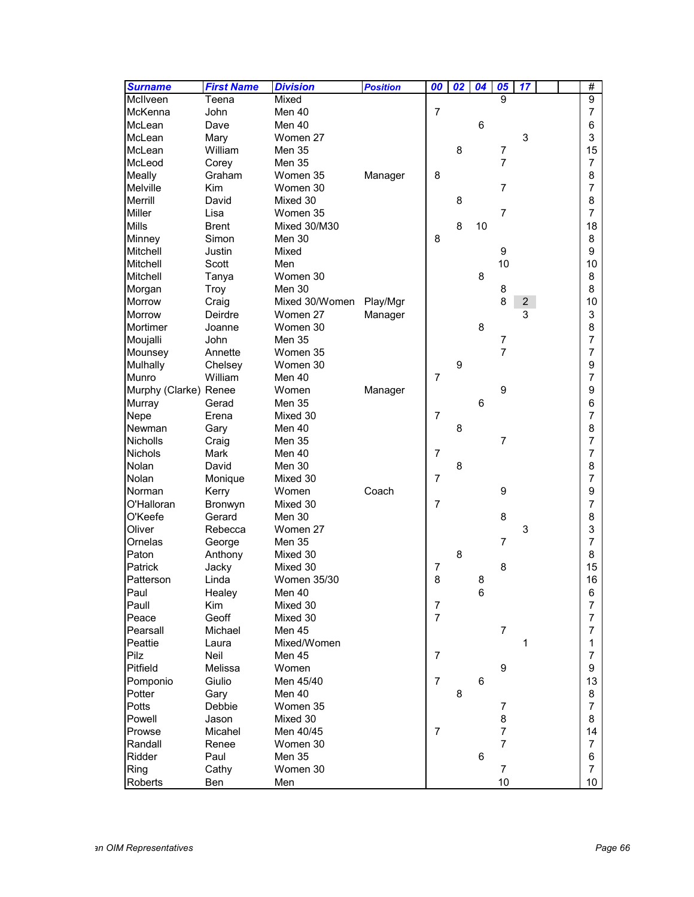| <b>Surname</b>        | <b>First Name</b> | <b>Division</b>    | <b>Position</b> | 00             | $\overline{02}$ | 04 | 05             | $\overline{17}$ |  | #              |
|-----------------------|-------------------|--------------------|-----------------|----------------|-----------------|----|----------------|-----------------|--|----------------|
| McIlveen              | Teena             | Mixed              |                 |                |                 |    | 9              |                 |  | $\overline{9}$ |
| McKenna               | John              | Men 40             |                 | $\overline{7}$ |                 |    |                |                 |  | $\overline{7}$ |
| McLean                | Dave              | Men 40             |                 |                |                 | 6  |                |                 |  | 6              |
| McLean                | Mary              | Women 27           |                 |                |                 |    |                | 3               |  | 3              |
| McLean                | William           | <b>Men 35</b>      |                 |                | 8               |    | 7              |                 |  | 15             |
| McLeod                | Corey             | <b>Men 35</b>      |                 |                |                 |    | $\overline{7}$ |                 |  | 7              |
| Meally                | Graham            | Women 35           | Manager         | 8              |                 |    |                |                 |  | 8              |
| <b>Melville</b>       | <b>Kim</b>        | Women 30           |                 |                |                 |    | $\overline{7}$ |                 |  | 7              |
| <b>Merrill</b>        | David             | Mixed 30           |                 |                | 8               |    |                |                 |  | 8              |
| Miller                | Lisa              | Women 35           |                 |                |                 |    | $\overline{7}$ |                 |  | 7              |
| <b>Mills</b>          | <b>Brent</b>      | Mixed 30/M30       |                 |                | 8               | 10 |                |                 |  | 18             |
| Minney                | Simon             | Men 30             |                 | 8              |                 |    |                |                 |  | 8              |
| Mitchell              | Justin            | Mixed              |                 |                |                 |    | 9              |                 |  | 9              |
| Mitchell              | Scott             | Men                |                 |                |                 |    | 10             |                 |  | 10             |
| Mitchell              | Tanya             | Women 30           |                 |                |                 | 8  |                |                 |  | 8              |
| Morgan                | Troy              | Men 30             |                 |                |                 |    | 8              |                 |  | 8              |
| <b>Morrow</b>         | Craig             | Mixed 30/Women     | Play/Mgr        |                |                 |    | 8              | $\overline{a}$  |  | 10             |
| Morrow                | Deirdre           | Women 27           | Manager         |                |                 |    |                | 3               |  | 3              |
| Mortimer              | Joanne            | Women 30           |                 |                |                 | 8  |                |                 |  | 8              |
| Moujalli              | John              | <b>Men 35</b>      |                 |                |                 |    | 7              |                 |  | 7              |
| Mounsey               | Annette           | Women 35           |                 |                |                 |    | $\overline{7}$ |                 |  | 7              |
| Mulhally              | Chelsey           | Women 30           |                 |                | 9               |    |                |                 |  | 9              |
| Munro                 | William           | Men 40             |                 | $\overline{7}$ |                 |    |                |                 |  | 7              |
| Murphy (Clarke) Renee |                   | Women              | Manager         |                |                 |    | 9              |                 |  | 9              |
| Murray                | Gerad             | <b>Men 35</b>      |                 |                |                 | 6  |                |                 |  | 6              |
| Nepe                  | Erena             | Mixed 30           |                 | $\overline{7}$ |                 |    |                |                 |  | 7              |
| Newman                | Gary              | Men 40             |                 |                | 8               |    |                |                 |  | 8              |
| <b>Nicholls</b>       | Craig             | <b>Men 35</b>      |                 |                |                 |    | $\overline{7}$ |                 |  | 7              |
| <b>Nichols</b>        | <b>Mark</b>       | Men 40             |                 | 7              |                 |    |                |                 |  | 7              |
| Nolan                 | David             | Men 30             |                 |                | 8               |    |                |                 |  | 8              |
| Nolan                 | Monique           | Mixed 30           |                 | $\overline{7}$ |                 |    |                |                 |  | 7              |
| Norman                | Kerry             | Women              | Coach           |                |                 |    | 9              |                 |  | 9              |
| O'Halloran            | Bronwyn           | Mixed 30           |                 | $\overline{7}$ |                 |    |                |                 |  | 7              |
| O'Keefe               | Gerard            | Men 30             |                 |                |                 |    | 8              |                 |  | 8              |
| Oliver                | Rebecca           | Women 27           |                 |                |                 |    |                | 3               |  | 3              |
| Ornelas               | George            | Men 35             |                 |                |                 |    | 7              |                 |  | 7              |
| Paton                 | Anthony           | Mixed 30           |                 |                | 8               |    |                |                 |  | 8              |
| Patrick               | Jacky             | Mixed 30           |                 | 7              |                 |    | 8              |                 |  | 15             |
| Patterson             | Linda             | <b>Women 35/30</b> |                 | 8              |                 | 8  |                |                 |  | 16             |
| Paul                  | Healey            | Men 40             |                 |                |                 | 6  |                |                 |  | 6              |
| Paull                 | Kim               | Mixed 30           |                 | 7              |                 |    |                |                 |  | 7              |
| Peace                 | Geoff             | Mixed 30           |                 | $\overline{7}$ |                 |    |                |                 |  | 7              |
| Pearsall              | Michael           | Men 45             |                 |                |                 |    | 7              |                 |  | 7              |
| Peattie               | Laura             | Mixed/Women        |                 |                |                 |    |                | 1               |  | 1              |
| Pilz                  | Neil              | Men 45             |                 | $\overline{7}$ |                 |    |                |                 |  | 7              |
| Pitfield              | Melissa           | Women              |                 |                |                 |    | 9              |                 |  | 9              |
| Pomponio              | Giulio            | Men 45/40          |                 | $\overline{7}$ |                 | 6  |                |                 |  | 13             |
| Potter                | Gary              | Men 40             |                 |                | 8               |    |                |                 |  | 8              |
| Potts                 | Debbie            | Women 35           |                 |                |                 |    | 7              |                 |  | 7              |
| Powell                | Jason             | Mixed 30           |                 |                |                 |    | 8              |                 |  | 8              |
| Prowse                | Micahel           | Men 40/45          |                 | $\overline{7}$ |                 |    | $\overline{7}$ |                 |  | 14             |
| Randall               | Renee             | Women 30           |                 |                |                 |    | $\overline{7}$ |                 |  | 7              |
| Ridder                | Paul              | Men 35             |                 |                |                 | 6  |                |                 |  | 6              |
| Ring                  | Cathy             | Women 30           |                 |                |                 |    | $\overline{7}$ |                 |  | 7              |
| Roberts               | Ben               | Men                |                 |                |                 |    | 10             |                 |  | 10             |
|                       |                   |                    |                 |                |                 |    |                |                 |  |                |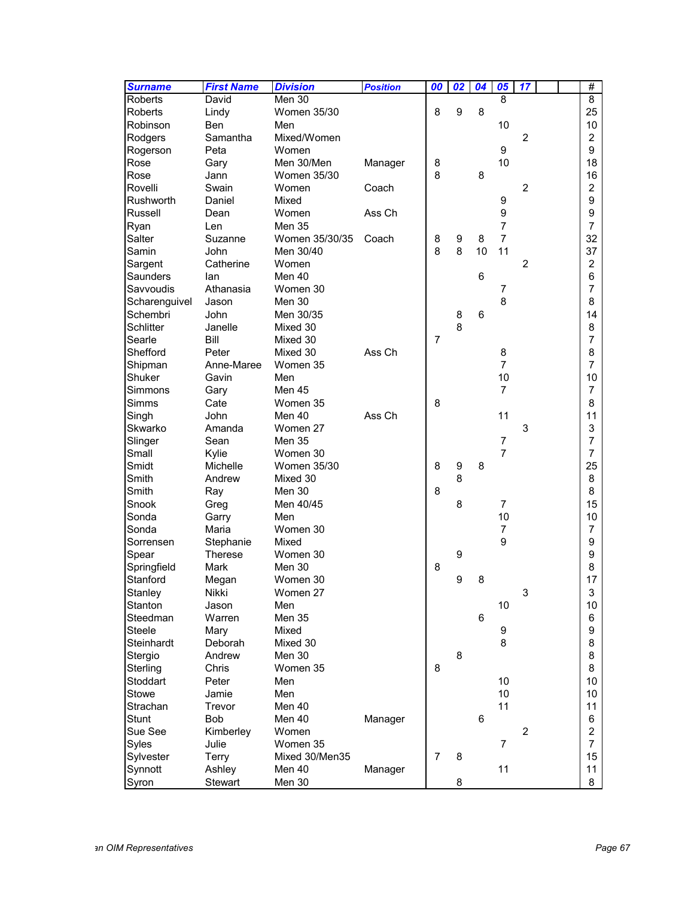| <b>Surname</b>   | <b>First Name</b> | <b>Division</b> | <b>Position</b> | 00             | $\overline{02}$  | 04 | 05             | 17             |  | #              |
|------------------|-------------------|-----------------|-----------------|----------------|------------------|----|----------------|----------------|--|----------------|
| <b>Roberts</b>   | David             | Men 30          |                 |                |                  |    | 8              |                |  | $\overline{8}$ |
| <b>Roberts</b>   | Lindy             | Women 35/30     |                 | 8              | 9                | 8  |                |                |  | 25             |
| Robinson         | Ben               | Men             |                 |                |                  |    | 10             |                |  | 10             |
| Rodgers          | Samantha          | Mixed/Women     |                 |                |                  |    |                | $\overline{2}$ |  | $\overline{2}$ |
| Rogerson         | Peta              | Women           |                 |                |                  |    | 9              |                |  | 9              |
| Rose             | Gary              | Men 30/Men      | Manager         | 8              |                  |    | 10             |                |  | 18             |
| Rose             | Jann              | Women 35/30     |                 | 8              |                  | 8  |                |                |  | 16             |
| Rovelli          | Swain             | Women           | Coach           |                |                  |    |                | $\overline{2}$ |  | $\overline{2}$ |
| Rushworth        | Daniel            | Mixed           |                 |                |                  |    | 9              |                |  | 9              |
| Russell          | Dean              | Women           | Ass Ch          |                |                  |    | 9              |                |  | 9              |
| Ryan             | Len               | <b>Men 35</b>   |                 |                |                  |    | $\overline{7}$ |                |  | 7              |
| Salter           | Suzanne           | Women 35/30/35  | Coach           | 8              | 9                | 8  | $\overline{7}$ |                |  | 32             |
| Samin            | John              | Men 30/40       |                 | 8              | 8                | 10 | 11             |                |  | 37             |
| Sargent          | Catherine         | Women           |                 |                |                  |    |                | 2              |  | $\overline{2}$ |
| Saunders         | lan               | Men 40          |                 |                |                  | 6  |                |                |  | 6              |
| Savvoudis        | Athanasia         | Women 30        |                 |                |                  |    | $\overline{7}$ |                |  | 7              |
| Scharenguivel    | Jason             | Men 30          |                 |                |                  |    | 8              |                |  | 8              |
| Schembri         | John              | Men 30/35       |                 |                | 8                | 6  |                |                |  | 14             |
| <b>Schlitter</b> | Janelle           | Mixed 30        |                 |                | 8                |    |                |                |  | 8              |
| Searle           | Bill              | Mixed 30        |                 | 7              |                  |    |                |                |  | $\overline{7}$ |
| Shefford         | Peter             | Mixed 30        | Ass Ch          |                |                  |    | 8              |                |  | 8              |
| Shipman          | Anne-Maree        | Women 35        |                 |                |                  |    | $\overline{7}$ |                |  | $\overline{7}$ |
| Shuker           | Gavin             | Men             |                 |                |                  |    | 10             |                |  | 10             |
| Simmons          | Gary              | Men 45          |                 |                |                  |    | $\overline{7}$ |                |  | $\overline{7}$ |
| <b>Simms</b>     | Cate              | Women 35        |                 | 8              |                  |    |                |                |  | 8              |
| Singh            | <b>John</b>       | Men 40          | Ass Ch          |                |                  |    | 11             |                |  | 11             |
| Skwarko          | Amanda            | Women 27        |                 |                |                  |    |                | 3              |  | 3              |
| Slinger          | Sean              | Men 35          |                 |                |                  |    | 7              |                |  | $\overline{7}$ |
| Small            | Kylie             | Women 30        |                 |                |                  |    | $\overline{7}$ |                |  | $\overline{7}$ |
| Smidt            | Michelle          | Women 35/30     |                 | 8              | $\boldsymbol{9}$ | 8  |                |                |  | 25             |
| Smith            | Andrew            | Mixed 30        |                 |                | 8                |    |                |                |  | 8              |
| Smith            | Ray               | Men 30          |                 | 8              |                  |    |                |                |  | 8              |
| Snook            | Greg              | Men 40/45       |                 |                | 8                |    | $\overline{7}$ |                |  | 15             |
| Sonda            | Garry             | Men             |                 |                |                  |    | 10             |                |  | 10             |
| Sonda            | Maria             | Women 30        |                 |                |                  |    | 7              |                |  | 7              |
| Sorrensen        | Stephanie         | Mixed           |                 |                |                  |    | 9              |                |  | 9              |
| Spear            | <b>Therese</b>    | Women 30        |                 |                | 9                |    |                |                |  | 9              |
| Springfield      | Mark              | Men 30          |                 | 8              |                  |    |                |                |  | 8              |
| Stanford         | Megan             | Women 30        |                 |                | 9                | 8  |                |                |  | 17             |
| Stanley          | Nikki             | Women 27        |                 |                |                  |    |                | 3              |  | 3              |
| Stanton          | Jason             | Men             |                 |                |                  |    | 10             |                |  | 10             |
| Steedman         | Warren            | Men 35          |                 |                |                  | 6  |                |                |  | 6              |
| <b>Steele</b>    | Mary              | Mixed           |                 |                |                  |    | 9              |                |  | 9              |
| Steinhardt       | Deborah           | Mixed 30        |                 |                |                  |    | 8              |                |  | 8              |
| Stergio          | Andrew            | Men 30          |                 |                | 8                |    |                |                |  | 8              |
| Sterling         | Chris             | Women 35        |                 | 8              |                  |    |                |                |  | 8              |
| Stoddart         | Peter             | Men             |                 |                |                  |    | 10             |                |  | 10             |
| <b>Stowe</b>     | Jamie             | Men             |                 |                |                  |    | 10             |                |  | 10             |
| Strachan         | Trevor            | Men 40          |                 |                |                  |    | 11             |                |  | 11             |
| <b>Stunt</b>     | <b>Bob</b>        | Men 40          | Manager         |                |                  | 6  |                |                |  | 6              |
| Sue See          | Kimberley         | Women           |                 |                |                  |    |                | $\overline{2}$ |  | $\overline{a}$ |
| Syles            | Julie             | Women 35        |                 |                |                  |    | $\overline{7}$ |                |  | $\overline{7}$ |
| Sylvester        | Terry             | Mixed 30/Men35  |                 | $\overline{7}$ | 8                |    |                |                |  | 15             |
| Synnott          | Ashley            | Men 40          | Manager         |                |                  |    | 11             |                |  | 11             |
| Syron            | Stewart           | Men 30          |                 |                | 8                |    |                |                |  | 8              |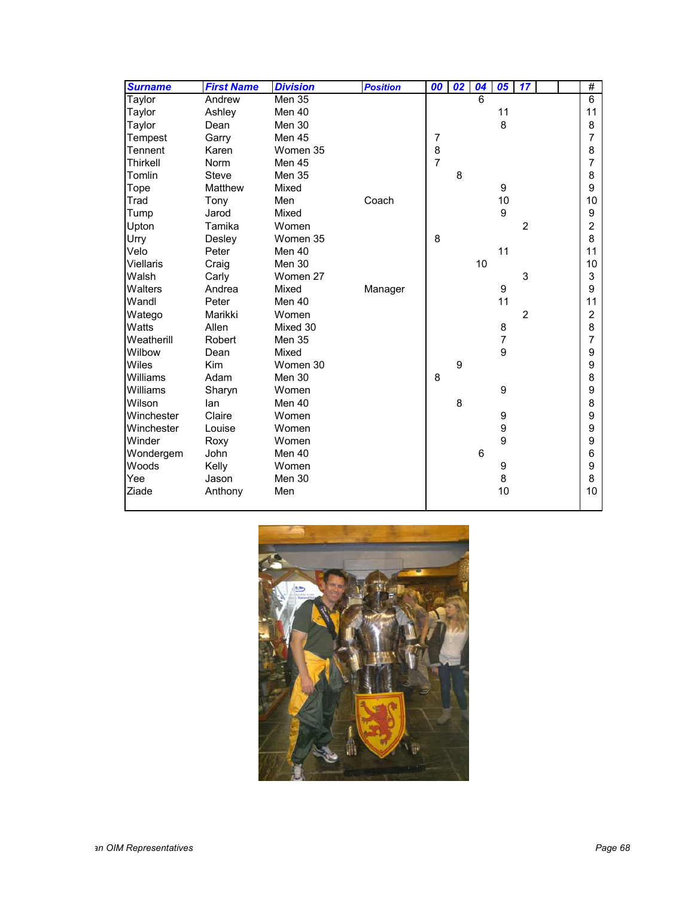| <b>Surname</b>   | <b>First Name</b> | <b>Division</b> | <b>Position</b> | 00             | $\overline{02}$ | 04 | 05             | 17             |  | #              |
|------------------|-------------------|-----------------|-----------------|----------------|-----------------|----|----------------|----------------|--|----------------|
| Taylor           | Andrew            | <b>Men 35</b>   |                 |                |                 | 6  |                |                |  | $\overline{6}$ |
| Taylor           | Ashley            | Men 40          |                 |                |                 |    | 11             |                |  | 11             |
| Taylor           | Dean              | Men 30          |                 |                |                 |    | 8              |                |  | 8              |
| Tempest          | Garry             | Men 45          |                 | $\overline{7}$ |                 |    |                |                |  | $\overline{7}$ |
| Tennent          | Karen             | Women 35        |                 | 8              |                 |    |                |                |  | 8              |
| Thirkell         | <b>Norm</b>       | Men 45          |                 | $\overline{7}$ |                 |    |                |                |  | $\overline{7}$ |
| Tomlin           | <b>Steve</b>      | <b>Men 35</b>   |                 |                | 8               |    |                |                |  | 8              |
| Tope             | Matthew           | Mixed           |                 |                |                 |    | 9              |                |  | 9              |
| Trad             | Tony              | Men             | Coach           |                |                 |    | 10             |                |  | 10             |
| Tump             | Jarod             | Mixed           |                 |                |                 |    | 9              |                |  | 9              |
| Upton            | Tamika            | Women           |                 |                |                 |    |                | $\overline{2}$ |  | $\overline{c}$ |
| Urry             | Desley            | Women 35        |                 | 8              |                 |    |                |                |  | 8              |
| Velo             | Peter             | Men 40          |                 |                |                 |    | 11             |                |  | 11             |
| <b>Viellaris</b> | Craig             | Men 30          |                 |                |                 | 10 |                |                |  | 10             |
| Walsh            | Carly             | Women 27        |                 |                |                 |    |                | 3              |  | 3              |
| Walters          | Andrea            | Mixed           | Manager         |                |                 |    | 9              |                |  | 9              |
| Wandl            | Peter             | Men 40          |                 |                |                 |    | 11             |                |  | 11             |
| Watego           | Marikki           | Women           |                 |                |                 |    |                | $\overline{2}$ |  | $\overline{2}$ |
| Watts            | Allen             | Mixed 30        |                 |                |                 |    | 8              |                |  | 8              |
| Weatherill       | Robert            | <b>Men 35</b>   |                 |                |                 |    | $\overline{7}$ |                |  | $\overline{7}$ |
| Wilbow           | Dean              | Mixed           |                 |                |                 |    | 9              |                |  | 9              |
| Wiles            | <b>Kim</b>        | Women 30        |                 |                | 9               |    |                |                |  | 9              |
| Williams         | Adam              | Men 30          |                 | 8              |                 |    |                |                |  | 8              |
| Williams         | Sharyn            | Women           |                 |                |                 |    | 9              |                |  | 9              |
| Wilson           | lan               | Men 40          |                 |                | 8               |    |                |                |  | 8              |
| Winchester       | Claire            | Women           |                 |                |                 |    | 9              |                |  | 9              |
| Winchester       | Louise            | Women           |                 |                |                 |    | 9              |                |  | 9              |
| Winder           | Roxy              | Women           |                 |                |                 |    | 9              |                |  | 9              |
| Wondergem        | <b>John</b>       | Men 40          |                 |                |                 | 6  |                |                |  | 6              |
| Woods            | Kelly             | Women           |                 |                |                 |    | 9              |                |  | 9              |
| Yee              | Jason             | Men 30          |                 |                |                 |    | 8              |                |  | 8              |
| Ziade            | Anthony           | Men             |                 |                |                 |    | 10             |                |  | 10             |

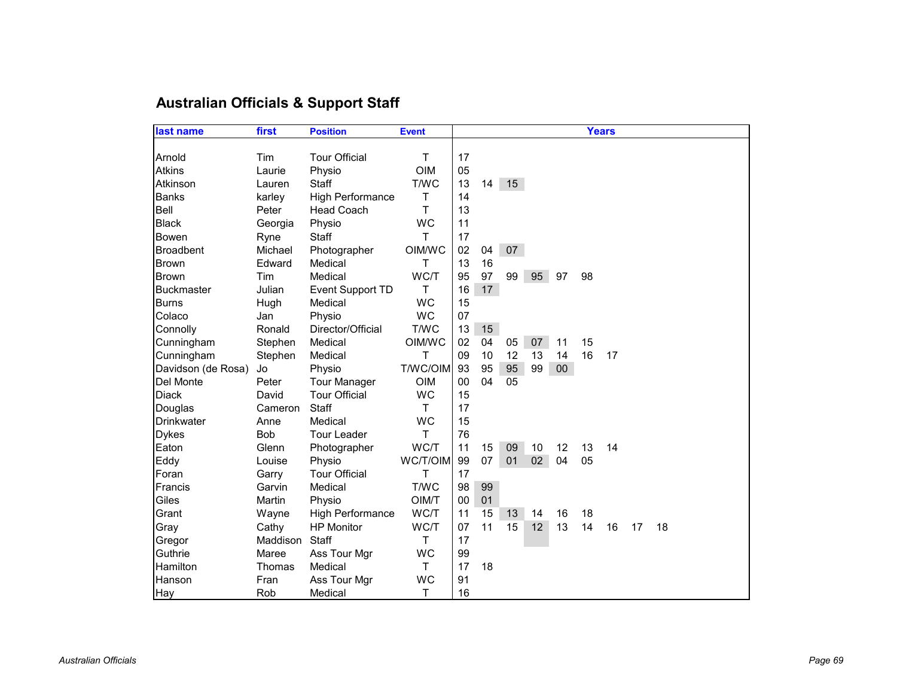# **Australian Officials & Support Staff**

| last name          | first      | <b>Position</b>         | <b>Event</b> |    |    |       |    |        | <b>Years</b> |    |    |    |  |
|--------------------|------------|-------------------------|--------------|----|----|-------|----|--------|--------------|----|----|----|--|
|                    |            |                         |              |    |    |       |    |        |              |    |    |    |  |
| Arnold             | Tim        | <b>Tour Official</b>    | Т            | 17 |    |       |    |        |              |    |    |    |  |
| <b>Atkins</b>      | Laurie     | Physio                  | <b>OIM</b>   | 05 |    |       |    |        |              |    |    |    |  |
| Atkinson           | Lauren     | <b>Staff</b>            | T/WC         | 13 |    | 14 15 |    |        |              |    |    |    |  |
| <b>Banks</b>       | karley     | <b>High Performance</b> | Т            | 14 |    |       |    |        |              |    |    |    |  |
| Bell               | Peter      | <b>Head Coach</b>       | Т            | 13 |    |       |    |        |              |    |    |    |  |
| <b>Black</b>       | Georgia    | Physio                  | <b>WC</b>    | 11 |    |       |    |        |              |    |    |    |  |
| Bowen              | Ryne       | Staff                   | т            | 17 |    |       |    |        |              |    |    |    |  |
| <b>Broadbent</b>   | Michael    | Photographer            | OIM/WC       | 02 | 04 | 07    |    |        |              |    |    |    |  |
| <b>Brown</b>       | Edward     | Medical                 | т            | 13 | 16 |       |    |        |              |    |    |    |  |
| <b>Brown</b>       | Tim        | Medical                 | WC/T         | 95 | 97 | 99    | 95 | 97     | 98           |    |    |    |  |
| <b>Buckmaster</b>  | Julian     | Event Support TD        | Τ            | 16 | 17 |       |    |        |              |    |    |    |  |
| <b>Burns</b>       | Hugh       | Medical                 | <b>WC</b>    | 15 |    |       |    |        |              |    |    |    |  |
| Colaco             | Jan        | Physio                  | <b>WC</b>    | 07 |    |       |    |        |              |    |    |    |  |
| Connolly           | Ronald     | Director/Official       | T/WC         | 13 | 15 |       |    |        |              |    |    |    |  |
| Cunningham         | Stephen    | Medical                 | OIM/WC       | 02 | 04 | 05    | 07 | 11     | 15           |    |    |    |  |
| Cunningham         | Stephen    | Medical                 | Т            | 09 | 10 | 12    | 13 | 14     | 16           | 17 |    |    |  |
| Davidson (de Rosa) | Jo         | Physio                  | T/WC/OIM     | 93 | 95 | 95    | 99 | $00\,$ |              |    |    |    |  |
| Del Monte          | Peter      | <b>Tour Manager</b>     | <b>OIM</b>   | 00 | 04 | 05    |    |        |              |    |    |    |  |
| <b>Diack</b>       | David      | <b>Tour Official</b>    | <b>WC</b>    | 15 |    |       |    |        |              |    |    |    |  |
| Douglas            | Cameron    | Staff                   | Т            | 17 |    |       |    |        |              |    |    |    |  |
| <b>Drinkwater</b>  | Anne       | Medical                 | <b>WC</b>    | 15 |    |       |    |        |              |    |    |    |  |
| <b>Dykes</b>       | <b>Bob</b> | <b>Tour Leader</b>      | т            | 76 |    |       |    |        |              |    |    |    |  |
| Eaton              | Glenn      | Photographer            | WC/T         | 11 | 15 | 09    | 10 | 12     | 13           | 14 |    |    |  |
| Eddy               | Louise     | Physio                  | WC/T/OIM     | 99 | 07 | 01    | 02 | 04     | 05           |    |    |    |  |
| Foran              | Garry      | <b>Tour Official</b>    | т            | 17 |    |       |    |        |              |    |    |    |  |
| Francis            | Garvin     | Medical                 | T/WC         | 98 | 99 |       |    |        |              |    |    |    |  |
| Giles              | Martin     | Physio                  | OIM/T        | 00 | 01 |       |    |        |              |    |    |    |  |
| Grant              | Wayne      | <b>High Performance</b> | WC/T         | 11 | 15 | 13    | 14 | 16     | 18           |    |    |    |  |
| Gray               | Cathy      | <b>HP Monitor</b>       | WC/T         | 07 | 11 | 15    | 12 | 13     | 14           | 16 | 17 | 18 |  |
| Gregor             | Maddison   | Staff                   | T.           | 17 |    |       |    |        |              |    |    |    |  |
| Guthrie            | Maree      | Ass Tour Mgr            | <b>WC</b>    | 99 |    |       |    |        |              |    |    |    |  |
| Hamilton           | Thomas     | Medical                 | T.           | 17 | 18 |       |    |        |              |    |    |    |  |
| Hanson             | Fran       | Ass Tour Mgr            | <b>WC</b>    | 91 |    |       |    |        |              |    |    |    |  |
| Hay                | Rob        | Medical                 | т            | 16 |    |       |    |        |              |    |    |    |  |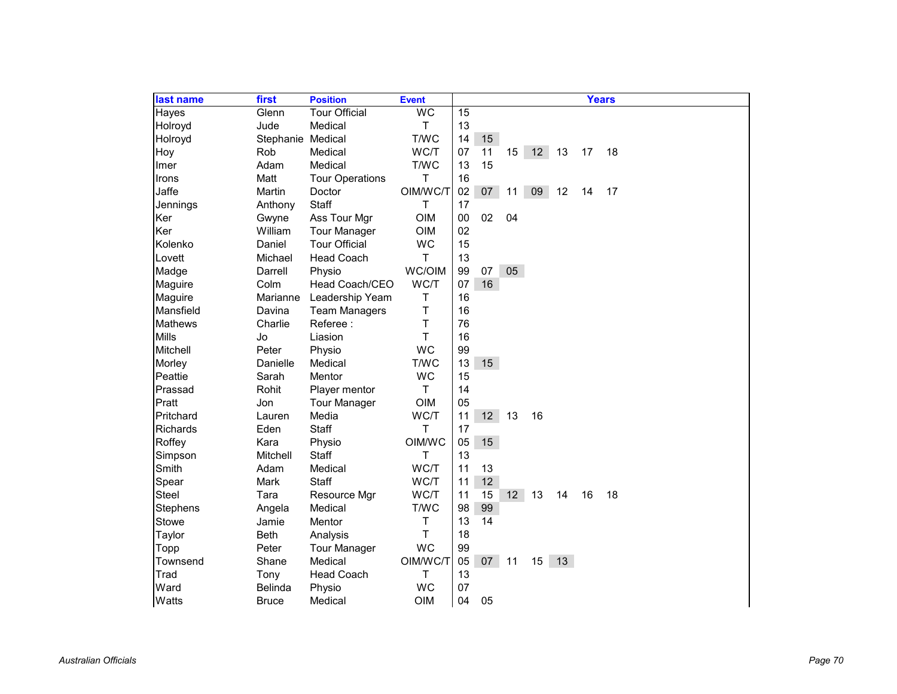| last name       | first             | <b>Position</b>        | <b>Event</b> |    |    |                 |    |    |    | <b>Years</b> |
|-----------------|-------------------|------------------------|--------------|----|----|-----------------|----|----|----|--------------|
| Hayes           | Glenn             | <b>Tour Official</b>   | <b>WC</b>    | 15 |    |                 |    |    |    |              |
| Holroyd         | Jude              | Medical                | T            | 13 |    |                 |    |    |    |              |
| Holroyd         | Stephanie Medical |                        | T/WC         | 14 | 15 |                 |    |    |    |              |
| Hoy             | Rob               | Medical                | WC/T         | 07 | 11 | 15              | 12 | 13 | 17 | 18           |
| Imer            | Adam              | Medical                | T/WC         | 13 | 15 |                 |    |    |    |              |
| Irons           | Matt              | <b>Tour Operations</b> | T            | 16 |    |                 |    |    |    |              |
| Jaffe           | Martin            | Doctor                 | OIM/WC/T     | 02 | 07 | 11              | 09 | 12 | 14 | 17           |
| Jennings        | Anthony           | Staff                  | T            | 17 |    |                 |    |    |    |              |
| Ker             | Gwyne             | Ass Tour Mgr           | <b>OIM</b>   | 00 | 02 | 04              |    |    |    |              |
| Ker             | William           | <b>Tour Manager</b>    | <b>OIM</b>   | 02 |    |                 |    |    |    |              |
| Kolenko         | Daniel            | <b>Tour Official</b>   | <b>WC</b>    | 15 |    |                 |    |    |    |              |
| Lovett          | Michael           | <b>Head Coach</b>      | T.           | 13 |    |                 |    |    |    |              |
| Madge           | Darrell           | Physio                 | WC/OIM       | 99 | 07 | 05              |    |    |    |              |
| Maguire         | Colm              | Head Coach/CEO         | WC/T         | 07 | 16 |                 |    |    |    |              |
| Maguire         | Marianne          | Leadership Yeam        | Τ            | 16 |    |                 |    |    |    |              |
| Mansfield       | Davina            | <b>Team Managers</b>   | $\top$       | 16 |    |                 |    |    |    |              |
| <b>Mathews</b>  | Charlie           | Referee:               | Τ            | 76 |    |                 |    |    |    |              |
| Mills           | Jo                | Liasion                | Τ            | 16 |    |                 |    |    |    |              |
| Mitchell        | Peter             | Physio                 | <b>WC</b>    | 99 |    |                 |    |    |    |              |
| Morley          | Danielle          | Medical                | T/WC         | 13 | 15 |                 |    |    |    |              |
| Peattie         | Sarah             | Mentor                 | <b>WC</b>    | 15 |    |                 |    |    |    |              |
| Prassad         | Rohit             | Player mentor          | T            | 14 |    |                 |    |    |    |              |
| Pratt           | Jon               | <b>Tour Manager</b>    | <b>OIM</b>   | 05 |    |                 |    |    |    |              |
| Pritchard       | Lauren            | Media                  | WC/T         | 11 | 12 | 13              | 16 |    |    |              |
| <b>Richards</b> | Eden              | <b>Staff</b>           | T.           | 17 |    |                 |    |    |    |              |
| Roffey          | Kara              | Physio                 | OIM/WC       | 05 | 15 |                 |    |    |    |              |
| Simpson         | Mitchell          | Staff                  | т            | 13 |    |                 |    |    |    |              |
| Smith           | Adam              | Medical                | WC/T         | 11 | 13 |                 |    |    |    |              |
| Spear           | Mark              | Staff                  | WC/T         | 11 | 12 |                 |    |    |    |              |
| <b>Steel</b>    | Tara              | Resource Mgr           | WC/T         | 11 | 15 | 12 <sup>7</sup> | 13 | 14 | 16 | 18           |
| Stephens        | Angela            | Medical                | T/WC         | 98 | 99 |                 |    |    |    |              |
| Stowe           | Jamie             | Mentor                 | Т            | 13 | 14 |                 |    |    |    |              |
| Taylor          | <b>Beth</b>       | Analysis               | T            | 18 |    |                 |    |    |    |              |
| Topp            | Peter             | <b>Tour Manager</b>    | <b>WC</b>    | 99 |    |                 |    |    |    |              |
| Townsend        | Shane             | Medical                | OIM/WC/T     | 05 | 07 | 11              | 15 | 13 |    |              |
| Trad            | Tony              | <b>Head Coach</b>      | т            | 13 |    |                 |    |    |    |              |
| Ward            | <b>Belinda</b>    | Physio                 | <b>WC</b>    | 07 |    |                 |    |    |    |              |
| Watts           | <b>Bruce</b>      | Medical                | OIM          | 04 | 05 |                 |    |    |    |              |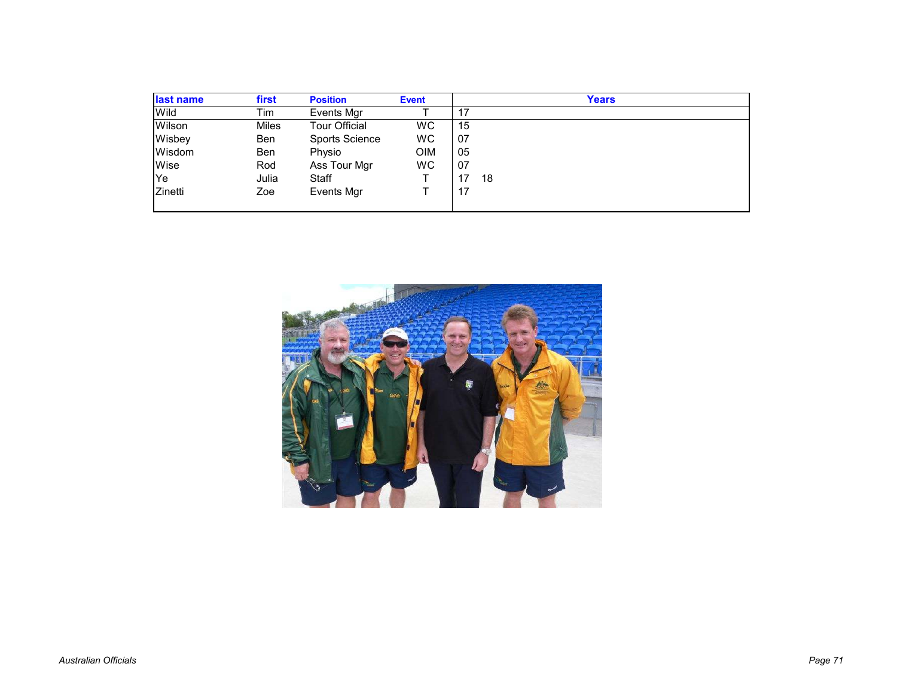| last name | first        | <b>Position</b>       | <b>Event</b> |     | Years |
|-----------|--------------|-----------------------|--------------|-----|-------|
| Wild      | Tim          | Events Mgr            |              | 17  |       |
| Wilson    | <b>Miles</b> | <b>Tour Official</b>  | WC           | 15  |       |
| Wisbey    | Ben          | <b>Sports Science</b> | <b>WC</b>    | -07 |       |
| Wisdom    | Ben          | Physio                | <b>OIM</b>   | 05  |       |
| Wise      | Rod          | Ass Tour Mgr          | <b>WC</b>    | -07 |       |
| Ye        | Julia        | Staff                 |              | 17  | 18    |
| Zinetti   | Zoe          | <b>Events Mgr</b>     |              | 17  |       |
|           |              |                       |              |     |       |

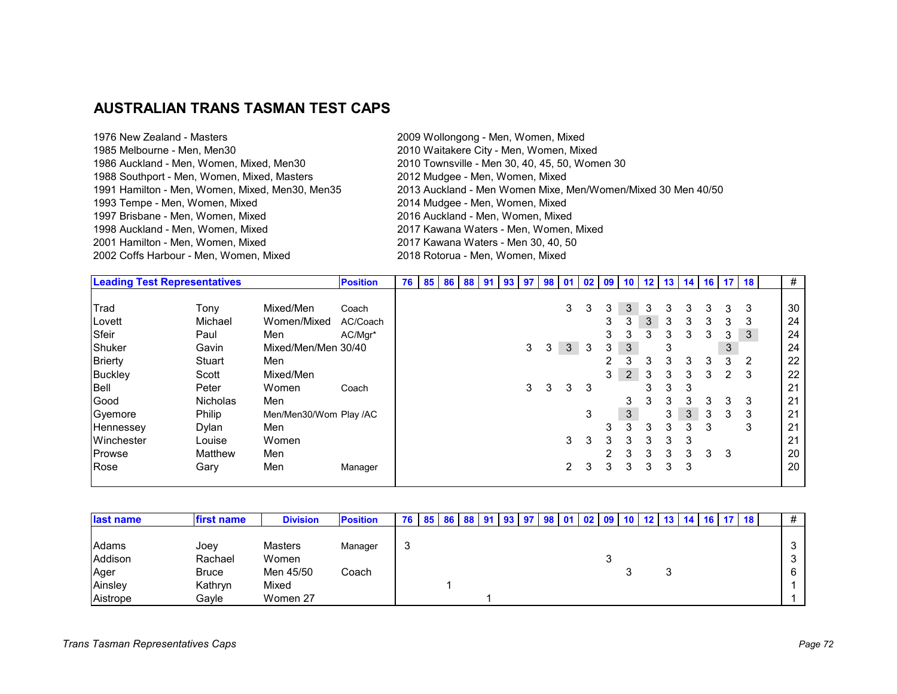## **AUSTRALIAN TRANS TASMAN TEST CAPS**

| 1976 New Zealand - Masters                      | 2009 Wollongong - Men, Women, Mixed                          |
|-------------------------------------------------|--------------------------------------------------------------|
| 1985 Melbourne - Men, Men30                     | 2010 Waitakere City - Men, Women, Mixed                      |
| 1986 Auckland - Men, Women, Mixed, Men30        | 2010 Townsville - Men 30, 40, 45, 50, Women 30               |
| 1988 Southport - Men, Women, Mixed, Masters     | 2012 Mudgee - Men, Women, Mixed                              |
| 1991 Hamilton - Men, Women, Mixed, Men30, Men35 | 2013 Auckland - Men Women Mixe, Men/Women/Mixed 30 Men 40/50 |
| 1993 Tempe - Men, Women, Mixed                  | 2014 Mudgee - Men, Women, Mixed                              |
| 1997 Brisbane - Men, Women, Mixed               | 2016 Auckland - Men, Women, Mixed                            |
| 1998 Auckland - Men, Women, Mixed               | 2017 Kawana Waters - Men, Women, Mixed                       |
| 2001 Hamilton - Men, Women, Mixed               | 2017 Kawana Waters - Men 30, 40, 50                          |
| 2002 Coffs Harbour - Men, Women, Mixed          | 2018 Rotorua - Men, Women, Mixed                             |
|                                                 |                                                              |

| <b>Leading Test Representatives</b> |                 |                        | <b>Position</b> | 76 I |  |  | 85 86 88 91 93 97 98 01 02 |   |   |                |   | 09            | 10             |   | $12$ 13 |   |   | 14 16 17 18 |   | #  |
|-------------------------------------|-----------------|------------------------|-----------------|------|--|--|----------------------------|---|---|----------------|---|---------------|----------------|---|---------|---|---|-------------|---|----|
|                                     |                 |                        |                 |      |  |  |                            |   |   |                |   |               |                |   |         |   |   |             |   |    |
| Trad                                | Tony            | Mixed/Men              | Coach           |      |  |  |                            |   |   | 3              | 3 | 3             | 3              | 3 | 3       | 3 | 3 | 3           | 3 | 30 |
| Lovett                              | Michael         | Women/Mixed            | AC/Coach        |      |  |  |                            |   |   |                |   | 3             | 3              | 3 | 3       | 3 | 3 | 3           | 3 | 24 |
| Sfeir                               | Paul            | Men                    | AC/Mgr*         |      |  |  |                            |   |   |                |   | 3             | 3              | 3 | 3       | 3 | 3 | 3           | 3 | 24 |
| Shuker                              | Gavin           | Mixed/Men/Men 30/40    |                 |      |  |  |                            | 3 | 3 | 3 <sup>2</sup> | 3 | 3             | 3              |   | 3       |   |   | 3           |   | 24 |
| <b>Brierty</b>                      | Stuart          | Men                    |                 |      |  |  |                            |   |   |                |   | $\mathcal{P}$ | 3              | 3 | 3       | 3 | 3 | 3           | 2 | 22 |
| <b>Buckley</b>                      | Scott           | Mixed/Men              |                 |      |  |  |                            |   |   |                |   | 3             | $\overline{2}$ | 3 | 3       | 3 | 3 | 2           | 3 | 22 |
| Bell                                | Peter           | Women                  | Coach           |      |  |  |                            | 3 | 3 | 3              | 3 |               |                | 3 | 3       | 3 |   |             |   | 21 |
| Good                                | <b>Nicholas</b> | Men                    |                 |      |  |  |                            |   |   |                |   |               | 3              | 3 | 3       | 3 | 3 | 3           | 3 | 21 |
| Gyemore                             | Philip          | Men/Men30/Wom Play /AC |                 |      |  |  |                            |   |   |                | 3 |               | $\mathfrak{S}$ |   | 3       | 3 | 3 | 3           | 3 | 21 |
| Hennessey                           | Dylan           | Men                    |                 |      |  |  |                            |   |   |                |   | 3             | 3              | 3 | 3       | 3 | 3 |             | 3 | 21 |
| Winchester                          | Louise          | Women                  |                 |      |  |  |                            |   |   | 3              | 3 | 3             | 3              | 3 | 3       | 3 |   |             |   | 21 |
| <b>Prowse</b>                       | Matthew         | Men                    |                 |      |  |  |                            |   |   |                |   | $\mathcal{P}$ | 3              | 3 | 3       | 3 | 3 | 3           |   | 20 |
| Rose                                | Gary            | Men                    | Manager         |      |  |  |                            |   |   | 2              | 3 | 3             | 3              | 3 | 3       | 3 |   |             |   | 20 |
|                                     |                 |                        |                 |      |  |  |                            |   |   |                |   |               |                |   |         |   |   |             |   |    |

| last name | <b>first name</b> | <b>Division</b> | <b>Position</b> |   | 76   85   86   88   91   93   97   98   01   02   09   10   12 |  |  |  |  |  | 13 14 16 |  | 17   18 | #  |
|-----------|-------------------|-----------------|-----------------|---|----------------------------------------------------------------|--|--|--|--|--|----------|--|---------|----|
|           |                   |                 |                 |   |                                                                |  |  |  |  |  |          |  |         |    |
| Adams     | Joev              | Masters         | Manager         | J |                                                                |  |  |  |  |  |          |  |         | 3  |
| Addison   | Rachael           | Women           |                 |   |                                                                |  |  |  |  |  |          |  |         | J  |
| Ager      | <b>Bruce</b>      | Men 45/50       | Coach           |   |                                                                |  |  |  |  |  |          |  |         | -6 |
| Ainsley   | Kathryn           | Mixed           |                 |   |                                                                |  |  |  |  |  |          |  |         |    |
| Aistrope  | Gavle             | Women 27        |                 |   |                                                                |  |  |  |  |  |          |  |         |    |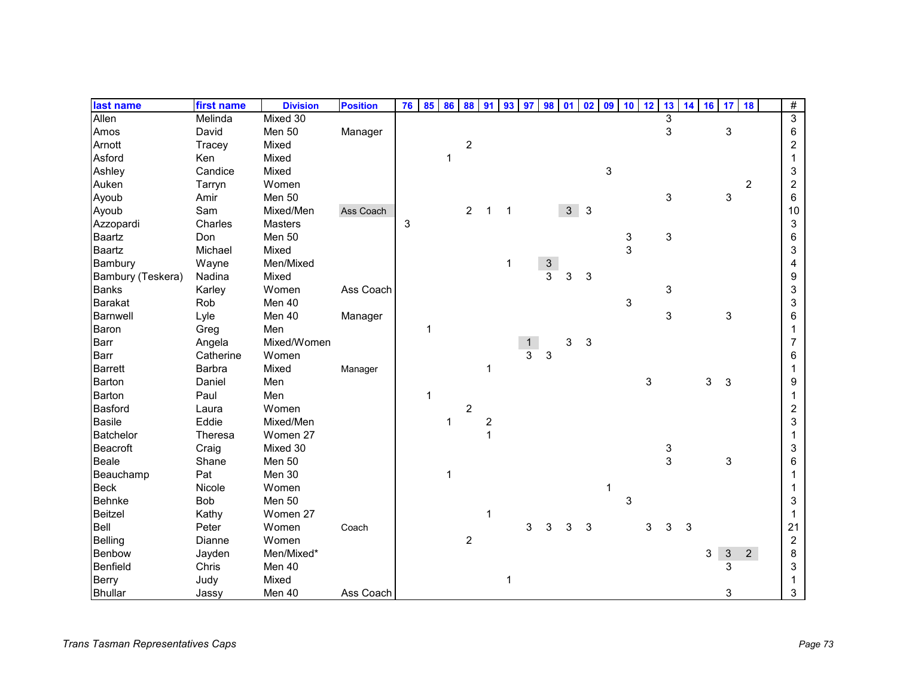| last name         | first name | <b>Division</b> | <b>Position</b> | 76 | 85           | 86             | 88             | 91                      | 93          | 97 | 98 01         |                | 02 | 09 | 10            | 12 | 13 | 14 | 16 | 17           | 18             | $\#$           |
|-------------------|------------|-----------------|-----------------|----|--------------|----------------|----------------|-------------------------|-------------|----|---------------|----------------|----|----|---------------|----|----|----|----|--------------|----------------|----------------|
| Allen             | Melinda    | Mixed 30        |                 |    |              |                |                |                         |             |    |               |                |    |    |               |    | 3  |    |    |              |                | $\overline{3}$ |
| Amos              | David      | Men 50          | Manager         |    |              |                |                |                         |             |    |               |                |    |    |               |    | 3  |    |    | $\mathbf{3}$ |                | 6              |
| Arnott            | Tracey     | Mixed           |                 |    |              |                | $\sqrt{2}$     |                         |             |    |               |                |    |    |               |    |    |    |    |              |                | $\overline{c}$ |
| Asford            | Ken        | Mixed           |                 |    |              | 1              |                |                         |             |    |               |                |    |    |               |    |    |    |    |              |                | 1              |
| Ashley            | Candice    | Mixed           |                 |    |              |                |                |                         |             |    |               |                |    | 3  |               |    |    |    |    |              |                | 3              |
| Auken             | Tarryn     | Women           |                 |    |              |                |                |                         |             |    |               |                |    |    |               |    |    |    |    |              | $\overline{c}$ | $\overline{2}$ |
| Ayoub             | Amir       | Men 50          |                 |    |              |                |                |                         |             |    |               |                |    |    |               |    | 3  |    |    | 3            |                | 6              |
| Ayoub             | Sam        | Mixed/Men       | Ass Coach       |    |              |                | $\overline{2}$ | $\mathbf 1$             | $\mathbf 1$ |    |               | 3 <sup>1</sup> | 3  |    |               |    |    |    |    |              |                | 10             |
| Azzopardi         | Charles    | <b>Masters</b>  |                 | 3  |              |                |                |                         |             |    |               |                |    |    |               |    |    |    |    |              |                | 3              |
| Baartz            | Don        | Men 50          |                 |    |              |                |                |                         |             |    |               |                |    |    | $\frac{3}{3}$ |    | 3  |    |    |              |                | 6              |
| Baartz            | Michael    | Mixed           |                 |    |              |                |                |                         |             |    |               |                |    |    |               |    |    |    |    |              |                | 3              |
| Bambury           | Wayne      | Men/Mixed       |                 |    |              |                |                |                         | 1           |    | $\frac{3}{3}$ |                |    |    |               |    |    |    |    |              |                | 4              |
| Bambury (Teskera) | Nadina     | Mixed           |                 |    |              |                |                |                         |             |    |               | 3              | 3  |    |               |    |    |    |    |              |                | 9              |
| <b>Banks</b>      | Karley     | Women           | Ass Coach       |    |              |                |                |                         |             |    |               |                |    |    |               |    | 3  |    |    |              |                | 3              |
| <b>Barakat</b>    | Rob        | Men 40          |                 |    |              |                |                |                         |             |    |               |                |    |    | 3             |    |    |    |    |              |                | 3              |
| <b>Barnwell</b>   | Lyle       | Men 40          | Manager         |    |              |                |                |                         |             |    |               |                |    |    |               |    | 3  |    |    | 3            |                | 6              |
| Baron             | Greg       | Men             |                 |    | $\mathbf 1$  |                |                |                         |             |    |               |                |    |    |               |    |    |    |    |              |                | 1              |
| Barr              | Angela     | Mixed/Women     |                 |    |              |                |                |                         |             | 1  |               | 3              | 3  |    |               |    |    |    |    |              |                | 7              |
| Barr              | Catherine  | Women           |                 |    |              |                |                |                         |             | 3  | $\sqrt{3}$    |                |    |    |               |    |    |    |    |              |                | 6              |
| <b>Barrett</b>    | Barbra     | Mixed           | Manager         |    |              |                |                | 1                       |             |    |               |                |    |    |               |    |    |    |    |              |                |                |
| Barton            | Daniel     | Men             |                 |    |              |                |                |                         |             |    |               |                |    |    |               | 3  |    |    | 3  | 3            |                | 9              |
| Barton            | Paul       | Men             |                 |    | $\mathbf{1}$ |                |                |                         |             |    |               |                |    |    |               |    |    |    |    |              |                | 1              |
| <b>Basford</b>    | Laura      | Women           |                 |    |              |                | $\sqrt{2}$     |                         |             |    |               |                |    |    |               |    |    |    |    |              |                | $\overline{c}$ |
| <b>Basile</b>     | Eddie      | Mixed/Men       |                 |    |              | 1              |                | $\overline{\mathbf{c}}$ |             |    |               |                |    |    |               |    |    |    |    |              |                | 3              |
| <b>Batchelor</b>  | Theresa    | Women 27        |                 |    |              |                |                | 1                       |             |    |               |                |    |    |               |    |    |    |    |              |                |                |
| <b>Beacroft</b>   | Craig      | Mixed 30        |                 |    |              |                |                |                         |             |    |               |                |    |    |               |    | 3  |    |    |              |                | 3              |
| Beale             | Shane      | Men 50          |                 |    |              |                |                |                         |             |    |               |                |    |    |               |    | 3  |    |    | 3            |                | 6              |
| Beauchamp         | Pat        | Men 30          |                 |    |              | $\overline{1}$ |                |                         |             |    |               |                |    |    |               |    |    |    |    |              |                |                |
| <b>Beck</b>       | Nicole     | Women           |                 |    |              |                |                |                         |             |    |               |                |    | 1  |               |    |    |    |    |              |                |                |
| <b>Behnke</b>     | Bob        | Men 50          |                 |    |              |                |                |                         |             |    |               |                |    |    | 3             |    |    |    |    |              |                | 3              |
| Beitzel           | Kathy      | Women 27        |                 |    |              |                |                | 1                       |             |    |               |                |    |    |               |    |    |    |    |              |                | 1              |
| Bell              | Peter      | Women           | Coach           |    |              |                |                |                         |             | 3  | 3             | 3              | 3  |    |               | 3  | 3  | 3  |    |              |                | 21             |
| Belling           | Dianne     | Women           |                 |    |              |                | $\overline{c}$ |                         |             |    |               |                |    |    |               |    |    |    |    |              |                | $\overline{2}$ |
| Benbow            | Jayden     | Men/Mixed*      |                 |    |              |                |                |                         |             |    |               |                |    |    |               |    |    |    | 3  | $\mathbf{3}$ | 2 <sup>7</sup> | 8              |
| Benfield          | Chris      | Men 40          |                 |    |              |                |                |                         |             |    |               |                |    |    |               |    |    |    |    | 3            |                | 3              |
| <b>Berry</b>      | Judy       | Mixed           |                 |    |              |                |                |                         | 1           |    |               |                |    |    |               |    |    |    |    |              |                | 1              |
| <b>Bhullar</b>    | Jassy      | Men 40          | Ass Coach       |    |              |                |                |                         |             |    |               |                |    |    |               |    |    |    |    | 3            |                | 3              |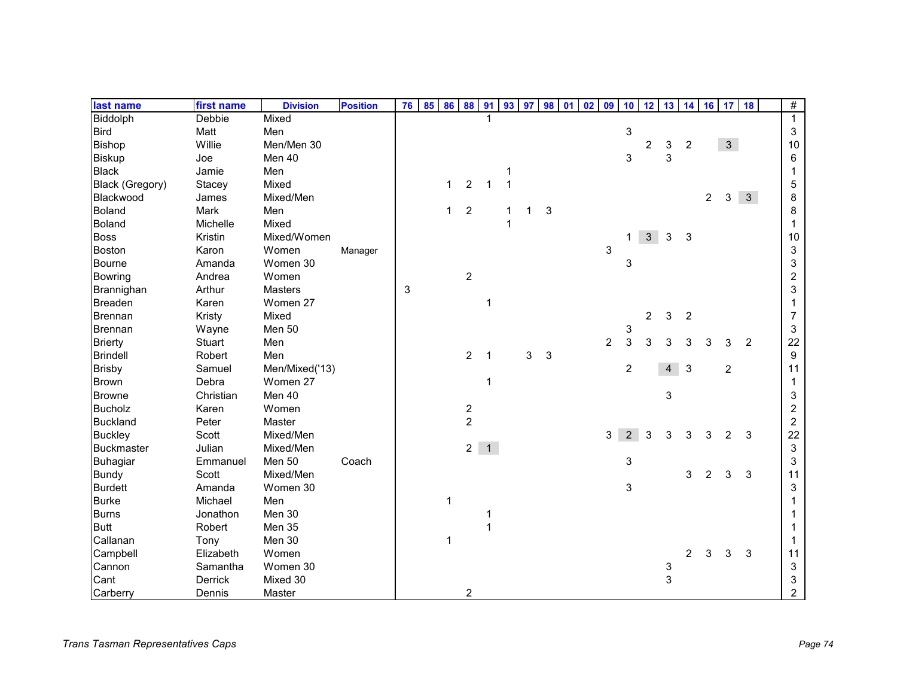| last name              | first name | <b>Division</b> | <b>Position</b> | 76 | 85 | 86 88        |                  | 91           | 93 97        |   |   | 98 01 | 02 | 09             | 10             | 12             | 13             | 14             |                | $16$ 17        | 18             | $\#$                    |
|------------------------|------------|-----------------|-----------------|----|----|--------------|------------------|--------------|--------------|---|---|-------|----|----------------|----------------|----------------|----------------|----------------|----------------|----------------|----------------|-------------------------|
| <b>Biddolph</b>        | Debbie     | Mixed           |                 |    |    |              |                  |              |              |   |   |       |    |                |                |                |                |                |                |                |                | $\mathbf{1}$            |
| <b>Bird</b>            | Matt       | Men             |                 |    |    |              |                  |              |              |   |   |       |    |                | 3              |                |                |                |                |                |                | 3                       |
| <b>Bishop</b>          | Willie     | Men/Men 30      |                 |    |    |              |                  |              |              |   |   |       |    |                |                | 2              | 3              | $\overline{c}$ |                | $\mathbf{3}$   |                | 10                      |
| <b>Biskup</b>          | Joe        | Men 40          |                 |    |    |              |                  |              |              |   |   |       |    |                | 3              |                | 3              |                |                |                |                | 6                       |
| <b>Black</b>           | Jamie      | Men             |                 |    |    |              |                  |              | 1            |   |   |       |    |                |                |                |                |                |                |                |                | 1                       |
| <b>Black (Gregory)</b> | Stacey     | Mixed           |                 |    |    | $\mathbf{1}$ | $\overline{2}$   | $\mathbf 1$  | $\mathbf{1}$ |   |   |       |    |                |                |                |                |                |                |                |                | 5                       |
| Blackwood              | James      | Mixed/Men       |                 |    |    |              |                  |              |              |   |   |       |    |                |                |                |                |                | $\overline{a}$ | 3              | $\mathbf{3}$   | 8                       |
| <b>Boland</b>          | Mark       | Men             |                 |    |    | $\mathbf{1}$ | $\overline{2}$   |              | 1            | 1 | 3 |       |    |                |                |                |                |                |                |                |                | 8                       |
| <b>Boland</b>          | Michelle   | Mixed           |                 |    |    |              |                  |              | 1            |   |   |       |    |                |                |                |                |                |                |                |                | 1                       |
| <b>Boss</b>            | Kristin    | Mixed/Women     |                 |    |    |              |                  |              |              |   |   |       |    |                | 1.             | 3 <sup>1</sup> | $\mathbf{3}$   | 3              |                |                |                | 10                      |
| <b>Boston</b>          | Karon      | Women           | Manager         |    |    |              |                  |              |              |   |   |       |    | 3              |                |                |                |                |                |                |                | 3                       |
| <b>Bourne</b>          | Amanda     | Women 30        |                 |    |    |              |                  |              |              |   |   |       |    |                | 3              |                |                |                |                |                |                | 3                       |
| <b>Bowring</b>         | Andrea     | Women           |                 |    |    |              | $\overline{c}$   |              |              |   |   |       |    |                |                |                |                |                |                |                |                | $\overline{c}$          |
| Brannighan             | Arthur     | <b>Masters</b>  |                 | 3  |    |              |                  |              |              |   |   |       |    |                |                |                |                |                |                |                |                | 3                       |
| <b>Breaden</b>         | Karen      | Women 27        |                 |    |    |              |                  | 1            |              |   |   |       |    |                |                |                |                |                |                |                |                |                         |
| <b>Brennan</b>         | Kristy     | Mixed           |                 |    |    |              |                  |              |              |   |   |       |    |                |                | $\overline{c}$ | 3              | $\overline{c}$ |                |                |                | 7                       |
| <b>Brennan</b>         | Wayne      | Men 50          |                 |    |    |              |                  |              |              |   |   |       |    |                | 3              |                |                |                |                |                |                | 3                       |
| <b>Brierty</b>         | Stuart     | Men             |                 |    |    |              |                  |              |              |   |   |       |    | $\overline{2}$ | 3              | 3              | 3              | 3              | 3              | 3              | $\overline{c}$ | 22                      |
| <b>Brindell</b>        | Robert     | Men             |                 |    |    |              | $\overline{2}$   | $\mathbf{1}$ |              | 3 | 3 |       |    |                |                |                |                |                |                |                |                | $\boldsymbol{9}$        |
| <b>Brisby</b>          | Samuel     | Men/Mixed('13)  |                 |    |    |              |                  |              |              |   |   |       |    |                | 2              |                | $\overline{4}$ | 3              |                | $\overline{c}$ |                | 11                      |
| <b>Brown</b>           | Debra      | Women 27        |                 |    |    |              |                  | 1            |              |   |   |       |    |                |                |                |                |                |                |                |                | 1                       |
| <b>Browne</b>          | Christian  | Men 40          |                 |    |    |              |                  |              |              |   |   |       |    |                |                |                | 3              |                |                |                |                | 3                       |
| <b>Bucholz</b>         | Karen      | Women           |                 |    |    |              | $\overline{c}$   |              |              |   |   |       |    |                |                |                |                |                |                |                |                | $\overline{\mathbf{c}}$ |
| <b>Buckland</b>        | Peter      | Master          |                 |    |    |              | $\boldsymbol{2}$ |              |              |   |   |       |    |                |                |                |                |                |                |                |                | $\overline{c}$          |
| <b>Buckley</b>         | Scott      | Mixed/Men       |                 |    |    |              |                  |              |              |   |   |       |    | 3              | $\overline{2}$ | 3              | 3              | 3              | 3              | 2              | 3              | 22                      |
| <b>Buckmaster</b>      | Julian     | Mixed/Men       |                 |    |    |              |                  | $2 \quad 1$  |              |   |   |       |    |                |                |                |                |                |                |                |                | 3                       |
| Buhagiar               | Emmanuel   | Men 50          | Coach           |    |    |              |                  |              |              |   |   |       |    |                | 3              |                |                |                |                |                |                | 3                       |
| <b>Bundy</b>           | Scott      | Mixed/Men       |                 |    |    |              |                  |              |              |   |   |       |    |                |                |                |                | 3              | 2              | 3              | 3              | 11                      |
| <b>Burdett</b>         | Amanda     | Women 30        |                 |    |    |              |                  |              |              |   |   |       |    |                | 3              |                |                |                |                |                |                | 3                       |
| <b>Burke</b>           | Michael    | Men             |                 |    |    | 1            |                  |              |              |   |   |       |    |                |                |                |                |                |                |                |                |                         |
| <b>Burns</b>           | Jonathon   | Men 30          |                 |    |    |              |                  | 1            |              |   |   |       |    |                |                |                |                |                |                |                |                |                         |
| <b>Butt</b>            | Robert     | Men 35          |                 |    |    |              |                  | 1            |              |   |   |       |    |                |                |                |                |                |                |                |                |                         |
| Callanan               | Tony       | Men 30          |                 |    |    | 1            |                  |              |              |   |   |       |    |                |                |                |                |                |                |                |                |                         |
| Campbell               | Elizabeth  | Women           |                 |    |    |              |                  |              |              |   |   |       |    |                |                |                |                | 2              | 3              | 3              | 3              | 11                      |
| Cannon                 | Samantha   | Women 30        |                 |    |    |              |                  |              |              |   |   |       |    |                |                |                | 3              |                |                |                |                | 3                       |
| Cant                   | Derrick    | Mixed 30        |                 |    |    |              |                  |              |              |   |   |       |    |                |                |                | 3              |                |                |                |                | 3                       |
| Carberry               | Dennis     | Master          |                 |    |    |              | $\overline{2}$   |              |              |   |   |       |    |                |                |                |                |                |                |                |                | $\overline{2}$          |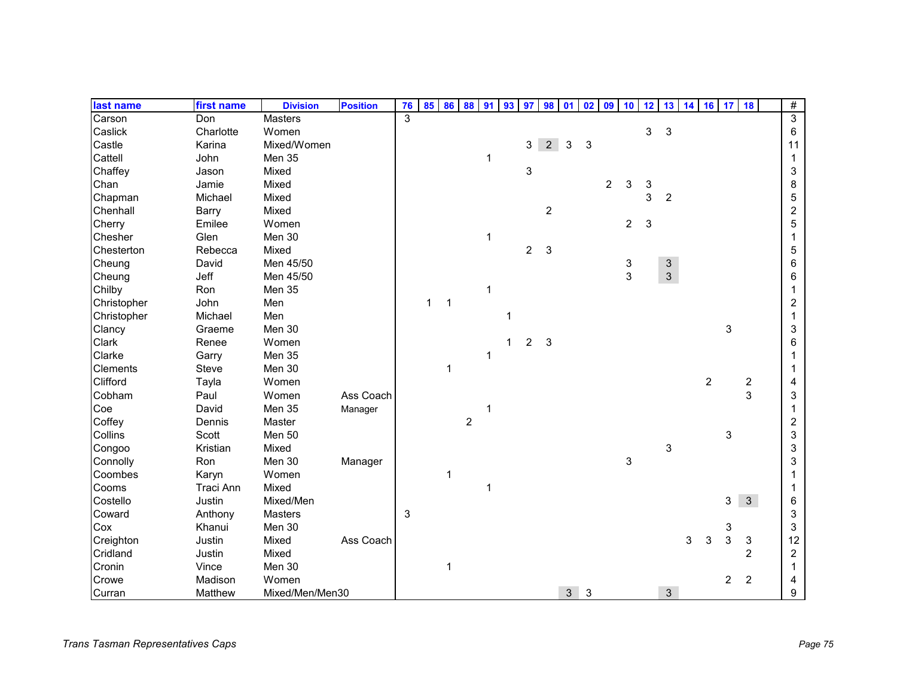| last name       | first name | <b>Division</b> | <b>Position</b> | 76                      | 85           | 86           | 88             | 91           | 93 | 97             | 98             | 01             | 02         | 09             | 10             | 12 | 13             | 14 | 16             | 17             | 18             | #                       |
|-----------------|------------|-----------------|-----------------|-------------------------|--------------|--------------|----------------|--------------|----|----------------|----------------|----------------|------------|----------------|----------------|----|----------------|----|----------------|----------------|----------------|-------------------------|
| Carson          | Don        | <b>Masters</b>  |                 | $\overline{\mathbf{3}}$ |              |              |                |              |    |                |                |                |            |                |                |    |                |    |                |                |                | $\overline{3}$          |
| Caslick         | Charlotte  | Women           |                 |                         |              |              |                |              |    |                |                |                |            |                |                | 3  | 3              |    |                |                |                | 6                       |
| Castle          | Karina     | Mixed/Women     |                 |                         |              |              |                |              |    | 3              | 2 <sup>1</sup> | 3              | $\sqrt{3}$ |                |                |    |                |    |                |                |                | 11                      |
| Cattell         | John       | Men 35          |                 |                         |              |              |                | $\mathbf{1}$ |    |                |                |                |            |                |                |    |                |    |                |                |                | 1                       |
| Chaffey         | Jason      | Mixed           |                 |                         |              |              |                |              |    | 3              |                |                |            |                |                |    |                |    |                |                |                | 3                       |
| Chan            | Jamie      | Mixed           |                 |                         |              |              |                |              |    |                |                |                |            | $\overline{2}$ | 3              | 3  |                |    |                |                |                | 8                       |
| Chapman         | Michael    | Mixed           |                 |                         |              |              |                |              |    |                |                |                |            |                |                | 3  | $\overline{2}$ |    |                |                |                | 5                       |
| Chenhall        | Barry      | Mixed           |                 |                         |              |              |                |              |    |                | $\overline{2}$ |                |            |                |                |    |                |    |                |                |                | $\overline{\mathbf{c}}$ |
| Cherry          | Emilee     | Women           |                 |                         |              |              |                |              |    |                |                |                |            |                | $\overline{c}$ | 3  |                |    |                |                |                | 5                       |
| Chesher         | Glen       | Men 30          |                 |                         |              |              |                | 1            |    |                |                |                |            |                |                |    |                |    |                |                |                | 1                       |
| Chesterton      | Rebecca    | Mixed           |                 |                         |              |              |                |              |    | $\overline{2}$ | $\mathbf{3}$   |                |            |                |                |    |                |    |                |                |                | 5                       |
| Cheung          | David      | Men 45/50       |                 |                         |              |              |                |              |    |                |                |                |            |                | $\mathbf{3}$   |    | $\mathbf{3}$   |    |                |                |                | 6                       |
| Cheung          | Jeff       | Men 45/50       |                 |                         |              |              |                |              |    |                |                |                |            |                | 3              |    | $\mathbf{3}$   |    |                |                |                | 6                       |
| Chilby          | Ron        | Men 35          |                 |                         |              |              |                | $\mathbf 1$  |    |                |                |                |            |                |                |    |                |    |                |                |                |                         |
| Christopher     | John       | Men             |                 |                         | $\mathbf{1}$ | $\mathbf{1}$ |                |              |    |                |                |                |            |                |                |    |                |    |                |                |                | 2                       |
| Christopher     | Michael    | Men             |                 |                         |              |              |                |              | 1  |                |                |                |            |                |                |    |                |    |                |                |                | 1                       |
| Clancy          | Graeme     | Men 30          |                 |                         |              |              |                |              |    |                |                |                |            |                |                |    |                |    |                | 3              |                | 3                       |
| Clark           | Renee      | Women           |                 |                         |              |              |                |              | 1  | $\overline{c}$ | $\mathbf{3}$   |                |            |                |                |    |                |    |                |                |                | 6                       |
| Clarke          | Garry      | Men 35          |                 |                         |              |              |                | 1            |    |                |                |                |            |                |                |    |                |    |                |                |                |                         |
| <b>Clements</b> | Steve      | Men 30          |                 |                         |              | $\mathbf{1}$ |                |              |    |                |                |                |            |                |                |    |                |    |                |                |                |                         |
| Clifford        | Tayla      | Women           |                 |                         |              |              |                |              |    |                |                |                |            |                |                |    |                |    | $\overline{c}$ |                | $\overline{c}$ | 4                       |
| Cobham          | Paul       | Women           | Ass Coach       |                         |              |              |                |              |    |                |                |                |            |                |                |    |                |    |                |                | 3              | 3                       |
| Coe             | David      | Men 35          | Manager         |                         |              |              |                | 1            |    |                |                |                |            |                |                |    |                |    |                |                |                | 1                       |
| Coffey          | Dennis     | Master          |                 |                         |              |              | $\overline{2}$ |              |    |                |                |                |            |                |                |    |                |    |                |                |                | $\overline{c}$          |
| Collins         | Scott      | Men 50          |                 |                         |              |              |                |              |    |                |                |                |            |                |                |    |                |    |                | 3              |                | 3                       |
| Congoo          | Kristian   | Mixed           |                 |                         |              |              |                |              |    |                |                |                |            |                |                |    | 3              |    |                |                |                | 3                       |
| Connolly        | Ron        | Men 30          | Manager         |                         |              |              |                |              |    |                |                |                |            |                | 3              |    |                |    |                |                |                | 3                       |
| Coombes         | Karyn      | Women           |                 |                         |              | $\mathbf{1}$ |                |              |    |                |                |                |            |                |                |    |                |    |                |                |                |                         |
| Cooms           | Traci Ann  | Mixed           |                 |                         |              |              |                | 1            |    |                |                |                |            |                |                |    |                |    |                |                |                |                         |
| Costello        | Justin     | Mixed/Men       |                 |                         |              |              |                |              |    |                |                |                |            |                |                |    |                |    |                | 3              | $\mathbf{3}$   | 6                       |
| Coward          | Anthony    | <b>Masters</b>  |                 | 3                       |              |              |                |              |    |                |                |                |            |                |                |    |                |    |                |                |                | 3                       |
| Cox             | Khanui     | Men 30          |                 |                         |              |              |                |              |    |                |                |                |            |                |                |    |                |    |                | 3              |                | 3                       |
| Creighton       | Justin     | Mixed           | Ass Coach       |                         |              |              |                |              |    |                |                |                |            |                |                |    |                | 3  | 3              | 3              | 3              | 12                      |
| Cridland        | Justin     | Mixed           |                 |                         |              |              |                |              |    |                |                |                |            |                |                |    |                |    |                |                | $\overline{2}$ | 2                       |
| Cronin          | Vince      | Men 30          |                 |                         |              |              |                |              |    |                |                |                |            |                |                |    |                |    |                |                |                | 1                       |
| Crowe           | Madison    | Women           |                 |                         |              |              |                |              |    |                |                |                |            |                |                |    |                |    |                | $\overline{2}$ | $\overline{2}$ | 4                       |
| Curran          | Matthew    | Mixed/Men/Men30 |                 |                         |              |              |                |              |    |                |                | 3 <sup>1</sup> | 3          |                |                |    | $\mathbf{3}$   |    |                |                |                | 9                       |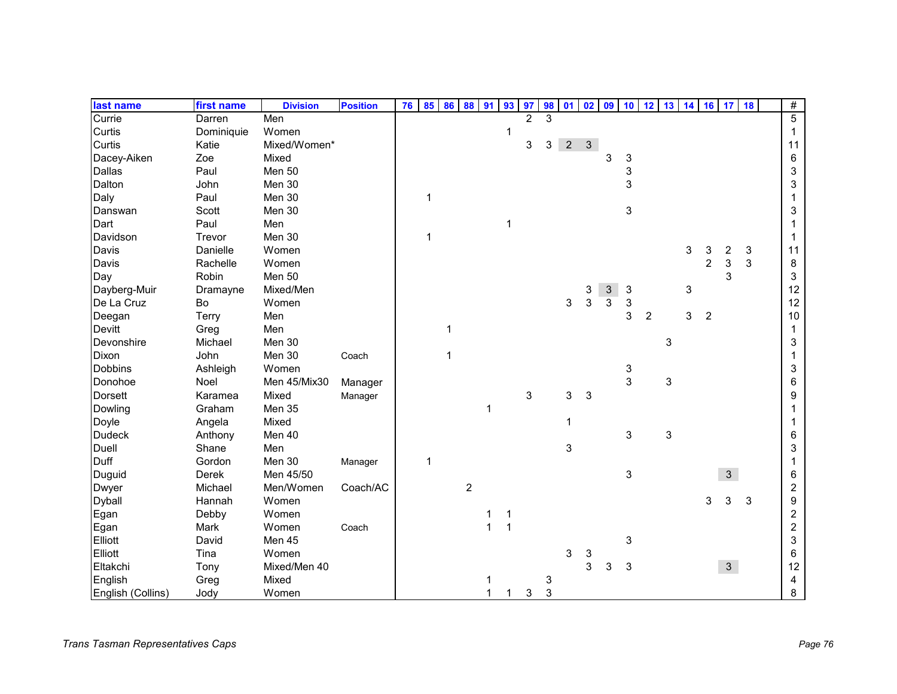| last name         | first name | <b>Division</b> | <b>Position</b> | 76 | 85           | 86           | 88             | 91 | 93                      | 97             | 98 | 01             | 02            | 09             | 10            | 12             | 13 14                     |   |                | $16 \overline{17}$ | 18 | $\#$           |
|-------------------|------------|-----------------|-----------------|----|--------------|--------------|----------------|----|-------------------------|----------------|----|----------------|---------------|----------------|---------------|----------------|---------------------------|---|----------------|--------------------|----|----------------|
| Currie            | Darren     | Men             |                 |    |              |              |                |    |                         | $\overline{2}$ | 3  |                |               |                |               |                |                           |   |                |                    |    | $\overline{5}$ |
| Curtis            | Dominiquie | Women           |                 |    |              |              |                |    | $\mathbf 1$             |                |    |                |               |                |               |                |                           |   |                |                    |    | 1              |
| Curtis            | Katie      | Mixed/Women*    |                 |    |              |              |                |    |                         | 3              | 3  | 2 <sup>7</sup> | $\mathbf{3}$  |                |               |                |                           |   |                |                    |    | 11             |
| Dacey-Aiken       | Zoe        | Mixed           |                 |    |              |              |                |    |                         |                |    |                |               | 3              | 3             |                |                           |   |                |                    |    | 6              |
| Dallas            | Paul       | Men 50          |                 |    |              |              |                |    |                         |                |    |                |               |                | 3             |                |                           |   |                |                    |    | 3              |
| Dalton            | John       | Men 30          |                 |    |              |              |                |    |                         |                |    |                |               |                | 3             |                |                           |   |                |                    |    | 3              |
| Daly              | Paul       | Men 30          |                 |    | $\mathbf{1}$ |              |                |    |                         |                |    |                |               |                |               |                |                           |   |                |                    |    |                |
| Danswan           | Scott      | Men 30          |                 |    |              |              |                |    |                         |                |    |                |               |                | 3             |                |                           |   |                |                    |    | 3              |
| Dart              | Paul       | Men             |                 |    |              |              |                |    | $\overline{\mathbf{1}}$ |                |    |                |               |                |               |                |                           |   |                |                    |    |                |
| Davidson          | Trevor     | Men 30          |                 |    | 1            |              |                |    |                         |                |    |                |               |                |               |                |                           |   |                |                    |    | 1              |
| Davis             | Danielle   | Women           |                 |    |              |              |                |    |                         |                |    |                |               |                |               |                |                           | 3 | 3              | 2                  | 3  | 11             |
| Davis             | Rachelle   | Women           |                 |    |              |              |                |    |                         |                |    |                |               |                |               |                |                           |   | $\overline{2}$ | 3                  | 3  | 8              |
| Day               | Robin      | Men 50          |                 |    |              |              |                |    |                         |                |    |                |               |                |               |                |                           |   |                | 3                  |    | 3              |
| Dayberg-Muir      | Dramayne   | Mixed/Men       |                 |    |              |              |                |    |                         |                |    |                | $\frac{3}{3}$ | $\mathfrak{S}$ | $\sqrt{3}$    |                |                           | 3 |                |                    |    | 12             |
| De La Cruz        | Bo         | Women           |                 |    |              |              |                |    |                         |                |    | 3              |               | 3              | 3             |                |                           |   |                |                    |    | 12             |
| Deegan            | Terry      | Men             |                 |    |              |              |                |    |                         |                |    |                |               |                | 3             | $\overline{2}$ |                           | 3 | $\overline{2}$ |                    |    | 10             |
| Devitt            | Greg       | Men             |                 |    |              | 1            |                |    |                         |                |    |                |               |                |               |                |                           |   |                |                    |    | 1              |
| Devonshire        | Michael    | Men 30          |                 |    |              |              |                |    |                         |                |    |                |               |                |               |                | $\ensuremath{\mathsf{3}}$ |   |                |                    |    | 3              |
| Dixon             | John       | Men 30          | Coach           |    |              | $\mathbf{1}$ |                |    |                         |                |    |                |               |                |               |                |                           |   |                |                    |    | 1              |
| <b>Dobbins</b>    | Ashleigh   | Women           |                 |    |              |              |                |    |                         |                |    |                |               |                | $\frac{3}{3}$ |                |                           |   |                |                    |    | 3              |
| Donohoe           | Noel       | Men 45/Mix30    | Manager         |    |              |              |                |    |                         |                |    |                |               |                |               |                | $\ensuremath{\mathsf{3}}$ |   |                |                    |    | 6              |
| <b>Dorsett</b>    | Karamea    | Mixed           | Manager         |    |              |              |                |    |                         | 3              |    | 3              | 3             |                |               |                |                           |   |                |                    |    | 9              |
| Dowling           | Graham     | Men 35          |                 |    |              |              |                | 1  |                         |                |    |                |               |                |               |                |                           |   |                |                    |    |                |
| Doyle             | Angela     | Mixed           |                 |    |              |              |                |    |                         |                |    | 1              |               |                |               |                |                           |   |                |                    |    |                |
| <b>Dudeck</b>     | Anthony    | Men 40          |                 |    |              |              |                |    |                         |                |    |                |               |                | 3             |                | 3                         |   |                |                    |    | 6              |
| Duell             | Shane      | Men             |                 |    |              |              |                |    |                         |                |    | 3              |               |                |               |                |                           |   |                |                    |    | 3              |
| Duff              | Gordon     | Men 30          | Manager         |    | 1            |              |                |    |                         |                |    |                |               |                |               |                |                           |   |                |                    |    |                |
| Duguid            | Derek      | Men 45/50       |                 |    |              |              |                |    |                         |                |    |                |               |                | 3             |                |                           |   |                | 3                  |    | 6              |
| <b>Dwyer</b>      | Michael    | Men/Women       | Coach/AC        |    |              |              | $\overline{c}$ |    |                         |                |    |                |               |                |               |                |                           |   |                |                    |    | $\overline{c}$ |
| <b>Dyball</b>     | Hannah     | Women           |                 |    |              |              |                |    |                         |                |    |                |               |                |               |                |                           |   | 3              | 3                  | 3  | 9              |
| Egan              | Debby      | Women           |                 |    |              |              |                | 1  | 1                       |                |    |                |               |                |               |                |                           |   |                |                    |    | $\overline{c}$ |
| Egan              | Mark       | Women           | Coach           |    |              |              |                | 1  | $\overline{1}$          |                |    |                |               |                |               |                |                           |   |                |                    |    | $\overline{c}$ |
| Elliott           | David      | Men 45          |                 |    |              |              |                |    |                         |                |    |                |               |                | 3             |                |                           |   |                |                    |    | 3              |
| Elliott           | Tina       | Women           |                 |    |              |              |                |    |                         |                |    | 3              | 3             |                |               |                |                           |   |                |                    |    | 6              |
| Eltakchi          | Tony       | Mixed/Men 40    |                 |    |              |              |                |    |                         |                |    |                | 3             | 3              | 3             |                |                           |   |                | 3 <sup>1</sup>     |    | 12             |
| English           | Greg       | Mixed           |                 |    |              |              |                |    |                         |                | 3  |                |               |                |               |                |                           |   |                |                    |    | 4              |
| English (Collins) | Jody       | Women           |                 |    |              |              |                |    |                         | 3              | 3  |                |               |                |               |                |                           |   |                |                    |    | 8              |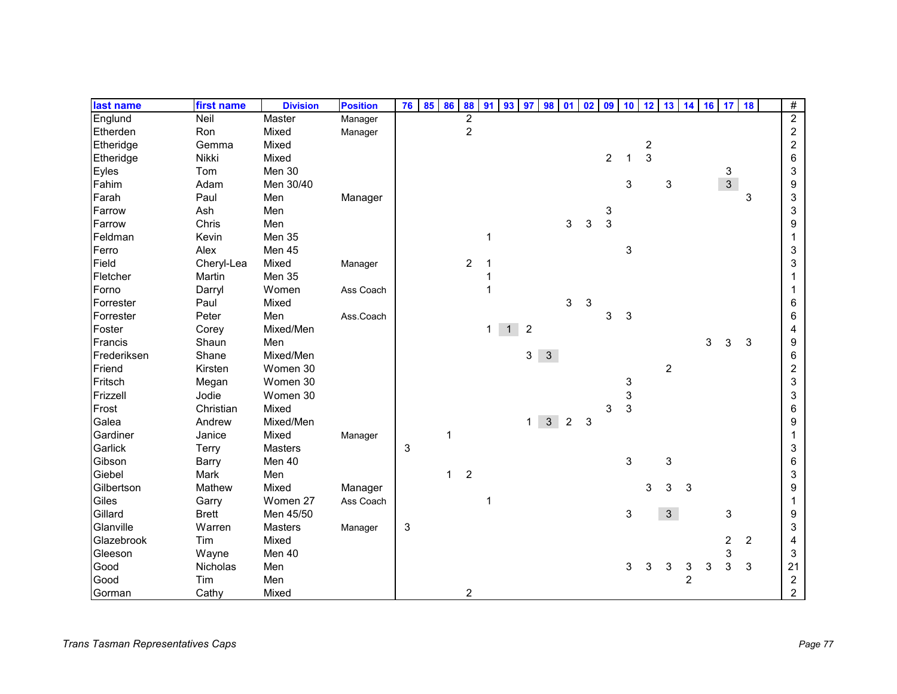| last name   | first name   | <b>Division</b> | <b>Position</b> | 76 | 85 | 86           | 88             | 91             | 93 | 97             | 98           | 01             | 02 | 09             | 10           | 12             | 13             |                | 14 16 17 18 |                |                | #                       |
|-------------|--------------|-----------------|-----------------|----|----|--------------|----------------|----------------|----|----------------|--------------|----------------|----|----------------|--------------|----------------|----------------|----------------|-------------|----------------|----------------|-------------------------|
| Englund     | Neil         | <b>Master</b>   | Manager         |    |    |              | $\overline{2}$ |                |    |                |              |                |    |                |              |                |                |                |             |                |                | $\overline{2}$          |
| Etherden    | Ron          | Mixed           | Manager         |    |    |              | $\overline{c}$ |                |    |                |              |                |    |                |              |                |                |                |             |                |                | $\boldsymbol{2}$        |
| Etheridge   | Gemma        | Mixed           |                 |    |    |              |                |                |    |                |              |                |    |                |              | $\overline{c}$ |                |                |             |                |                | $\boldsymbol{2}$        |
| Etheridge   | Nikki        | Mixed           |                 |    |    |              |                |                |    |                |              |                |    | $\overline{2}$ | 1            | $\overline{3}$ |                |                |             |                |                | 6                       |
| Eyles       | Tom          | Men 30          |                 |    |    |              |                |                |    |                |              |                |    |                |              |                |                |                |             | 3              |                | 3                       |
| Fahim       | Adam         | Men 30/40       |                 |    |    |              |                |                |    |                |              |                |    |                | 3            |                | $\sqrt{3}$     |                |             | $\mathfrak{Z}$ |                | 9                       |
| Farah       | Paul         | Men             | Manager         |    |    |              |                |                |    |                |              |                |    |                |              |                |                |                |             |                | 3              | 3                       |
| Farrow      | Ash          | Men             |                 |    |    |              |                |                |    |                |              |                |    | 3              |              |                |                |                |             |                |                | 3                       |
| Farrow      | Chris        | Men             |                 |    |    |              |                |                |    |                |              | 3              | 3  | 3              |              |                |                |                |             |                |                | 9                       |
| Feldman     | Kevin        | Men 35          |                 |    |    |              |                | 1              |    |                |              |                |    |                |              |                |                |                |             |                |                |                         |
| Ferro       | Alex         | Men 45          |                 |    |    |              |                |                |    |                |              |                |    |                | 3            |                |                |                |             |                |                | 3                       |
| Field       | Cheryl-Lea   | Mixed           | Manager         |    |    |              | 2              | $\mathbf 1$    |    |                |              |                |    |                |              |                |                |                |             |                |                | 3                       |
| Fletcher    | Martin       | Men 35          |                 |    |    |              |                | 1              |    |                |              |                |    |                |              |                |                |                |             |                |                |                         |
| Forno       | Darryl       | Women           | Ass Coach       |    |    |              |                | $\mathbf{1}$   |    |                |              |                |    |                |              |                |                |                |             |                |                |                         |
| Forrester   | Paul         | Mixed           |                 |    |    |              |                |                |    |                |              | 3              | 3  |                |              |                |                |                |             |                |                | 6                       |
| Forrester   | Peter        | Men             | Ass.Coach       |    |    |              |                |                |    |                |              |                |    | 3              | 3            |                |                |                |             |                |                | 6                       |
| Foster      | Corey        | Mixed/Men       |                 |    |    |              |                | 1 <sup>1</sup> | 1  | $\overline{2}$ |              |                |    |                |              |                |                |                |             |                |                | 4                       |
| Francis     | Shaun        | Men             |                 |    |    |              |                |                |    |                |              |                |    |                |              |                |                |                | 3           | 3              | 3              | 9                       |
| Frederiksen | Shane        | Mixed/Men       |                 |    |    |              |                |                |    | 3              | $\mathbf{3}$ |                |    |                |              |                |                |                |             |                |                | 6                       |
| Friend      | Kirsten      | Women 30        |                 |    |    |              |                |                |    |                |              |                |    |                |              |                | $\overline{2}$ |                |             |                |                | $\overline{c}$          |
| Fritsch     | Megan        | Women 30        |                 |    |    |              |                |                |    |                |              |                |    |                | 3            |                |                |                |             |                |                | 3                       |
| Frizzell    | Jodie        | Women 30        |                 |    |    |              |                |                |    |                |              |                |    |                | 3            |                |                |                |             |                |                | 3                       |
| Frost       | Christian    | Mixed           |                 |    |    |              |                |                |    |                |              |                |    | 3              | $\mathbf{3}$ |                |                |                |             |                |                | 6                       |
| Galea       | Andrew       | Mixed/Men       |                 |    |    |              |                |                |    | 1              | $\mathbf{3}$ | $\overline{c}$ | 3  |                |              |                |                |                |             |                |                | 9                       |
| Gardiner    | Janice       | Mixed           | Manager         |    |    | $\mathbf 1$  |                |                |    |                |              |                |    |                |              |                |                |                |             |                |                |                         |
| Garlick     | Terry        | Masters         |                 | 3  |    |              |                |                |    |                |              |                |    |                |              |                |                |                |             |                |                | 3                       |
| Gibson      | Barry        | Men 40          |                 |    |    |              |                |                |    |                |              |                |    |                | 3            |                | 3              |                |             |                |                | 6                       |
| Giebel      | Mark         | Men             |                 |    |    | $\mathbf{1}$ | $\overline{2}$ |                |    |                |              |                |    |                |              |                |                |                |             |                |                | 3                       |
| Gilbertson  | Mathew       | Mixed           | Manager         |    |    |              |                |                |    |                |              |                |    |                |              | 3              | 3              | 3              |             |                |                | 9                       |
| Giles       | Garry        | Women 27        | Ass Coach       |    |    |              |                | 1              |    |                |              |                |    |                |              |                |                |                |             |                |                | 1                       |
| Gillard     | <b>Brett</b> | Men 45/50       |                 |    |    |              |                |                |    |                |              |                |    |                | 3            |                | 3 <sup>1</sup> |                |             | 3              |                | 9                       |
| Glanville   | Warren       | <b>Masters</b>  | Manager         | 3  |    |              |                |                |    |                |              |                |    |                |              |                |                |                |             |                |                | 3                       |
| Glazebrook  | Tim          | Mixed           |                 |    |    |              |                |                |    |                |              |                |    |                |              |                |                |                |             | $\overline{2}$ | $\overline{2}$ | 4                       |
| Gleeson     | Wayne        | Men 40          |                 |    |    |              |                |                |    |                |              |                |    |                |              |                |                |                |             | 3              |                | 3                       |
| Good        | Nicholas     | Men             |                 |    |    |              |                |                |    |                |              |                |    |                | 3            | 3              | 3              | 3              | 3           | 3              | 3              | 21                      |
| Good        | Tim          | Men             |                 |    |    |              |                |                |    |                |              |                |    |                |              |                |                | $\overline{c}$ |             |                |                | $\overline{\mathbf{c}}$ |
| Gorman      | Cathy        | Mixed           |                 |    |    |              | $\overline{c}$ |                |    |                |              |                |    |                |              |                |                |                |             |                |                | $\overline{2}$          |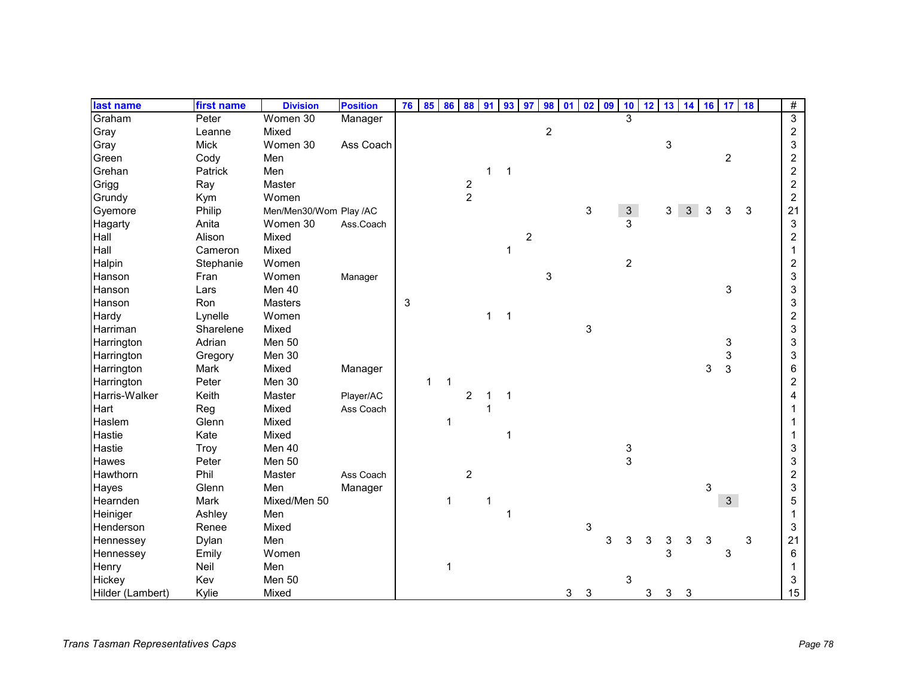| last name        | first name  | <b>Division</b>        | <b>Position</b> | 76 | 85           | 86 88       |                  | 91           | 93             | 97             | 98             | 01 | 02 <sub>2</sub> | 09 | 10                      |   | 12 13 14 16 17 18 |   |   |                |   | $\#$             |
|------------------|-------------|------------------------|-----------------|----|--------------|-------------|------------------|--------------|----------------|----------------|----------------|----|-----------------|----|-------------------------|---|-------------------|---|---|----------------|---|------------------|
| Graham           | Peter       | Women 30               | Manager         |    |              |             |                  |              |                |                |                |    |                 |    | $\overline{\mathbf{3}}$ |   |                   |   |   |                |   | $\overline{3}$   |
| Gray             | Leanne      | Mixed                  |                 |    |              |             |                  |              |                |                | $\overline{c}$ |    |                 |    |                         |   |                   |   |   |                |   | $\overline{c}$   |
| Gray             | <b>Mick</b> | Women 30               | Ass Coach       |    |              |             |                  |              |                |                |                |    |                 |    |                         |   | 3                 |   |   |                |   | 3                |
| Green            | Cody        | Men                    |                 |    |              |             |                  |              |                |                |                |    |                 |    |                         |   |                   |   |   | $\overline{c}$ |   | 2                |
| Grehan           | Patrick     | Men                    |                 |    |              |             |                  | 1            | $\mathbf{1}$   |                |                |    |                 |    |                         |   |                   |   |   |                |   | $\overline{c}$   |
| Grigg            | Ray         | Master                 |                 |    |              |             | $\boldsymbol{2}$ |              |                |                |                |    |                 |    |                         |   |                   |   |   |                |   | $\overline{c}$   |
| Grundy           | Kym         | Women                  |                 |    |              |             | $\overline{2}$   |              |                |                |                |    |                 |    |                         |   |                   |   |   |                |   | $\boldsymbol{2}$ |
| Gyemore          | Philip      | Men/Men30/Wom Play /AC |                 |    |              |             |                  |              |                |                |                |    | 3               |    | $\mathbf{3}$            |   | 3                 | 3 | 3 | 3              | 3 | 21               |
| Hagarty          | Anita       | Women 30               | Ass.Coach       |    |              |             |                  |              |                |                |                |    |                 |    | 3                       |   |                   |   |   |                |   | 3                |
| Hall             | Alison      | Mixed                  |                 |    |              |             |                  |              |                | $\overline{c}$ |                |    |                 |    |                         |   |                   |   |   |                |   | $\overline{c}$   |
| Hall             | Cameron     | Mixed                  |                 |    |              |             |                  |              | 1              |                |                |    |                 |    |                         |   |                   |   |   |                |   | 1                |
| Halpin           | Stephanie   | Women                  |                 |    |              |             |                  |              |                |                |                |    |                 |    | $\overline{2}$          |   |                   |   |   |                |   | 2                |
| Hanson           | Fran        | Women                  | Manager         |    |              |             |                  |              |                |                | 3              |    |                 |    |                         |   |                   |   |   |                |   | 3                |
| Hanson           | Lars        | Men 40                 |                 |    |              |             |                  |              |                |                |                |    |                 |    |                         |   |                   |   |   | 3              |   | 3                |
| Hanson           | Ron         | Masters                |                 | 3  |              |             |                  |              |                |                |                |    |                 |    |                         |   |                   |   |   |                |   | 3                |
| Hardy            | Lynelle     | Women                  |                 |    |              |             |                  | $\mathbf{1}$ | $\overline{1}$ |                |                |    |                 |    |                         |   |                   |   |   |                |   | $\overline{c}$   |
| Harriman         | Sharelene   | Mixed                  |                 |    |              |             |                  |              |                |                |                |    | 3               |    |                         |   |                   |   |   |                |   | 3                |
| Harrington       | Adrian      | Men 50                 |                 |    |              |             |                  |              |                |                |                |    |                 |    |                         |   |                   |   |   | 3              |   | 3                |
| Harrington       | Gregory     | Men 30                 |                 |    |              |             |                  |              |                |                |                |    |                 |    |                         |   |                   |   |   | 3              |   | 3                |
| Harrington       | Mark        | Mixed                  | Manager         |    |              |             |                  |              |                |                |                |    |                 |    |                         |   |                   |   | 3 | 3              |   | 6                |
| Harrington       | Peter       | Men 30                 |                 |    | $\mathbf{1}$ | $\mathbf 1$ |                  |              |                |                |                |    |                 |    |                         |   |                   |   |   |                |   | $\overline{c}$   |
| Harris-Walker    | Keith       | Master                 | Player/AC       |    |              |             | $\overline{2}$   | 1            | $\mathbf 1$    |                |                |    |                 |    |                         |   |                   |   |   |                |   | 4                |
| Hart             | Reg         | Mixed                  | Ass Coach       |    |              |             |                  | 1            |                |                |                |    |                 |    |                         |   |                   |   |   |                |   |                  |
| Haslem           | Glenn       | Mixed                  |                 |    |              | 1           |                  |              |                |                |                |    |                 |    |                         |   |                   |   |   |                |   |                  |
| Hastie           | Kate        | Mixed                  |                 |    |              |             |                  |              | 1              |                |                |    |                 |    |                         |   |                   |   |   |                |   |                  |
| Hastie           | Troy        | Men 40                 |                 |    |              |             |                  |              |                |                |                |    |                 |    | 3                       |   |                   |   |   |                |   | 3                |
| <b>Hawes</b>     | Peter       | Men 50                 |                 |    |              |             |                  |              |                |                |                |    |                 |    | 3                       |   |                   |   |   |                |   | 3                |
| Hawthorn         | Phil        | Master                 | Ass Coach       |    |              |             | $\overline{c}$   |              |                |                |                |    |                 |    |                         |   |                   |   |   |                |   | $\overline{c}$   |
| Hayes            | Glenn       | Men                    | Manager         |    |              |             |                  |              |                |                |                |    |                 |    |                         |   |                   |   | 3 |                |   | 3                |
| Hearnden         | Mark        | Mixed/Men 50           |                 |    |              | 1           |                  | 1            |                |                |                |    |                 |    |                         |   |                   |   |   | 3              |   | 5                |
| Heiniger         | Ashley      | Men                    |                 |    |              |             |                  |              | $\mathbf 1$    |                |                |    |                 |    |                         |   |                   |   |   |                |   | 1                |
| Henderson        | Renee       | Mixed                  |                 |    |              |             |                  |              |                |                |                |    | 3               |    |                         |   |                   |   |   |                |   | 3                |
| Hennessey        | Dylan       | Men                    |                 |    |              |             |                  |              |                |                |                |    |                 | 3  | 3                       | 3 | 3                 | 3 | 3 |                | 3 | 21               |
| Hennessey        | Emily       | Women                  |                 |    |              |             |                  |              |                |                |                |    |                 |    |                         |   | 3                 |   |   | 3              |   | 6                |
| Henry            | Neil        | Men                    |                 |    |              | 1           |                  |              |                |                |                |    |                 |    |                         |   |                   |   |   |                |   | 1                |
| Hickey           | Kev         | Men 50                 |                 |    |              |             |                  |              |                |                |                |    |                 |    | 3                       |   |                   |   |   |                |   | 3                |
| Hilder (Lambert) | Kylie       | Mixed                  |                 |    |              |             |                  |              |                |                |                | 3  | 3               |    |                         | 3 | 3                 | 3 |   |                |   | 15               |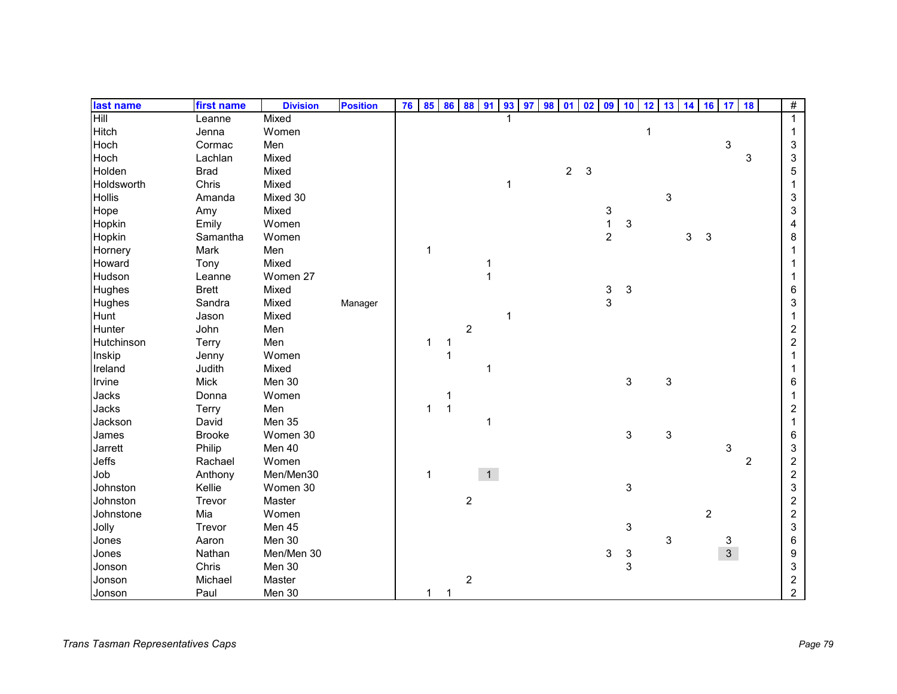| last name     | first name    | <b>Division</b> | <b>Position</b> | 76 | 85           | 86           | 88                      | 91           | 93          | 97 | 98 | 01             | 0 <sup>2</sup> | 09               | 10                        | 12          | $13 \mid 14$              |   | 16             | 17 18          |                | #                       |
|---------------|---------------|-----------------|-----------------|----|--------------|--------------|-------------------------|--------------|-------------|----|----|----------------|----------------|------------------|---------------------------|-------------|---------------------------|---|----------------|----------------|----------------|-------------------------|
| Hill          | Leanne        | Mixed           |                 |    |              |              |                         |              |             |    |    |                |                |                  |                           |             |                           |   |                |                |                | 1                       |
| Hitch         | Jenna         | Women           |                 |    |              |              |                         |              |             |    |    |                |                |                  |                           | $\mathbf 1$ |                           |   |                |                |                | 1                       |
| Hoch          | Cormac        | Men             |                 |    |              |              |                         |              |             |    |    |                |                |                  |                           |             |                           |   |                | 3              |                | 3                       |
| Hoch          | Lachlan       | Mixed           |                 |    |              |              |                         |              |             |    |    |                |                |                  |                           |             |                           |   |                |                | 3              | 3                       |
| Holden        | <b>Brad</b>   | Mixed           |                 |    |              |              |                         |              |             |    |    | $\overline{2}$ | 3              |                  |                           |             |                           |   |                |                |                | 5                       |
| Holdsworth    | Chris         | Mixed           |                 |    |              |              |                         |              | $\mathbf 1$ |    |    |                |                |                  |                           |             |                           |   |                |                |                |                         |
| <b>Hollis</b> | Amanda        | Mixed 30        |                 |    |              |              |                         |              |             |    |    |                |                |                  |                           |             | 3                         |   |                |                |                | 3                       |
| Hope          | Amy           | Mixed           |                 |    |              |              |                         |              |             |    |    |                |                | 3                |                           |             |                           |   |                |                |                | 3                       |
| Hopkin        | Emily         | Women           |                 |    |              |              |                         |              |             |    |    |                |                | $\mathbf{1}$     | 3                         |             |                           |   |                |                |                | 4                       |
| Hopkin        | Samantha      | Women           |                 |    |              |              |                         |              |             |    |    |                |                | $\boldsymbol{2}$ |                           |             |                           | 3 | 3              |                |                | 8                       |
| Hornery       | Mark          | Men             |                 |    | 1            |              |                         |              |             |    |    |                |                |                  |                           |             |                           |   |                |                |                |                         |
| Howard        | Tony          | Mixed           |                 |    |              |              |                         | 1            |             |    |    |                |                |                  |                           |             |                           |   |                |                |                |                         |
| Hudson        | Leanne        | Women 27        |                 |    |              |              |                         | $\mathbf{1}$ |             |    |    |                |                |                  |                           |             |                           |   |                |                |                |                         |
| Hughes        | <b>Brett</b>  | Mixed           |                 |    |              |              |                         |              |             |    |    |                |                |                  | 3                         |             |                           |   |                |                |                | 6                       |
| Hughes        | Sandra        | Mixed           | Manager         |    |              |              |                         |              |             |    |    |                |                | $\frac{3}{3}$    |                           |             |                           |   |                |                |                | 3                       |
| Hunt          | Jason         | Mixed           |                 |    |              |              |                         |              | 1           |    |    |                |                |                  |                           |             |                           |   |                |                |                |                         |
| Hunter        | John          | Men             |                 |    |              |              | $\overline{c}$          |              |             |    |    |                |                |                  |                           |             |                           |   |                |                |                | 2                       |
| Hutchinson    | Terry         | Men             |                 |    | 1            | 1            |                         |              |             |    |    |                |                |                  |                           |             |                           |   |                |                |                | $\overline{c}$          |
| Inskip        | Jenny         | Women           |                 |    |              | 1            |                         |              |             |    |    |                |                |                  |                           |             |                           |   |                |                |                |                         |
| Ireland       | Judith        | Mixed           |                 |    |              |              |                         | 1            |             |    |    |                |                |                  |                           |             |                           |   |                |                |                |                         |
| Irvine        | <b>Mick</b>   | Men 30          |                 |    |              |              |                         |              |             |    |    |                |                |                  | $\ensuremath{\mathsf{3}}$ |             | $\ensuremath{\mathsf{3}}$ |   |                |                |                | 6                       |
| Jacks         | Donna         | Women           |                 |    |              | 1            |                         |              |             |    |    |                |                |                  |                           |             |                           |   |                |                |                |                         |
| Jacks         | Terry         | Men             |                 |    | 1            | $\mathbf{1}$ |                         |              |             |    |    |                |                |                  |                           |             |                           |   |                |                |                | 2                       |
| Jackson       | David         | Men 35          |                 |    |              |              |                         | 1            |             |    |    |                |                |                  |                           |             |                           |   |                |                |                |                         |
| James         | <b>Brooke</b> | Women 30        |                 |    |              |              |                         |              |             |    |    |                |                |                  | $\ensuremath{\mathsf{3}}$ |             | 3                         |   |                |                |                | 6                       |
| Jarrett       | Philip        | Men 40          |                 |    |              |              |                         |              |             |    |    |                |                |                  |                           |             |                           |   |                | 3              |                | 3                       |
| Jeffs         | Rachael       | Women           |                 |    |              |              |                         |              |             |    |    |                |                |                  |                           |             |                           |   |                |                | $\overline{2}$ | $\overline{\mathbf{c}}$ |
| Job           | Anthony       | Men/Men30       |                 |    | $\mathbf{1}$ |              |                         | 1            |             |    |    |                |                |                  |                           |             |                           |   |                |                |                | $\overline{\mathbf{c}}$ |
| Johnston      | Kellie        | Women 30        |                 |    |              |              |                         |              |             |    |    |                |                |                  | $\ensuremath{\mathsf{3}}$ |             |                           |   |                |                |                | 3                       |
| Johnston      | Trevor        | Master          |                 |    |              |              | $\overline{\mathbf{c}}$ |              |             |    |    |                |                |                  |                           |             |                           |   |                |                |                | 2                       |
| Johnstone     | Mia           | Women           |                 |    |              |              |                         |              |             |    |    |                |                |                  |                           |             |                           |   | $\overline{c}$ |                |                | $\overline{c}$          |
| Jolly         | Trevor        | Men 45          |                 |    |              |              |                         |              |             |    |    |                |                |                  | 3                         |             |                           |   |                |                |                | 3                       |
| Jones         | Aaron         | Men 30          |                 |    |              |              |                         |              |             |    |    |                |                |                  |                           |             | 3                         |   |                | 3              |                | 6                       |
| Jones         | Nathan        | Men/Men 30      |                 |    |              |              |                         |              |             |    |    |                |                | 3                | 3                         |             |                           |   |                | $\overline{3}$ |                | 9                       |
| Jonson        | Chris         | Men 30          |                 |    |              |              |                         |              |             |    |    |                |                |                  | 3                         |             |                           |   |                |                |                | 3                       |
| Jonson        | Michael       | Master          |                 |    |              |              | $\overline{\mathbf{c}}$ |              |             |    |    |                |                |                  |                           |             |                           |   |                |                |                | $\overline{\mathbf{c}}$ |
| Jonson        | Paul          | Men 30          |                 |    | 1            | 1            |                         |              |             |    |    |                |                |                  |                           |             |                           |   |                |                |                | $\overline{2}$          |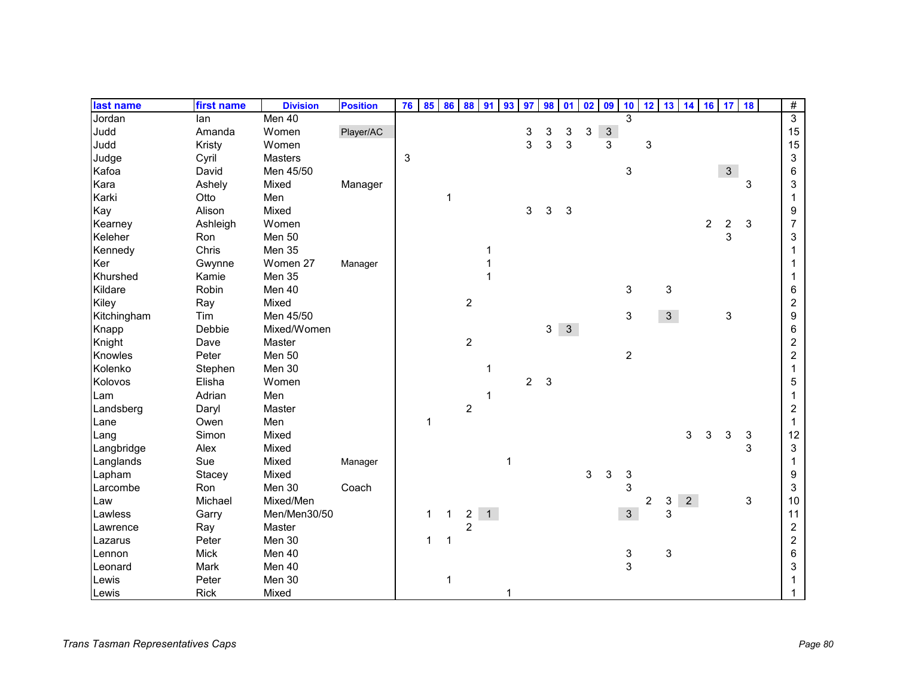| last name   | first name  | <b>Division</b> | <b>Position</b> | 76 | 85           | 86           | 88             | 91             | 93          | 97             | 98             | 01           | 02 | 09             | 10                        | 12             | 13             | 14          |                | 16 17                   | 18 | $\overline{\#}$  |
|-------------|-------------|-----------------|-----------------|----|--------------|--------------|----------------|----------------|-------------|----------------|----------------|--------------|----|----------------|---------------------------|----------------|----------------|-------------|----------------|-------------------------|----|------------------|
| Jordan      | lan         | Men 40          |                 |    |              |              |                |                |             |                |                |              |    |                | $\overline{\mathbf{3}}$   |                |                |             |                |                         |    | $\overline{3}$   |
| Judd        | Amanda      | Women           | Player/AC       |    |              |              |                |                |             | 3              | 3              | 3            | 3  | $\sqrt{3}$     |                           |                |                |             |                |                         |    | 15               |
| Judd        | Kristy      | Women           |                 |    |              |              |                |                |             | 3              | 3              | 3            |    | $\overline{3}$ |                           | 3              |                |             |                |                         |    | 15               |
| Judge       | Cyril       | Masters         |                 | 3  |              |              |                |                |             |                |                |              |    |                |                           |                |                |             |                |                         |    | 3                |
| Kafoa       | David       | Men 45/50       |                 |    |              |              |                |                |             |                |                |              |    |                | $\ensuremath{\mathsf{3}}$ |                |                |             |                | $\mathbf{3}$            |    | 6                |
| Kara        | Ashely      | Mixed           | Manager         |    |              |              |                |                |             |                |                |              |    |                |                           |                |                |             |                |                         | 3  | 3                |
| Karki       | Otto        | Men             |                 |    |              | $\mathbf 1$  |                |                |             |                |                |              |    |                |                           |                |                |             |                |                         |    | 1                |
| Kay         | Alison      | Mixed           |                 |    |              |              |                |                |             | 3              | 3              | $\sqrt{3}$   |    |                |                           |                |                |             |                |                         |    | 9                |
| Kearney     | Ashleigh    | Women           |                 |    |              |              |                |                |             |                |                |              |    |                |                           |                |                |             | $\overline{c}$ | $\overline{\mathbf{c}}$ | 3  | $\overline{7}$   |
| Keleher     | Ron         | Men 50          |                 |    |              |              |                |                |             |                |                |              |    |                |                           |                |                |             |                | 3                       |    | 3                |
| Kennedy     | Chris       | Men 35          |                 |    |              |              |                | 1              |             |                |                |              |    |                |                           |                |                |             |                |                         |    |                  |
| Ker         | Gwynne      | Women 27        | Manager         |    |              |              |                |                |             |                |                |              |    |                |                           |                |                |             |                |                         |    |                  |
| Khurshed    | Kamie       | Men 35          |                 |    |              |              |                | 1              |             |                |                |              |    |                |                           |                |                |             |                |                         |    |                  |
| Kildare     | Robin       | Men 40          |                 |    |              |              |                |                |             |                |                |              |    |                | 3                         |                | 3              |             |                |                         |    | 6                |
| Kiley       | Ray         | Mixed           |                 |    |              |              | $\overline{c}$ |                |             |                |                |              |    |                |                           |                |                |             |                |                         |    | $\overline{c}$   |
| Kitchingham | Tim         | Men 45/50       |                 |    |              |              |                |                |             |                |                |              |    |                | 3                         |                | 3 <sup>7</sup> |             |                | 3                       |    | 9                |
| Knapp       | Debbie      | Mixed/Women     |                 |    |              |              |                |                |             |                | 3 <sup>1</sup> | $\mathbf{3}$ |    |                |                           |                |                |             |                |                         |    | 6                |
| Knight      | Dave        | Master          |                 |    |              |              | $\overline{c}$ |                |             |                |                |              |    |                |                           |                |                |             |                |                         |    | $\boldsymbol{2}$ |
| Knowles     | Peter       | Men 50          |                 |    |              |              |                |                |             |                |                |              |    |                | $\overline{c}$            |                |                |             |                |                         |    | $\overline{c}$   |
| Kolenko     | Stephen     | Men 30          |                 |    |              |              |                | 1              |             |                |                |              |    |                |                           |                |                |             |                |                         |    | 1                |
| Kolovos     | Elisha      | Women           |                 |    |              |              |                |                |             | $\overline{c}$ | $\mathbf{3}$   |              |    |                |                           |                |                |             |                |                         |    | 5                |
| Lam         | Adrian      | Men             |                 |    |              |              |                | 1              |             |                |                |              |    |                |                           |                |                |             |                |                         |    |                  |
| Landsberg   | Daryl       | Master          |                 |    |              |              | $\sqrt{2}$     |                |             |                |                |              |    |                |                           |                |                |             |                |                         |    | 2                |
| Lane        | Owen        | Men             |                 |    | 1            |              |                |                |             |                |                |              |    |                |                           |                |                |             |                |                         |    | 1                |
| Lang        | Simon       | Mixed           |                 |    |              |              |                |                |             |                |                |              |    |                |                           |                |                | 3           | 3              | $\sqrt{3}$              | 3  | 12               |
| Langbridge  | Alex        | Mixed           |                 |    |              |              |                |                |             |                |                |              |    |                |                           |                |                |             |                |                         | 3  | 3                |
| Langlands   | Sue         | Mixed           | Manager         |    |              |              |                |                | $\mathbf 1$ |                |                |              |    |                |                           |                |                |             |                |                         |    |                  |
| Lapham      | Stacey      | Mixed           |                 |    |              |              |                |                |             |                |                |              | 3  | 3              | 3                         |                |                |             |                |                         |    | 9                |
| Larcombe    | Ron         | Men 30          | Coach           |    |              |              |                |                |             |                |                |              |    |                | 3                         |                |                |             |                |                         |    | 3                |
| Law         | Michael     | Mixed/Men       |                 |    |              |              |                |                |             |                |                |              |    |                |                           | $\overline{c}$ | 3              | $2^{\circ}$ |                |                         | 3  | 10               |
| Lawless     | Garry       | Men/Men30/50    |                 |    | $\mathbf{1}$ | $\mathbf{1}$ | $\overline{a}$ | $\overline{1}$ |             |                |                |              |    |                | $\mathfrak{S}$            |                | 3              |             |                |                         |    | 11               |
| Lawrence    | Ray         | Master          |                 |    |              |              | $\overline{2}$ |                |             |                |                |              |    |                |                           |                |                |             |                |                         |    | $\boldsymbol{2}$ |
| Lazarus     | Peter       | Men 30          |                 |    | 1            |              |                |                |             |                |                |              |    |                |                           |                |                |             |                |                         |    | $\boldsymbol{2}$ |
| Lennon      | <b>Mick</b> | Men 40          |                 |    |              |              |                |                |             |                |                |              |    |                | 3                         |                | 3              |             |                |                         |    | 6                |
| Leonard     | Mark        | Men 40          |                 |    |              |              |                |                |             |                |                |              |    |                | 3                         |                |                |             |                |                         |    | 3                |
| Lewis       | Peter       | Men 30          |                 |    |              | 1            |                |                |             |                |                |              |    |                |                           |                |                |             |                |                         |    |                  |
| Lewis       | Rick        | Mixed           |                 |    |              |              |                |                |             |                |                |              |    |                |                           |                |                |             |                |                         |    |                  |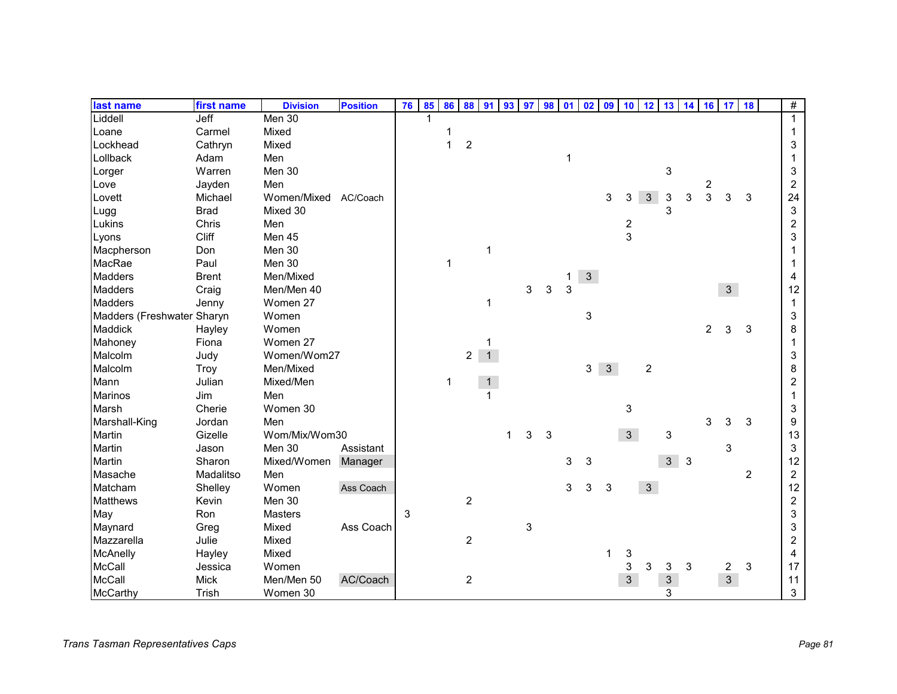| last name                  | first name   | <b>Division</b> | <b>Position</b> | 76 | 85 | 86 | 88               | 91           | 93 | 97 | 98 <sup>1</sup> | 01 | 02             | 09             | 10             | 12             | 13             |              | 14 16          | 17             | 18             | #                         |
|----------------------------|--------------|-----------------|-----------------|----|----|----|------------------|--------------|----|----|-----------------|----|----------------|----------------|----------------|----------------|----------------|--------------|----------------|----------------|----------------|---------------------------|
| Liddell                    | Jeff         | Men 30          |                 |    |    |    |                  |              |    |    |                 |    |                |                |                |                |                |              |                |                |                | $\mathbf{1}$              |
| Loane                      | Carmel       | Mixed           |                 |    |    |    |                  |              |    |    |                 |    |                |                |                |                |                |              |                |                |                | 1                         |
| Lockhead                   | Cathryn      | Mixed           |                 |    |    | 1  | $\overline{c}$   |              |    |    |                 |    |                |                |                |                |                |              |                |                |                | 3                         |
| Lollback                   | Adam         | Men             |                 |    |    |    |                  |              |    |    |                 |    |                |                |                |                |                |              |                |                |                | 1                         |
| Lorger                     | Warren       | Men 30          |                 |    |    |    |                  |              |    |    |                 |    |                |                |                |                | 3              |              |                |                |                | 3                         |
| Love                       | Jayden       | Men             |                 |    |    |    |                  |              |    |    |                 |    |                |                |                |                |                |              | $\overline{c}$ |                |                | $\overline{2}$            |
| Lovett                     | Michael      | Women/Mixed     | AC/Coach        |    |    |    |                  |              |    |    |                 |    |                | 3              | 3              | $\mathfrak{S}$ | 3              | 3            | 3              | 3              | 3              | 24                        |
| Lugg                       | <b>Brad</b>  | Mixed 30        |                 |    |    |    |                  |              |    |    |                 |    |                |                |                |                | 3              |              |                |                |                | $\ensuremath{\mathsf{3}}$ |
| Lukins                     | Chris        | Men             |                 |    |    |    |                  |              |    |    |                 |    |                |                | $\frac{2}{3}$  |                |                |              |                |                |                | $\overline{\mathbf{c}}$   |
| Lyons                      | Cliff        | Men 45          |                 |    |    |    |                  |              |    |    |                 |    |                |                |                |                |                |              |                |                |                | 3                         |
| Macpherson                 | Don          | Men 30          |                 |    |    |    |                  | $\mathbf{1}$ |    |    |                 |    |                |                |                |                |                |              |                |                |                |                           |
| MacRae                     | Paul         | Men 30          |                 |    |    | 1  |                  |              |    |    |                 |    |                |                |                |                |                |              |                |                |                |                           |
| <b>Madders</b>             | <b>Brent</b> | Men/Mixed       |                 |    |    |    |                  |              |    |    |                 | 1. | 3 <sup>1</sup> |                |                |                |                |              |                |                |                | 4                         |
| <b>Madders</b>             | Craig        | Men/Men 40      |                 |    |    |    |                  |              |    | 3  | 3               | 3  |                |                |                |                |                |              |                | 3 <sup>1</sup> |                | 12                        |
| <b>Madders</b>             | Jenny        | Women 27        |                 |    |    |    |                  | 1            |    |    |                 |    |                |                |                |                |                |              |                |                |                | 1                         |
| Madders (Freshwater Sharyn |              | Women           |                 |    |    |    |                  |              |    |    |                 |    | 3              |                |                |                |                |              |                |                |                | 3                         |
| Maddick                    | Hayley       | Women           |                 |    |    |    |                  |              |    |    |                 |    |                |                |                |                |                |              | $\overline{2}$ | 3              | 3              | 8                         |
| Mahoney                    | Fiona        | Women 27        |                 |    |    |    |                  |              |    |    |                 |    |                |                |                |                |                |              |                |                |                | 1                         |
| Malcolm                    | Judy         | Women/Wom27     |                 |    |    |    | $\overline{2}$   | $\mathbf{1}$ |    |    |                 |    |                |                |                |                |                |              |                |                |                | 3                         |
| Malcolm                    | Troy         | Men/Mixed       |                 |    |    |    |                  |              |    |    |                 |    | 3              | $\mathfrak{S}$ |                | $\overline{c}$ |                |              |                |                |                | 8                         |
| Mann                       | Julian       | Mixed/Men       |                 |    |    | 1  |                  | $\mathbf 1$  |    |    |                 |    |                |                |                |                |                |              |                |                |                | 2                         |
| <b>Marinos</b>             | Jim          | Men             |                 |    |    |    |                  | $\mathbf{1}$ |    |    |                 |    |                |                |                |                |                |              |                |                |                |                           |
| Marsh                      | Cherie       | Women 30        |                 |    |    |    |                  |              |    |    |                 |    |                |                | 3              |                |                |              |                |                |                | 3                         |
| Marshall-King              | Jordan       | Men             |                 |    |    |    |                  |              |    |    |                 |    |                |                |                |                |                |              | 3              | 3              | 3              | 9                         |
| Martin                     | Gizelle      | Wom/Mix/Wom30   |                 |    |    |    |                  |              | 1  | 3  | 3               |    |                |                | $\overline{3}$ |                | 3              |              |                |                |                | 13                        |
| Martin                     | Jason        | Men 30          | Assistant       |    |    |    |                  |              |    |    |                 |    |                |                |                |                |                |              |                | 3              |                | 3                         |
| <b>Martin</b>              | Sharon       | Mixed/Women     | Manager         |    |    |    |                  |              |    |    |                 | 3  | 3              |                |                |                | 3 <sup>1</sup> | $\mathbf{3}$ |                |                |                | 12                        |
| Masache                    | Madalitso    | Men             |                 |    |    |    |                  |              |    |    |                 |    |                |                |                |                |                |              |                |                | $\overline{c}$ | $\overline{c}$            |
| Matcham                    | Shelley      | Women           | Ass Coach       |    |    |    |                  |              |    |    |                 | 3  | 3              | 3              |                | $\mathbf{3}$   |                |              |                |                |                | 12                        |
| <b>Matthews</b>            | Kevin        | Men 30          |                 |    |    |    | $\overline{c}$   |              |    |    |                 |    |                |                |                |                |                |              |                |                |                | $\overline{2}$            |
| May                        | Ron          | Masters         |                 | 3  |    |    |                  |              |    |    |                 |    |                |                |                |                |                |              |                |                |                | 3                         |
| Maynard                    | Greg         | Mixed           | Ass Coach       |    |    |    |                  |              |    | 3  |                 |    |                |                |                |                |                |              |                |                |                | 3                         |
| Mazzarella                 | Julie        | Mixed           |                 |    |    |    | $\overline{c}$   |              |    |    |                 |    |                |                |                |                |                |              |                |                |                | 2                         |
| McAnelly                   | Hayley       | Mixed           |                 |    |    |    |                  |              |    |    |                 |    |                |                | 3              |                |                |              |                |                |                | 4                         |
| McCall                     | Jessica      | Women           |                 |    |    |    |                  |              |    |    |                 |    |                |                | 3              | 3              | 3              | 3            |                | $\overline{c}$ | 3              | 17                        |
| McCall                     | Mick         | Men/Men 50      | AC/Coach        |    |    |    | $\boldsymbol{2}$ |              |    |    |                 |    |                |                | $\mathbf{3}$   |                | $\mathbf{3}$   |              |                | 3 <sup>7</sup> |                | 11                        |
| McCarthy                   | Trish        | Women 30        |                 |    |    |    |                  |              |    |    |                 |    |                |                |                |                | 3              |              |                |                |                | 3                         |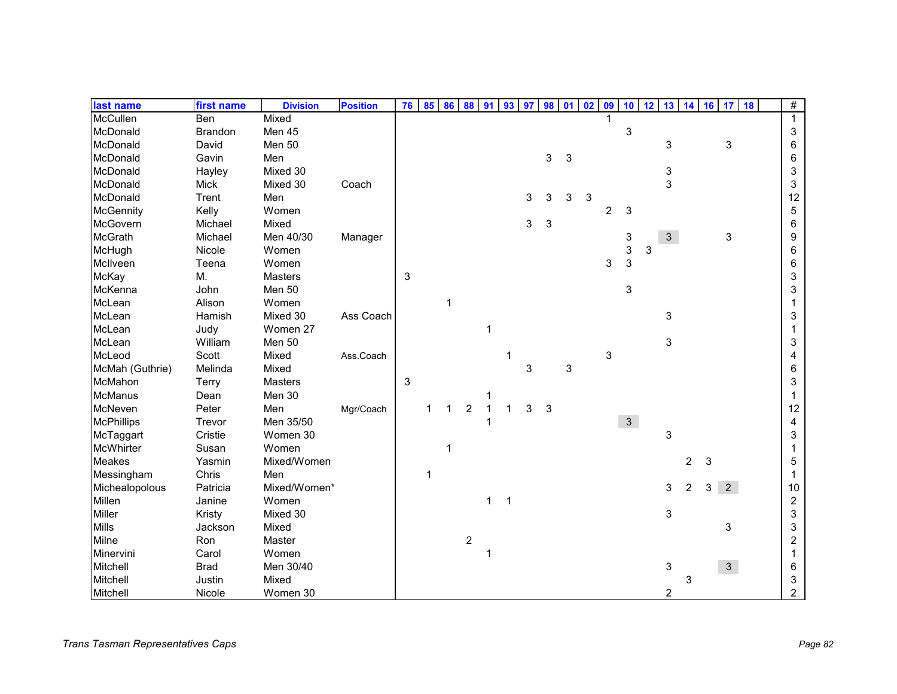| last name         | first name     | <b>Division</b> | <b>Position</b> | 76 | 85 | 86 | 88               | 91           | 93             | 97 | 98 |   | $01$ 02 | 09             | 10             | 12 | 13                        | 14             |   | $16$ 17                   | 18 | $\#$           |
|-------------------|----------------|-----------------|-----------------|----|----|----|------------------|--------------|----------------|----|----|---|---------|----------------|----------------|----|---------------------------|----------------|---|---------------------------|----|----------------|
| <b>McCullen</b>   | Ben            | Mixed           |                 |    |    |    |                  |              |                |    |    |   |         |                |                |    |                           |                |   |                           |    | $\mathbf{1}$   |
| McDonald          | <b>Brandon</b> | Men 45          |                 |    |    |    |                  |              |                |    |    |   |         |                | 3              |    |                           |                |   |                           |    | 3              |
| McDonald          | David          | Men 50          |                 |    |    |    |                  |              |                |    |    |   |         |                |                |    | $\ensuremath{\mathsf{3}}$ |                |   | $\ensuremath{\mathsf{3}}$ |    | 6              |
| McDonald          | Gavin          | Men             |                 |    |    |    |                  |              |                |    | 3  | 3 |         |                |                |    |                           |                |   |                           |    | 6              |
| McDonald          | Hayley         | Mixed 30        |                 |    |    |    |                  |              |                |    |    |   |         |                |                |    | $\ensuremath{\mathsf{3}}$ |                |   |                           |    | 3              |
| McDonald          | <b>Mick</b>    | Mixed 30        | Coach           |    |    |    |                  |              |                |    |    |   |         |                |                |    | 3                         |                |   |                           |    | 3              |
| McDonald          | Trent          | Men             |                 |    |    |    |                  |              |                | 3  | 3  | 3 | 3       |                |                |    |                           |                |   |                           |    | 12             |
| <b>McGennity</b>  | Kelly          | Women           |                 |    |    |    |                  |              |                |    |    |   |         | $\overline{c}$ | 3              |    |                           |                |   |                           |    | 5              |
| <b>McGovern</b>   | Michael        | Mixed           |                 |    |    |    |                  |              |                | 3  | 3  |   |         |                |                |    |                           |                |   |                           |    | 6              |
| <b>McGrath</b>    | Michael        | Men 40/30       | Manager         |    |    |    |                  |              |                |    |    |   |         |                | 3              |    | 3 <sup>1</sup>            |                |   | $\ensuremath{\mathsf{3}}$ |    | 9              |
| McHugh            | Nicole         | Women           |                 |    |    |    |                  |              |                |    |    |   |         |                | 3              | 3  |                           |                |   |                           |    | 6              |
| McIlveen          | Teena          | Women           |                 |    |    |    |                  |              |                |    |    |   |         | 3              | 3              |    |                           |                |   |                           |    | 6              |
| McKay             | M.             | <b>Masters</b>  |                 | 3  |    |    |                  |              |                |    |    |   |         |                |                |    |                           |                |   |                           |    | 3              |
| McKenna           | John           | Men 50          |                 |    |    |    |                  |              |                |    |    |   |         |                | 3              |    |                           |                |   |                           |    | 3              |
| McLean            | Alison         | Women           |                 |    |    | 1  |                  |              |                |    |    |   |         |                |                |    |                           |                |   |                           |    |                |
| McLean            | Hamish         | Mixed 30        | Ass Coach       |    |    |    |                  |              |                |    |    |   |         |                |                |    | 3                         |                |   |                           |    | 3              |
| McLean            | Judy           | Women 27        |                 |    |    |    |                  | 1            |                |    |    |   |         |                |                |    |                           |                |   |                           |    |                |
| McLean            | William        | Men 50          |                 |    |    |    |                  |              |                |    |    |   |         |                |                |    | 3                         |                |   |                           |    | 3              |
| McLeod            | Scott          | Mixed           | Ass.Coach       |    |    |    |                  |              |                |    |    |   |         | 3              |                |    |                           |                |   |                           |    | 4              |
| McMah (Guthrie)   | Melinda        | Mixed           |                 |    |    |    |                  |              |                | 3  |    | 3 |         |                |                |    |                           |                |   |                           |    | 6              |
| McMahon           | Terry          | Masters         |                 | 3  |    |    |                  |              |                |    |    |   |         |                |                |    |                           |                |   |                           |    | 3              |
| <b>McManus</b>    | Dean           | Men 30          |                 |    |    |    |                  | 1            |                |    |    |   |         |                |                |    |                           |                |   |                           |    |                |
| McNeven           | Peter          | Men             | Mgr/Coach       |    |    | 1  | $\boldsymbol{2}$ | $\mathbf{1}$ | $\mathbf 1$    | 3  | 3  |   |         |                |                |    |                           |                |   |                           |    | 12             |
| <b>McPhillips</b> | Trevor         | Men 35/50       |                 |    |    |    |                  |              |                |    |    |   |         |                | 3 <sup>7</sup> |    |                           |                |   |                           |    | 4              |
| McTaggart         | Cristie        | Women 30        |                 |    |    |    |                  |              |                |    |    |   |         |                |                |    | 3                         |                |   |                           |    | 3              |
| McWhirter         | Susan          | Women           |                 |    |    |    |                  |              |                |    |    |   |         |                |                |    |                           |                |   |                           |    |                |
| <b>Meakes</b>     | Yasmin         | Mixed/Women     |                 |    |    |    |                  |              |                |    |    |   |         |                |                |    |                           | $\overline{2}$ | 3 |                           |    | 5              |
| Messingham        | Chris          | Men             |                 |    | 1  |    |                  |              |                |    |    |   |         |                |                |    |                           |                |   |                           |    | 1              |
| Michealopolous    | Patricia       | Mixed/Women*    |                 |    |    |    |                  |              |                |    |    |   |         |                |                |    | 3                         | 2              | 3 | $\overline{2}$            |    | 10             |
| Millen            | Janine         | Women           |                 |    |    |    |                  | 1            | $\overline{1}$ |    |    |   |         |                |                |    |                           |                |   |                           |    | $\overline{c}$ |
| Miller            | Kristy         | Mixed 30        |                 |    |    |    |                  |              |                |    |    |   |         |                |                |    | $\ensuremath{\mathsf{3}}$ |                |   |                           |    | 3              |
| <b>Mills</b>      | Jackson        | Mixed           |                 |    |    |    |                  |              |                |    |    |   |         |                |                |    |                           |                |   | 3                         |    | 3              |
| Milne             | Ron            | Master          |                 |    |    |    | $\overline{c}$   |              |                |    |    |   |         |                |                |    |                           |                |   |                           |    | $\overline{c}$ |
| Minervini         | Carol          | Women           |                 |    |    |    |                  | 1            |                |    |    |   |         |                |                |    |                           |                |   |                           |    |                |
| Mitchell          | <b>Brad</b>    | Men 30/40       |                 |    |    |    |                  |              |                |    |    |   |         |                |                |    | 3                         |                |   | 3 <sup>7</sup>            |    | 6              |
| Mitchell          | Justin         | Mixed           |                 |    |    |    |                  |              |                |    |    |   |         |                |                |    |                           | 3              |   |                           |    | 3              |
| Mitchell          | Nicole         | Women 30        |                 |    |    |    |                  |              |                |    |    |   |         |                |                |    | $\overline{c}$            |                |   |                           |    | $\overline{2}$ |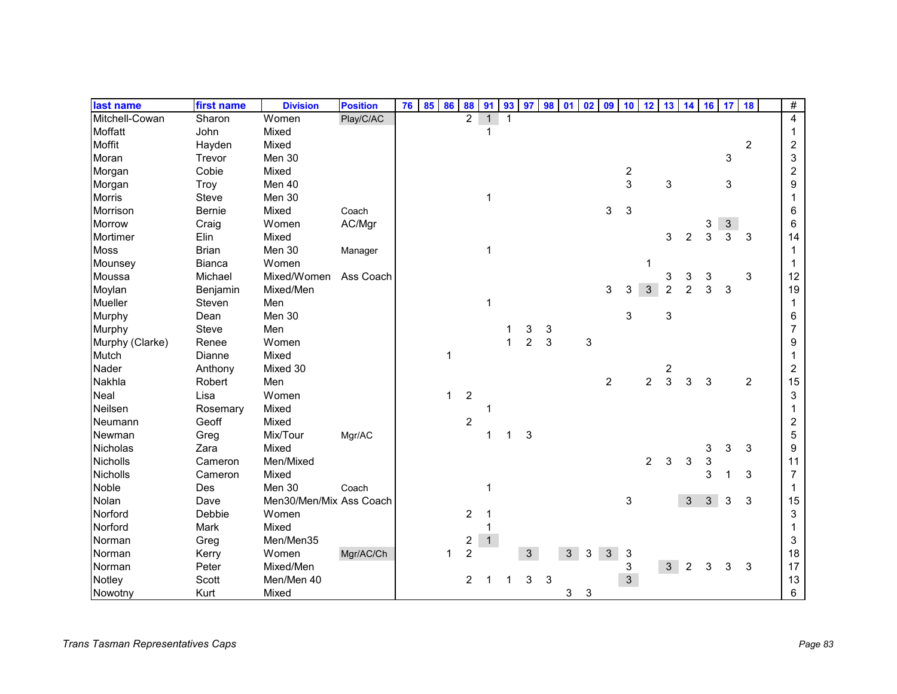| last name       | first name    | <b>Division</b>         | <b>Position</b> | 76 | 85 | 86           | 88                      | 91           | 93          | 97             | 98 01 |                | 02           | 09             | 10                      | 12             | 13                      |                | 14 16                     | 17                        | 18             | #              |
|-----------------|---------------|-------------------------|-----------------|----|----|--------------|-------------------------|--------------|-------------|----------------|-------|----------------|--------------|----------------|-------------------------|----------------|-------------------------|----------------|---------------------------|---------------------------|----------------|----------------|
| Mitchell-Cowan  | Sharon        | Women                   | Play/C/AC       |    |    |              | $\overline{2}$          | $\mathbf{1}$ |             |                |       |                |              |                |                         |                |                         |                |                           |                           |                | $\overline{4}$ |
| Moffatt         | John          | Mixed                   |                 |    |    |              |                         | 1            |             |                |       |                |              |                |                         |                |                         |                |                           |                           |                | 1              |
| Moffit          | Hayden        | Mixed                   |                 |    |    |              |                         |              |             |                |       |                |              |                |                         |                |                         |                |                           |                           | $\overline{c}$ | $\overline{c}$ |
| Moran           | Trevor        | Men 30                  |                 |    |    |              |                         |              |             |                |       |                |              |                |                         |                |                         |                |                           | 3                         |                | 3              |
| Morgan          | Cobie         | Mixed                   |                 |    |    |              |                         |              |             |                |       |                |              |                | $\overline{\mathbf{c}}$ |                |                         |                |                           |                           |                | $\overline{c}$ |
| Morgan          | <b>Troy</b>   | Men 40                  |                 |    |    |              |                         |              |             |                |       |                |              |                | 3                       |                | 3                       |                |                           | 3                         |                | 9              |
| <b>Morris</b>   | Steve         | Men 30                  |                 |    |    |              |                         | 1            |             |                |       |                |              |                |                         |                |                         |                |                           |                           |                | 1              |
| Morrison        | Bernie        | Mixed                   | Coach           |    |    |              |                         |              |             |                |       |                |              | 3              | 3                       |                |                         |                |                           |                           |                | 6              |
| Morrow          | Craig         | Women                   | AC/Mgr          |    |    |              |                         |              |             |                |       |                |              |                |                         |                |                         |                | 3                         | $\ensuremath{\mathsf{3}}$ |                | 6              |
| Mortimer        | Elin          | Mixed                   |                 |    |    |              |                         |              |             |                |       |                |              |                |                         |                | 3                       | 2              | 3                         | 3                         | 3              | 14             |
| <b>Moss</b>     | <b>Brian</b>  | Men 30                  | Manager         |    |    |              |                         | 1            |             |                |       |                |              |                |                         |                |                         |                |                           |                           |                | 1              |
| Mounsey         | <b>Bianca</b> | Women                   |                 |    |    |              |                         |              |             |                |       |                |              |                |                         | 1              |                         |                |                           |                           |                | 1              |
| Moussa          | Michael       | Mixed/Women             | Ass Coach       |    |    |              |                         |              |             |                |       |                |              |                |                         |                | 3                       | 3              | 3                         |                           | 3              | 12             |
| Moylan          | Benjamin      | Mixed/Men               |                 |    |    |              |                         |              |             |                |       |                |              | 3              | 3                       | $\mathbf{3}$   | $\overline{2}$          | $\overline{2}$ | 3                         | 3                         |                | 19             |
| Mueller         | Steven        | Men                     |                 |    |    |              |                         | $\mathbf{1}$ |             |                |       |                |              |                |                         |                |                         |                |                           |                           |                | 1              |
| Murphy          | Dean          | Men 30                  |                 |    |    |              |                         |              |             |                |       |                |              |                | 3                       |                | 3                       |                |                           |                           |                | 6              |
| Murphy          | Steve         | Men                     |                 |    |    |              |                         |              |             | 3              | 3     |                |              |                |                         |                |                         |                |                           |                           |                | 7              |
| Murphy (Clarke) | Renee         | Women                   |                 |    |    |              |                         |              | 1           | $\overline{2}$ | 3     |                | 3            |                |                         |                |                         |                |                           |                           |                | 9              |
| Mutch           | Dianne        | Mixed                   |                 |    |    | $\mathbf{1}$ |                         |              |             |                |       |                |              |                |                         |                |                         |                |                           |                           |                |                |
| Nader           | Anthony       | Mixed 30                |                 |    |    |              |                         |              |             |                |       |                |              |                |                         |                | $\overline{\mathbf{c}}$ |                |                           |                           |                | 2              |
| Nakhla          | Robert        | Men                     |                 |    |    |              |                         |              |             |                |       |                |              | $\overline{2}$ |                         | $\overline{c}$ | 3                       | 3              | 3                         |                           | $\overline{2}$ | 15             |
| <b>Neal</b>     | Lisa          | Women                   |                 |    |    | $\mathbf{1}$ | $\boldsymbol{2}$        |              |             |                |       |                |              |                |                         |                |                         |                |                           |                           |                | 3              |
| Neilsen         | Rosemary      | Mixed                   |                 |    |    |              |                         |              |             |                |       |                |              |                |                         |                |                         |                |                           |                           |                | 1              |
| Neumann         | Geoff         | Mixed                   |                 |    |    |              | $\overline{c}$          |              |             |                |       |                |              |                |                         |                |                         |                |                           |                           |                | 2              |
| Newman          | Greg          | Mix/Tour                | Mgr/AC          |    |    |              |                         | 1            | $\mathbf 1$ | 3              |       |                |              |                |                         |                |                         |                |                           |                           |                | 5              |
| Nicholas        | Zara          | Mixed                   |                 |    |    |              |                         |              |             |                |       |                |              |                |                         |                |                         |                | 3                         | 3                         | 3              | 9              |
| <b>Nicholls</b> | Cameron       | Men/Mixed               |                 |    |    |              |                         |              |             |                |       |                |              |                |                         | $\overline{2}$ | 3                       | 3              | $\ensuremath{\mathsf{3}}$ |                           |                | 11             |
| <b>Nicholls</b> | Cameron       | Mixed                   |                 |    |    |              |                         |              |             |                |       |                |              |                |                         |                |                         |                | 3                         |                           | 3              | $\overline{7}$ |
| Noble           | Des           | Men 30                  | Coach           |    |    |              |                         | 1            |             |                |       |                |              |                |                         |                |                         |                |                           |                           |                | 1              |
| Nolan           | Dave          | Men30/Men/Mix Ass Coach |                 |    |    |              |                         |              |             |                |       |                |              |                | 3                       |                |                         | 3              | $\mathfrak{S}$            | 3                         | 3              | 15             |
| Norford         | Debbie        | Women                   |                 |    |    |              | 2                       | -1           |             |                |       |                |              |                |                         |                |                         |                |                           |                           |                | 3              |
| Norford         | Mark          | Mixed                   |                 |    |    |              |                         | 1            |             |                |       |                |              |                |                         |                |                         |                |                           |                           |                |                |
| Norman          | Greg          | Men/Men35               |                 |    |    |              | $\overline{\mathbf{c}}$ | 1            |             |                |       |                |              |                |                         |                |                         |                |                           |                           |                | 3              |
| Norman          | Kerry         | Women                   | Mgr/AC/Ch       |    |    |              | $\overline{2}$          |              |             | 3 <sup>1</sup> |       | 3 <sup>1</sup> | $\mathbf{3}$ | $\mathfrak{S}$ | 3                       |                |                         |                |                           |                           |                | 18             |
| Norman          | Peter         | Mixed/Men               |                 |    |    |              |                         |              |             |                |       |                |              |                | 3                       |                | 3 <sup>1</sup>          | $\overline{2}$ | 3                         | 3                         | 3              | 17             |
| Notley          | Scott         | Men/Men 40              |                 |    |    |              | 2                       |              |             | 3              | 3     |                |              |                | $\mathbf{3}$            |                |                         |                |                           |                           |                | 13             |
| Nowotny         | Kurt          | Mixed                   |                 |    |    |              |                         |              |             |                |       | 3              | 3            |                |                         |                |                         |                |                           |                           |                | 6              |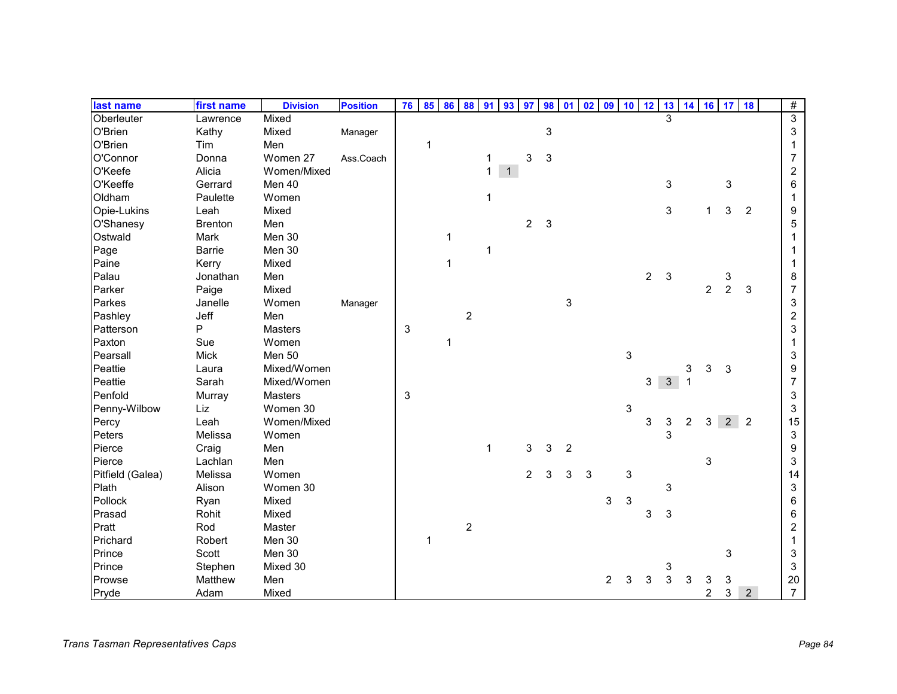| last name        | first name     | <b>Division</b> | <b>Position</b> | 76 | 85           | 86           | 88             | 91           | 93           | 97             | 98         | 01             | 02 | 09             | 10 | 12             |                           |                |                | 13 14 16 17 18 |                | $\#$                    |
|------------------|----------------|-----------------|-----------------|----|--------------|--------------|----------------|--------------|--------------|----------------|------------|----------------|----|----------------|----|----------------|---------------------------|----------------|----------------|----------------|----------------|-------------------------|
| Oberleuter       | Lawrence       | Mixed           |                 |    |              |              |                |              |              |                |            |                |    |                |    |                | 3                         |                |                |                |                | $\overline{3}$          |
| O'Brien          | Kathy          | Mixed           | Manager         |    |              |              |                |              |              |                | 3          |                |    |                |    |                |                           |                |                |                |                | 3                       |
| O'Brien          | Tim            | Men             |                 |    | 1            |              |                |              |              |                |            |                |    |                |    |                |                           |                |                |                |                | 1                       |
| O'Connor         | Donna          | Women 27        | Ass.Coach       |    |              |              |                | 1            |              | 3              | $\sqrt{3}$ |                |    |                |    |                |                           |                |                |                |                | 7                       |
| O'Keefe          | Alicia         | Women/Mixed     |                 |    |              |              |                | $\mathbf{1}$ | $\mathbf{1}$ |                |            |                |    |                |    |                |                           |                |                |                |                | $\overline{\mathbf{c}}$ |
| O'Keeffe         | Gerrard        | Men 40          |                 |    |              |              |                |              |              |                |            |                |    |                |    |                | $\ensuremath{\mathsf{3}}$ |                |                | 3              |                | 6                       |
| Oldham           | Paulette       | Women           |                 |    |              |              |                | 1            |              |                |            |                |    |                |    |                |                           |                |                |                |                | 1                       |
| Opie-Lukins      | Leah           | Mixed           |                 |    |              |              |                |              |              |                |            |                |    |                |    |                | 3                         |                | $\mathbf{1}$   | 3              | 2              | 9                       |
| O'Shanesy        | <b>Brenton</b> | Men             |                 |    |              |              |                |              |              | $\overline{a}$ | 3          |                |    |                |    |                |                           |                |                |                |                | 5                       |
| Ostwald          | Mark           | Men 30          |                 |    |              | $\mathbf 1$  |                |              |              |                |            |                |    |                |    |                |                           |                |                |                |                |                         |
| Page             | <b>Barrie</b>  | Men 30          |                 |    |              |              |                | 1            |              |                |            |                |    |                |    |                |                           |                |                |                |                |                         |
| Paine            | Kerry          | Mixed           |                 |    |              | $\mathbf{1}$ |                |              |              |                |            |                |    |                |    |                |                           |                |                |                |                |                         |
| Palau            | Jonathan       | Men             |                 |    |              |              |                |              |              |                |            |                |    |                |    | $\overline{2}$ | 3                         |                |                | 3              |                | 8                       |
| Parker           | Paige          | Mixed           |                 |    |              |              |                |              |              |                |            |                |    |                |    |                |                           |                | $\overline{2}$ | $\overline{2}$ | 3              | $\overline{7}$          |
| Parkes           | Janelle        | Women           | Manager         |    |              |              |                |              |              |                |            | 3              |    |                |    |                |                           |                |                |                |                | 3                       |
| Pashley          | Jeff           | Men             |                 |    |              |              | $\overline{c}$ |              |              |                |            |                |    |                |    |                |                           |                |                |                |                | $\overline{c}$          |
| Patterson        | P              | <b>Masters</b>  |                 | 3  |              |              |                |              |              |                |            |                |    |                |    |                |                           |                |                |                |                | 3                       |
| Paxton           | Sue            | Women           |                 |    |              | $\mathbf{1}$ |                |              |              |                |            |                |    |                |    |                |                           |                |                |                |                | 1                       |
| Pearsall         | <b>Mick</b>    | Men 50          |                 |    |              |              |                |              |              |                |            |                |    |                | 3  |                |                           |                |                |                |                | 3                       |
| Peattie          | Laura          | Mixed/Women     |                 |    |              |              |                |              |              |                |            |                |    |                |    |                |                           | 3              | 3              | 3              |                | 9                       |
| Peattie          | Sarah          | Mixed/Women     |                 |    |              |              |                |              |              |                |            |                |    |                |    | 3              | $\mathbf{3}$              |                |                |                |                | $\overline{7}$          |
| Penfold          | Murray         | Masters         |                 | 3  |              |              |                |              |              |                |            |                |    |                |    |                |                           |                |                |                |                | 3                       |
| Penny-Wilbow     | Liz            | Women 30        |                 |    |              |              |                |              |              |                |            |                |    |                | 3  |                |                           |                |                |                |                | 3                       |
| Percy            | Leah           | Women/Mixed     |                 |    |              |              |                |              |              |                |            |                |    |                |    | 3              | 3                         | $\overline{c}$ | 3              | $2^{\circ}$    | $\overline{2}$ | 15                      |
| Peters           | Melissa        | Women           |                 |    |              |              |                |              |              |                |            |                |    |                |    |                | 3                         |                |                |                |                | 3                       |
| Pierce           | Craig          | Men             |                 |    |              |              |                | $\mathbf{1}$ |              | 3              | 3          | $\overline{c}$ |    |                |    |                |                           |                |                |                |                | 9                       |
| Pierce           | Lachlan        | Men             |                 |    |              |              |                |              |              |                |            |                |    |                |    |                |                           |                | 3              |                |                | 3                       |
| Pitfield (Galea) | Melissa        | Women           |                 |    |              |              |                |              |              | $\overline{2}$ | 3          | 3              | 3  |                | 3  |                |                           |                |                |                |                | 14                      |
| Plath            | Alison         | Women 30        |                 |    |              |              |                |              |              |                |            |                |    |                |    |                | 3                         |                |                |                |                | 3                       |
| Pollock          | Ryan           | Mixed           |                 |    |              |              |                |              |              |                |            |                |    | 3              | 3  |                |                           |                |                |                |                | 6                       |
| Prasad           | Rohit          | Mixed           |                 |    |              |              |                |              |              |                |            |                |    |                |    | 3              | 3                         |                |                |                |                | 6                       |
| Pratt            | Rod            | Master          |                 |    |              |              | $\overline{c}$ |              |              |                |            |                |    |                |    |                |                           |                |                |                |                | 2                       |
| Prichard         | Robert         | Men 30          |                 |    | $\mathbf{1}$ |              |                |              |              |                |            |                |    |                |    |                |                           |                |                |                |                |                         |
| Prince           | Scott          | Men 30          |                 |    |              |              |                |              |              |                |            |                |    |                |    |                |                           |                |                | 3              |                | 3                       |
| Prince           | Stephen        | Mixed 30        |                 |    |              |              |                |              |              |                |            |                |    |                |    |                | 3                         |                |                |                |                | 3                       |
| Prowse           | Matthew        | Men             |                 |    |              |              |                |              |              |                |            |                |    | $\overline{2}$ | 3  | 3              | 3                         | 3              | 3              | 3              |                | 20                      |
| Pryde            | Adam           | Mixed           |                 |    |              |              |                |              |              |                |            |                |    |                |    |                |                           |                | $\overline{c}$ | 3              | $\overline{2}$ | $\overline{7}$          |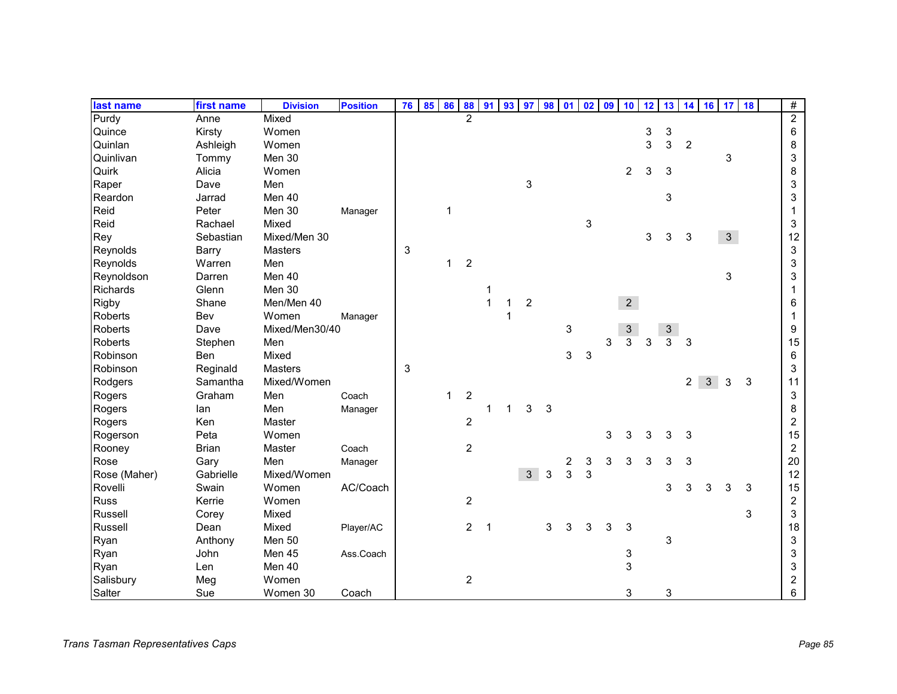| last name       | first name   | <b>Division</b> | <b>Position</b> | 76 | 85 | 86           | 88             | 91           | 93          |                | 97 98 01     |   | 02 | 09 | 10                        | 12 | 13             | 14             | 16         | 17             | 18 | $\#$           |
|-----------------|--------------|-----------------|-----------------|----|----|--------------|----------------|--------------|-------------|----------------|--------------|---|----|----|---------------------------|----|----------------|----------------|------------|----------------|----|----------------|
| Purdy           | Anne         | Mixed           |                 |    |    |              | $\overline{2}$ |              |             |                |              |   |    |    |                           |    |                |                |            |                |    | $\overline{2}$ |
| Quince          | Kirsty       | Women           |                 |    |    |              |                |              |             |                |              |   |    |    |                           | 3  | 3              |                |            |                |    | $\,6$          |
| Quinlan         | Ashleigh     | Women           |                 |    |    |              |                |              |             |                |              |   |    |    |                           | 3  | 3              | $\overline{2}$ |            |                |    | 8              |
| Quinlivan       | Tommy        | Men 30          |                 |    |    |              |                |              |             |                |              |   |    |    |                           |    |                |                |            | 3              |    | 3              |
| Quirk           | Alicia       | Women           |                 |    |    |              |                |              |             |                |              |   |    |    | $\overline{2}$            | 3  | 3              |                |            |                |    | 8              |
| Raper           | Dave         | Men             |                 |    |    |              |                |              |             | 3              |              |   |    |    |                           |    |                |                |            |                |    | 3              |
| Reardon         | Jarrad       | Men 40          |                 |    |    |              |                |              |             |                |              |   |    |    |                           |    | 3              |                |            |                |    | 3              |
| Reid            | Peter        | Men 30          | Manager         |    |    | $\mathbf{1}$ |                |              |             |                |              |   |    |    |                           |    |                |                |            |                |    | 1              |
| Reid            | Rachael      | Mixed           |                 |    |    |              |                |              |             |                |              |   | 3  |    |                           |    |                |                |            |                |    | 3              |
| Rey             | Sebastian    | Mixed/Men 30    |                 |    |    |              |                |              |             |                |              |   |    |    |                           | 3  | 3              | $\sqrt{3}$     |            | 3 <sup>1</sup> |    | 12             |
| Reynolds        | Barry        | Masters         |                 | 3  |    |              |                |              |             |                |              |   |    |    |                           |    |                |                |            |                |    | 3              |
| Reynolds        | Warren       | Men             |                 |    |    | 1            | $\overline{c}$ |              |             |                |              |   |    |    |                           |    |                |                |            |                |    | 3              |
| Reynoldson      | Darren       | Men 40          |                 |    |    |              |                |              |             |                |              |   |    |    |                           |    |                |                |            | 3              |    | 3              |
| <b>Richards</b> | Glenn        | Men 30          |                 |    |    |              |                | 1            |             |                |              |   |    |    |                           |    |                |                |            |                |    | 1              |
| Rigby           | Shane        | Men/Men 40      |                 |    |    |              |                | $\mathbf{1}$ | 1           | $\overline{2}$ |              |   |    |    | 2 <sup>1</sup>            |    |                |                |            |                |    | 6              |
| <b>Roberts</b>  | Bev          | Women           | Manager         |    |    |              |                |              |             |                |              |   |    |    |                           |    |                |                |            |                |    | 1              |
| Roberts         | Dave         | Mixed/Men30/40  |                 |    |    |              |                |              |             |                |              | 3 |    |    | $\ensuremath{\mathsf{3}}$ |    | 3              |                |            |                |    | 9              |
| Roberts         | Stephen      | Men             |                 |    |    |              |                |              |             |                |              |   |    | 3  | $\overline{3}$            | 3  | $\overline{3}$ | 3              |            |                |    | 15             |
| Robinson        | Ben          | Mixed           |                 |    |    |              |                |              |             |                |              | 3 | 3  |    |                           |    |                |                |            |                |    | 6              |
| Robinson        | Reginald     | Masters         |                 | 3  |    |              |                |              |             |                |              |   |    |    |                           |    |                |                |            |                |    | 3              |
| Rodgers         | Samantha     | Mixed/Women     |                 |    |    |              |                |              |             |                |              |   |    |    |                           |    |                | $\overline{a}$ | $\sqrt{3}$ | 3              | 3  | 11             |
| Rogers          | Graham       | Men             | Coach           |    |    | $\mathbf{1}$ | $\overline{c}$ |              |             |                |              |   |    |    |                           |    |                |                |            |                |    | 3              |
| Rogers          | lan          | Men             | Manager         |    |    |              |                | 1            | $\mathbf 1$ | 3              | $\mathbf{3}$ |   |    |    |                           |    |                |                |            |                |    | 8              |
| Rogers          | Ken          | Master          |                 |    |    |              | $\overline{c}$ |              |             |                |              |   |    |    |                           |    |                |                |            |                |    | 2              |
| Rogerson        | Peta         | Women           |                 |    |    |              |                |              |             |                |              |   |    | 3  | 3                         | 3  | 3              | 3              |            |                |    | 15             |
| Rooney          | <b>Brian</b> | Master          | Coach           |    |    |              | $\overline{c}$ |              |             |                |              |   |    |    |                           |    |                |                |            |                |    | $\overline{2}$ |
| Rose            | Gary         | Men             | Manager         |    |    |              |                |              |             |                |              | 2 | 3  | 3  | 3                         | 3  | 3              | 3              |            |                |    | 20             |
| Rose (Maher)    | Gabrielle    | Mixed/Women     |                 |    |    |              |                |              |             | 3 <sup>1</sup> | 3            | 3 | 3  |    |                           |    |                |                |            |                |    | 12             |
| Rovelli         | Swain        | Women           | AC/Coach        |    |    |              |                |              |             |                |              |   |    |    |                           |    | 3              | 3              | 3          | 3              | 3  | 15             |
| <b>Russ</b>     | Kerrie       | Women           |                 |    |    |              | $\overline{c}$ |              |             |                |              |   |    |    |                           |    |                |                |            |                |    | $\overline{2}$ |
| Russell         | Corey        | Mixed           |                 |    |    |              |                |              |             |                |              |   |    |    |                           |    |                |                |            |                | 3  | 3              |
| Russell         | Dean         | Mixed           | Player/AC       |    |    |              | $\overline{2}$ | 1            |             |                | 3            | 3 | 3  | 3  | 3                         |    |                |                |            |                |    | 18             |
| Ryan            | Anthony      | Men 50          |                 |    |    |              |                |              |             |                |              |   |    |    |                           |    | 3              |                |            |                |    | 3              |
| Ryan            | John         | Men 45          | Ass.Coach       |    |    |              |                |              |             |                |              |   |    |    | 3                         |    |                |                |            |                |    | 3              |
| Ryan            | Len          | Men 40          |                 |    |    |              |                |              |             |                |              |   |    |    | 3                         |    |                |                |            |                |    | 3              |
| Salisbury       | Meg          | Women           |                 |    |    |              | $\sqrt{2}$     |              |             |                |              |   |    |    |                           |    |                |                |            |                |    | 2              |
| Salter          | Sue          | Women 30        | Coach           |    |    |              |                |              |             |                |              |   |    |    | 3                         |    | 3              |                |            |                |    | 6              |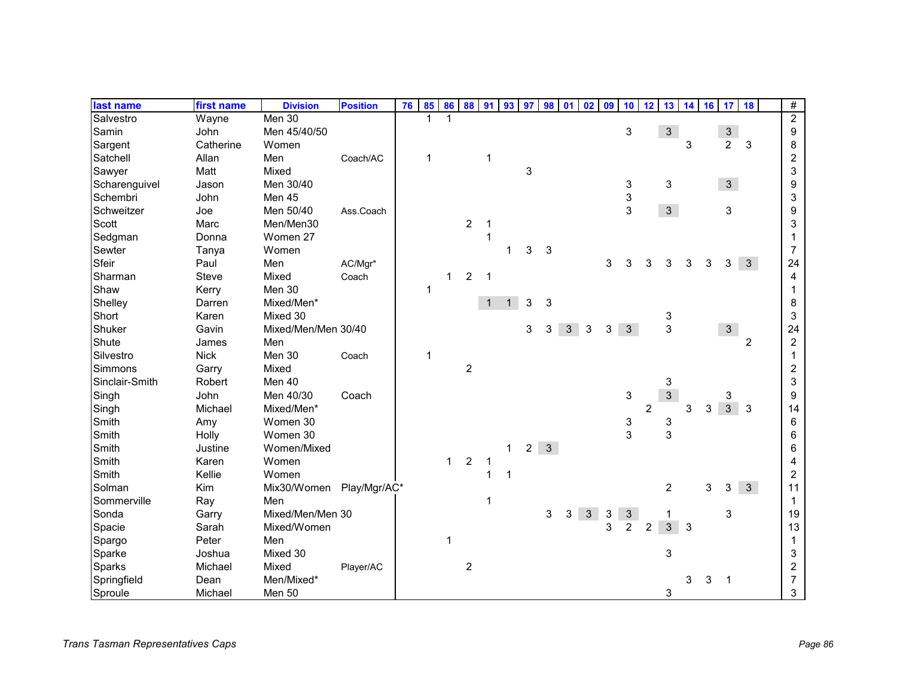| last name      | first name  | <b>Division</b>     | <b>Position</b> | 76 | 85           | 86           | 88             | 91           | 93           | 97             | 98           | 01             | 02             | 09           | 10             | 12             | 13             | 14 | 16 | 17             | 18             | $\#$           |  |
|----------------|-------------|---------------------|-----------------|----|--------------|--------------|----------------|--------------|--------------|----------------|--------------|----------------|----------------|--------------|----------------|----------------|----------------|----|----|----------------|----------------|----------------|--|
| Salvestro      | Wayne       | Men 30              |                 |    | 1            |              |                |              |              |                |              |                |                |              |                |                |                |    |    |                |                | $\overline{2}$ |  |
| Samin          | John        | Men 45/40/50        |                 |    |              |              |                |              |              |                |              |                |                |              | 3              |                | 3 <sup>7</sup> |    |    | $\frac{3}{2}$  |                | 9              |  |
| Sargent        | Catherine   | Women               |                 |    |              |              |                |              |              |                |              |                |                |              |                |                |                | 3  |    |                | 3              | 8              |  |
| Satchell       | Allan       | Men                 | Coach/AC        |    | $\mathbf{1}$ |              |                | $\mathbf{1}$ |              |                |              |                |                |              |                |                |                |    |    |                |                | $\overline{c}$ |  |
| Sawyer         | Matt        | Mixed               |                 |    |              |              |                |              |              | 3              |              |                |                |              |                |                |                |    |    |                |                | 3              |  |
| Scharenguivel  | Jason       | Men 30/40           |                 |    |              |              |                |              |              |                |              |                |                |              | 3              |                | 3              |    |    | $\mathbf{3}$   |                | 9              |  |
| Schembri       | John        | Men 45              |                 |    |              |              |                |              |              |                |              |                |                |              | 3              |                |                |    |    |                |                | 3              |  |
| Schweitzer     | Joe         | Men 50/40           | Ass.Coach       |    |              |              |                |              |              |                |              |                |                |              | 3              |                | $\mathbf{3}$   |    |    | 3              |                | 9              |  |
| Scott          | Marc        | Men/Men30           |                 |    |              |              | $\overline{c}$ | -1           |              |                |              |                |                |              |                |                |                |    |    |                |                | 3              |  |
| Sedgman        | Donna       | Women 27            |                 |    |              |              |                | 1            |              |                |              |                |                |              |                |                |                |    |    |                |                |                |  |
| Sewter         | Tanya       | Women               |                 |    |              |              |                |              |              | 3              | 3            |                |                |              |                |                |                |    |    |                |                | $\overline{7}$ |  |
| Sfeir          | Paul        | Men                 | AC/Mgr*         |    |              |              |                |              |              |                |              |                |                | 3            | 3              | 3              | 3              | 3  | 3  | 3              | 3              | 24             |  |
| Sharman        | Steve       | Mixed               | Coach           |    |              | $\mathbf{1}$ | $\overline{2}$ | $\mathbf 1$  |              |                |              |                |                |              |                |                |                |    |    |                |                | 4              |  |
| Shaw           | Kerry       | Men 30              |                 |    | 1            |              |                |              |              |                |              |                |                |              |                |                |                |    |    |                |                |                |  |
| Shelley        | Darren      | Mixed/Men*          |                 |    |              |              |                | $\mathbf{1}$ | $\mathbf{1}$ | 3              | 3            |                |                |              |                |                |                |    |    |                |                | 8              |  |
| Short          | Karen       | Mixed 30            |                 |    |              |              |                |              |              |                |              |                |                |              |                |                | 3              |    |    |                |                | 3              |  |
| Shuker         | Gavin       | Mixed/Men/Men 30/40 |                 |    |              |              |                |              |              | 3              | 3            | 3 <sup>1</sup> | 3              | 3            | $\mathbf{3}$   |                | 3              |    |    | 3 <sup>1</sup> |                | 24             |  |
| Shute          | James       | Men                 |                 |    |              |              |                |              |              |                |              |                |                |              |                |                |                |    |    |                | $\overline{2}$ | $\overline{c}$ |  |
| Silvestro      | <b>Nick</b> | Men 30              | Coach           |    | $\mathbf{1}$ |              |                |              |              |                |              |                |                |              |                |                |                |    |    |                |                | 1              |  |
| Simmons        | Garry       | Mixed               |                 |    |              |              | $\overline{c}$ |              |              |                |              |                |                |              |                |                |                |    |    |                |                | $\overline{c}$ |  |
| Sinclair-Smith | Robert      | Men 40              |                 |    |              |              |                |              |              |                |              |                |                |              |                |                | 3              |    |    |                |                | 3              |  |
| Singh          | John        | Men 40/30           | Coach           |    |              |              |                |              |              |                |              |                |                |              | 3              |                | 3              |    |    | 3              |                | 9              |  |
| Singh          | Michael     | Mixed/Men*          |                 |    |              |              |                |              |              |                |              |                |                |              |                | $\overline{2}$ |                | 3  | 3  | $\overline{3}$ | 3              | 14             |  |
| Smith          | Amy         | Women 30            |                 |    |              |              |                |              |              |                |              |                |                |              | 3              |                | 3              |    |    |                |                | 6              |  |
| Smith          | Holly       | Women 30            |                 |    |              |              |                |              |              |                |              |                |                |              | 3              |                | 3              |    |    |                |                | 6              |  |
| Smith          | Justine     | Women/Mixed         |                 |    |              |              |                |              | $\mathbf{1}$ | $\overline{2}$ | $\mathbf{3}$ |                |                |              |                |                |                |    |    |                |                | 6              |  |
| Smith          | Karen       | Women               |                 |    |              | $\mathbf{1}$ | $\sqrt{2}$     | $\mathbf 1$  |              |                |              |                |                |              |                |                |                |    |    |                |                | 4              |  |
| Smith          | Kellie      | Women               |                 |    |              |              |                | 1            | 1            |                |              |                |                |              |                |                |                |    |    |                |                | $\overline{c}$ |  |
| Solman         | Kim         | Mix30/Women         | Play/Mgr/AC*    |    |              |              |                |              |              |                |              |                |                |              |                |                | $\overline{c}$ |    | 3  | 3              | $\mathbf{3}$   | 11             |  |
| Sommerville    | Ray         | Men                 |                 |    |              |              |                | 1            |              |                |              |                |                |              |                |                |                |    |    |                |                | $\mathbf{1}$   |  |
| Sonda          | Garry       | Mixed/Men/Men 30    |                 |    |              |              |                |              |              |                | 3            | 3              | 3 <sup>7</sup> | $\mathbf{3}$ | $\mathbf{3}$   |                | 1              |    |    | 3              |                | 19             |  |
| Spacie         | Sarah       | Mixed/Women         |                 |    |              |              |                |              |              |                |              |                |                | 3            | $\overline{c}$ | $\overline{c}$ | $\mathbf{3}$   | 3  |    |                |                | 13             |  |
| Spargo         | Peter       | Men                 |                 |    |              | 1            |                |              |              |                |              |                |                |              |                |                |                |    |    |                |                | 1              |  |
| Sparke         | Joshua      | Mixed 30            |                 |    |              |              |                |              |              |                |              |                |                |              |                |                | 3              |    |    |                |                | 3              |  |
| Sparks         | Michael     | Mixed               | Player/AC       |    |              |              | $\overline{2}$ |              |              |                |              |                |                |              |                |                |                |    |    |                |                | $\overline{c}$ |  |
| Springfield    | Dean        | Men/Mixed*          |                 |    |              |              |                |              |              |                |              |                |                |              |                |                |                | 3  | 3  | 1              |                | $\overline{7}$ |  |
| Sproule        | Michael     | Men 50              |                 |    |              |              |                |              |              |                |              |                |                |              |                |                | 3              |    |    |                |                | 3              |  |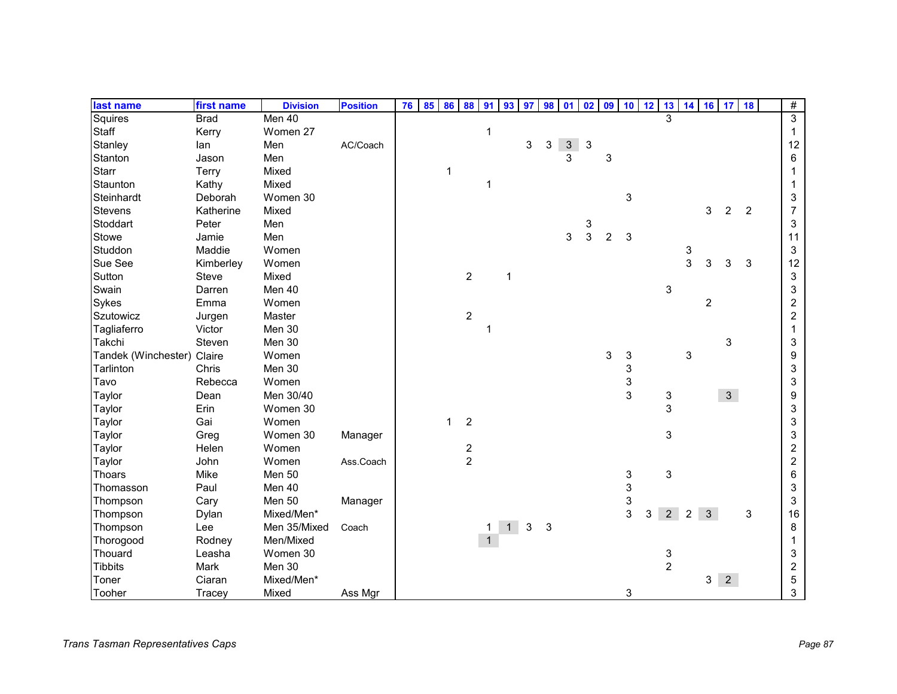| last name                  | first name  | <b>Division</b> | <b>Position</b> | 76 | 85 | 86           | 88             | 91          | 93           | 97 | 98         |                | $01$ $02$  | 09             | 10 <sup>1</sup> | 12 | 13                        |   |                | 14 16 17 18    |                | $\#$           |
|----------------------------|-------------|-----------------|-----------------|----|----|--------------|----------------|-------------|--------------|----|------------|----------------|------------|----------------|-----------------|----|---------------------------|---|----------------|----------------|----------------|----------------|
| Squires                    | <b>Brad</b> | Men 40          |                 |    |    |              |                |             |              |    |            |                |            |                |                 |    | $\overline{\mathbf{3}}$   |   |                |                |                | $\overline{3}$ |
| Staff                      | Kerry       | Women 27        |                 |    |    |              |                | $\mathbf 1$ |              |    |            |                |            |                |                 |    |                           |   |                |                |                | $\mathbf{1}$   |
| Stanley                    | lan         | Men             | AC/Coach        |    |    |              |                |             |              | 3  | 3          | 3 <sup>1</sup> | $\sqrt{3}$ |                |                 |    |                           |   |                |                |                | 12             |
| Stanton                    | Jason       | Men             |                 |    |    |              |                |             |              |    |            | 3              |            | 3              |                 |    |                           |   |                |                |                | 6              |
| <b>Starr</b>               | Terry       | Mixed           |                 |    |    | $\mathbf{1}$ |                |             |              |    |            |                |            |                |                 |    |                           |   |                |                |                |                |
| Staunton                   | Kathy       | Mixed           |                 |    |    |              |                | 1           |              |    |            |                |            |                |                 |    |                           |   |                |                |                |                |
| Steinhardt                 | Deborah     | Women 30        |                 |    |    |              |                |             |              |    |            |                |            |                | 3               |    |                           |   |                |                |                | 3              |
| <b>Stevens</b>             | Katherine   | Mixed           |                 |    |    |              |                |             |              |    |            |                |            |                |                 |    |                           |   | 3              | $\overline{c}$ | $\overline{2}$ | $\overline{7}$ |
| Stoddart                   | Peter       | Men             |                 |    |    |              |                |             |              |    |            |                | 3          |                |                 |    |                           |   |                |                |                | 3              |
| Stowe                      | Jamie       | Men             |                 |    |    |              |                |             |              |    |            | 3              | 3          | $\overline{c}$ | 3               |    |                           |   |                |                |                | 11             |
| Studdon                    | Maddie      | Women           |                 |    |    |              |                |             |              |    |            |                |            |                |                 |    |                           | 3 |                |                |                | 3              |
| Sue See                    | Kimberley   | Women           |                 |    |    |              |                |             |              |    |            |                |            |                |                 |    |                           | 3 | 3              | 3              | 3              | 12             |
| Sutton                     | Steve       | Mixed           |                 |    |    |              | $\overline{2}$ |             | $\mathbf{1}$ |    |            |                |            |                |                 |    |                           |   |                |                |                | 3              |
| Swain                      | Darren      | Men 40          |                 |    |    |              |                |             |              |    |            |                |            |                |                 |    | 3                         |   |                |                |                | 3              |
| Sykes                      | Emma        | Women           |                 |    |    |              |                |             |              |    |            |                |            |                |                 |    |                           |   | $\overline{c}$ |                |                | $\overline{c}$ |
| Szutowicz                  | Jurgen      | Master          |                 |    |    |              | $\overline{c}$ |             |              |    |            |                |            |                |                 |    |                           |   |                |                |                | $\overline{c}$ |
| Tagliaferro                | Victor      | Men 30          |                 |    |    |              |                | 1           |              |    |            |                |            |                |                 |    |                           |   |                |                |                |                |
| Takchi                     | Steven      | Men 30          |                 |    |    |              |                |             |              |    |            |                |            |                |                 |    |                           |   |                | 3              |                | 3              |
| Tandek (Winchester) Claire |             | Women           |                 |    |    |              |                |             |              |    |            |                |            | 3              | 3               |    |                           | 3 |                |                |                | 9              |
| Tarlinton                  | Chris       | Men 30          |                 |    |    |              |                |             |              |    |            |                |            |                | 3               |    |                           |   |                |                |                | 3              |
| Tavo                       | Rebecca     | Women           |                 |    |    |              |                |             |              |    |            |                |            |                | 3               |    |                           |   |                |                |                | 3              |
| Taylor                     | Dean        | Men 30/40       |                 |    |    |              |                |             |              |    |            |                |            |                | 3               |    | $\ensuremath{\mathsf{3}}$ |   |                | $\mathbf{3}$   |                | 9              |
| Taylor                     | Erin        | Women 30        |                 |    |    |              |                |             |              |    |            |                |            |                |                 |    | $\mathbf{3}$              |   |                |                |                | 3              |
| Taylor                     | Gai         | Women           |                 |    |    | $\mathbf{1}$ | $\sqrt{2}$     |             |              |    |            |                |            |                |                 |    |                           |   |                |                |                | 3              |
| Taylor                     | Greg        | Women 30        | Manager         |    |    |              |                |             |              |    |            |                |            |                |                 |    | $\ensuremath{\mathsf{3}}$ |   |                |                |                | 3              |
| Taylor                     | Helen       | Women           |                 |    |    |              | $\frac{2}{2}$  |             |              |    |            |                |            |                |                 |    |                           |   |                |                |                | $\overline{c}$ |
| Taylor                     | John        | Women           | Ass.Coach       |    |    |              |                |             |              |    |            |                |            |                |                 |    |                           |   |                |                |                | $\overline{c}$ |
| Thoars                     | Mike        | Men 50          |                 |    |    |              |                |             |              |    |            |                |            |                | 3               |    | $\ensuremath{\mathsf{3}}$ |   |                |                |                | 6              |
| Thomasson                  | Paul        | Men 40          |                 |    |    |              |                |             |              |    |            |                |            |                | 3               |    |                           |   |                |                |                | 3              |
| Thompson                   | Cary        | Men 50          | Manager         |    |    |              |                |             |              |    |            |                |            |                | 3               |    |                           |   |                |                |                | 3              |
| Thompson                   | Dylan       | Mixed/Men*      |                 |    |    |              |                |             |              |    |            |                |            |                | 3               | 3  | $\overline{2}$            | 2 | 3              |                | 3              | 16             |
| Thompson                   | Lee         | Men 35/Mixed    | Coach           |    |    |              |                |             | 1            | 3  | $\sqrt{3}$ |                |            |                |                 |    |                           |   |                |                |                | 8              |
| Thorogood                  | Rodney      | Men/Mixed       |                 |    |    |              |                | 1           |              |    |            |                |            |                |                 |    |                           |   |                |                |                |                |
| Thouard                    | Leasha      | Women 30        |                 |    |    |              |                |             |              |    |            |                |            |                |                 |    | 3                         |   |                |                |                | 3              |
| <b>Tibbits</b>             | Mark        | Men 30          |                 |    |    |              |                |             |              |    |            |                |            |                |                 |    | $\overline{c}$            |   |                |                |                | $\overline{c}$ |
| Toner                      | Ciaran      | Mixed/Men*      |                 |    |    |              |                |             |              |    |            |                |            |                |                 |    |                           |   | 3 <sup>1</sup> | $\overline{2}$ |                | 5              |
| Tooher                     | Tracey      | Mixed           | Ass Mgr         |    |    |              |                |             |              |    |            |                |            |                | 3               |    |                           |   |                |                |                | 3              |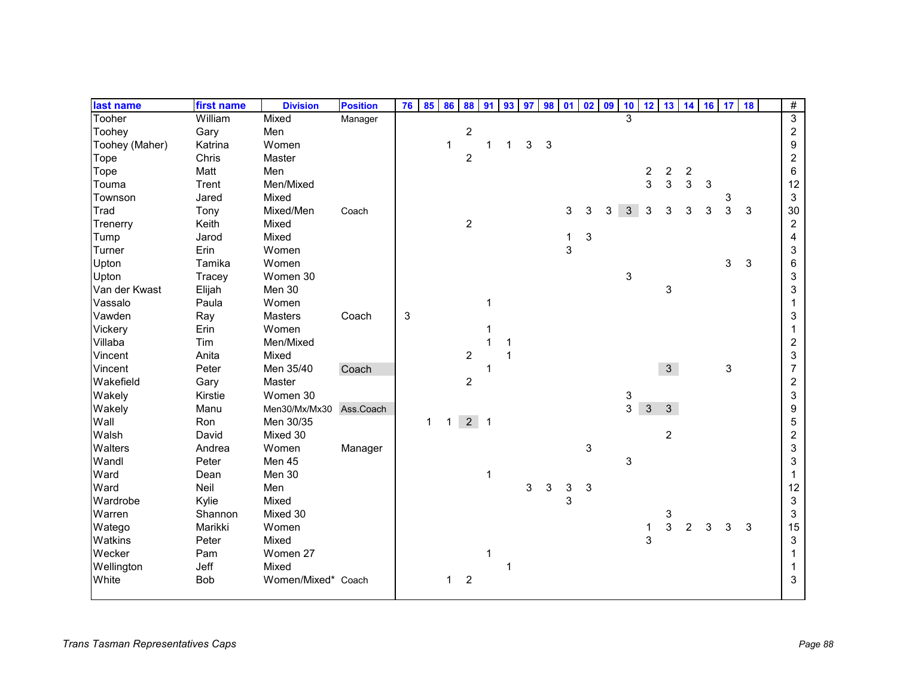| last name      | first name | <b>Division</b>    | <b>Position</b> | 76 | 85 | 86 | 88               | 91                       | 93 | 97 | <b>98</b>    | 01 | 02         | 09 | 10 | 12                      |                | 13 14 16 17      |              |   | 18 | $\overline{\#}$  |
|----------------|------------|--------------------|-----------------|----|----|----|------------------|--------------------------|----|----|--------------|----|------------|----|----|-------------------------|----------------|------------------|--------------|---|----|------------------|
| Tooher         | William    | Mixed              | Manager         |    |    |    |                  |                          |    |    |              |    |            |    | 3  |                         |                |                  |              |   |    | $\overline{3}$   |
| Toohey         | Gary       | Men                |                 |    |    |    | $\sqrt{2}$       |                          |    |    |              |    |            |    |    |                         |                |                  |              |   |    | $\overline{c}$   |
| Toohey (Maher) | Katrina    | Women              |                 |    |    | 1  |                  | 1                        | 1  | 3  | $\mathbf{3}$ |    |            |    |    |                         |                |                  |              |   |    | $\boldsymbol{9}$ |
| Tope           | Chris      | Master             |                 |    |    |    | $\overline{c}$   |                          |    |    |              |    |            |    |    |                         |                |                  |              |   |    | $\overline{c}$   |
| Tope           | Matt       | Men                |                 |    |    |    |                  |                          |    |    |              |    |            |    |    | $\overline{\mathbf{c}}$ | $\overline{c}$ | $\boldsymbol{2}$ |              |   |    | 6                |
| Touma          | Trent      | Men/Mixed          |                 |    |    |    |                  |                          |    |    |              |    |            |    |    | $\overline{3}$          | 3              | 3                | $\mathbf{3}$ |   |    | 12               |
| Townson        | Jared      | Mixed              |                 |    |    |    |                  |                          |    |    |              |    |            |    |    |                         |                |                  |              | 3 |    | 3                |
| Trad           | Tony       | Mixed/Men          | Coach           |    |    |    |                  |                          |    |    |              | 3  | 3          | 3  | 3  | 3                       | 3              | 3                | 3            | 3 | 3  | 30               |
| Trenerry       | Keith      | Mixed              |                 |    |    |    | $\overline{c}$   |                          |    |    |              |    |            |    |    |                         |                |                  |              |   |    | $\overline{c}$   |
| Tump           | Jarod      | Mixed              |                 |    |    |    |                  |                          |    |    |              | 1  | $\sqrt{3}$ |    |    |                         |                |                  |              |   |    | 4                |
| Turner         | Erin       | Women              |                 |    |    |    |                  |                          |    |    |              | 3  |            |    |    |                         |                |                  |              |   |    | 3                |
| Upton          | Tamika     | Women              |                 |    |    |    |                  |                          |    |    |              |    |            |    |    |                         |                |                  |              | 3 | 3  | 6                |
| Upton          | Tracey     | Women 30           |                 |    |    |    |                  |                          |    |    |              |    |            |    | 3  |                         |                |                  |              |   |    | 3                |
| Van der Kwast  | Elijah     | Men 30             |                 |    |    |    |                  |                          |    |    |              |    |            |    |    |                         | 3              |                  |              |   |    | 3                |
| Vassalo        | Paula      | Women              |                 |    |    |    |                  | $\mathbf{1}$             |    |    |              |    |            |    |    |                         |                |                  |              |   |    |                  |
| Vawden         | Ray        | <b>Masters</b>     | Coach           | 3  |    |    |                  |                          |    |    |              |    |            |    |    |                         |                |                  |              |   |    | 3                |
| Vickery        | Erin       | Women              |                 |    |    |    |                  |                          |    |    |              |    |            |    |    |                         |                |                  |              |   |    |                  |
| Villaba        | Tim        | Men/Mixed          |                 |    |    |    |                  |                          |    |    |              |    |            |    |    |                         |                |                  |              |   |    | 2                |
| Vincent        | Anita      | Mixed              |                 |    |    |    | $\overline{c}$   |                          | 1  |    |              |    |            |    |    |                         |                |                  |              |   |    | 3                |
| Vincent        | Peter      | Men 35/40          | Coach           |    |    |    |                  | 1                        |    |    |              |    |            |    |    |                         | 3 <sup>1</sup> |                  |              | 3 |    | $\overline{7}$   |
| Wakefield      | Gary       | Master             |                 |    |    |    | $\overline{c}$   |                          |    |    |              |    |            |    |    |                         |                |                  |              |   |    | $\boldsymbol{2}$ |
| Wakely         | Kirstie    | Women 30           |                 |    |    |    |                  |                          |    |    |              |    |            |    | 3  |                         |                |                  |              |   |    | 3                |
| Wakely         | Manu       | Men30/Mx/Mx30      | Ass.Coach       |    |    |    |                  |                          |    |    |              |    |            |    | 3  | 3                       | $\mathbf{3}$   |                  |              |   |    | 9                |
| Wall           | Ron        | Men 30/35          |                 |    | 1  | 1  | 2 <sup>7</sup>   | $\overline{\phantom{0}}$ |    |    |              |    |            |    |    |                         |                |                  |              |   |    | 5                |
| Walsh          | David      | Mixed 30           |                 |    |    |    |                  |                          |    |    |              |    |            |    |    |                         | $\overline{c}$ |                  |              |   |    | $\overline{c}$   |
| Walters        | Andrea     | Women              | Manager         |    |    |    |                  |                          |    |    |              |    | 3          |    |    |                         |                |                  |              |   |    | 3                |
| Wandl          | Peter      | Men 45             |                 |    |    |    |                  |                          |    |    |              |    |            |    | 3  |                         |                |                  |              |   |    | 3                |
| Ward           | Dean       | Men 30             |                 |    |    |    |                  | 1                        |    |    |              |    |            |    |    |                         |                |                  |              |   |    |                  |
| Ward           | Neil       | Men                |                 |    |    |    |                  |                          |    | 3  | 3            | 3  | 3          |    |    |                         |                |                  |              |   |    | 12               |
| Wardrobe       | Kylie      | Mixed              |                 |    |    |    |                  |                          |    |    |              | 3  |            |    |    |                         |                |                  |              |   |    | 3                |
| Warren         | Shannon    | Mixed 30           |                 |    |    |    |                  |                          |    |    |              |    |            |    |    |                         | 3              |                  |              |   |    | 3                |
| Watego         | Marikki    | Women              |                 |    |    |    |                  |                          |    |    |              |    |            |    |    | 1                       | 3              | $\overline{2}$   | 3            | 3 | 3  | 15               |
| Watkins        | Peter      | Mixed              |                 |    |    |    |                  |                          |    |    |              |    |            |    |    | 3                       |                |                  |              |   |    | 3                |
| Wecker         | Pam        | Women 27           |                 |    |    |    |                  | 1                        |    |    |              |    |            |    |    |                         |                |                  |              |   |    |                  |
| Wellington     | Jeff       | Mixed              |                 |    |    |    |                  |                          | 1  |    |              |    |            |    |    |                         |                |                  |              |   |    |                  |
| White          | Bob        | Women/Mixed* Coach |                 |    |    | 1  | $\boldsymbol{2}$ |                          |    |    |              |    |            |    |    |                         |                |                  |              |   |    | 3                |
|                |            |                    |                 |    |    |    |                  |                          |    |    |              |    |            |    |    |                         |                |                  |              |   |    |                  |